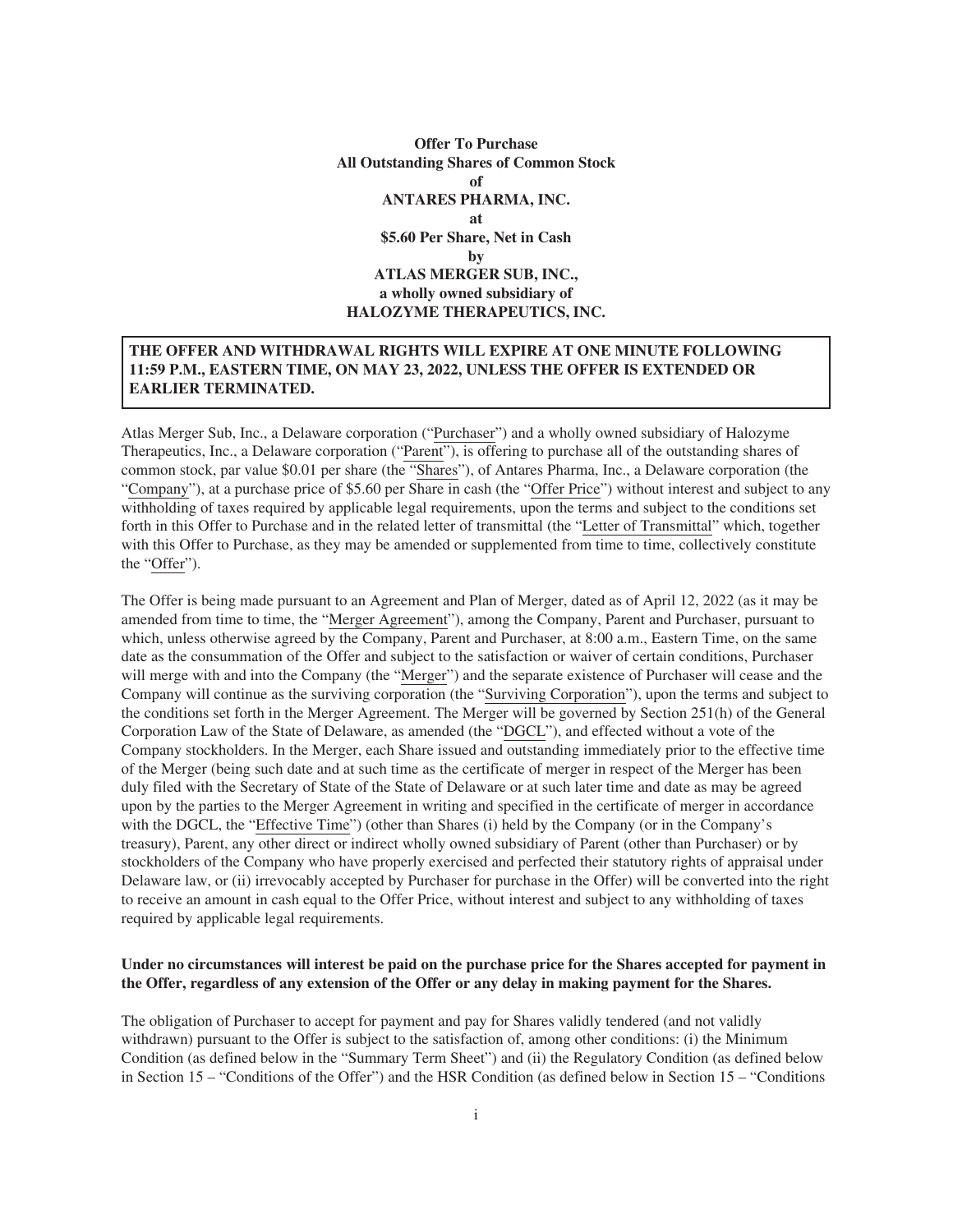# **Offer To Purchase All Outstanding Shares of Common Stock of ANTARES PHARMA, INC. at \$5.60 Per Share, Net in Cash by ATLAS MERGER SUB, INC., a wholly owned subsidiary of HALOZYME THERAPEUTICS, INC.**

# **THE OFFER AND WITHDRAWAL RIGHTS WILL EXPIRE AT ONE MINUTE FOLLOWING 11:59 P.M., EASTERN TIME, ON MAY 23, 2022, UNLESS THE OFFER IS EXTENDED OR EARLIER TERMINATED.**

Atlas Merger Sub, Inc., a Delaware corporation ("Purchaser") and a wholly owned subsidiary of Halozyme Therapeutics, Inc., a Delaware corporation ("Parent"), is offering to purchase all of the outstanding shares of common stock, par value \$0.01 per share (the "Shares"), of Antares Pharma, Inc., a Delaware corporation (the "Company"), at a purchase price of \$5.60 per Share in cash (the "Offer Price") without interest and subject to any withholding of taxes required by applicable legal requirements, upon the terms and subject to the conditions set forth in this Offer to Purchase and in the related letter of transmittal (the "Letter of Transmittal" which, together with this Offer to Purchase, as they may be amended or supplemented from time to time, collectively constitute the "Offer").

The Offer is being made pursuant to an Agreement and Plan of Merger, dated as of April 12, 2022 (as it may be amended from time to time, the "Merger Agreement"), among the Company, Parent and Purchaser, pursuant to which, unless otherwise agreed by the Company, Parent and Purchaser, at 8:00 a.m., Eastern Time, on the same date as the consummation of the Offer and subject to the satisfaction or waiver of certain conditions, Purchaser will merge with and into the Company (the "Merger") and the separate existence of Purchaser will cease and the Company will continue as the surviving corporation (the "Surviving Corporation"), upon the terms and subject to the conditions set forth in the Merger Agreement. The Merger will be governed by Section 251(h) of the General Corporation Law of the State of Delaware, as amended (the "DGCL"), and effected without a vote of the Company stockholders. In the Merger, each Share issued and outstanding immediately prior to the effective time of the Merger (being such date and at such time as the certificate of merger in respect of the Merger has been duly filed with the Secretary of State of the State of Delaware or at such later time and date as may be agreed upon by the parties to the Merger Agreement in writing and specified in the certificate of merger in accordance with the DGCL, the "Effective Time") (other than Shares (i) held by the Company (or in the Company's treasury), Parent, any other direct or indirect wholly owned subsidiary of Parent (other than Purchaser) or by stockholders of the Company who have properly exercised and perfected their statutory rights of appraisal under Delaware law, or (ii) irrevocably accepted by Purchaser for purchase in the Offer) will be converted into the right to receive an amount in cash equal to the Offer Price, without interest and subject to any withholding of taxes required by applicable legal requirements.

## **Under no circumstances will interest be paid on the purchase price for the Shares accepted for payment in the Offer, regardless of any extension of the Offer or any delay in making payment for the Shares.**

The obligation of Purchaser to accept for payment and pay for Shares validly tendered (and not validly withdrawn) pursuant to the Offer is subject to the satisfaction of, among other conditions: (i) the Minimum Condition (as defined below in the "Summary Term Sheet") and (ii) the Regulatory Condition (as defined below in Section 15 – "Conditions of the Offer") and the HSR Condition (as defined below in Section 15 – "Conditions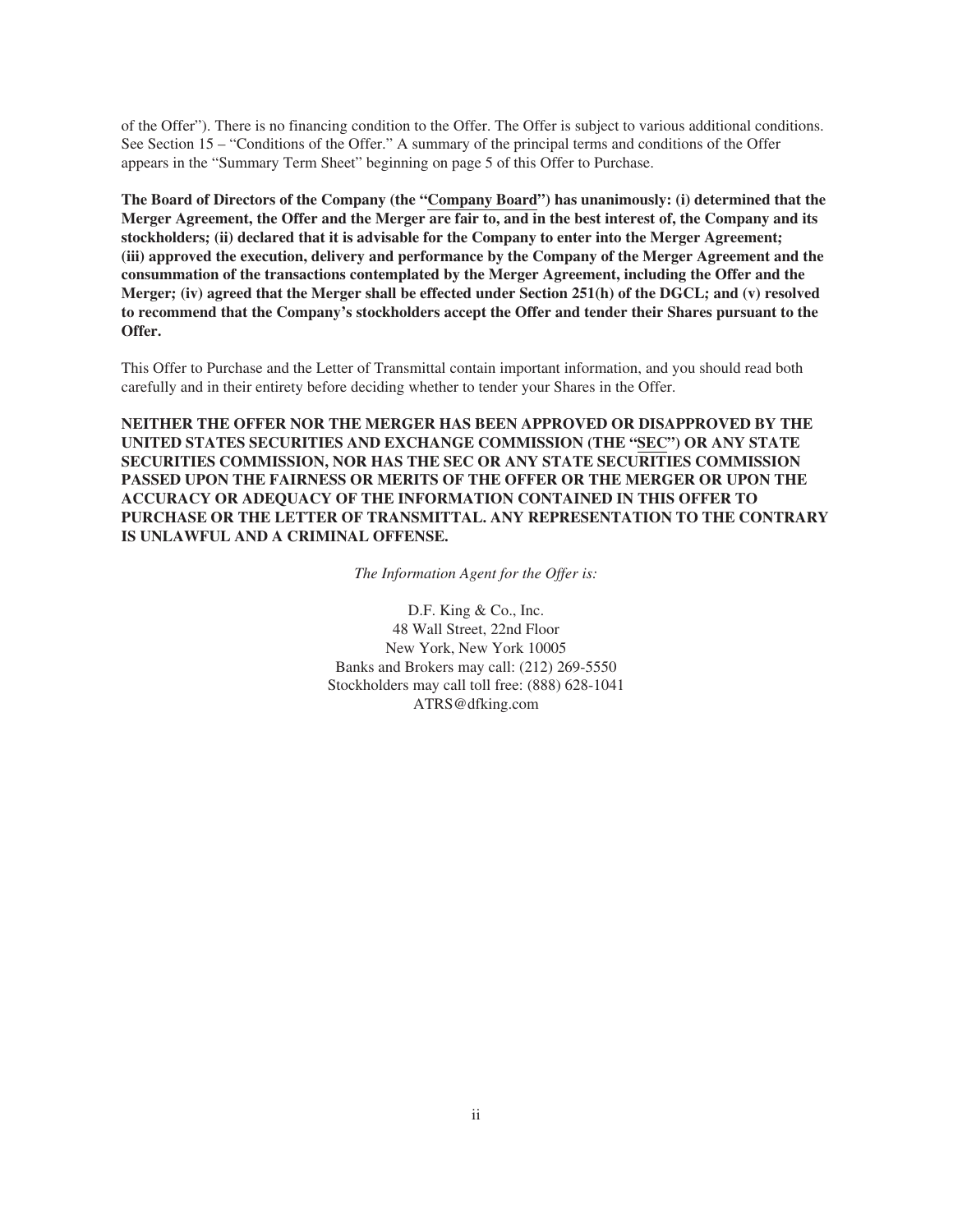of the Offer"). There is no financing condition to the Offer. The Offer is subject to various additional conditions. See Section 15 – "Conditions of the Offer." A summary of the principal terms and conditions of the Offer appears in the "Summary Term Sheet" beginning on page 5 of this Offer to Purchase.

**The Board of Directors of the Company (the "Company Board") has unanimously: (i) determined that the Merger Agreement, the Offer and the Merger are fair to, and in the best interest of, the Company and its stockholders; (ii) declared that it is advisable for the Company to enter into the Merger Agreement; (iii) approved the execution, delivery and performance by the Company of the Merger Agreement and the consummation of the transactions contemplated by the Merger Agreement, including the Offer and the Merger; (iv) agreed that the Merger shall be effected under Section 251(h) of the DGCL; and (v) resolved to recommend that the Company's stockholders accept the Offer and tender their Shares pursuant to the Offer.**

This Offer to Purchase and the Letter of Transmittal contain important information, and you should read both carefully and in their entirety before deciding whether to tender your Shares in the Offer.

**NEITHER THE OFFER NOR THE MERGER HAS BEEN APPROVED OR DISAPPROVED BY THE UNITED STATES SECURITIES AND EXCHANGE COMMISSION (THE "SEC") OR ANY STATE SECURITIES COMMISSION, NOR HAS THE SEC OR ANY STATE SECURITIES COMMISSION PASSED UPON THE FAIRNESS OR MERITS OF THE OFFER OR THE MERGER OR UPON THE ACCURACY OR ADEQUACY OF THE INFORMATION CONTAINED IN THIS OFFER TO PURCHASE OR THE LETTER OF TRANSMITTAL. ANY REPRESENTATION TO THE CONTRARY IS UNLAWFUL AND A CRIMINAL OFFENSE.**

*The Information Agent for the Offer is:*

D.F. King & Co., Inc. 48 Wall Street, 22nd Floor New York, New York 10005 Banks and Brokers may call: (212) 269-5550 Stockholders may call toll free: (888) 628-1041 ATRS@dfking.com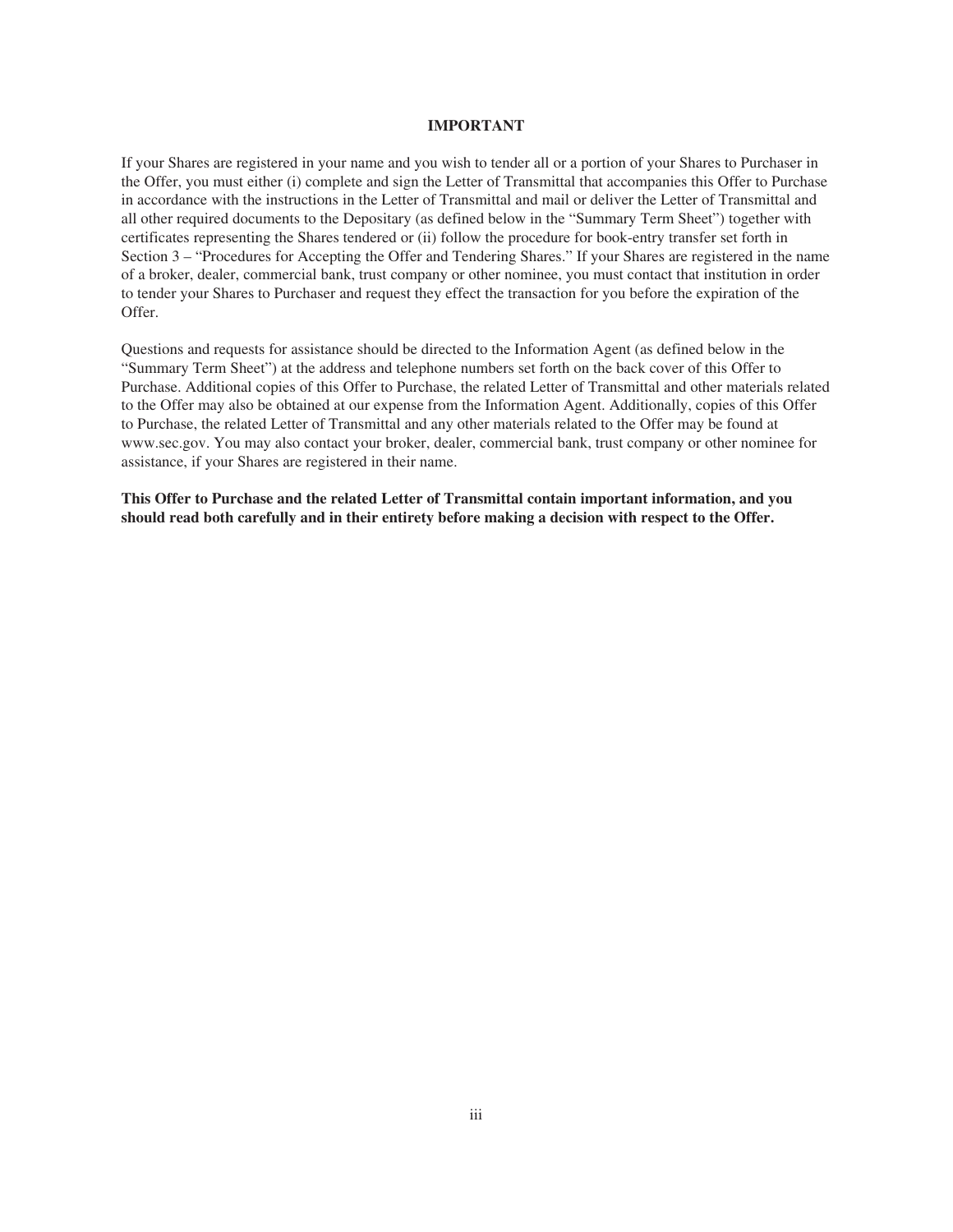#### **IMPORTANT**

If your Shares are registered in your name and you wish to tender all or a portion of your Shares to Purchaser in the Offer, you must either (i) complete and sign the Letter of Transmittal that accompanies this Offer to Purchase in accordance with the instructions in the Letter of Transmittal and mail or deliver the Letter of Transmittal and all other required documents to the Depositary (as defined below in the "Summary Term Sheet") together with certificates representing the Shares tendered or (ii) follow the procedure for book-entry transfer set forth in Section 3 – "Procedures for Accepting the Offer and Tendering Shares." If your Shares are registered in the name of a broker, dealer, commercial bank, trust company or other nominee, you must contact that institution in order to tender your Shares to Purchaser and request they effect the transaction for you before the expiration of the Offer.

Questions and requests for assistance should be directed to the Information Agent (as defined below in the "Summary Term Sheet") at the address and telephone numbers set forth on the back cover of this Offer to Purchase. Additional copies of this Offer to Purchase, the related Letter of Transmittal and other materials related to the Offer may also be obtained at our expense from the Information Agent. Additionally, copies of this Offer to Purchase, the related Letter of Transmittal and any other materials related to the Offer may be found at www.sec.gov. You may also contact your broker, dealer, commercial bank, trust company or other nominee for assistance, if your Shares are registered in their name.

**This Offer to Purchase and the related Letter of Transmittal contain important information, and you should read both carefully and in their entirety before making a decision with respect to the Offer.**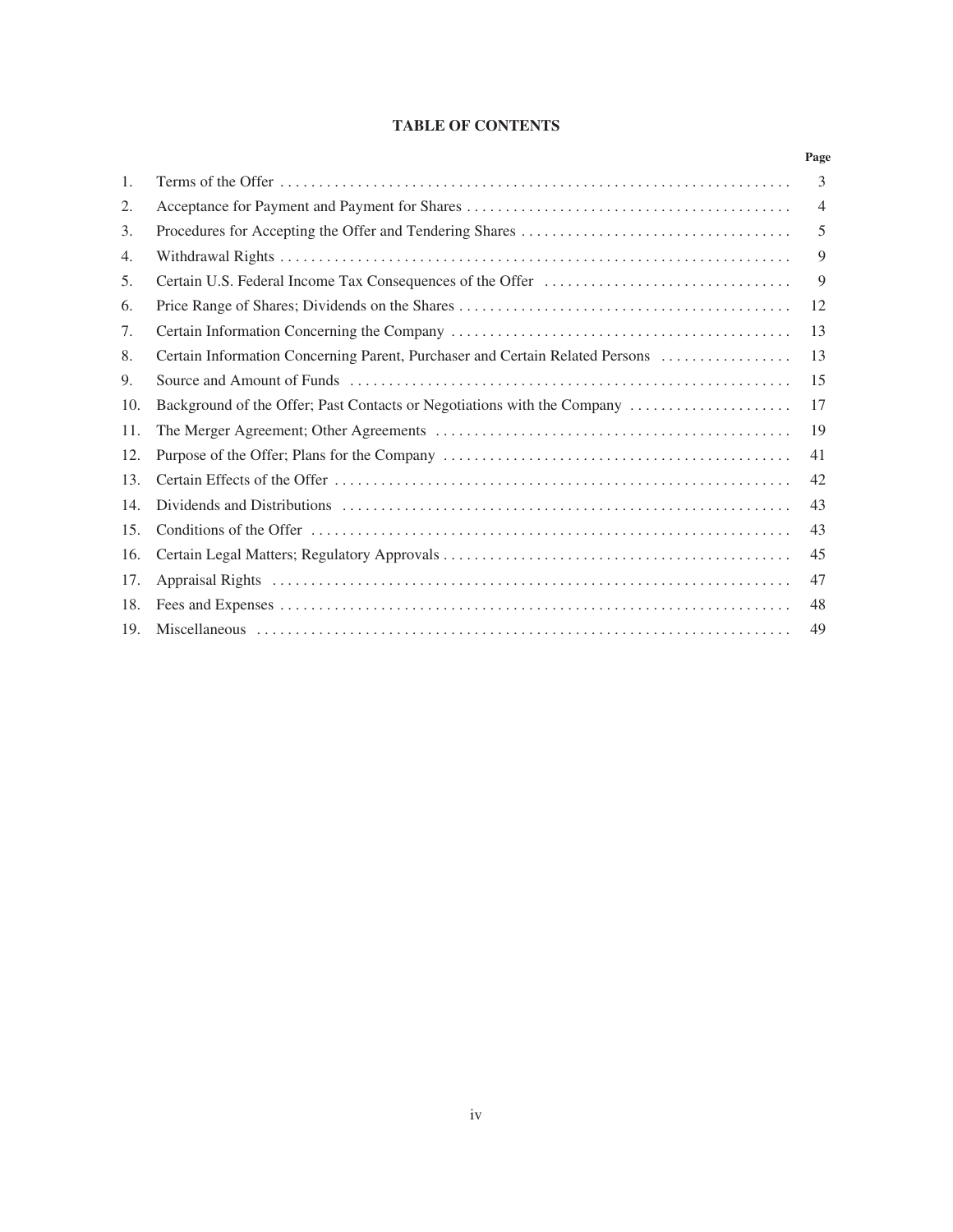# **TABLE OF CONTENTS**

|     |                                                                              | Page           |
|-----|------------------------------------------------------------------------------|----------------|
| 1.  |                                                                              | 3              |
| 2.  |                                                                              | $\overline{4}$ |
| 3.  |                                                                              | 5              |
| 4.  |                                                                              | 9              |
| 5.  |                                                                              | 9              |
| 6.  |                                                                              | 12             |
| 7.  |                                                                              | 13             |
| 8.  | Certain Information Concerning Parent, Purchaser and Certain Related Persons | 13             |
| 9.  |                                                                              | 15             |
| 10. | Background of the Offer; Past Contacts or Negotiations with the Company      | 17             |
| 11. |                                                                              | 19             |
| 12. |                                                                              | 41             |
| 13. |                                                                              | 42             |
| 14. |                                                                              | 43             |
| 15. |                                                                              | 43             |
| 16. |                                                                              | 45             |
| 17. |                                                                              | 47             |
| 18. |                                                                              | 48             |
| 19. |                                                                              | 49             |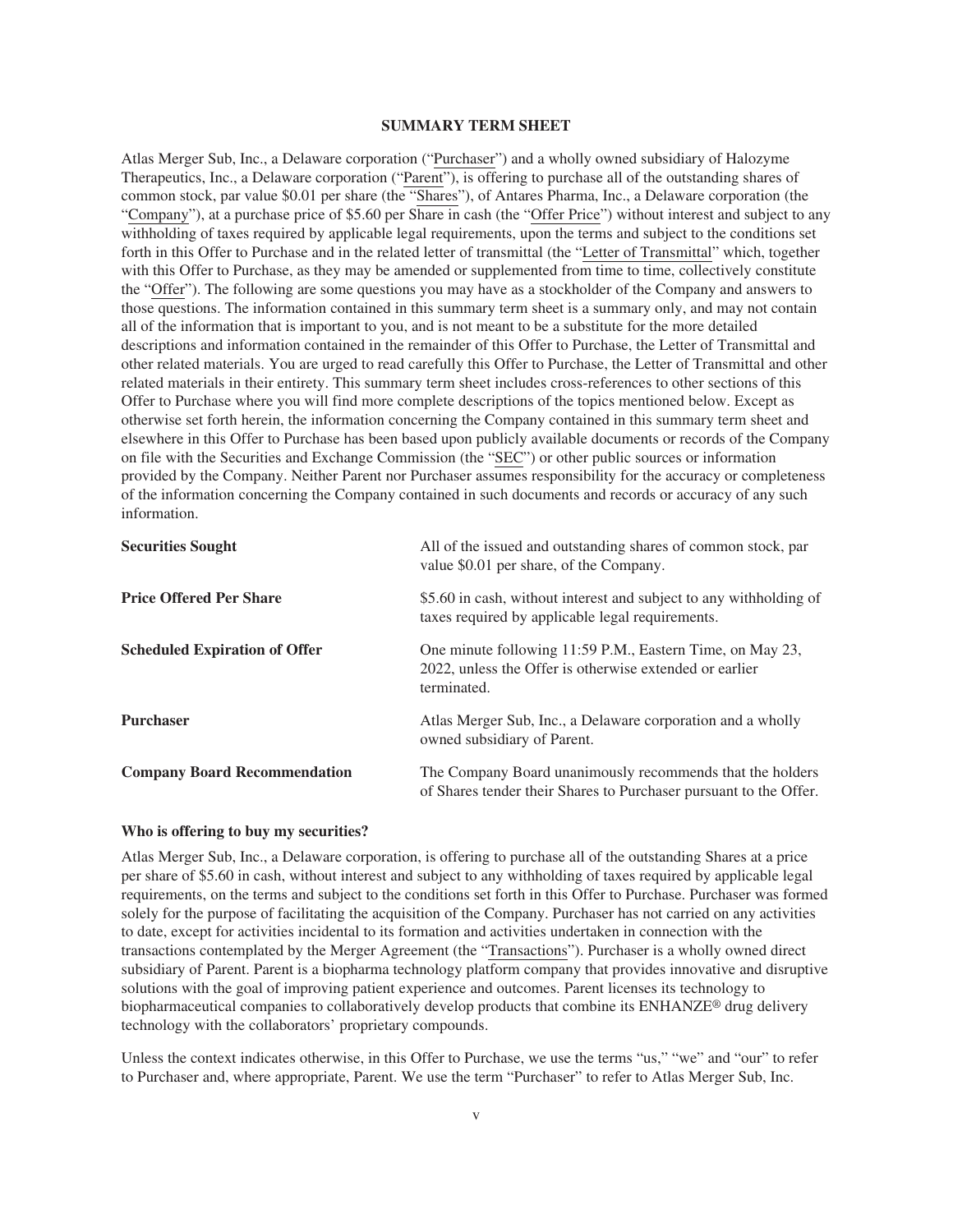## **SUMMARY TERM SHEET**

Atlas Merger Sub, Inc., a Delaware corporation ("Purchaser") and a wholly owned subsidiary of Halozyme Therapeutics, Inc., a Delaware corporation ("Parent"), is offering to purchase all of the outstanding shares of common stock, par value \$0.01 per share (the "Shares"), of Antares Pharma, Inc., a Delaware corporation (the "Company"), at a purchase price of \$5.60 per Share in cash (the "Offer Price") without interest and subject to any withholding of taxes required by applicable legal requirements, upon the terms and subject to the conditions set forth in this Offer to Purchase and in the related letter of transmittal (the "Letter of Transmittal" which, together with this Offer to Purchase, as they may be amended or supplemented from time to time, collectively constitute the "Offer"). The following are some questions you may have as a stockholder of the Company and answers to those questions. The information contained in this summary term sheet is a summary only, and may not contain all of the information that is important to you, and is not meant to be a substitute for the more detailed descriptions and information contained in the remainder of this Offer to Purchase, the Letter of Transmittal and other related materials. You are urged to read carefully this Offer to Purchase, the Letter of Transmittal and other related materials in their entirety. This summary term sheet includes cross-references to other sections of this Offer to Purchase where you will find more complete descriptions of the topics mentioned below. Except as otherwise set forth herein, the information concerning the Company contained in this summary term sheet and elsewhere in this Offer to Purchase has been based upon publicly available documents or records of the Company on file with the Securities and Exchange Commission (the "SEC") or other public sources or information provided by the Company. Neither Parent nor Purchaser assumes responsibility for the accuracy or completeness of the information concerning the Company contained in such documents and records or accuracy of any such information.

| <b>Securities Sought</b>             | All of the issued and outstanding shares of common stock, par<br>value \$0.01 per share, of the Company.                            |
|--------------------------------------|-------------------------------------------------------------------------------------------------------------------------------------|
| <b>Price Offered Per Share</b>       | \$5.60 in cash, without interest and subject to any withholding of<br>taxes required by applicable legal requirements.              |
| <b>Scheduled Expiration of Offer</b> | One minute following 11:59 P.M., Eastern Time, on May 23,<br>2022, unless the Offer is otherwise extended or earlier<br>terminated. |
| <b>Purchaser</b>                     | Atlas Merger Sub, Inc., a Delaware corporation and a wholly<br>owned subsidiary of Parent.                                          |
| <b>Company Board Recommendation</b>  | The Company Board unanimously recommends that the holders<br>of Shares tender their Shares to Purchaser pursuant to the Offer.      |

## **Who is offering to buy my securities?**

Atlas Merger Sub, Inc., a Delaware corporation, is offering to purchase all of the outstanding Shares at a price per share of \$5.60 in cash, without interest and subject to any withholding of taxes required by applicable legal requirements, on the terms and subject to the conditions set forth in this Offer to Purchase. Purchaser was formed solely for the purpose of facilitating the acquisition of the Company. Purchaser has not carried on any activities to date, except for activities incidental to its formation and activities undertaken in connection with the transactions contemplated by the Merger Agreement (the "Transactions"). Purchaser is a wholly owned direct subsidiary of Parent. Parent is a biopharma technology platform company that provides innovative and disruptive solutions with the goal of improving patient experience and outcomes. Parent licenses its technology to biopharmaceutical companies to collaboratively develop products that combine its ENHANZE® drug delivery technology with the collaborators' proprietary compounds.

Unless the context indicates otherwise, in this Offer to Purchase, we use the terms "us," "we" and "our" to refer to Purchaser and, where appropriate, Parent. We use the term "Purchaser" to refer to Atlas Merger Sub, Inc.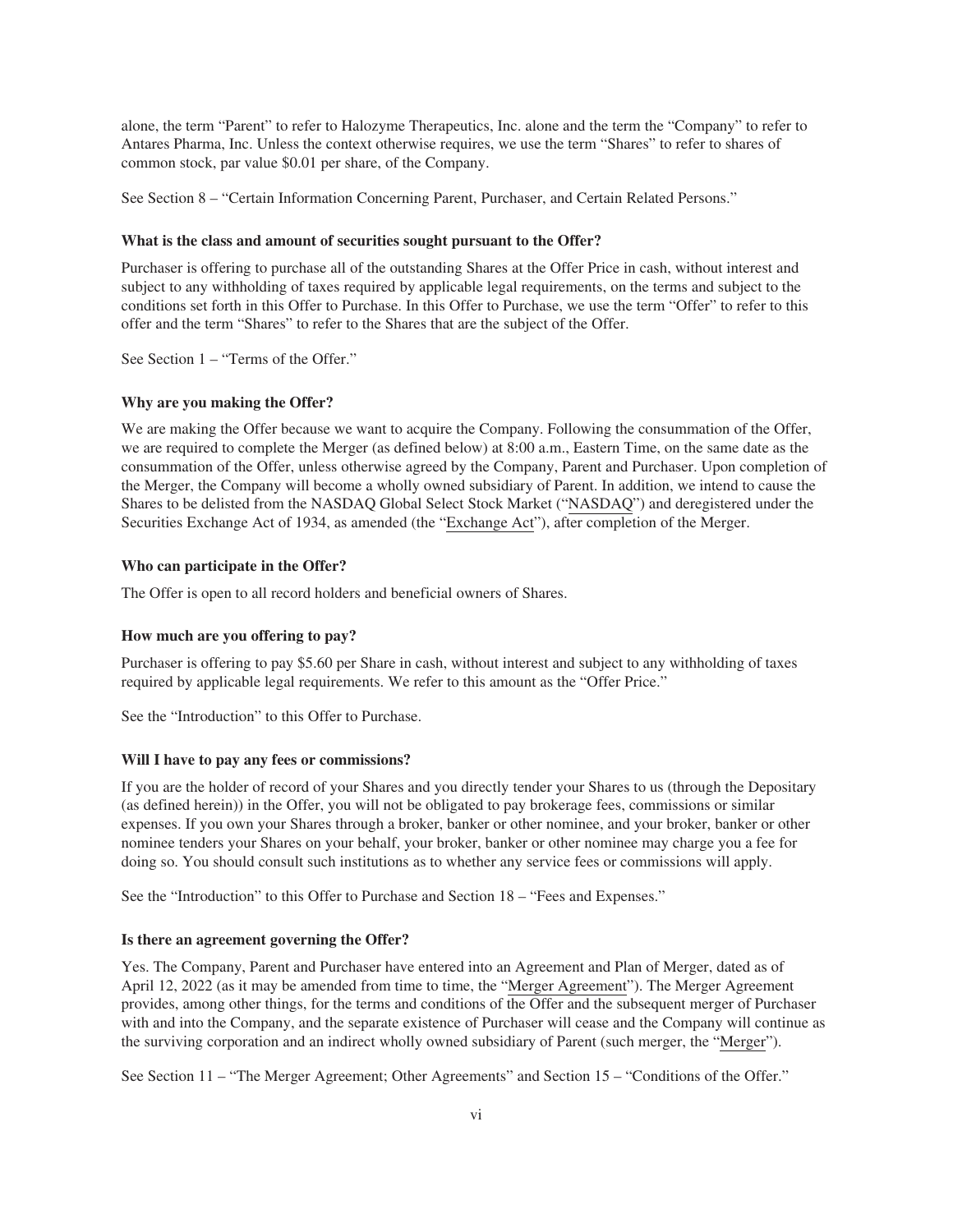alone, the term "Parent" to refer to Halozyme Therapeutics, Inc. alone and the term the "Company" to refer to Antares Pharma, Inc. Unless the context otherwise requires, we use the term "Shares" to refer to shares of common stock, par value \$0.01 per share, of the Company.

See Section 8 – "Certain Information Concerning Parent, Purchaser, and Certain Related Persons."

#### **What is the class and amount of securities sought pursuant to the Offer?**

Purchaser is offering to purchase all of the outstanding Shares at the Offer Price in cash, without interest and subject to any withholding of taxes required by applicable legal requirements, on the terms and subject to the conditions set forth in this Offer to Purchase. In this Offer to Purchase, we use the term "Offer" to refer to this offer and the term "Shares" to refer to the Shares that are the subject of the Offer.

See Section 1 – "Terms of the Offer."

## **Why are you making the Offer?**

We are making the Offer because we want to acquire the Company. Following the consummation of the Offer, we are required to complete the Merger (as defined below) at 8:00 a.m., Eastern Time, on the same date as the consummation of the Offer, unless otherwise agreed by the Company, Parent and Purchaser. Upon completion of the Merger, the Company will become a wholly owned subsidiary of Parent. In addition, we intend to cause the Shares to be delisted from the NASDAQ Global Select Stock Market ("NASDAQ") and deregistered under the Securities Exchange Act of 1934, as amended (the "Exchange Act"), after completion of the Merger.

### **Who can participate in the Offer?**

The Offer is open to all record holders and beneficial owners of Shares.

## **How much are you offering to pay?**

Purchaser is offering to pay \$5.60 per Share in cash, without interest and subject to any withholding of taxes required by applicable legal requirements. We refer to this amount as the "Offer Price."

See the "Introduction" to this Offer to Purchase.

## **Will I have to pay any fees or commissions?**

If you are the holder of record of your Shares and you directly tender your Shares to us (through the Depositary (as defined herein)) in the Offer, you will not be obligated to pay brokerage fees, commissions or similar expenses. If you own your Shares through a broker, banker or other nominee, and your broker, banker or other nominee tenders your Shares on your behalf, your broker, banker or other nominee may charge you a fee for doing so. You should consult such institutions as to whether any service fees or commissions will apply.

See the "Introduction" to this Offer to Purchase and Section 18 – "Fees and Expenses."

#### **Is there an agreement governing the Offer?**

Yes. The Company, Parent and Purchaser have entered into an Agreement and Plan of Merger, dated as of April 12, 2022 (as it may be amended from time to time, the "Merger Agreement"). The Merger Agreement provides, among other things, for the terms and conditions of the Offer and the subsequent merger of Purchaser with and into the Company, and the separate existence of Purchaser will cease and the Company will continue as the surviving corporation and an indirect wholly owned subsidiary of Parent (such merger, the "Merger").

See Section 11 – "The Merger Agreement; Other Agreements" and Section 15 – "Conditions of the Offer."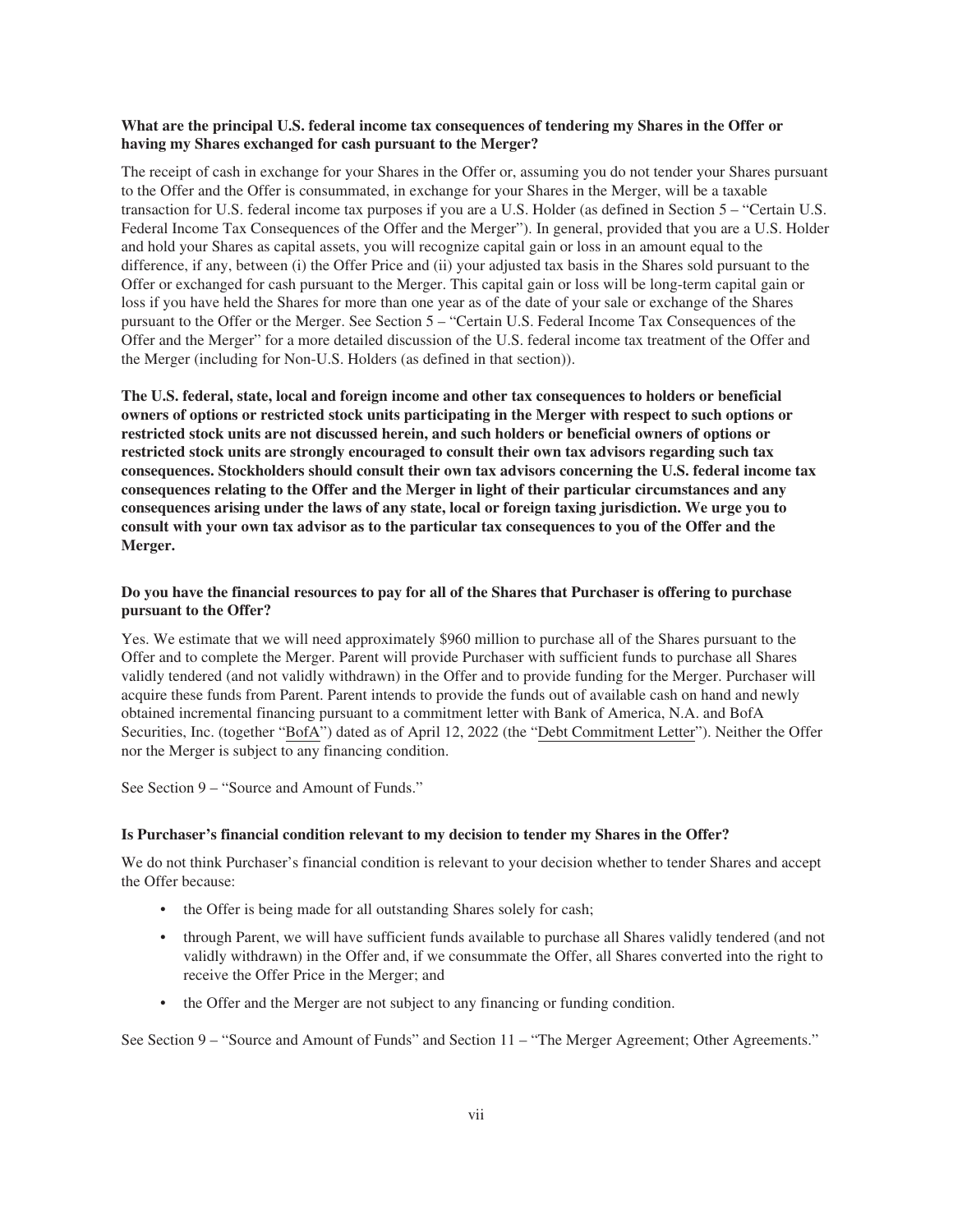## **What are the principal U.S. federal income tax consequences of tendering my Shares in the Offer or having my Shares exchanged for cash pursuant to the Merger?**

The receipt of cash in exchange for your Shares in the Offer or, assuming you do not tender your Shares pursuant to the Offer and the Offer is consummated, in exchange for your Shares in the Merger, will be a taxable transaction for U.S. federal income tax purposes if you are a U.S. Holder (as defined in Section 5 – "Certain U.S. Federal Income Tax Consequences of the Offer and the Merger"). In general, provided that you are a U.S. Holder and hold your Shares as capital assets, you will recognize capital gain or loss in an amount equal to the difference, if any, between (i) the Offer Price and (ii) your adjusted tax basis in the Shares sold pursuant to the Offer or exchanged for cash pursuant to the Merger. This capital gain or loss will be long-term capital gain or loss if you have held the Shares for more than one year as of the date of your sale or exchange of the Shares pursuant to the Offer or the Merger. See Section 5 – "Certain U.S. Federal Income Tax Consequences of the Offer and the Merger" for a more detailed discussion of the U.S. federal income tax treatment of the Offer and the Merger (including for Non-U.S. Holders (as defined in that section)).

**The U.S. federal, state, local and foreign income and other tax consequences to holders or beneficial owners of options or restricted stock units participating in the Merger with respect to such options or restricted stock units are not discussed herein, and such holders or beneficial owners of options or restricted stock units are strongly encouraged to consult their own tax advisors regarding such tax consequences. Stockholders should consult their own tax advisors concerning the U.S. federal income tax consequences relating to the Offer and the Merger in light of their particular circumstances and any consequences arising under the laws of any state, local or foreign taxing jurisdiction. We urge you to consult with your own tax advisor as to the particular tax consequences to you of the Offer and the Merger.**

## **Do you have the financial resources to pay for all of the Shares that Purchaser is offering to purchase pursuant to the Offer?**

Yes. We estimate that we will need approximately \$960 million to purchase all of the Shares pursuant to the Offer and to complete the Merger. Parent will provide Purchaser with sufficient funds to purchase all Shares validly tendered (and not validly withdrawn) in the Offer and to provide funding for the Merger. Purchaser will acquire these funds from Parent. Parent intends to provide the funds out of available cash on hand and newly obtained incremental financing pursuant to a commitment letter with Bank of America, N.A. and BofA Securities, Inc. (together "BofA") dated as of April 12, 2022 (the "Debt Commitment Letter"). Neither the Offer nor the Merger is subject to any financing condition.

See Section 9 – "Source and Amount of Funds."

## **Is Purchaser's financial condition relevant to my decision to tender my Shares in the Offer?**

We do not think Purchaser's financial condition is relevant to your decision whether to tender Shares and accept the Offer because:

- the Offer is being made for all outstanding Shares solely for cash;
- through Parent, we will have sufficient funds available to purchase all Shares validly tendered (and not validly withdrawn) in the Offer and, if we consummate the Offer, all Shares converted into the right to receive the Offer Price in the Merger; and
- the Offer and the Merger are not subject to any financing or funding condition.

See Section 9 – "Source and Amount of Funds" and Section 11 – "The Merger Agreement; Other Agreements."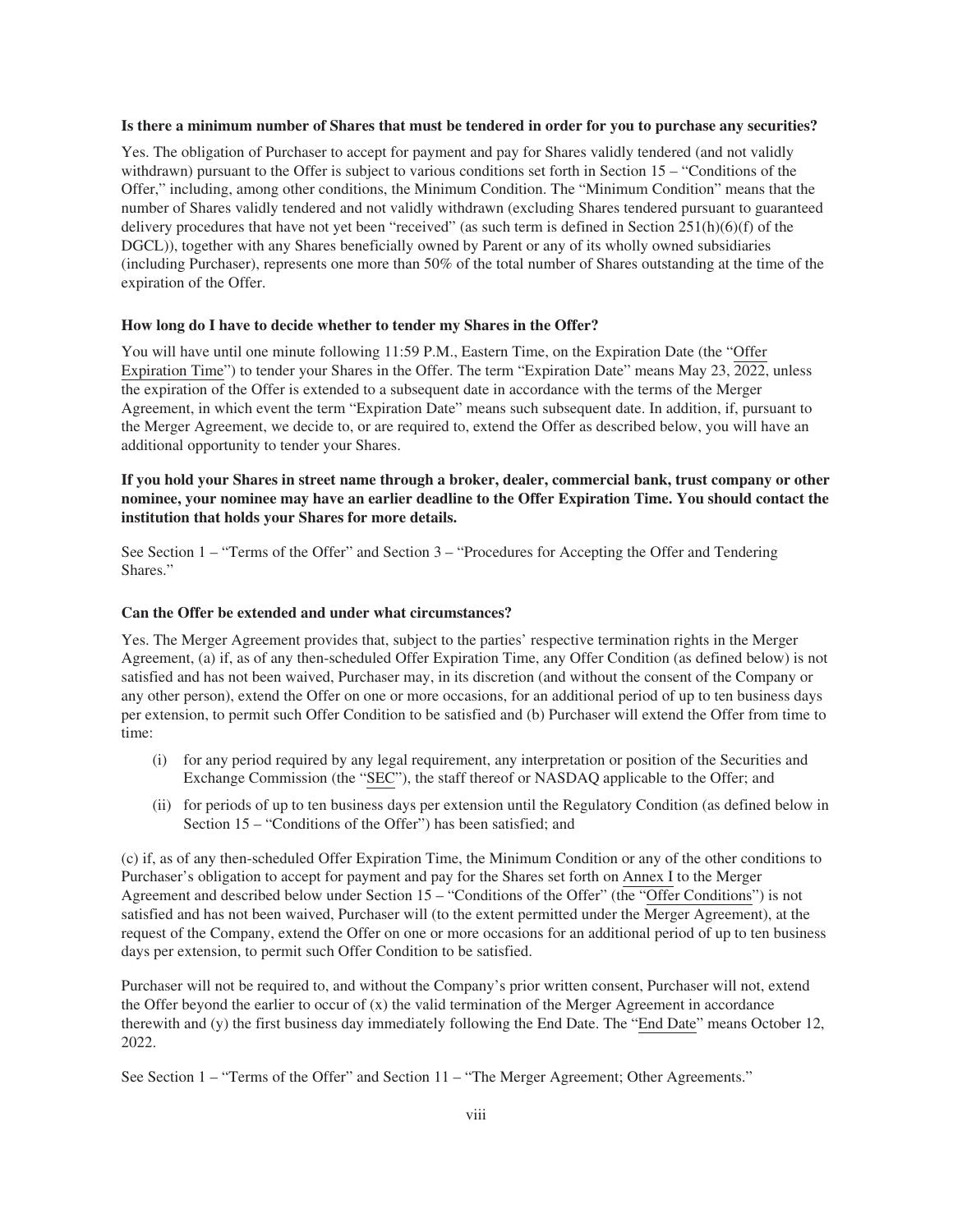#### **Is there a minimum number of Shares that must be tendered in order for you to purchase any securities?**

Yes. The obligation of Purchaser to accept for payment and pay for Shares validly tendered (and not validly withdrawn) pursuant to the Offer is subject to various conditions set forth in Section 15 – "Conditions of the Offer," including, among other conditions, the Minimum Condition. The "Minimum Condition" means that the number of Shares validly tendered and not validly withdrawn (excluding Shares tendered pursuant to guaranteed delivery procedures that have not yet been "received" (as such term is defined in Section 251(h)(6)(f) of the DGCL)), together with any Shares beneficially owned by Parent or any of its wholly owned subsidiaries (including Purchaser), represents one more than 50% of the total number of Shares outstanding at the time of the expiration of the Offer.

### **How long do I have to decide whether to tender my Shares in the Offer?**

You will have until one minute following 11:59 P.M., Eastern Time, on the Expiration Date (the "Offer Expiration Time") to tender your Shares in the Offer. The term "Expiration Date" means May 23, 2022, unless the expiration of the Offer is extended to a subsequent date in accordance with the terms of the Merger Agreement, in which event the term "Expiration Date" means such subsequent date. In addition, if, pursuant to the Merger Agreement, we decide to, or are required to, extend the Offer as described below, you will have an additional opportunity to tender your Shares.

# **If you hold your Shares in street name through a broker, dealer, commercial bank, trust company or other nominee, your nominee may have an earlier deadline to the Offer Expiration Time. You should contact the institution that holds your Shares for more details.**

See Section 1 – "Terms of the Offer" and Section 3 – "Procedures for Accepting the Offer and Tendering Shares."

### **Can the Offer be extended and under what circumstances?**

Yes. The Merger Agreement provides that, subject to the parties' respective termination rights in the Merger Agreement, (a) if, as of any then-scheduled Offer Expiration Time, any Offer Condition (as defined below) is not satisfied and has not been waived, Purchaser may, in its discretion (and without the consent of the Company or any other person), extend the Offer on one or more occasions, for an additional period of up to ten business days per extension, to permit such Offer Condition to be satisfied and (b) Purchaser will extend the Offer from time to time:

- (i) for any period required by any legal requirement, any interpretation or position of the Securities and Exchange Commission (the "SEC"), the staff thereof or NASDAQ applicable to the Offer; and
- (ii) for periods of up to ten business days per extension until the Regulatory Condition (as defined below in Section 15 – "Conditions of the Offer") has been satisfied; and

(c) if, as of any then-scheduled Offer Expiration Time, the Minimum Condition or any of the other conditions to Purchaser's obligation to accept for payment and pay for the Shares set forth on Annex I to the Merger Agreement and described below under Section 15 – "Conditions of the Offer" (the "Offer Conditions") is not satisfied and has not been waived, Purchaser will (to the extent permitted under the Merger Agreement), at the request of the Company, extend the Offer on one or more occasions for an additional period of up to ten business days per extension, to permit such Offer Condition to be satisfied.

Purchaser will not be required to, and without the Company's prior written consent, Purchaser will not, extend the Offer beyond the earlier to occur of  $(x)$  the valid termination of the Merger Agreement in accordance therewith and (y) the first business day immediately following the End Date. The "End Date" means October 12, 2022.

See Section 1 – "Terms of the Offer" and Section 11 – "The Merger Agreement; Other Agreements."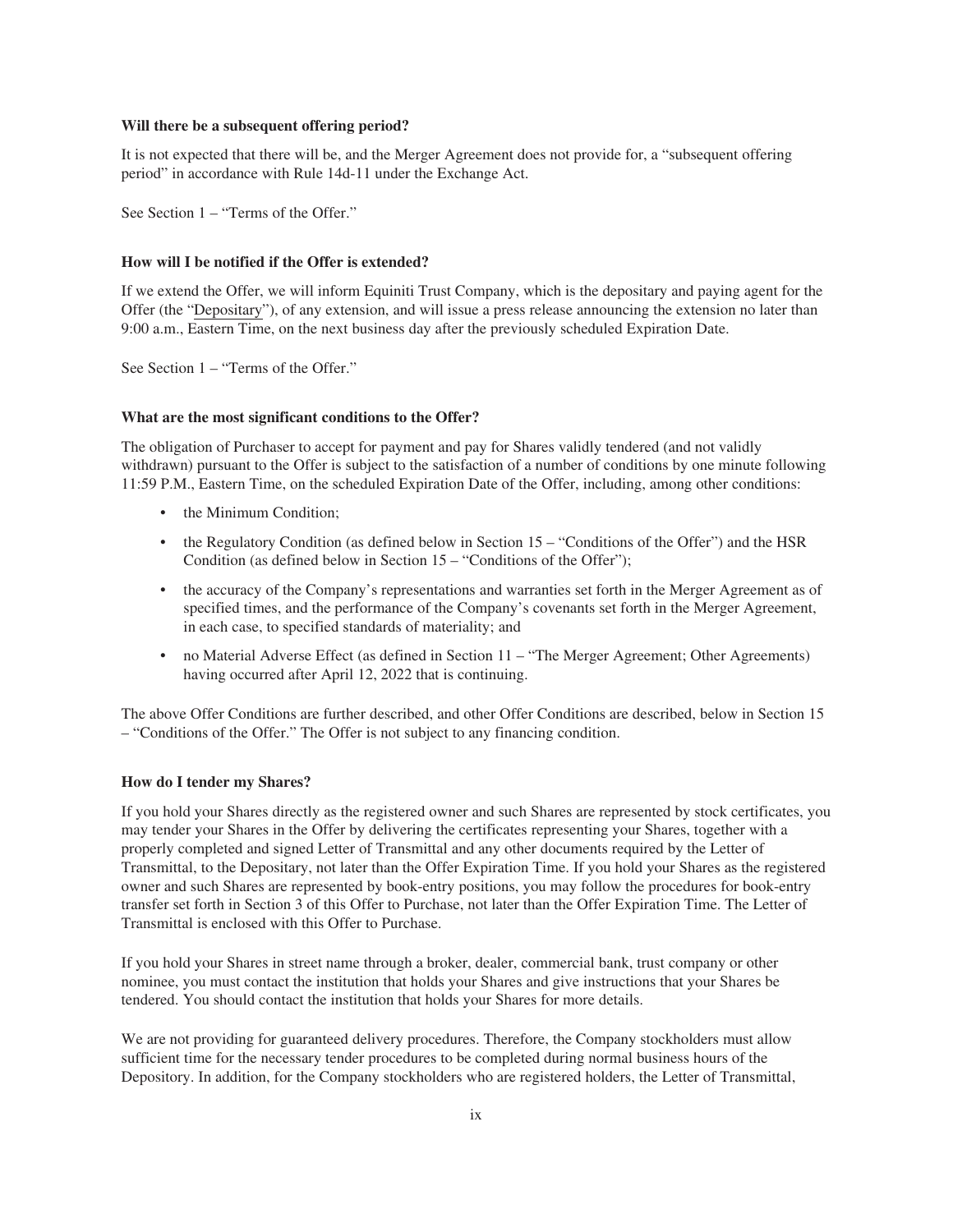### **Will there be a subsequent offering period?**

It is not expected that there will be, and the Merger Agreement does not provide for, a "subsequent offering period" in accordance with Rule 14d-11 under the Exchange Act.

See Section 1 – "Terms of the Offer."

#### **How will I be notified if the Offer is extended?**

If we extend the Offer, we will inform Equiniti Trust Company, which is the depositary and paying agent for the Offer (the "Depositary"), of any extension, and will issue a press release announcing the extension no later than 9:00 a.m., Eastern Time, on the next business day after the previously scheduled Expiration Date.

See Section 1 – "Terms of the Offer."

#### **What are the most significant conditions to the Offer?**

The obligation of Purchaser to accept for payment and pay for Shares validly tendered (and not validly withdrawn) pursuant to the Offer is subject to the satisfaction of a number of conditions by one minute following 11:59 P.M., Eastern Time, on the scheduled Expiration Date of the Offer, including, among other conditions:

- the Minimum Condition;
- the Regulatory Condition (as defined below in Section 15 "Conditions of the Offer") and the HSR Condition (as defined below in Section 15 – "Conditions of the Offer");
- the accuracy of the Company's representations and warranties set forth in the Merger Agreement as of specified times, and the performance of the Company's covenants set forth in the Merger Agreement, in each case, to specified standards of materiality; and
- no Material Adverse Effect (as defined in Section 11 "The Merger Agreement; Other Agreements) having occurred after April 12, 2022 that is continuing.

The above Offer Conditions are further described, and other Offer Conditions are described, below in Section 15 – "Conditions of the Offer." The Offer is not subject to any financing condition.

### **How do I tender my Shares?**

If you hold your Shares directly as the registered owner and such Shares are represented by stock certificates, you may tender your Shares in the Offer by delivering the certificates representing your Shares, together with a properly completed and signed Letter of Transmittal and any other documents required by the Letter of Transmittal, to the Depositary, not later than the Offer Expiration Time. If you hold your Shares as the registered owner and such Shares are represented by book-entry positions, you may follow the procedures for book-entry transfer set forth in Section 3 of this Offer to Purchase, not later than the Offer Expiration Time. The Letter of Transmittal is enclosed with this Offer to Purchase.

If you hold your Shares in street name through a broker, dealer, commercial bank, trust company or other nominee, you must contact the institution that holds your Shares and give instructions that your Shares be tendered. You should contact the institution that holds your Shares for more details.

We are not providing for guaranteed delivery procedures. Therefore, the Company stockholders must allow sufficient time for the necessary tender procedures to be completed during normal business hours of the Depository. In addition, for the Company stockholders who are registered holders, the Letter of Transmittal,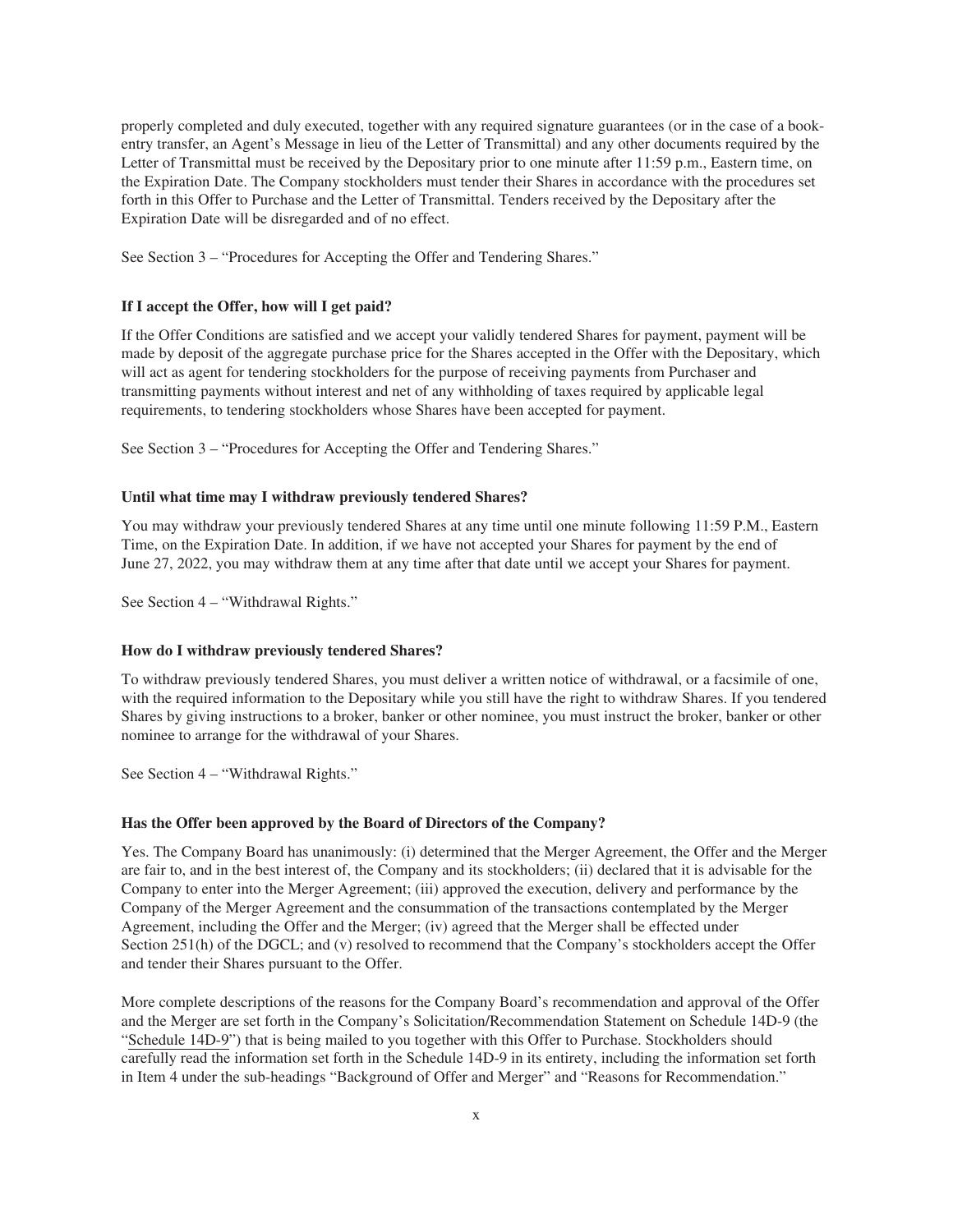properly completed and duly executed, together with any required signature guarantees (or in the case of a bookentry transfer, an Agent's Message in lieu of the Letter of Transmittal) and any other documents required by the Letter of Transmittal must be received by the Depositary prior to one minute after 11:59 p.m., Eastern time, on the Expiration Date. The Company stockholders must tender their Shares in accordance with the procedures set forth in this Offer to Purchase and the Letter of Transmittal. Tenders received by the Depositary after the Expiration Date will be disregarded and of no effect.

See Section 3 – "Procedures for Accepting the Offer and Tendering Shares."

## **If I accept the Offer, how will I get paid?**

If the Offer Conditions are satisfied and we accept your validly tendered Shares for payment, payment will be made by deposit of the aggregate purchase price for the Shares accepted in the Offer with the Depositary, which will act as agent for tendering stockholders for the purpose of receiving payments from Purchaser and transmitting payments without interest and net of any withholding of taxes required by applicable legal requirements, to tendering stockholders whose Shares have been accepted for payment.

See Section 3 – "Procedures for Accepting the Offer and Tendering Shares."

### **Until what time may I withdraw previously tendered Shares?**

You may withdraw your previously tendered Shares at any time until one minute following 11:59 P.M., Eastern Time, on the Expiration Date. In addition, if we have not accepted your Shares for payment by the end of June 27, 2022, you may withdraw them at any time after that date until we accept your Shares for payment.

See Section 4 – "Withdrawal Rights."

### **How do I withdraw previously tendered Shares?**

To withdraw previously tendered Shares, you must deliver a written notice of withdrawal, or a facsimile of one, with the required information to the Depositary while you still have the right to withdraw Shares. If you tendered Shares by giving instructions to a broker, banker or other nominee, you must instruct the broker, banker or other nominee to arrange for the withdrawal of your Shares.

See Section 4 – "Withdrawal Rights."

#### **Has the Offer been approved by the Board of Directors of the Company?**

Yes. The Company Board has unanimously: (i) determined that the Merger Agreement, the Offer and the Merger are fair to, and in the best interest of, the Company and its stockholders; (ii) declared that it is advisable for the Company to enter into the Merger Agreement; (iii) approved the execution, delivery and performance by the Company of the Merger Agreement and the consummation of the transactions contemplated by the Merger Agreement, including the Offer and the Merger; (iv) agreed that the Merger shall be effected under Section 251(h) of the DGCL; and (v) resolved to recommend that the Company's stockholders accept the Offer and tender their Shares pursuant to the Offer.

More complete descriptions of the reasons for the Company Board's recommendation and approval of the Offer and the Merger are set forth in the Company's Solicitation/Recommendation Statement on Schedule 14D-9 (the "Schedule 14D-9") that is being mailed to you together with this Offer to Purchase. Stockholders should carefully read the information set forth in the Schedule 14D-9 in its entirety, including the information set forth in Item 4 under the sub-headings "Background of Offer and Merger" and "Reasons for Recommendation."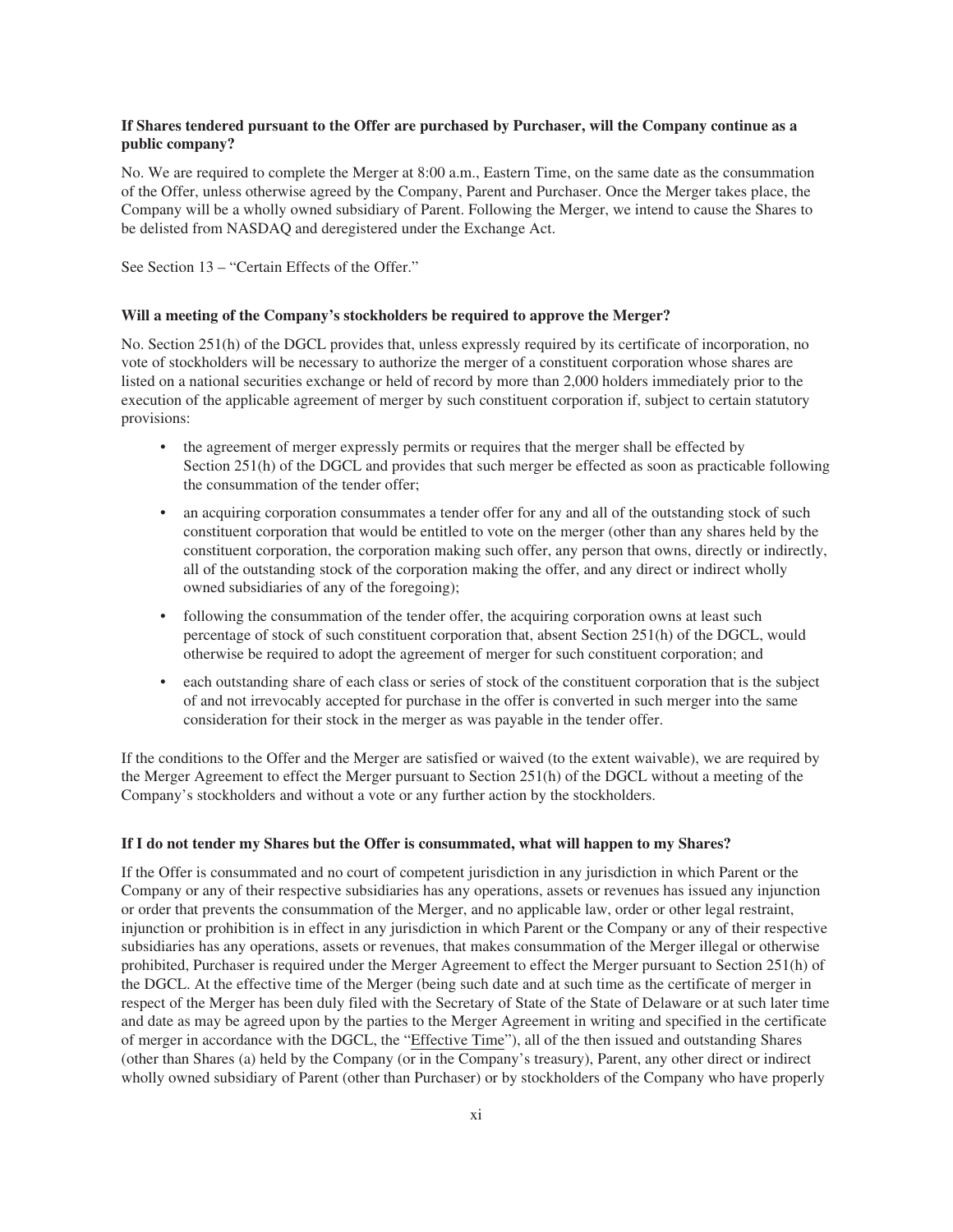## **If Shares tendered pursuant to the Offer are purchased by Purchaser, will the Company continue as a public company?**

No. We are required to complete the Merger at 8:00 a.m., Eastern Time, on the same date as the consummation of the Offer, unless otherwise agreed by the Company, Parent and Purchaser. Once the Merger takes place, the Company will be a wholly owned subsidiary of Parent. Following the Merger, we intend to cause the Shares to be delisted from NASDAQ and deregistered under the Exchange Act.

See Section 13 – "Certain Effects of the Offer."

### **Will a meeting of the Company's stockholders be required to approve the Merger?**

No. Section 251(h) of the DGCL provides that, unless expressly required by its certificate of incorporation, no vote of stockholders will be necessary to authorize the merger of a constituent corporation whose shares are listed on a national securities exchange or held of record by more than 2,000 holders immediately prior to the execution of the applicable agreement of merger by such constituent corporation if, subject to certain statutory provisions:

- the agreement of merger expressly permits or requires that the merger shall be effected by Section 251(h) of the DGCL and provides that such merger be effected as soon as practicable following the consummation of the tender offer;
- an acquiring corporation consummates a tender offer for any and all of the outstanding stock of such constituent corporation that would be entitled to vote on the merger (other than any shares held by the constituent corporation, the corporation making such offer, any person that owns, directly or indirectly, all of the outstanding stock of the corporation making the offer, and any direct or indirect wholly owned subsidiaries of any of the foregoing);
- following the consummation of the tender offer, the acquiring corporation owns at least such percentage of stock of such constituent corporation that, absent Section 251(h) of the DGCL, would otherwise be required to adopt the agreement of merger for such constituent corporation; and
- each outstanding share of each class or series of stock of the constituent corporation that is the subject of and not irrevocably accepted for purchase in the offer is converted in such merger into the same consideration for their stock in the merger as was payable in the tender offer.

If the conditions to the Offer and the Merger are satisfied or waived (to the extent waivable), we are required by the Merger Agreement to effect the Merger pursuant to Section 251(h) of the DGCL without a meeting of the Company's stockholders and without a vote or any further action by the stockholders.

### **If I do not tender my Shares but the Offer is consummated, what will happen to my Shares?**

If the Offer is consummated and no court of competent jurisdiction in any jurisdiction in which Parent or the Company or any of their respective subsidiaries has any operations, assets or revenues has issued any injunction or order that prevents the consummation of the Merger, and no applicable law, order or other legal restraint, injunction or prohibition is in effect in any jurisdiction in which Parent or the Company or any of their respective subsidiaries has any operations, assets or revenues, that makes consummation of the Merger illegal or otherwise prohibited, Purchaser is required under the Merger Agreement to effect the Merger pursuant to Section 251(h) of the DGCL. At the effective time of the Merger (being such date and at such time as the certificate of merger in respect of the Merger has been duly filed with the Secretary of State of the State of Delaware or at such later time and date as may be agreed upon by the parties to the Merger Agreement in writing and specified in the certificate of merger in accordance with the DGCL, the "Effective Time"), all of the then issued and outstanding Shares (other than Shares (a) held by the Company (or in the Company's treasury), Parent, any other direct or indirect wholly owned subsidiary of Parent (other than Purchaser) or by stockholders of the Company who have properly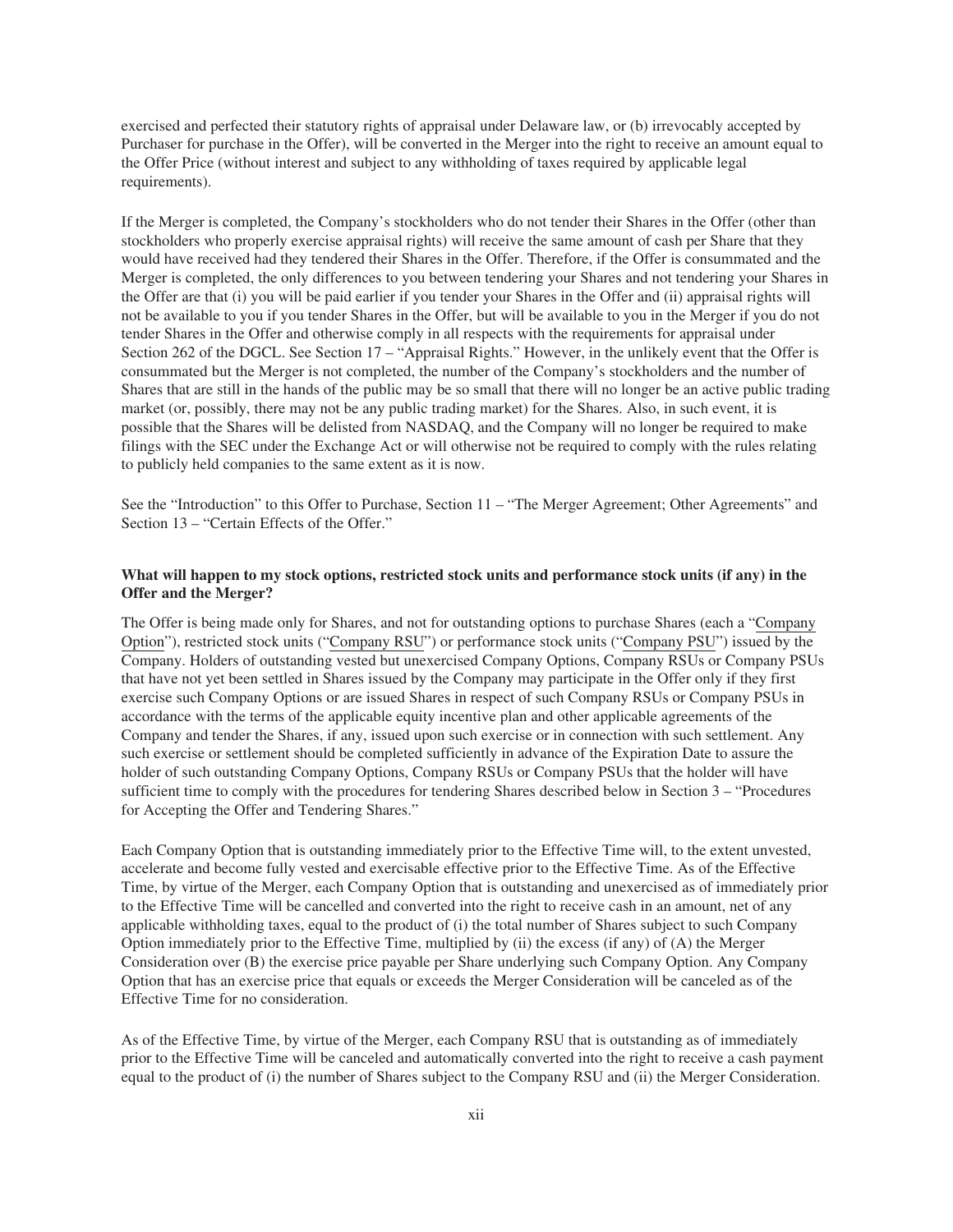exercised and perfected their statutory rights of appraisal under Delaware law, or (b) irrevocably accepted by Purchaser for purchase in the Offer), will be converted in the Merger into the right to receive an amount equal to the Offer Price (without interest and subject to any withholding of taxes required by applicable legal requirements).

If the Merger is completed, the Company's stockholders who do not tender their Shares in the Offer (other than stockholders who properly exercise appraisal rights) will receive the same amount of cash per Share that they would have received had they tendered their Shares in the Offer. Therefore, if the Offer is consummated and the Merger is completed, the only differences to you between tendering your Shares and not tendering your Shares in the Offer are that (i) you will be paid earlier if you tender your Shares in the Offer and (ii) appraisal rights will not be available to you if you tender Shares in the Offer, but will be available to you in the Merger if you do not tender Shares in the Offer and otherwise comply in all respects with the requirements for appraisal under Section 262 of the DGCL. See Section 17 – "Appraisal Rights." However, in the unlikely event that the Offer is consummated but the Merger is not completed, the number of the Company's stockholders and the number of Shares that are still in the hands of the public may be so small that there will no longer be an active public trading market (or, possibly, there may not be any public trading market) for the Shares. Also, in such event, it is possible that the Shares will be delisted from NASDAQ, and the Company will no longer be required to make filings with the SEC under the Exchange Act or will otherwise not be required to comply with the rules relating to publicly held companies to the same extent as it is now.

See the "Introduction" to this Offer to Purchase, Section 11 – "The Merger Agreement; Other Agreements" and Section 13 – "Certain Effects of the Offer."

# **What will happen to my stock options, restricted stock units and performance stock units (if any) in the Offer and the Merger?**

The Offer is being made only for Shares, and not for outstanding options to purchase Shares (each a "Company Option"), restricted stock units ("Company RSU") or performance stock units ("Company PSU") issued by the Company. Holders of outstanding vested but unexercised Company Options, Company RSUs or Company PSUs that have not yet been settled in Shares issued by the Company may participate in the Offer only if they first exercise such Company Options or are issued Shares in respect of such Company RSUs or Company PSUs in accordance with the terms of the applicable equity incentive plan and other applicable agreements of the Company and tender the Shares, if any, issued upon such exercise or in connection with such settlement. Any such exercise or settlement should be completed sufficiently in advance of the Expiration Date to assure the holder of such outstanding Company Options, Company RSUs or Company PSUs that the holder will have sufficient time to comply with the procedures for tendering Shares described below in Section 3 – "Procedures for Accepting the Offer and Tendering Shares."

Each Company Option that is outstanding immediately prior to the Effective Time will, to the extent unvested, accelerate and become fully vested and exercisable effective prior to the Effective Time. As of the Effective Time, by virtue of the Merger, each Company Option that is outstanding and unexercised as of immediately prior to the Effective Time will be cancelled and converted into the right to receive cash in an amount, net of any applicable withholding taxes, equal to the product of (i) the total number of Shares subject to such Company Option immediately prior to the Effective Time, multiplied by (ii) the excess (if any) of (A) the Merger Consideration over (B) the exercise price payable per Share underlying such Company Option. Any Company Option that has an exercise price that equals or exceeds the Merger Consideration will be canceled as of the Effective Time for no consideration.

As of the Effective Time, by virtue of the Merger, each Company RSU that is outstanding as of immediately prior to the Effective Time will be canceled and automatically converted into the right to receive a cash payment equal to the product of (i) the number of Shares subject to the Company RSU and (ii) the Merger Consideration.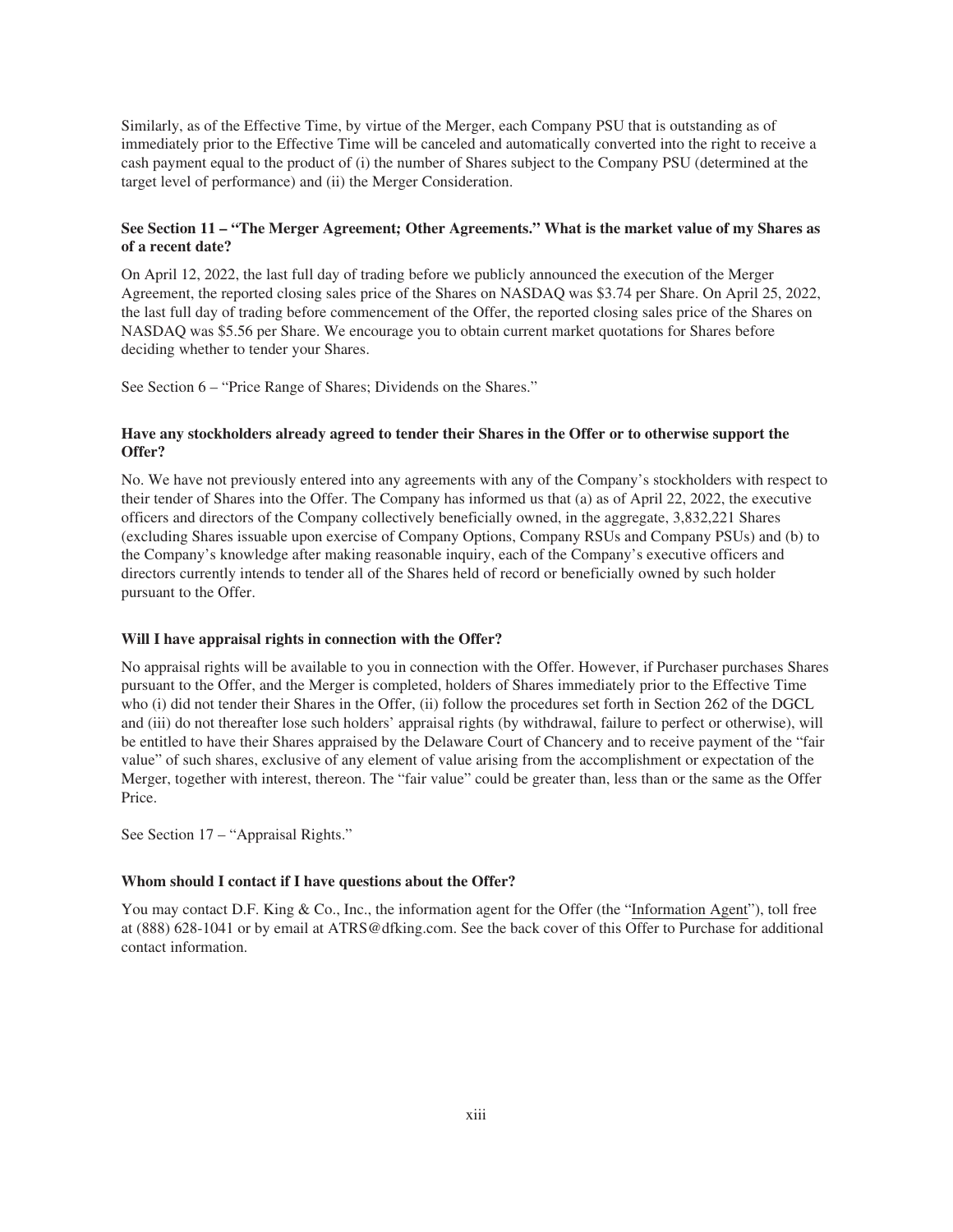Similarly, as of the Effective Time, by virtue of the Merger, each Company PSU that is outstanding as of immediately prior to the Effective Time will be canceled and automatically converted into the right to receive a cash payment equal to the product of (i) the number of Shares subject to the Company PSU (determined at the target level of performance) and (ii) the Merger Consideration.

# **See Section 11 – "The Merger Agreement; Other Agreements." What is the market value of my Shares as of a recent date?**

On April 12, 2022, the last full day of trading before we publicly announced the execution of the Merger Agreement, the reported closing sales price of the Shares on NASDAQ was \$3.74 per Share. On April 25, 2022, the last full day of trading before commencement of the Offer, the reported closing sales price of the Shares on NASDAQ was \$5.56 per Share. We encourage you to obtain current market quotations for Shares before deciding whether to tender your Shares.

See Section 6 – "Price Range of Shares; Dividends on the Shares."

## **Have any stockholders already agreed to tender their Shares in the Offer or to otherwise support the Offer?**

No. We have not previously entered into any agreements with any of the Company's stockholders with respect to their tender of Shares into the Offer. The Company has informed us that (a) as of April 22, 2022, the executive officers and directors of the Company collectively beneficially owned, in the aggregate, 3,832,221 Shares (excluding Shares issuable upon exercise of Company Options, Company RSUs and Company PSUs) and (b) to the Company's knowledge after making reasonable inquiry, each of the Company's executive officers and directors currently intends to tender all of the Shares held of record or beneficially owned by such holder pursuant to the Offer.

## **Will I have appraisal rights in connection with the Offer?**

No appraisal rights will be available to you in connection with the Offer. However, if Purchaser purchases Shares pursuant to the Offer, and the Merger is completed, holders of Shares immediately prior to the Effective Time who (i) did not tender their Shares in the Offer, (ii) follow the procedures set forth in Section 262 of the DGCL and (iii) do not thereafter lose such holders' appraisal rights (by withdrawal, failure to perfect or otherwise), will be entitled to have their Shares appraised by the Delaware Court of Chancery and to receive payment of the "fair value" of such shares, exclusive of any element of value arising from the accomplishment or expectation of the Merger, together with interest, thereon. The "fair value" could be greater than, less than or the same as the Offer Price.

See Section 17 – "Appraisal Rights."

## **Whom should I contact if I have questions about the Offer?**

You may contact D.F. King & Co., Inc., the information agent for the Offer (the "Information Agent"), toll free at (888) 628-1041 or by email at ATRS@dfking.com. See the back cover of this Offer to Purchase for additional contact information.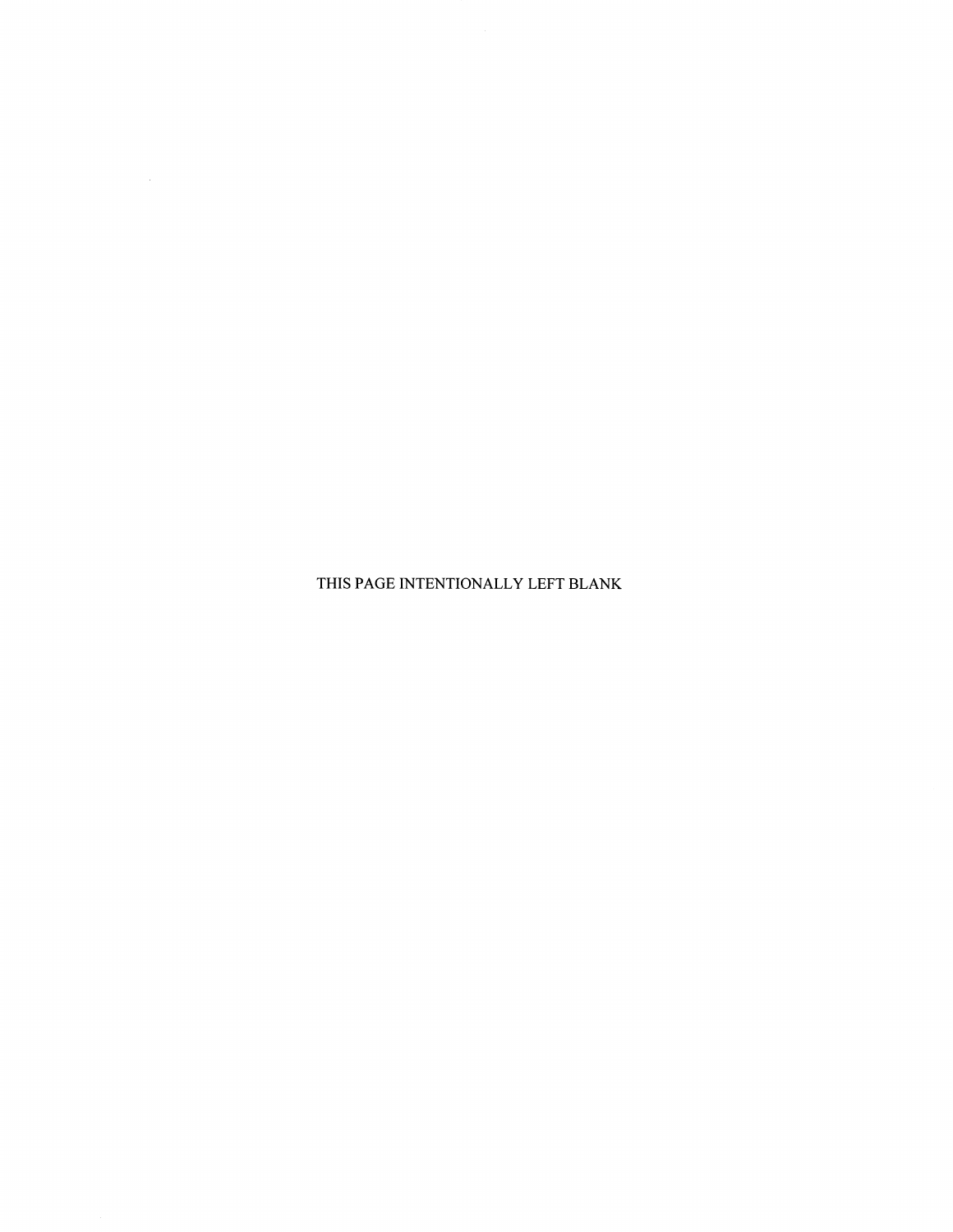THIS PAGE INTENTIONALLY LEFT BLANK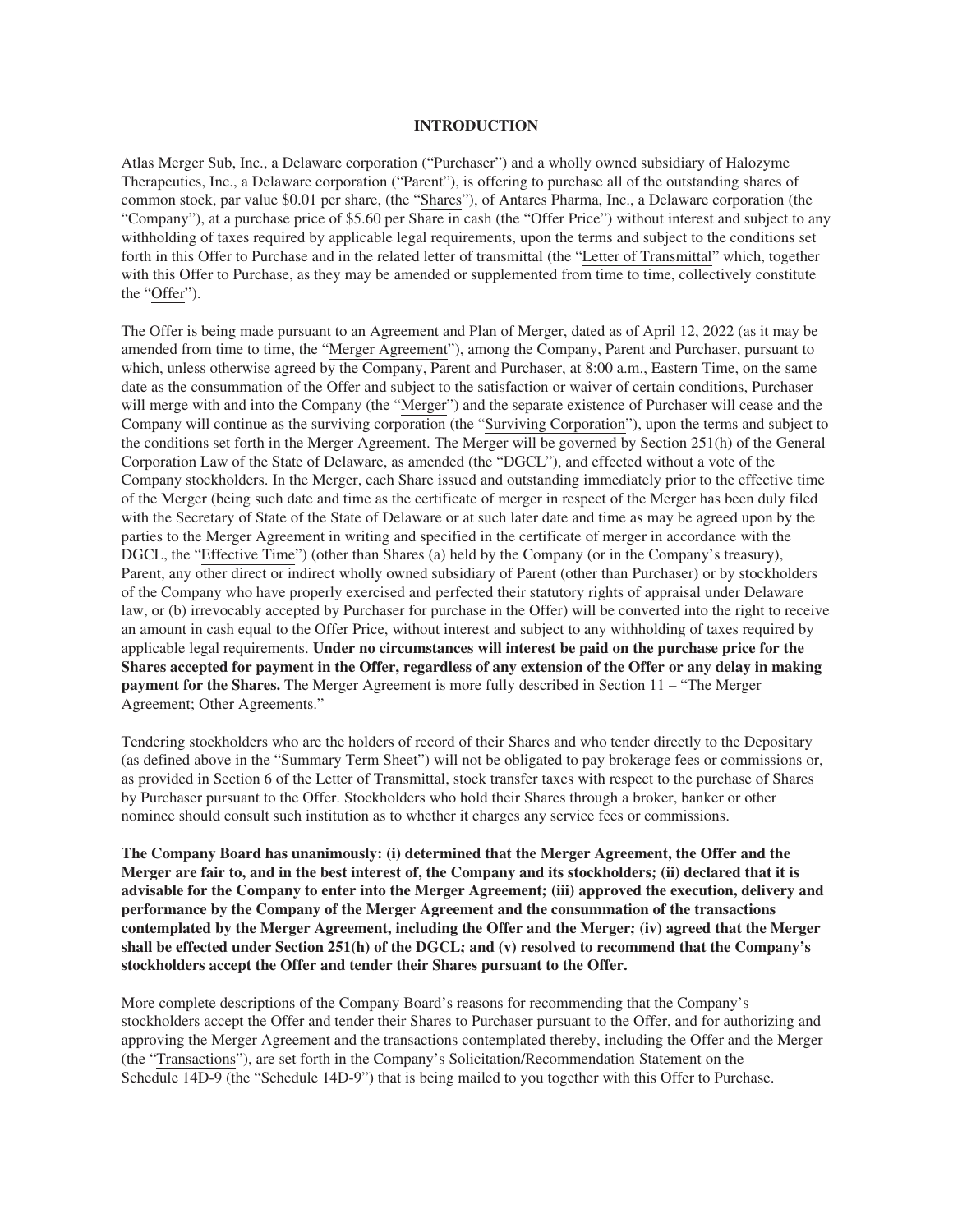## **INTRODUCTION**

Atlas Merger Sub, Inc., a Delaware corporation ("Purchaser") and a wholly owned subsidiary of Halozyme Therapeutics, Inc., a Delaware corporation ("Parent"), is offering to purchase all of the outstanding shares of common stock, par value \$0.01 per share, (the "Shares"), of Antares Pharma, Inc., a Delaware corporation (the "Company"), at a purchase price of \$5.60 per Share in cash (the "Offer Price") without interest and subject to any withholding of taxes required by applicable legal requirements, upon the terms and subject to the conditions set forth in this Offer to Purchase and in the related letter of transmittal (the "Letter of Transmittal" which, together with this Offer to Purchase, as they may be amended or supplemented from time to time, collectively constitute the "Offer").

The Offer is being made pursuant to an Agreement and Plan of Merger, dated as of April 12, 2022 (as it may be amended from time to time, the "Merger Agreement"), among the Company, Parent and Purchaser, pursuant to which, unless otherwise agreed by the Company, Parent and Purchaser, at 8:00 a.m., Eastern Time, on the same date as the consummation of the Offer and subject to the satisfaction or waiver of certain conditions, Purchaser will merge with and into the Company (the "Merger") and the separate existence of Purchaser will cease and the Company will continue as the surviving corporation (the "Surviving Corporation"), upon the terms and subject to the conditions set forth in the Merger Agreement. The Merger will be governed by Section 251(h) of the General Corporation Law of the State of Delaware, as amended (the "DGCL"), and effected without a vote of the Company stockholders. In the Merger, each Share issued and outstanding immediately prior to the effective time of the Merger (being such date and time as the certificate of merger in respect of the Merger has been duly filed with the Secretary of State of the State of Delaware or at such later date and time as may be agreed upon by the parties to the Merger Agreement in writing and specified in the certificate of merger in accordance with the DGCL, the "Effective Time") (other than Shares (a) held by the Company (or in the Company's treasury), Parent, any other direct or indirect wholly owned subsidiary of Parent (other than Purchaser) or by stockholders of the Company who have properly exercised and perfected their statutory rights of appraisal under Delaware law, or (b) irrevocably accepted by Purchaser for purchase in the Offer) will be converted into the right to receive an amount in cash equal to the Offer Price, without interest and subject to any withholding of taxes required by applicable legal requirements. **Under no circumstances will interest be paid on the purchase price for the Shares accepted for payment in the Offer, regardless of any extension of the Offer or any delay in making payment for the Shares.** The Merger Agreement is more fully described in Section 11 – "The Merger Agreement; Other Agreements."

Tendering stockholders who are the holders of record of their Shares and who tender directly to the Depositary (as defined above in the "Summary Term Sheet") will not be obligated to pay brokerage fees or commissions or, as provided in Section 6 of the Letter of Transmittal, stock transfer taxes with respect to the purchase of Shares by Purchaser pursuant to the Offer. Stockholders who hold their Shares through a broker, banker or other nominee should consult such institution as to whether it charges any service fees or commissions.

**The Company Board has unanimously: (i) determined that the Merger Agreement, the Offer and the Merger are fair to, and in the best interest of, the Company and its stockholders; (ii) declared that it is advisable for the Company to enter into the Merger Agreement; (iii) approved the execution, delivery and performance by the Company of the Merger Agreement and the consummation of the transactions contemplated by the Merger Agreement, including the Offer and the Merger; (iv) agreed that the Merger shall be effected under Section 251(h) of the DGCL; and (v) resolved to recommend that the Company's stockholders accept the Offer and tender their Shares pursuant to the Offer.**

More complete descriptions of the Company Board's reasons for recommending that the Company's stockholders accept the Offer and tender their Shares to Purchaser pursuant to the Offer, and for authorizing and approving the Merger Agreement and the transactions contemplated thereby, including the Offer and the Merger (the "Transactions"), are set forth in the Company's Solicitation/Recommendation Statement on the Schedule 14D-9 (the "Schedule 14D-9") that is being mailed to you together with this Offer to Purchase.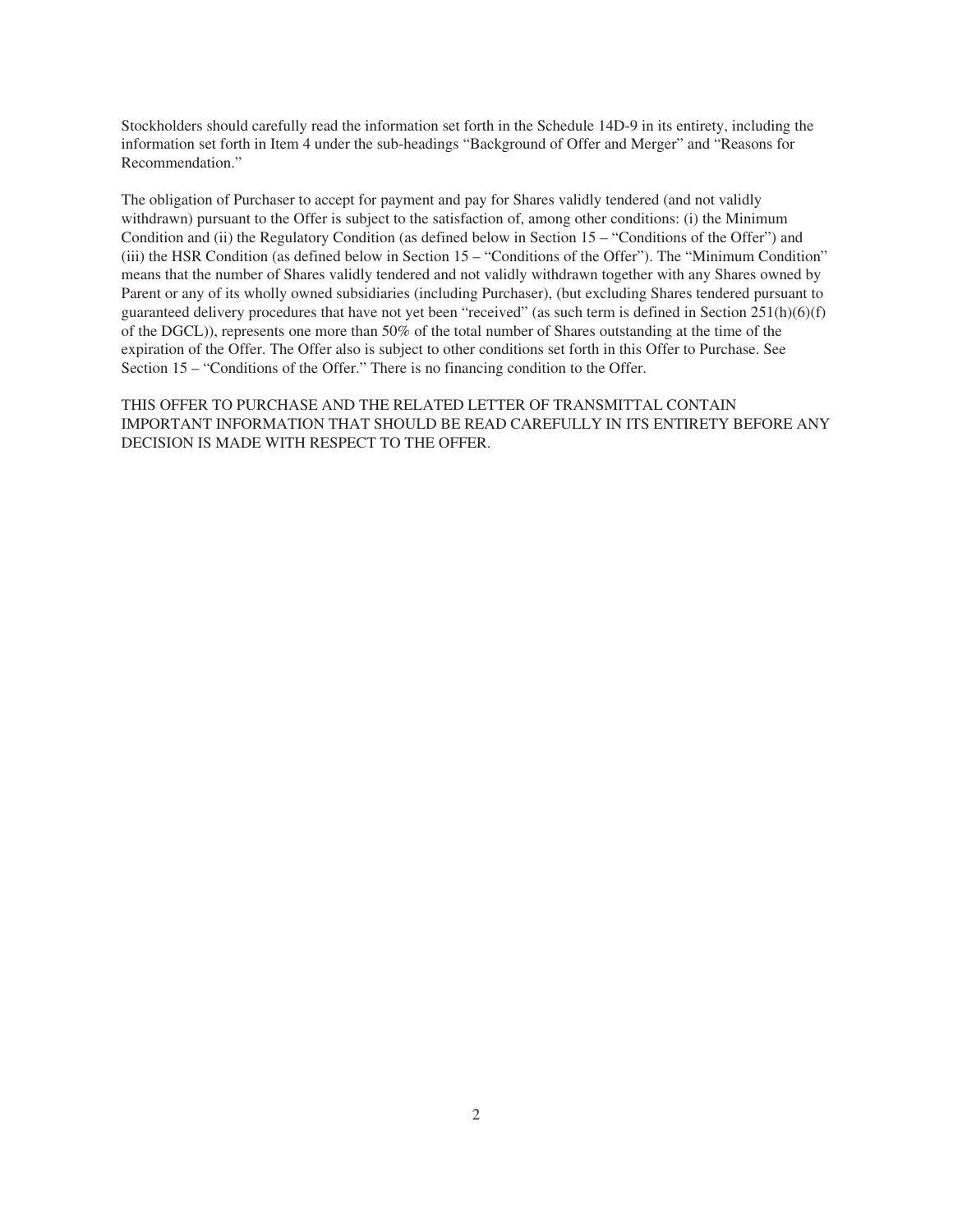Stockholders should carefully read the information set forth in the Schedule 14D-9 in its entirety, including the information set forth in Item 4 under the sub-headings "Background of Offer and Merger" and "Reasons for Recommendation."

The obligation of Purchaser to accept for payment and pay for Shares validly tendered (and not validly withdrawn) pursuant to the Offer is subject to the satisfaction of, among other conditions: (i) the Minimum Condition and (ii) the Regulatory Condition (as defined below in Section 15 – "Conditions of the Offer") and (iii) the HSR Condition (as defined below in Section 15 – "Conditions of the Offer"). The "Minimum Condition" means that the number of Shares validly tendered and not validly withdrawn together with any Shares owned by Parent or any of its wholly owned subsidiaries (including Purchaser), (but excluding Shares tendered pursuant to guaranteed delivery procedures that have not yet been "received" (as such term is defined in Section  $251(h)(6)(f)$ ) of the DGCL)), represents one more than 50% of the total number of Shares outstanding at the time of the expiration of the Offer. The Offer also is subject to other conditions set forth in this Offer to Purchase. See Section 15 – "Conditions of the Offer." There is no financing condition to the Offer.

THIS OFFER TO PURCHASE AND THE RELATED LETTER OF TRANSMITTAL CONTAIN IMPORTANT INFORMATION THAT SHOULD BE READ CAREFULLY IN ITS ENTIRETY BEFORE ANY DECISION IS MADE WITH RESPECT TO THE OFFER.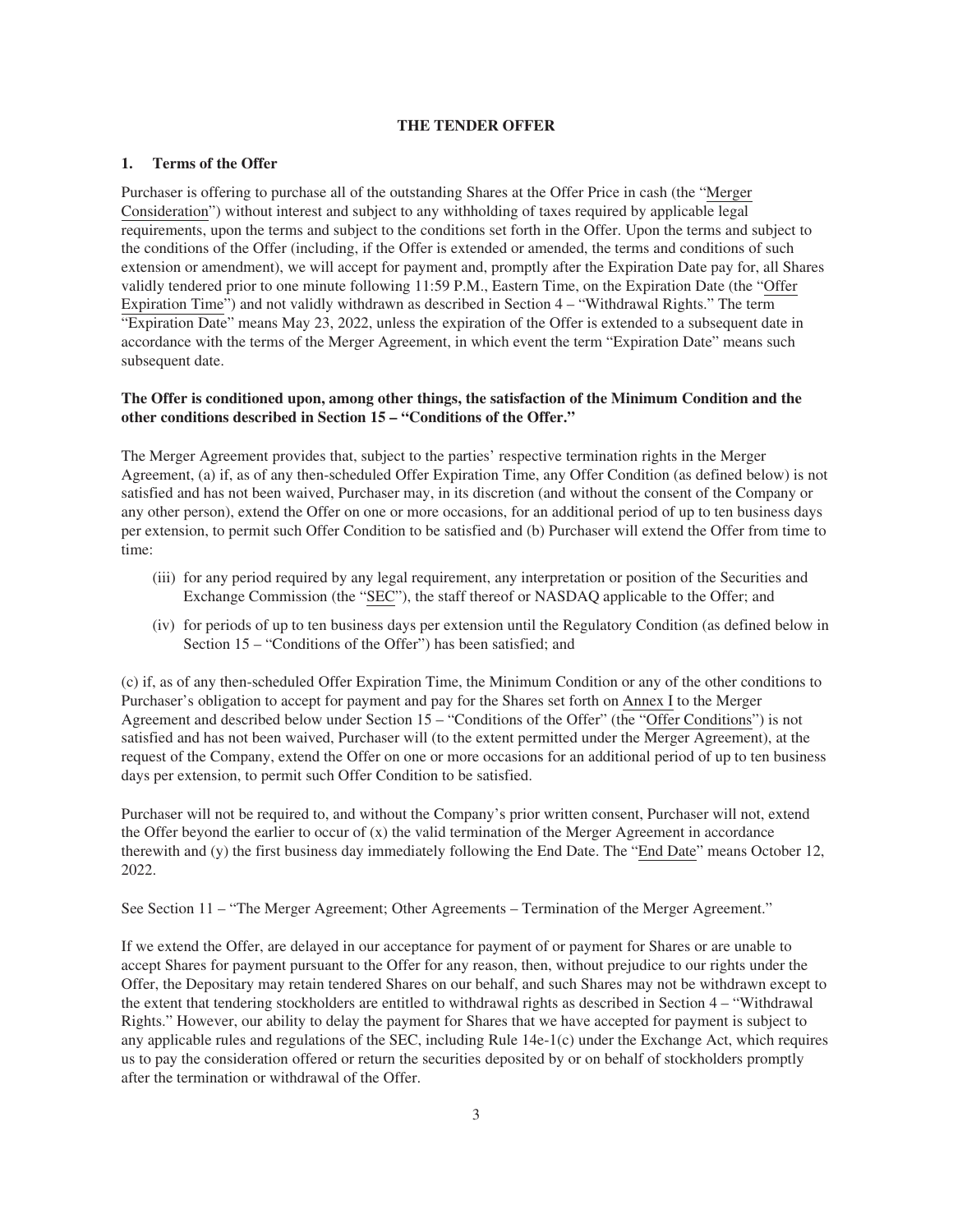## **THE TENDER OFFER**

## **1. Terms of the Offer**

Purchaser is offering to purchase all of the outstanding Shares at the Offer Price in cash (the "Merger Consideration") without interest and subject to any withholding of taxes required by applicable legal requirements, upon the terms and subject to the conditions set forth in the Offer. Upon the terms and subject to the conditions of the Offer (including, if the Offer is extended or amended, the terms and conditions of such extension or amendment), we will accept for payment and, promptly after the Expiration Date pay for, all Shares validly tendered prior to one minute following 11:59 P.M., Eastern Time, on the Expiration Date (the "Offer Expiration Time") and not validly withdrawn as described in Section 4 – "Withdrawal Rights." The term "Expiration Date" means May 23, 2022, unless the expiration of the Offer is extended to a subsequent date in accordance with the terms of the Merger Agreement, in which event the term "Expiration Date" means such subsequent date.

## **The Offer is conditioned upon, among other things, the satisfaction of the Minimum Condition and the other conditions described in Section 15 – "Conditions of the Offer."**

The Merger Agreement provides that, subject to the parties' respective termination rights in the Merger Agreement, (a) if, as of any then-scheduled Offer Expiration Time, any Offer Condition (as defined below) is not satisfied and has not been waived, Purchaser may, in its discretion (and without the consent of the Company or any other person), extend the Offer on one or more occasions, for an additional period of up to ten business days per extension, to permit such Offer Condition to be satisfied and (b) Purchaser will extend the Offer from time to time:

- (iii) for any period required by any legal requirement, any interpretation or position of the Securities and Exchange Commission (the "SEC"), the staff thereof or NASDAQ applicable to the Offer; and
- (iv) for periods of up to ten business days per extension until the Regulatory Condition (as defined below in Section 15 – "Conditions of the Offer") has been satisfied; and

(c) if, as of any then-scheduled Offer Expiration Time, the Minimum Condition or any of the other conditions to Purchaser's obligation to accept for payment and pay for the Shares set forth on Annex I to the Merger Agreement and described below under Section 15 – "Conditions of the Offer" (the "Offer Conditions") is not satisfied and has not been waived, Purchaser will (to the extent permitted under the Merger Agreement), at the request of the Company, extend the Offer on one or more occasions for an additional period of up to ten business days per extension, to permit such Offer Condition to be satisfied.

Purchaser will not be required to, and without the Company's prior written consent, Purchaser will not, extend the Offer beyond the earlier to occur of  $(x)$  the valid termination of the Merger Agreement in accordance therewith and (y) the first business day immediately following the End Date. The "End Date" means October 12, 2022.

See Section 11 – "The Merger Agreement; Other Agreements – Termination of the Merger Agreement."

If we extend the Offer, are delayed in our acceptance for payment of or payment for Shares or are unable to accept Shares for payment pursuant to the Offer for any reason, then, without prejudice to our rights under the Offer, the Depositary may retain tendered Shares on our behalf, and such Shares may not be withdrawn except to the extent that tendering stockholders are entitled to withdrawal rights as described in Section 4 – "Withdrawal Rights." However, our ability to delay the payment for Shares that we have accepted for payment is subject to any applicable rules and regulations of the SEC, including Rule 14e-1(c) under the Exchange Act, which requires us to pay the consideration offered or return the securities deposited by or on behalf of stockholders promptly after the termination or withdrawal of the Offer.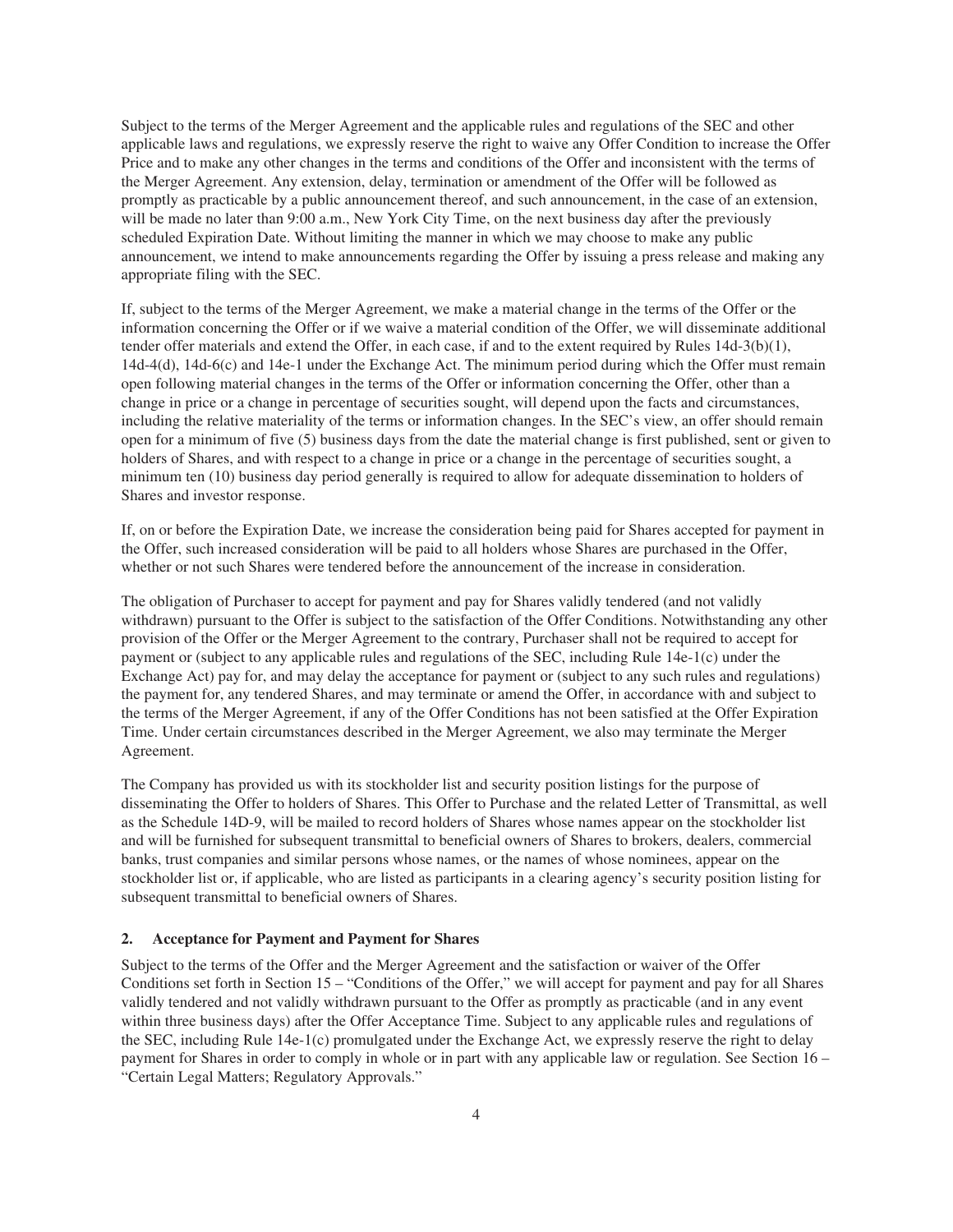Subject to the terms of the Merger Agreement and the applicable rules and regulations of the SEC and other applicable laws and regulations, we expressly reserve the right to waive any Offer Condition to increase the Offer Price and to make any other changes in the terms and conditions of the Offer and inconsistent with the terms of the Merger Agreement. Any extension, delay, termination or amendment of the Offer will be followed as promptly as practicable by a public announcement thereof, and such announcement, in the case of an extension, will be made no later than 9:00 a.m., New York City Time, on the next business day after the previously scheduled Expiration Date. Without limiting the manner in which we may choose to make any public announcement, we intend to make announcements regarding the Offer by issuing a press release and making any appropriate filing with the SEC.

If, subject to the terms of the Merger Agreement, we make a material change in the terms of the Offer or the information concerning the Offer or if we waive a material condition of the Offer, we will disseminate additional tender offer materials and extend the Offer, in each case, if and to the extent required by Rules 14d-3(b)(1), 14d-4(d), 14d-6(c) and 14e-1 under the Exchange Act. The minimum period during which the Offer must remain open following material changes in the terms of the Offer or information concerning the Offer, other than a change in price or a change in percentage of securities sought, will depend upon the facts and circumstances, including the relative materiality of the terms or information changes. In the SEC's view, an offer should remain open for a minimum of five (5) business days from the date the material change is first published, sent or given to holders of Shares, and with respect to a change in price or a change in the percentage of securities sought, a minimum ten (10) business day period generally is required to allow for adequate dissemination to holders of Shares and investor response.

If, on or before the Expiration Date, we increase the consideration being paid for Shares accepted for payment in the Offer, such increased consideration will be paid to all holders whose Shares are purchased in the Offer, whether or not such Shares were tendered before the announcement of the increase in consideration.

The obligation of Purchaser to accept for payment and pay for Shares validly tendered (and not validly withdrawn) pursuant to the Offer is subject to the satisfaction of the Offer Conditions. Notwithstanding any other provision of the Offer or the Merger Agreement to the contrary, Purchaser shall not be required to accept for payment or (subject to any applicable rules and regulations of the SEC, including Rule 14e-1(c) under the Exchange Act) pay for, and may delay the acceptance for payment or (subject to any such rules and regulations) the payment for, any tendered Shares, and may terminate or amend the Offer, in accordance with and subject to the terms of the Merger Agreement, if any of the Offer Conditions has not been satisfied at the Offer Expiration Time. Under certain circumstances described in the Merger Agreement, we also may terminate the Merger Agreement.

The Company has provided us with its stockholder list and security position listings for the purpose of disseminating the Offer to holders of Shares. This Offer to Purchase and the related Letter of Transmittal, as well as the Schedule 14D-9, will be mailed to record holders of Shares whose names appear on the stockholder list and will be furnished for subsequent transmittal to beneficial owners of Shares to brokers, dealers, commercial banks, trust companies and similar persons whose names, or the names of whose nominees, appear on the stockholder list or, if applicable, who are listed as participants in a clearing agency's security position listing for subsequent transmittal to beneficial owners of Shares.

#### **2. Acceptance for Payment and Payment for Shares**

Subject to the terms of the Offer and the Merger Agreement and the satisfaction or waiver of the Offer Conditions set forth in Section 15 – "Conditions of the Offer," we will accept for payment and pay for all Shares validly tendered and not validly withdrawn pursuant to the Offer as promptly as practicable (and in any event within three business days) after the Offer Acceptance Time. Subject to any applicable rules and regulations of the SEC, including Rule 14e-1(c) promulgated under the Exchange Act, we expressly reserve the right to delay payment for Shares in order to comply in whole or in part with any applicable law or regulation. See Section 16 – "Certain Legal Matters; Regulatory Approvals."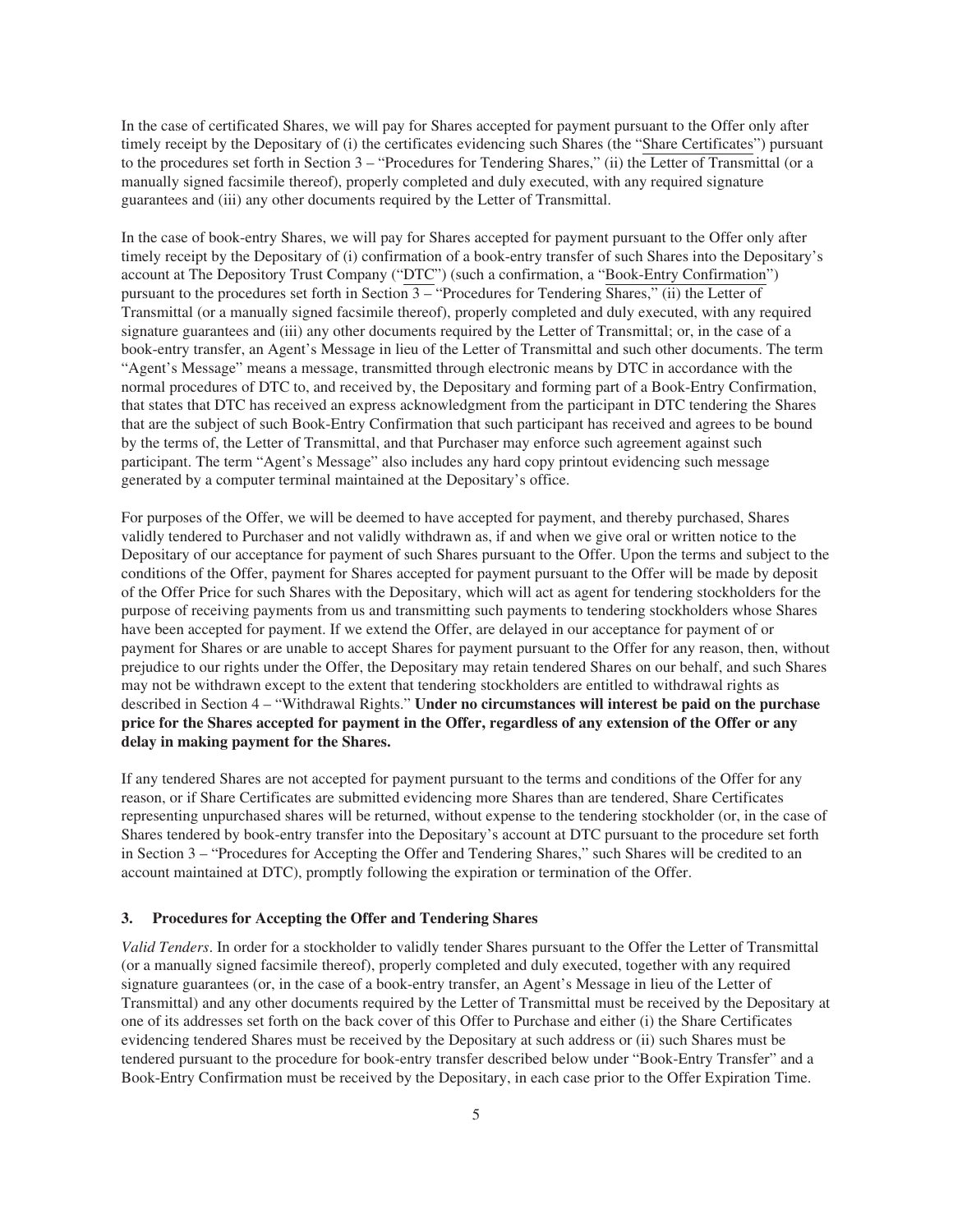In the case of certificated Shares, we will pay for Shares accepted for payment pursuant to the Offer only after timely receipt by the Depositary of (i) the certificates evidencing such Shares (the "Share Certificates") pursuant to the procedures set forth in Section 3 – "Procedures for Tendering Shares," (ii) the Letter of Transmittal (or a manually signed facsimile thereof), properly completed and duly executed, with any required signature guarantees and (iii) any other documents required by the Letter of Transmittal.

In the case of book-entry Shares, we will pay for Shares accepted for payment pursuant to the Offer only after timely receipt by the Depositary of (i) confirmation of a book-entry transfer of such Shares into the Depositary's account at The Depository Trust Company ("DTC") (such a confirmation, a "Book-Entry Confirmation") pursuant to the procedures set forth in Section 3 – "Procedures for Tendering Shares," (ii) the Letter of Transmittal (or a manually signed facsimile thereof), properly completed and duly executed, with any required signature guarantees and (iii) any other documents required by the Letter of Transmittal; or, in the case of a book-entry transfer, an Agent's Message in lieu of the Letter of Transmittal and such other documents. The term "Agent's Message" means a message, transmitted through electronic means by DTC in accordance with the normal procedures of DTC to, and received by, the Depositary and forming part of a Book-Entry Confirmation, that states that DTC has received an express acknowledgment from the participant in DTC tendering the Shares that are the subject of such Book-Entry Confirmation that such participant has received and agrees to be bound by the terms of, the Letter of Transmittal, and that Purchaser may enforce such agreement against such participant. The term "Agent's Message" also includes any hard copy printout evidencing such message generated by a computer terminal maintained at the Depositary's office.

For purposes of the Offer, we will be deemed to have accepted for payment, and thereby purchased, Shares validly tendered to Purchaser and not validly withdrawn as, if and when we give oral or written notice to the Depositary of our acceptance for payment of such Shares pursuant to the Offer. Upon the terms and subject to the conditions of the Offer, payment for Shares accepted for payment pursuant to the Offer will be made by deposit of the Offer Price for such Shares with the Depositary, which will act as agent for tendering stockholders for the purpose of receiving payments from us and transmitting such payments to tendering stockholders whose Shares have been accepted for payment. If we extend the Offer, are delayed in our acceptance for payment of or payment for Shares or are unable to accept Shares for payment pursuant to the Offer for any reason, then, without prejudice to our rights under the Offer, the Depositary may retain tendered Shares on our behalf, and such Shares may not be withdrawn except to the extent that tendering stockholders are entitled to withdrawal rights as described in Section 4 – "Withdrawal Rights." **Under no circumstances will interest be paid on the purchase price for the Shares accepted for payment in the Offer, regardless of any extension of the Offer or any delay in making payment for the Shares.**

If any tendered Shares are not accepted for payment pursuant to the terms and conditions of the Offer for any reason, or if Share Certificates are submitted evidencing more Shares than are tendered, Share Certificates representing unpurchased shares will be returned, without expense to the tendering stockholder (or, in the case of Shares tendered by book-entry transfer into the Depositary's account at DTC pursuant to the procedure set forth in Section 3 – "Procedures for Accepting the Offer and Tendering Shares," such Shares will be credited to an account maintained at DTC), promptly following the expiration or termination of the Offer.

### **3. Procedures for Accepting the Offer and Tendering Shares**

*Valid Tenders*. In order for a stockholder to validly tender Shares pursuant to the Offer the Letter of Transmittal (or a manually signed facsimile thereof), properly completed and duly executed, together with any required signature guarantees (or, in the case of a book-entry transfer, an Agent's Message in lieu of the Letter of Transmittal) and any other documents required by the Letter of Transmittal must be received by the Depositary at one of its addresses set forth on the back cover of this Offer to Purchase and either (i) the Share Certificates evidencing tendered Shares must be received by the Depositary at such address or (ii) such Shares must be tendered pursuant to the procedure for book-entry transfer described below under "Book-Entry Transfer" and a Book-Entry Confirmation must be received by the Depositary, in each case prior to the Offer Expiration Time.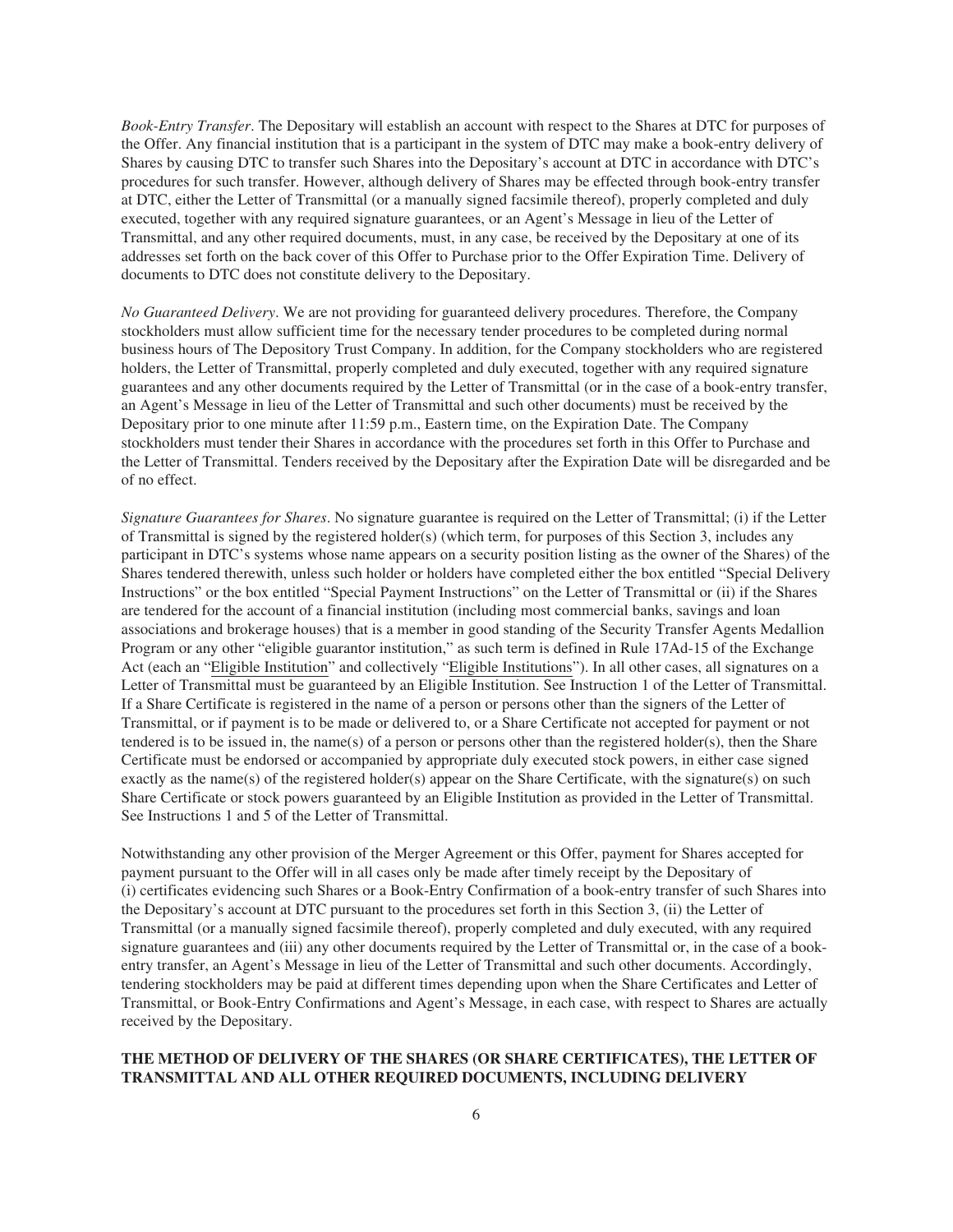*Book-Entry Transfer*. The Depositary will establish an account with respect to the Shares at DTC for purposes of the Offer. Any financial institution that is a participant in the system of DTC may make a book-entry delivery of Shares by causing DTC to transfer such Shares into the Depositary's account at DTC in accordance with DTC's procedures for such transfer. However, although delivery of Shares may be effected through book-entry transfer at DTC, either the Letter of Transmittal (or a manually signed facsimile thereof), properly completed and duly executed, together with any required signature guarantees, or an Agent's Message in lieu of the Letter of Transmittal, and any other required documents, must, in any case, be received by the Depositary at one of its addresses set forth on the back cover of this Offer to Purchase prior to the Offer Expiration Time. Delivery of documents to DTC does not constitute delivery to the Depositary.

*No Guaranteed Delivery*. We are not providing for guaranteed delivery procedures. Therefore, the Company stockholders must allow sufficient time for the necessary tender procedures to be completed during normal business hours of The Depository Trust Company. In addition, for the Company stockholders who are registered holders, the Letter of Transmittal, properly completed and duly executed, together with any required signature guarantees and any other documents required by the Letter of Transmittal (or in the case of a book-entry transfer, an Agent's Message in lieu of the Letter of Transmittal and such other documents) must be received by the Depositary prior to one minute after 11:59 p.m., Eastern time, on the Expiration Date. The Company stockholders must tender their Shares in accordance with the procedures set forth in this Offer to Purchase and the Letter of Transmittal. Tenders received by the Depositary after the Expiration Date will be disregarded and be of no effect.

*Signature Guarantees for Shares*. No signature guarantee is required on the Letter of Transmittal; (i) if the Letter of Transmittal is signed by the registered holder(s) (which term, for purposes of this Section 3, includes any participant in DTC's systems whose name appears on a security position listing as the owner of the Shares) of the Shares tendered therewith, unless such holder or holders have completed either the box entitled "Special Delivery Instructions" or the box entitled "Special Payment Instructions" on the Letter of Transmittal or (ii) if the Shares are tendered for the account of a financial institution (including most commercial banks, savings and loan associations and brokerage houses) that is a member in good standing of the Security Transfer Agents Medallion Program or any other "eligible guarantor institution," as such term is defined in Rule 17Ad-15 of the Exchange Act (each an "Eligible Institution" and collectively "Eligible Institutions"). In all other cases, all signatures on a Letter of Transmittal must be guaranteed by an Eligible Institution. See Instruction 1 of the Letter of Transmittal. If a Share Certificate is registered in the name of a person or persons other than the signers of the Letter of Transmittal, or if payment is to be made or delivered to, or a Share Certificate not accepted for payment or not tendered is to be issued in, the name(s) of a person or persons other than the registered holder(s), then the Share Certificate must be endorsed or accompanied by appropriate duly executed stock powers, in either case signed exactly as the name(s) of the registered holder(s) appear on the Share Certificate, with the signature(s) on such Share Certificate or stock powers guaranteed by an Eligible Institution as provided in the Letter of Transmittal. See Instructions 1 and 5 of the Letter of Transmittal.

Notwithstanding any other provision of the Merger Agreement or this Offer, payment for Shares accepted for payment pursuant to the Offer will in all cases only be made after timely receipt by the Depositary of (i) certificates evidencing such Shares or a Book-Entry Confirmation of a book-entry transfer of such Shares into the Depositary's account at DTC pursuant to the procedures set forth in this Section 3, (ii) the Letter of Transmittal (or a manually signed facsimile thereof), properly completed and duly executed, with any required signature guarantees and (iii) any other documents required by the Letter of Transmittal or, in the case of a bookentry transfer, an Agent's Message in lieu of the Letter of Transmittal and such other documents. Accordingly, tendering stockholders may be paid at different times depending upon when the Share Certificates and Letter of Transmittal, or Book-Entry Confirmations and Agent's Message, in each case, with respect to Shares are actually received by the Depositary.

## **THE METHOD OF DELIVERY OF THE SHARES (OR SHARE CERTIFICATES), THE LETTER OF TRANSMITTAL AND ALL OTHER REQUIRED DOCUMENTS, INCLUDING DELIVERY**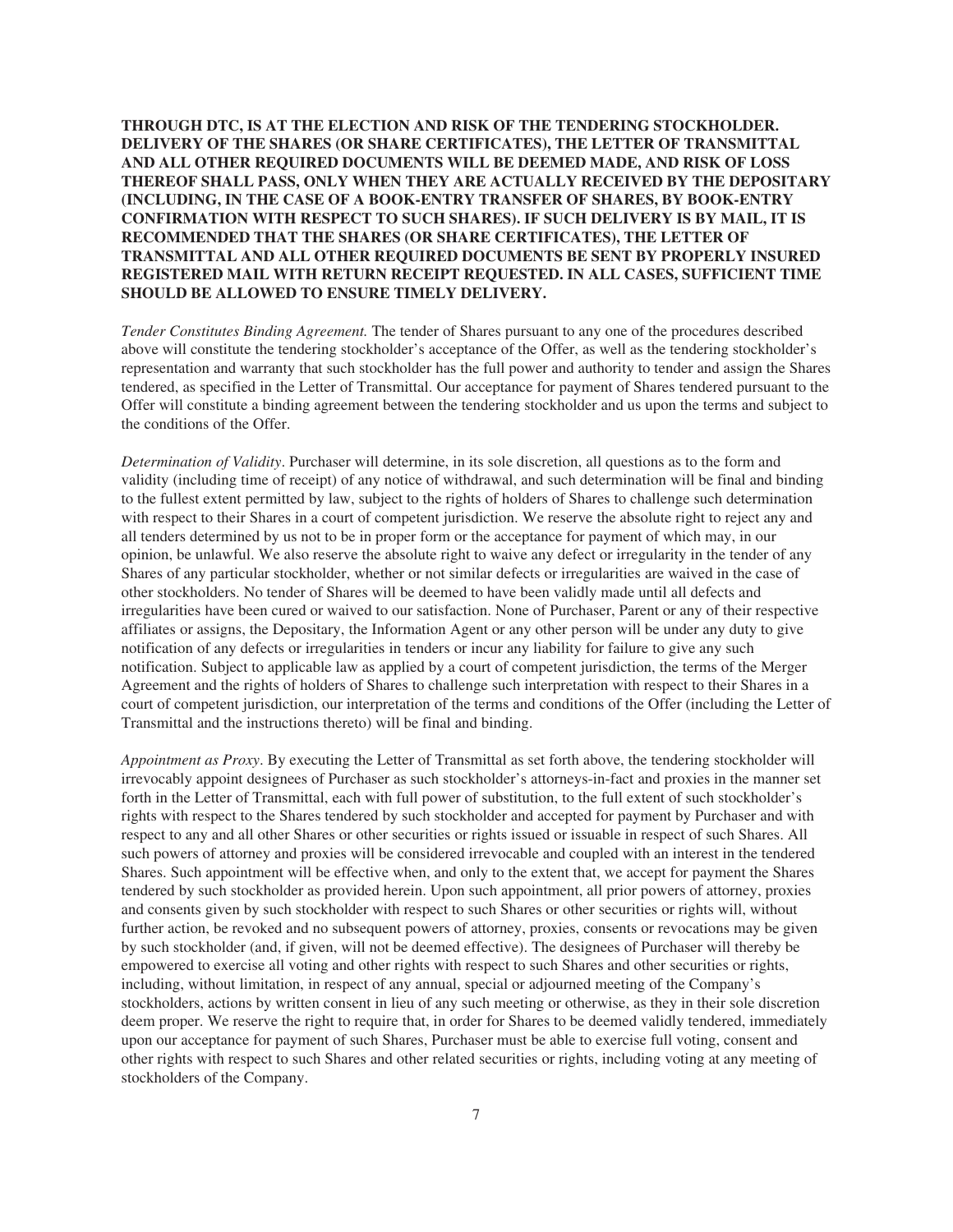**THROUGH DTC, IS AT THE ELECTION AND RISK OF THE TENDERING STOCKHOLDER. DELIVERY OF THE SHARES (OR SHARE CERTIFICATES), THE LETTER OF TRANSMITTAL AND ALL OTHER REQUIRED DOCUMENTS WILL BE DEEMED MADE, AND RISK OF LOSS THEREOF SHALL PASS, ONLY WHEN THEY ARE ACTUALLY RECEIVED BY THE DEPOSITARY (INCLUDING, IN THE CASE OF A BOOK-ENTRY TRANSFER OF SHARES, BY BOOK-ENTRY CONFIRMATION WITH RESPECT TO SUCH SHARES). IF SUCH DELIVERY IS BY MAIL, IT IS RECOMMENDED THAT THE SHARES (OR SHARE CERTIFICATES), THE LETTER OF TRANSMITTAL AND ALL OTHER REQUIRED DOCUMENTS BE SENT BY PROPERLY INSURED REGISTERED MAIL WITH RETURN RECEIPT REQUESTED. IN ALL CASES, SUFFICIENT TIME SHOULD BE ALLOWED TO ENSURE TIMELY DELIVERY.**

*Tender Constitutes Binding Agreement.* The tender of Shares pursuant to any one of the procedures described above will constitute the tendering stockholder's acceptance of the Offer, as well as the tendering stockholder's representation and warranty that such stockholder has the full power and authority to tender and assign the Shares tendered, as specified in the Letter of Transmittal. Our acceptance for payment of Shares tendered pursuant to the Offer will constitute a binding agreement between the tendering stockholder and us upon the terms and subject to the conditions of the Offer.

*Determination of Validity*. Purchaser will determine, in its sole discretion, all questions as to the form and validity (including time of receipt) of any notice of withdrawal, and such determination will be final and binding to the fullest extent permitted by law, subject to the rights of holders of Shares to challenge such determination with respect to their Shares in a court of competent jurisdiction. We reserve the absolute right to reject any and all tenders determined by us not to be in proper form or the acceptance for payment of which may, in our opinion, be unlawful. We also reserve the absolute right to waive any defect or irregularity in the tender of any Shares of any particular stockholder, whether or not similar defects or irregularities are waived in the case of other stockholders. No tender of Shares will be deemed to have been validly made until all defects and irregularities have been cured or waived to our satisfaction. None of Purchaser, Parent or any of their respective affiliates or assigns, the Depositary, the Information Agent or any other person will be under any duty to give notification of any defects or irregularities in tenders or incur any liability for failure to give any such notification. Subject to applicable law as applied by a court of competent jurisdiction, the terms of the Merger Agreement and the rights of holders of Shares to challenge such interpretation with respect to their Shares in a court of competent jurisdiction, our interpretation of the terms and conditions of the Offer (including the Letter of Transmittal and the instructions thereto) will be final and binding.

*Appointment as Proxy*. By executing the Letter of Transmittal as set forth above, the tendering stockholder will irrevocably appoint designees of Purchaser as such stockholder's attorneys-in-fact and proxies in the manner set forth in the Letter of Transmittal, each with full power of substitution, to the full extent of such stockholder's rights with respect to the Shares tendered by such stockholder and accepted for payment by Purchaser and with respect to any and all other Shares or other securities or rights issued or issuable in respect of such Shares. All such powers of attorney and proxies will be considered irrevocable and coupled with an interest in the tendered Shares. Such appointment will be effective when, and only to the extent that, we accept for payment the Shares tendered by such stockholder as provided herein. Upon such appointment, all prior powers of attorney, proxies and consents given by such stockholder with respect to such Shares or other securities or rights will, without further action, be revoked and no subsequent powers of attorney, proxies, consents or revocations may be given by such stockholder (and, if given, will not be deemed effective). The designees of Purchaser will thereby be empowered to exercise all voting and other rights with respect to such Shares and other securities or rights, including, without limitation, in respect of any annual, special or adjourned meeting of the Company's stockholders, actions by written consent in lieu of any such meeting or otherwise, as they in their sole discretion deem proper. We reserve the right to require that, in order for Shares to be deemed validly tendered, immediately upon our acceptance for payment of such Shares, Purchaser must be able to exercise full voting, consent and other rights with respect to such Shares and other related securities or rights, including voting at any meeting of stockholders of the Company.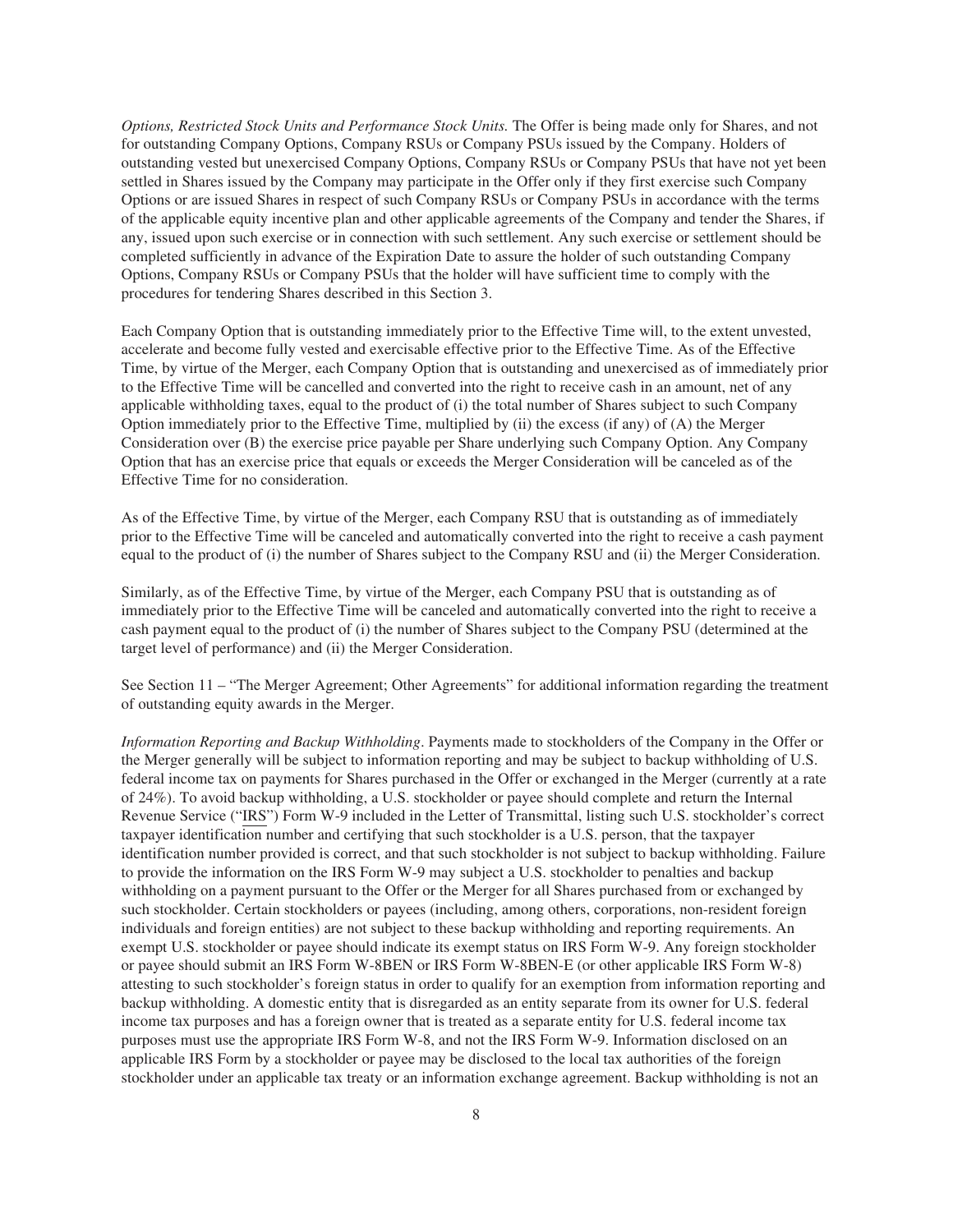*Options, Restricted Stock Units and Performance Stock Units.* The Offer is being made only for Shares, and not for outstanding Company Options, Company RSUs or Company PSUs issued by the Company. Holders of outstanding vested but unexercised Company Options, Company RSUs or Company PSUs that have not yet been settled in Shares issued by the Company may participate in the Offer only if they first exercise such Company Options or are issued Shares in respect of such Company RSUs or Company PSUs in accordance with the terms of the applicable equity incentive plan and other applicable agreements of the Company and tender the Shares, if any, issued upon such exercise or in connection with such settlement. Any such exercise or settlement should be completed sufficiently in advance of the Expiration Date to assure the holder of such outstanding Company Options, Company RSUs or Company PSUs that the holder will have sufficient time to comply with the procedures for tendering Shares described in this Section 3.

Each Company Option that is outstanding immediately prior to the Effective Time will, to the extent unvested, accelerate and become fully vested and exercisable effective prior to the Effective Time. As of the Effective Time, by virtue of the Merger, each Company Option that is outstanding and unexercised as of immediately prior to the Effective Time will be cancelled and converted into the right to receive cash in an amount, net of any applicable withholding taxes, equal to the product of (i) the total number of Shares subject to such Company Option immediately prior to the Effective Time, multiplied by (ii) the excess (if any) of (A) the Merger Consideration over (B) the exercise price payable per Share underlying such Company Option. Any Company Option that has an exercise price that equals or exceeds the Merger Consideration will be canceled as of the Effective Time for no consideration.

As of the Effective Time, by virtue of the Merger, each Company RSU that is outstanding as of immediately prior to the Effective Time will be canceled and automatically converted into the right to receive a cash payment equal to the product of (i) the number of Shares subject to the Company RSU and (ii) the Merger Consideration.

Similarly, as of the Effective Time, by virtue of the Merger, each Company PSU that is outstanding as of immediately prior to the Effective Time will be canceled and automatically converted into the right to receive a cash payment equal to the product of (i) the number of Shares subject to the Company PSU (determined at the target level of performance) and (ii) the Merger Consideration.

See Section 11 – "The Merger Agreement; Other Agreements" for additional information regarding the treatment of outstanding equity awards in the Merger.

*Information Reporting and Backup Withholding*. Payments made to stockholders of the Company in the Offer or the Merger generally will be subject to information reporting and may be subject to backup withholding of U.S. federal income tax on payments for Shares purchased in the Offer or exchanged in the Merger (currently at a rate of 24%). To avoid backup withholding, a U.S. stockholder or payee should complete and return the Internal Revenue Service ("IRS") Form W-9 included in the Letter of Transmittal, listing such U.S. stockholder's correct taxpayer identification number and certifying that such stockholder is a U.S. person, that the taxpayer identification number provided is correct, and that such stockholder is not subject to backup withholding. Failure to provide the information on the IRS Form W-9 may subject a U.S. stockholder to penalties and backup withholding on a payment pursuant to the Offer or the Merger for all Shares purchased from or exchanged by such stockholder. Certain stockholders or payees (including, among others, corporations, non-resident foreign individuals and foreign entities) are not subject to these backup withholding and reporting requirements. An exempt U.S. stockholder or payee should indicate its exempt status on IRS Form W-9. Any foreign stockholder or payee should submit an IRS Form W-8BEN or IRS Form W-8BEN-E (or other applicable IRS Form W-8) attesting to such stockholder's foreign status in order to qualify for an exemption from information reporting and backup withholding. A domestic entity that is disregarded as an entity separate from its owner for U.S. federal income tax purposes and has a foreign owner that is treated as a separate entity for U.S. federal income tax purposes must use the appropriate IRS Form W-8, and not the IRS Form W-9. Information disclosed on an applicable IRS Form by a stockholder or payee may be disclosed to the local tax authorities of the foreign stockholder under an applicable tax treaty or an information exchange agreement. Backup withholding is not an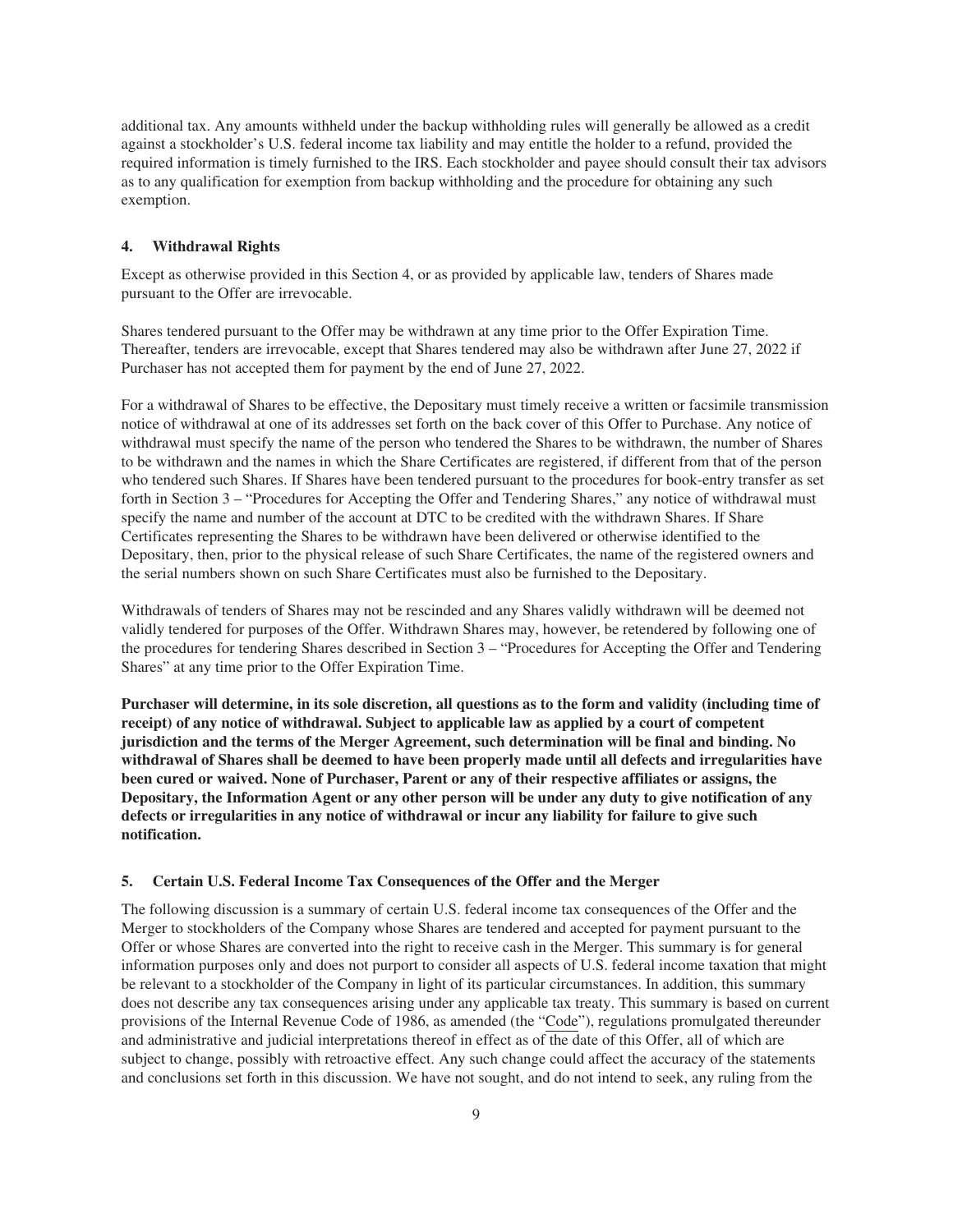additional tax. Any amounts withheld under the backup withholding rules will generally be allowed as a credit against a stockholder's U.S. federal income tax liability and may entitle the holder to a refund, provided the required information is timely furnished to the IRS. Each stockholder and payee should consult their tax advisors as to any qualification for exemption from backup withholding and the procedure for obtaining any such exemption.

## **4. Withdrawal Rights**

Except as otherwise provided in this Section 4, or as provided by applicable law, tenders of Shares made pursuant to the Offer are irrevocable.

Shares tendered pursuant to the Offer may be withdrawn at any time prior to the Offer Expiration Time. Thereafter, tenders are irrevocable, except that Shares tendered may also be withdrawn after June 27, 2022 if Purchaser has not accepted them for payment by the end of June 27, 2022.

For a withdrawal of Shares to be effective, the Depositary must timely receive a written or facsimile transmission notice of withdrawal at one of its addresses set forth on the back cover of this Offer to Purchase. Any notice of withdrawal must specify the name of the person who tendered the Shares to be withdrawn, the number of Shares to be withdrawn and the names in which the Share Certificates are registered, if different from that of the person who tendered such Shares. If Shares have been tendered pursuant to the procedures for book-entry transfer as set forth in Section 3 – "Procedures for Accepting the Offer and Tendering Shares," any notice of withdrawal must specify the name and number of the account at DTC to be credited with the withdrawn Shares. If Share Certificates representing the Shares to be withdrawn have been delivered or otherwise identified to the Depositary, then, prior to the physical release of such Share Certificates, the name of the registered owners and the serial numbers shown on such Share Certificates must also be furnished to the Depositary.

Withdrawals of tenders of Shares may not be rescinded and any Shares validly withdrawn will be deemed not validly tendered for purposes of the Offer. Withdrawn Shares may, however, be retendered by following one of the procedures for tendering Shares described in Section 3 – "Procedures for Accepting the Offer and Tendering Shares" at any time prior to the Offer Expiration Time.

**Purchaser will determine, in its sole discretion, all questions as to the form and validity (including time of receipt) of any notice of withdrawal. Subject to applicable law as applied by a court of competent jurisdiction and the terms of the Merger Agreement, such determination will be final and binding. No withdrawal of Shares shall be deemed to have been properly made until all defects and irregularities have been cured or waived. None of Purchaser, Parent or any of their respective affiliates or assigns, the Depositary, the Information Agent or any other person will be under any duty to give notification of any defects or irregularities in any notice of withdrawal or incur any liability for failure to give such notification.**

### **5. Certain U.S. Federal Income Tax Consequences of the Offer and the Merger**

The following discussion is a summary of certain U.S. federal income tax consequences of the Offer and the Merger to stockholders of the Company whose Shares are tendered and accepted for payment pursuant to the Offer or whose Shares are converted into the right to receive cash in the Merger. This summary is for general information purposes only and does not purport to consider all aspects of U.S. federal income taxation that might be relevant to a stockholder of the Company in light of its particular circumstances. In addition, this summary does not describe any tax consequences arising under any applicable tax treaty. This summary is based on current provisions of the Internal Revenue Code of 1986, as amended (the "Code"), regulations promulgated thereunder and administrative and judicial interpretations thereof in effect as of the date of this Offer, all of which are subject to change, possibly with retroactive effect. Any such change could affect the accuracy of the statements and conclusions set forth in this discussion. We have not sought, and do not intend to seek, any ruling from the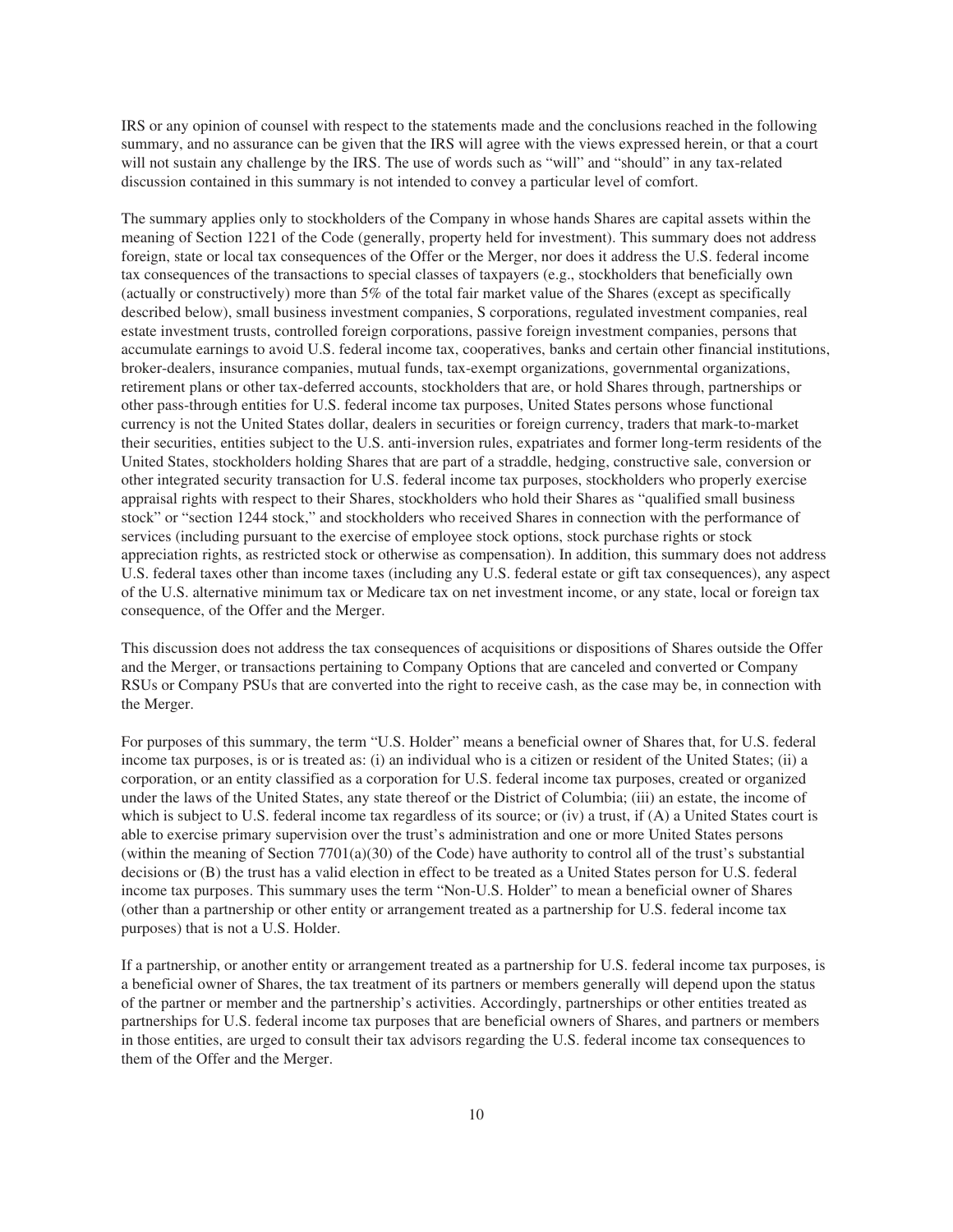IRS or any opinion of counsel with respect to the statements made and the conclusions reached in the following summary, and no assurance can be given that the IRS will agree with the views expressed herein, or that a court will not sustain any challenge by the IRS. The use of words such as "will" and "should" in any tax-related discussion contained in this summary is not intended to convey a particular level of comfort.

The summary applies only to stockholders of the Company in whose hands Shares are capital assets within the meaning of Section 1221 of the Code (generally, property held for investment). This summary does not address foreign, state or local tax consequences of the Offer or the Merger, nor does it address the U.S. federal income tax consequences of the transactions to special classes of taxpayers (e.g., stockholders that beneficially own (actually or constructively) more than 5% of the total fair market value of the Shares (except as specifically described below), small business investment companies, S corporations, regulated investment companies, real estate investment trusts, controlled foreign corporations, passive foreign investment companies, persons that accumulate earnings to avoid U.S. federal income tax, cooperatives, banks and certain other financial institutions, broker-dealers, insurance companies, mutual funds, tax-exempt organizations, governmental organizations, retirement plans or other tax-deferred accounts, stockholders that are, or hold Shares through, partnerships or other pass-through entities for U.S. federal income tax purposes, United States persons whose functional currency is not the United States dollar, dealers in securities or foreign currency, traders that mark-to-market their securities, entities subject to the U.S. anti-inversion rules, expatriates and former long-term residents of the United States, stockholders holding Shares that are part of a straddle, hedging, constructive sale, conversion or other integrated security transaction for U.S. federal income tax purposes, stockholders who properly exercise appraisal rights with respect to their Shares, stockholders who hold their Shares as "qualified small business stock" or "section 1244 stock," and stockholders who received Shares in connection with the performance of services (including pursuant to the exercise of employee stock options, stock purchase rights or stock appreciation rights, as restricted stock or otherwise as compensation). In addition, this summary does not address U.S. federal taxes other than income taxes (including any U.S. federal estate or gift tax consequences), any aspect of the U.S. alternative minimum tax or Medicare tax on net investment income, or any state, local or foreign tax consequence, of the Offer and the Merger.

This discussion does not address the tax consequences of acquisitions or dispositions of Shares outside the Offer and the Merger, or transactions pertaining to Company Options that are canceled and converted or Company RSUs or Company PSUs that are converted into the right to receive cash, as the case may be, in connection with the Merger.

For purposes of this summary, the term "U.S. Holder" means a beneficial owner of Shares that, for U.S. federal income tax purposes, is or is treated as: (i) an individual who is a citizen or resident of the United States; (ii) a corporation, or an entity classified as a corporation for U.S. federal income tax purposes, created or organized under the laws of the United States, any state thereof or the District of Columbia; (iii) an estate, the income of which is subject to U.S. federal income tax regardless of its source; or (iv) a trust, if (A) a United States court is able to exercise primary supervision over the trust's administration and one or more United States persons (within the meaning of Section  $7701(a)(30)$  of the Code) have authority to control all of the trust's substantial decisions or (B) the trust has a valid election in effect to be treated as a United States person for U.S. federal income tax purposes. This summary uses the term "Non-U.S. Holder" to mean a beneficial owner of Shares (other than a partnership or other entity or arrangement treated as a partnership for U.S. federal income tax purposes) that is not a U.S. Holder.

If a partnership, or another entity or arrangement treated as a partnership for U.S. federal income tax purposes, is a beneficial owner of Shares, the tax treatment of its partners or members generally will depend upon the status of the partner or member and the partnership's activities. Accordingly, partnerships or other entities treated as partnerships for U.S. federal income tax purposes that are beneficial owners of Shares, and partners or members in those entities, are urged to consult their tax advisors regarding the U.S. federal income tax consequences to them of the Offer and the Merger.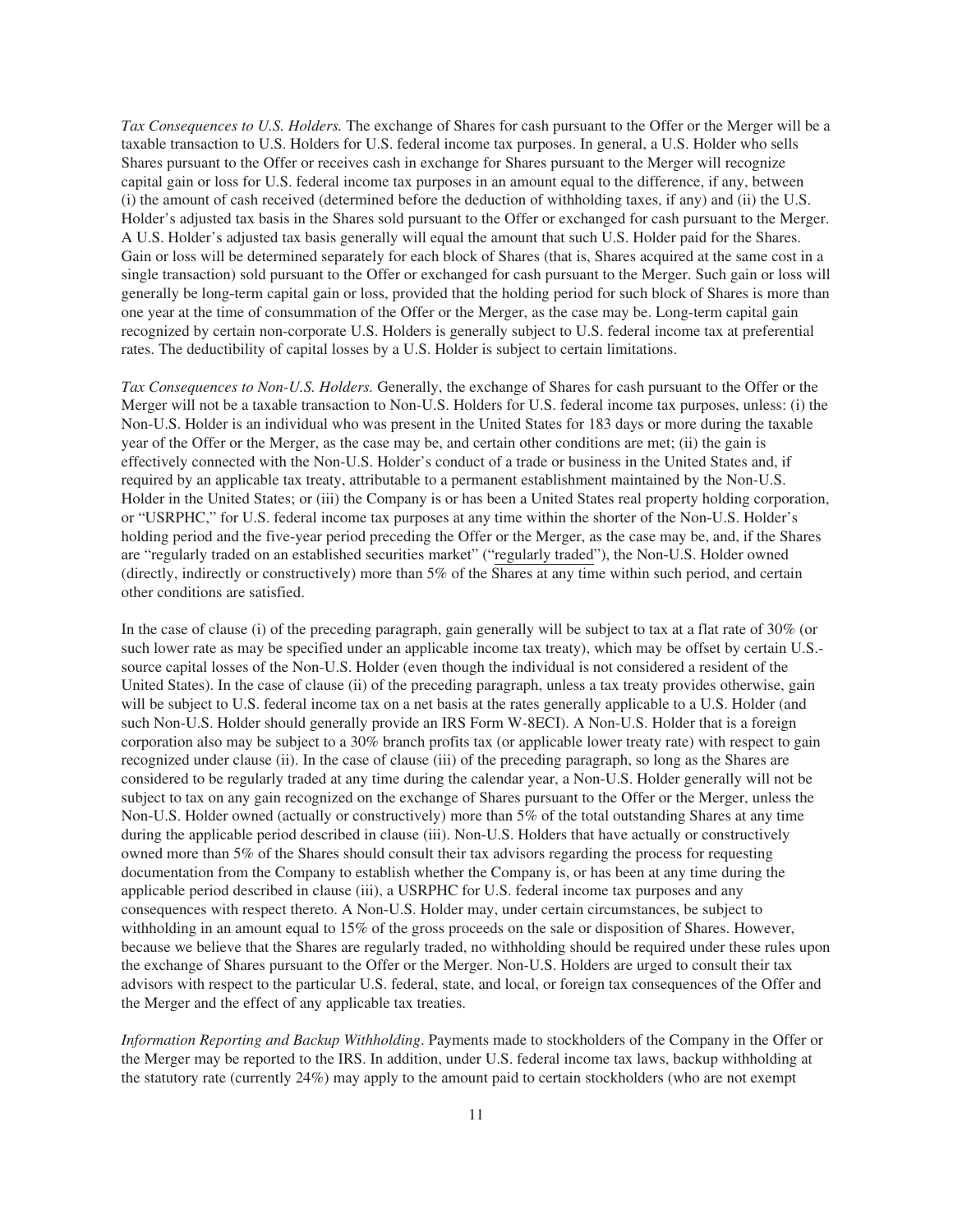*Tax Consequences to U.S. Holders.* The exchange of Shares for cash pursuant to the Offer or the Merger will be a taxable transaction to U.S. Holders for U.S. federal income tax purposes. In general, a U.S. Holder who sells Shares pursuant to the Offer or receives cash in exchange for Shares pursuant to the Merger will recognize capital gain or loss for U.S. federal income tax purposes in an amount equal to the difference, if any, between (i) the amount of cash received (determined before the deduction of withholding taxes, if any) and (ii) the U.S. Holder's adjusted tax basis in the Shares sold pursuant to the Offer or exchanged for cash pursuant to the Merger. A U.S. Holder's adjusted tax basis generally will equal the amount that such U.S. Holder paid for the Shares. Gain or loss will be determined separately for each block of Shares (that is, Shares acquired at the same cost in a single transaction) sold pursuant to the Offer or exchanged for cash pursuant to the Merger. Such gain or loss will generally be long-term capital gain or loss, provided that the holding period for such block of Shares is more than one year at the time of consummation of the Offer or the Merger, as the case may be. Long-term capital gain recognized by certain non-corporate U.S. Holders is generally subject to U.S. federal income tax at preferential rates. The deductibility of capital losses by a U.S. Holder is subject to certain limitations.

*Tax Consequences to Non-U.S. Holders.* Generally, the exchange of Shares for cash pursuant to the Offer or the Merger will not be a taxable transaction to Non-U.S. Holders for U.S. federal income tax purposes, unless: (i) the Non-U.S. Holder is an individual who was present in the United States for 183 days or more during the taxable year of the Offer or the Merger, as the case may be, and certain other conditions are met; (ii) the gain is effectively connected with the Non-U.S. Holder's conduct of a trade or business in the United States and, if required by an applicable tax treaty, attributable to a permanent establishment maintained by the Non-U.S. Holder in the United States; or (iii) the Company is or has been a United States real property holding corporation, or "USRPHC," for U.S. federal income tax purposes at any time within the shorter of the Non-U.S. Holder's holding period and the five-year period preceding the Offer or the Merger, as the case may be, and, if the Shares are "regularly traded on an established securities market" ("regularly traded"), the Non-U.S. Holder owned (directly, indirectly or constructively) more than 5% of the Shares at any time within such period, and certain other conditions are satisfied.

In the case of clause (i) of the preceding paragraph, gain generally will be subject to tax at a flat rate of  $30\%$  (or such lower rate as may be specified under an applicable income tax treaty), which may be offset by certain U.S. source capital losses of the Non-U.S. Holder (even though the individual is not considered a resident of the United States). In the case of clause (ii) of the preceding paragraph, unless a tax treaty provides otherwise, gain will be subject to U.S. federal income tax on a net basis at the rates generally applicable to a U.S. Holder (and such Non-U.S. Holder should generally provide an IRS Form W-8ECI). A Non-U.S. Holder that is a foreign corporation also may be subject to a 30% branch profits tax (or applicable lower treaty rate) with respect to gain recognized under clause (ii). In the case of clause (iii) of the preceding paragraph, so long as the Shares are considered to be regularly traded at any time during the calendar year, a Non-U.S. Holder generally will not be subject to tax on any gain recognized on the exchange of Shares pursuant to the Offer or the Merger, unless the Non-U.S. Holder owned (actually or constructively) more than 5% of the total outstanding Shares at any time during the applicable period described in clause (iii). Non-U.S. Holders that have actually or constructively owned more than 5% of the Shares should consult their tax advisors regarding the process for requesting documentation from the Company to establish whether the Company is, or has been at any time during the applicable period described in clause (iii), a USRPHC for U.S. federal income tax purposes and any consequences with respect thereto. A Non-U.S. Holder may, under certain circumstances, be subject to withholding in an amount equal to 15% of the gross proceeds on the sale or disposition of Shares. However, because we believe that the Shares are regularly traded, no withholding should be required under these rules upon the exchange of Shares pursuant to the Offer or the Merger. Non-U.S. Holders are urged to consult their tax advisors with respect to the particular U.S. federal, state, and local, or foreign tax consequences of the Offer and the Merger and the effect of any applicable tax treaties.

*Information Reporting and Backup Withholding*. Payments made to stockholders of the Company in the Offer or the Merger may be reported to the IRS. In addition, under U.S. federal income tax laws, backup withholding at the statutory rate (currently 24%) may apply to the amount paid to certain stockholders (who are not exempt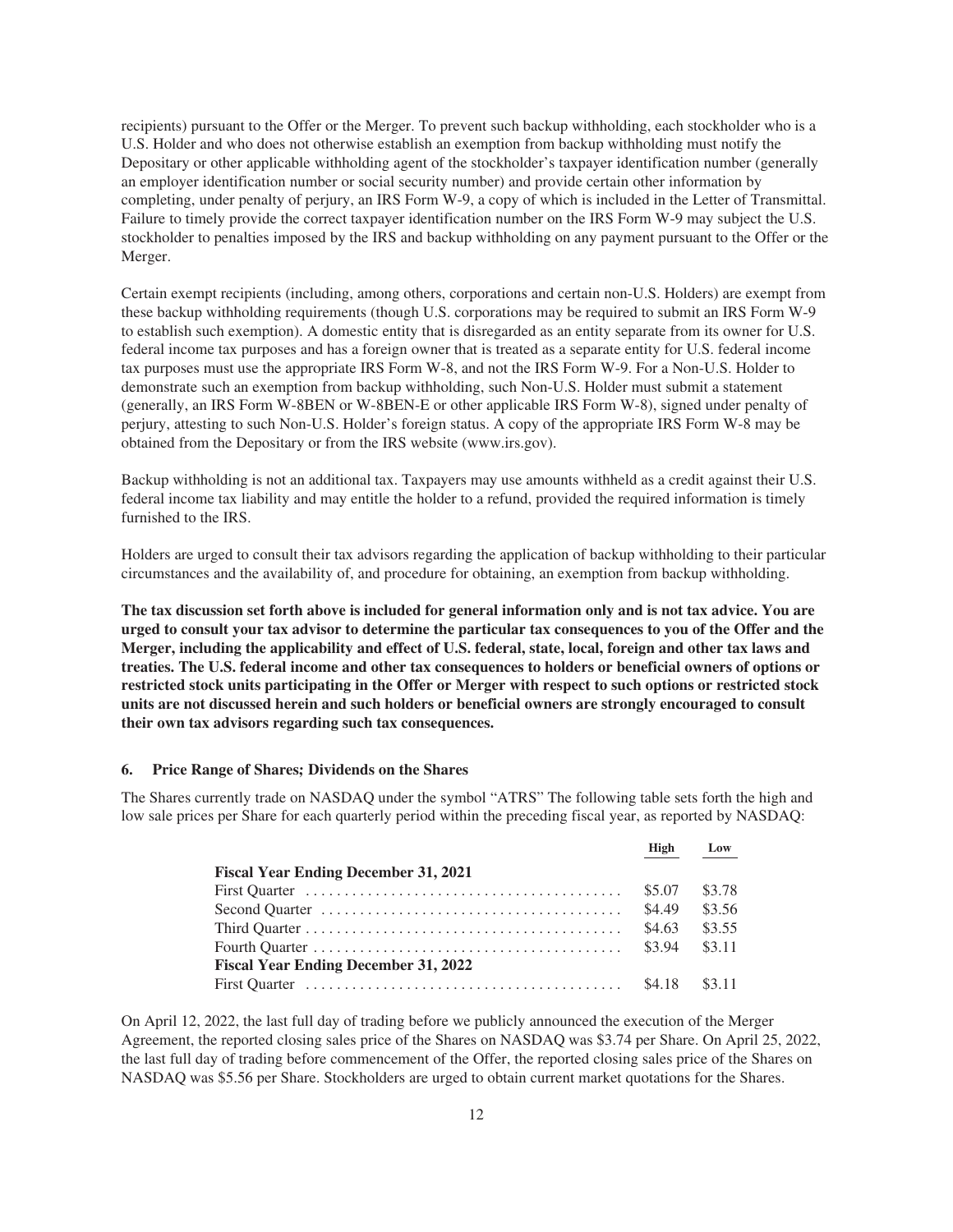recipients) pursuant to the Offer or the Merger. To prevent such backup withholding, each stockholder who is a U.S. Holder and who does not otherwise establish an exemption from backup withholding must notify the Depositary or other applicable withholding agent of the stockholder's taxpayer identification number (generally an employer identification number or social security number) and provide certain other information by completing, under penalty of perjury, an IRS Form W-9, a copy of which is included in the Letter of Transmittal. Failure to timely provide the correct taxpayer identification number on the IRS Form W-9 may subject the U.S. stockholder to penalties imposed by the IRS and backup withholding on any payment pursuant to the Offer or the Merger.

Certain exempt recipients (including, among others, corporations and certain non-U.S. Holders) are exempt from these backup withholding requirements (though U.S. corporations may be required to submit an IRS Form W-9 to establish such exemption). A domestic entity that is disregarded as an entity separate from its owner for U.S. federal income tax purposes and has a foreign owner that is treated as a separate entity for U.S. federal income tax purposes must use the appropriate IRS Form W-8, and not the IRS Form W-9. For a Non-U.S. Holder to demonstrate such an exemption from backup withholding, such Non-U.S. Holder must submit a statement (generally, an IRS Form W-8BEN or W-8BEN-E or other applicable IRS Form W-8), signed under penalty of perjury, attesting to such Non-U.S. Holder's foreign status. A copy of the appropriate IRS Form W-8 may be obtained from the Depositary or from the IRS website (www.irs.gov).

Backup withholding is not an additional tax. Taxpayers may use amounts withheld as a credit against their U.S. federal income tax liability and may entitle the holder to a refund, provided the required information is timely furnished to the IRS.

Holders are urged to consult their tax advisors regarding the application of backup withholding to their particular circumstances and the availability of, and procedure for obtaining, an exemption from backup withholding.

**The tax discussion set forth above is included for general information only and is not tax advice. You are urged to consult your tax advisor to determine the particular tax consequences to you of the Offer and the Merger, including the applicability and effect of U.S. federal, state, local, foreign and other tax laws and treaties. The U.S. federal income and other tax consequences to holders or beneficial owners of options or restricted stock units participating in the Offer or Merger with respect to such options or restricted stock units are not discussed herein and such holders or beneficial owners are strongly encouraged to consult their own tax advisors regarding such tax consequences.**

#### **6. Price Range of Shares; Dividends on the Shares**

The Shares currently trade on NASDAQ under the symbol "ATRS" The following table sets forth the high and low sale prices per Share for each quarterly period within the preceding fiscal year, as reported by NASDAQ:

|                                             | High   | Low    |
|---------------------------------------------|--------|--------|
| <b>Fiscal Year Ending December 31, 2021</b> |        |        |
|                                             | \$5.07 | \$3.78 |
|                                             | \$4.49 | \$3.56 |
|                                             | \$4.63 | \$3.55 |
|                                             | \$3.94 | \$3.11 |
| <b>Fiscal Year Ending December 31, 2022</b> |        |        |
|                                             |        | \$3.11 |

On April 12, 2022, the last full day of trading before we publicly announced the execution of the Merger Agreement, the reported closing sales price of the Shares on NASDAQ was \$3.74 per Share. On April 25, 2022, the last full day of trading before commencement of the Offer, the reported closing sales price of the Shares on NASDAQ was \$5.56 per Share. Stockholders are urged to obtain current market quotations for the Shares.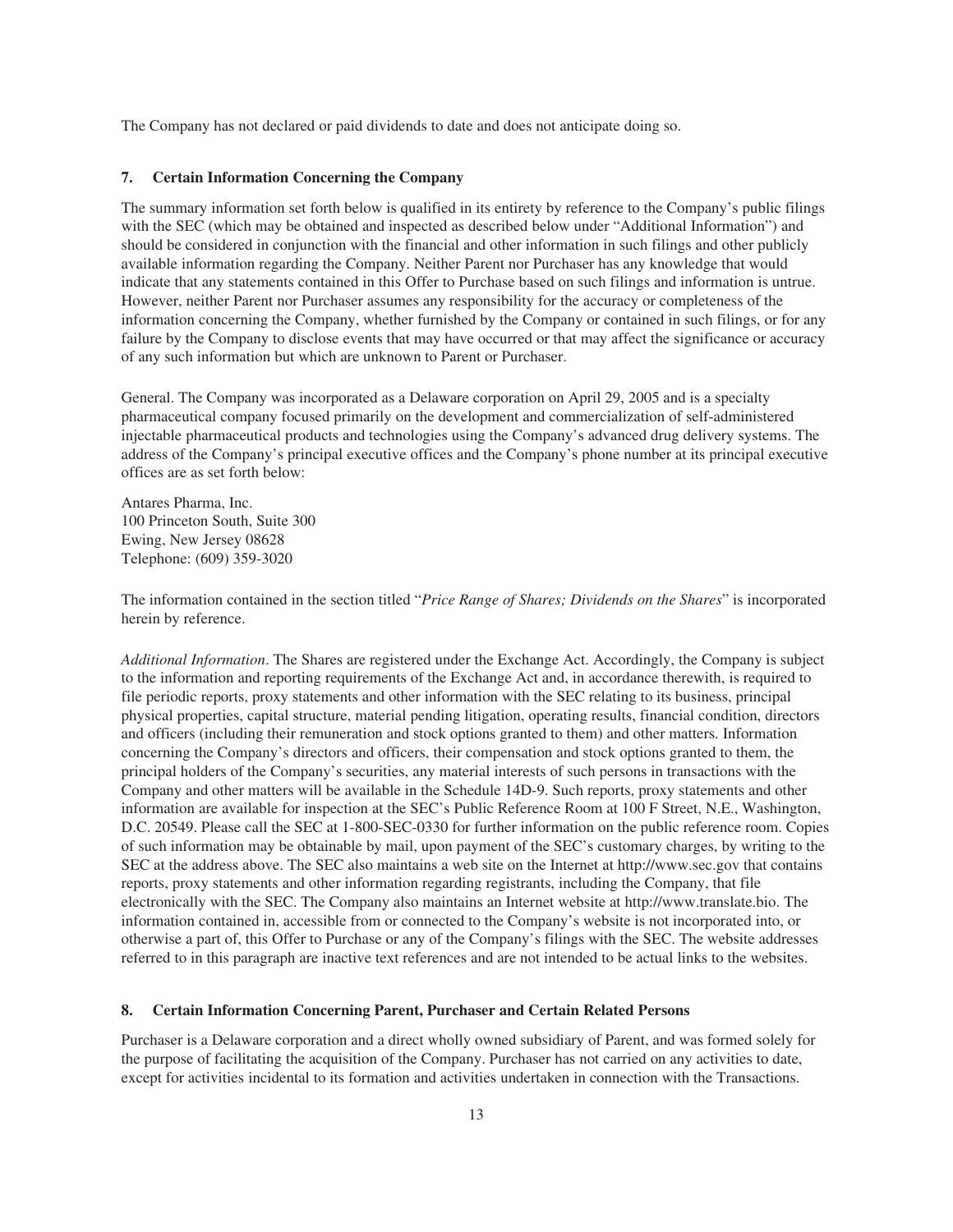The Company has not declared or paid dividends to date and does not anticipate doing so.

#### **7. Certain Information Concerning the Company**

The summary information set forth below is qualified in its entirety by reference to the Company's public filings with the SEC (which may be obtained and inspected as described below under "Additional Information") and should be considered in conjunction with the financial and other information in such filings and other publicly available information regarding the Company. Neither Parent nor Purchaser has any knowledge that would indicate that any statements contained in this Offer to Purchase based on such filings and information is untrue. However, neither Parent nor Purchaser assumes any responsibility for the accuracy or completeness of the information concerning the Company, whether furnished by the Company or contained in such filings, or for any failure by the Company to disclose events that may have occurred or that may affect the significance or accuracy of any such information but which are unknown to Parent or Purchaser.

General. The Company was incorporated as a Delaware corporation on April 29, 2005 and is a specialty pharmaceutical company focused primarily on the development and commercialization of self-administered injectable pharmaceutical products and technologies using the Company's advanced drug delivery systems. The address of the Company's principal executive offices and the Company's phone number at its principal executive offices are as set forth below:

Antares Pharma, Inc. 100 Princeton South, Suite 300 Ewing, New Jersey 08628 Telephone: (609) 359-3020

The information contained in the section titled "*Price Range of Shares; Dividends on the Shares*" is incorporated herein by reference.

*Additional Information*. The Shares are registered under the Exchange Act. Accordingly, the Company is subject to the information and reporting requirements of the Exchange Act and, in accordance therewith, is required to file periodic reports, proxy statements and other information with the SEC relating to its business, principal physical properties, capital structure, material pending litigation, operating results, financial condition, directors and officers (including their remuneration and stock options granted to them) and other matters. Information concerning the Company's directors and officers, their compensation and stock options granted to them, the principal holders of the Company's securities, any material interests of such persons in transactions with the Company and other matters will be available in the Schedule 14D-9. Such reports, proxy statements and other information are available for inspection at the SEC's Public Reference Room at 100 F Street, N.E., Washington, D.C. 20549. Please call the SEC at 1-800-SEC-0330 for further information on the public reference room. Copies of such information may be obtainable by mail, upon payment of the SEC's customary charges, by writing to the SEC at the address above. The SEC also maintains a web site on the Internet at http://www.sec.gov that contains reports, proxy statements and other information regarding registrants, including the Company, that file electronically with the SEC. The Company also maintains an Internet website at http://www.translate.bio. The information contained in, accessible from or connected to the Company's website is not incorporated into, or otherwise a part of, this Offer to Purchase or any of the Company's filings with the SEC. The website addresses referred to in this paragraph are inactive text references and are not intended to be actual links to the websites.

### **8. Certain Information Concerning Parent, Purchaser and Certain Related Persons**

Purchaser is a Delaware corporation and a direct wholly owned subsidiary of Parent, and was formed solely for the purpose of facilitating the acquisition of the Company. Purchaser has not carried on any activities to date, except for activities incidental to its formation and activities undertaken in connection with the Transactions.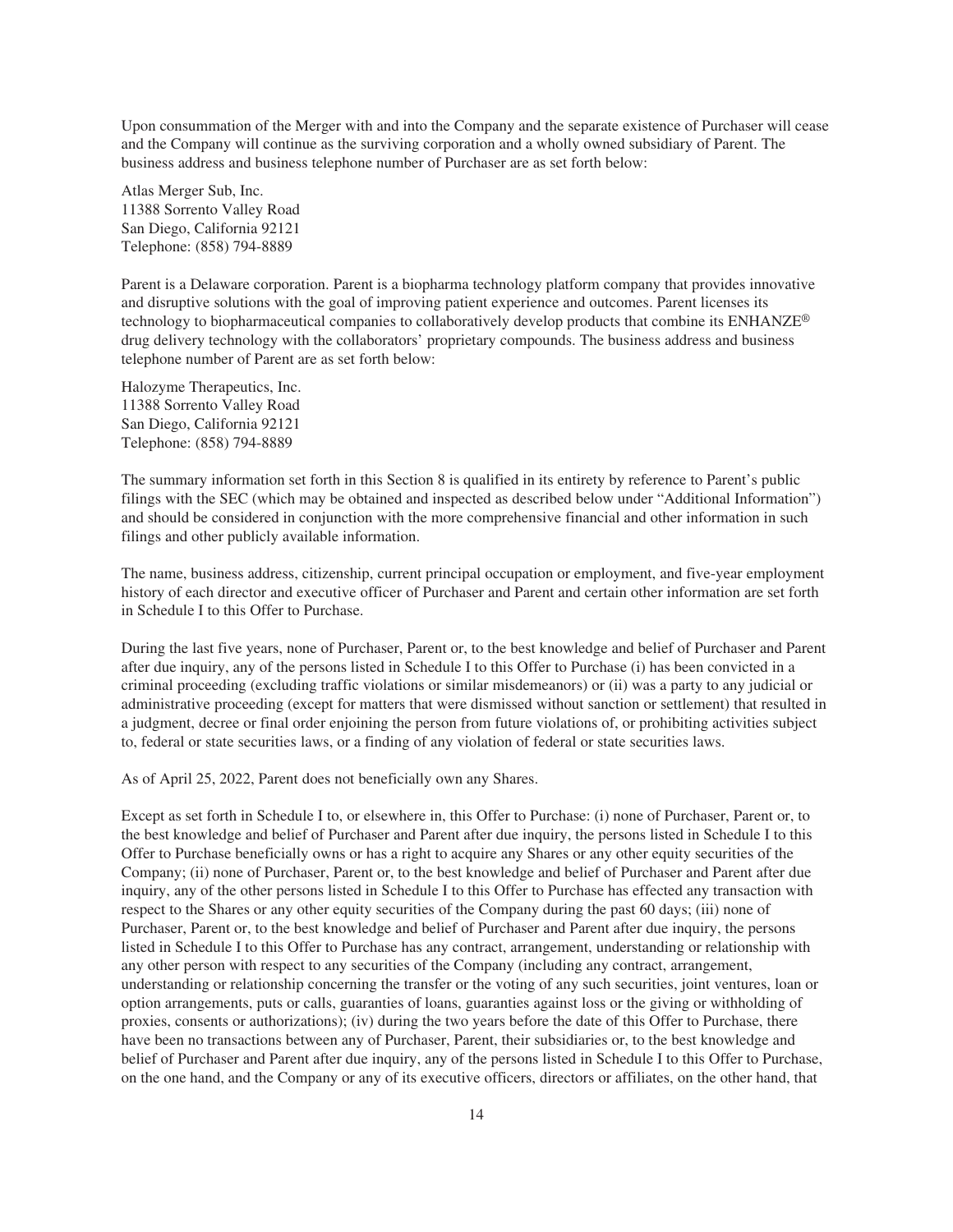Upon consummation of the Merger with and into the Company and the separate existence of Purchaser will cease and the Company will continue as the surviving corporation and a wholly owned subsidiary of Parent. The business address and business telephone number of Purchaser are as set forth below:

Atlas Merger Sub, Inc. 11388 Sorrento Valley Road San Diego, California 92121 Telephone: (858) 794-8889

Parent is a Delaware corporation. Parent is a biopharma technology platform company that provides innovative and disruptive solutions with the goal of improving patient experience and outcomes. Parent licenses its technology to biopharmaceutical companies to collaboratively develop products that combine its ENHANZE® drug delivery technology with the collaborators' proprietary compounds. The business address and business telephone number of Parent are as set forth below:

Halozyme Therapeutics, Inc. 11388 Sorrento Valley Road San Diego, California 92121 Telephone: (858) 794-8889

The summary information set forth in this Section 8 is qualified in its entirety by reference to Parent's public filings with the SEC (which may be obtained and inspected as described below under "Additional Information") and should be considered in conjunction with the more comprehensive financial and other information in such filings and other publicly available information.

The name, business address, citizenship, current principal occupation or employment, and five-year employment history of each director and executive officer of Purchaser and Parent and certain other information are set forth in Schedule I to this Offer to Purchase.

During the last five years, none of Purchaser, Parent or, to the best knowledge and belief of Purchaser and Parent after due inquiry, any of the persons listed in Schedule I to this Offer to Purchase (i) has been convicted in a criminal proceeding (excluding traffic violations or similar misdemeanors) or (ii) was a party to any judicial or administrative proceeding (except for matters that were dismissed without sanction or settlement) that resulted in a judgment, decree or final order enjoining the person from future violations of, or prohibiting activities subject to, federal or state securities laws, or a finding of any violation of federal or state securities laws.

As of April 25, 2022, Parent does not beneficially own any Shares.

Except as set forth in Schedule I to, or elsewhere in, this Offer to Purchase: (i) none of Purchaser, Parent or, to the best knowledge and belief of Purchaser and Parent after due inquiry, the persons listed in Schedule I to this Offer to Purchase beneficially owns or has a right to acquire any Shares or any other equity securities of the Company; (ii) none of Purchaser, Parent or, to the best knowledge and belief of Purchaser and Parent after due inquiry, any of the other persons listed in Schedule I to this Offer to Purchase has effected any transaction with respect to the Shares or any other equity securities of the Company during the past 60 days; (iii) none of Purchaser, Parent or, to the best knowledge and belief of Purchaser and Parent after due inquiry, the persons listed in Schedule I to this Offer to Purchase has any contract, arrangement, understanding or relationship with any other person with respect to any securities of the Company (including any contract, arrangement, understanding or relationship concerning the transfer or the voting of any such securities, joint ventures, loan or option arrangements, puts or calls, guaranties of loans, guaranties against loss or the giving or withholding of proxies, consents or authorizations); (iv) during the two years before the date of this Offer to Purchase, there have been no transactions between any of Purchaser, Parent, their subsidiaries or, to the best knowledge and belief of Purchaser and Parent after due inquiry, any of the persons listed in Schedule I to this Offer to Purchase, on the one hand, and the Company or any of its executive officers, directors or affiliates, on the other hand, that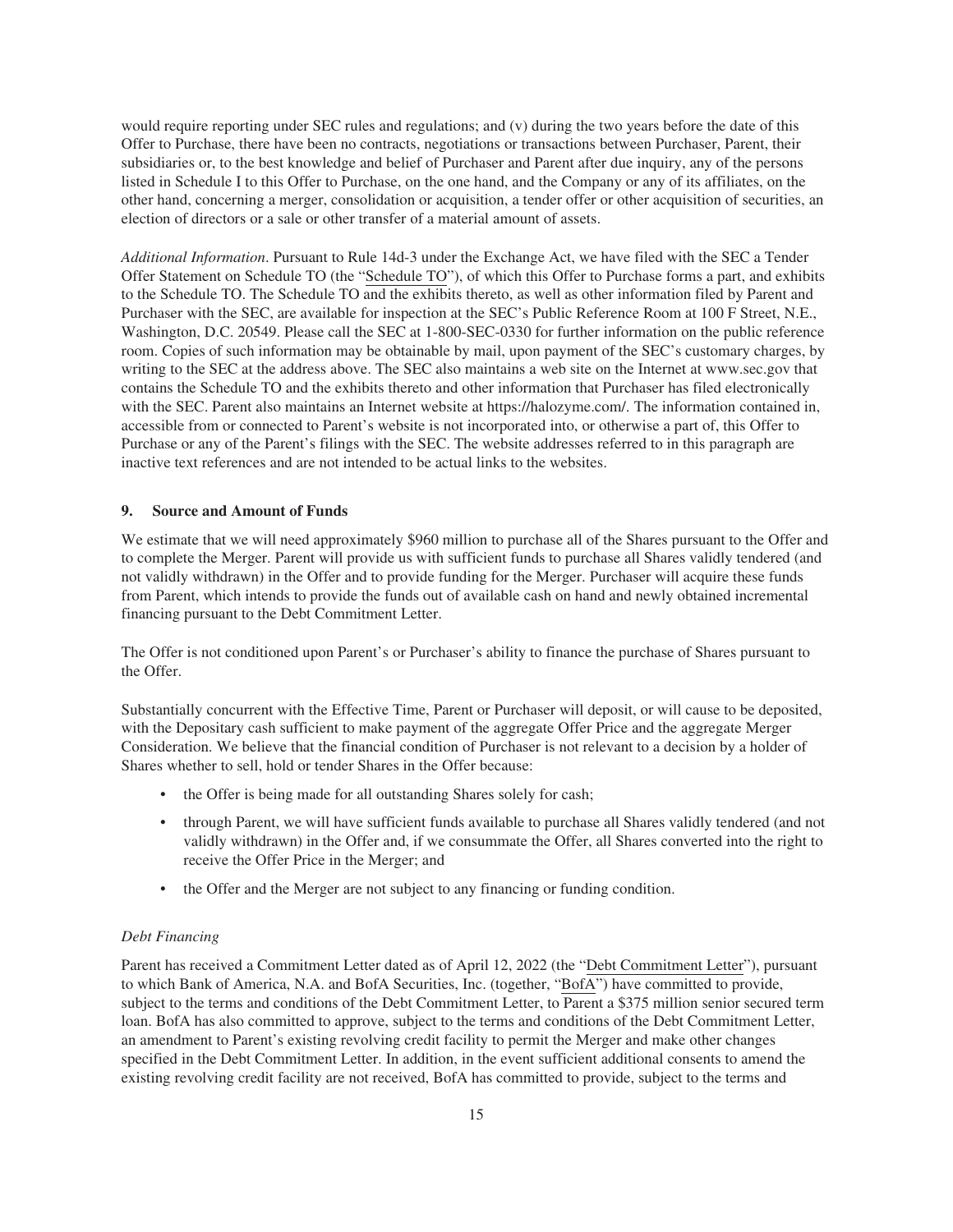would require reporting under SEC rules and regulations; and (v) during the two years before the date of this Offer to Purchase, there have been no contracts, negotiations or transactions between Purchaser, Parent, their subsidiaries or, to the best knowledge and belief of Purchaser and Parent after due inquiry, any of the persons listed in Schedule I to this Offer to Purchase, on the one hand, and the Company or any of its affiliates, on the other hand, concerning a merger, consolidation or acquisition, a tender offer or other acquisition of securities, an election of directors or a sale or other transfer of a material amount of assets.

*Additional Information*. Pursuant to Rule 14d-3 under the Exchange Act, we have filed with the SEC a Tender Offer Statement on Schedule TO (the "Schedule TO"), of which this Offer to Purchase forms a part, and exhibits to the Schedule TO. The Schedule TO and the exhibits thereto, as well as other information filed by Parent and Purchaser with the SEC, are available for inspection at the SEC's Public Reference Room at 100 F Street, N.E., Washington, D.C. 20549. Please call the SEC at 1-800-SEC-0330 for further information on the public reference room. Copies of such information may be obtainable by mail, upon payment of the SEC's customary charges, by writing to the SEC at the address above. The SEC also maintains a web site on the Internet at www.sec.gov that contains the Schedule TO and the exhibits thereto and other information that Purchaser has filed electronically with the SEC. Parent also maintains an Internet website at https://halozyme.com/. The information contained in, accessible from or connected to Parent's website is not incorporated into, or otherwise a part of, this Offer to Purchase or any of the Parent's filings with the SEC. The website addresses referred to in this paragraph are inactive text references and are not intended to be actual links to the websites.

### **9. Source and Amount of Funds**

We estimate that we will need approximately \$960 million to purchase all of the Shares pursuant to the Offer and to complete the Merger. Parent will provide us with sufficient funds to purchase all Shares validly tendered (and not validly withdrawn) in the Offer and to provide funding for the Merger. Purchaser will acquire these funds from Parent, which intends to provide the funds out of available cash on hand and newly obtained incremental financing pursuant to the Debt Commitment Letter.

The Offer is not conditioned upon Parent's or Purchaser's ability to finance the purchase of Shares pursuant to the Offer.

Substantially concurrent with the Effective Time, Parent or Purchaser will deposit, or will cause to be deposited, with the Depositary cash sufficient to make payment of the aggregate Offer Price and the aggregate Merger Consideration. We believe that the financial condition of Purchaser is not relevant to a decision by a holder of Shares whether to sell, hold or tender Shares in the Offer because:

- the Offer is being made for all outstanding Shares solely for cash;
- through Parent, we will have sufficient funds available to purchase all Shares validly tendered (and not validly withdrawn) in the Offer and, if we consummate the Offer, all Shares converted into the right to receive the Offer Price in the Merger; and
- the Offer and the Merger are not subject to any financing or funding condition.

## *Debt Financing*

Parent has received a Commitment Letter dated as of April 12, 2022 (the "Debt Commitment Letter"), pursuant to which Bank of America, N.A. and BofA Securities, Inc. (together, "BofA") have committed to provide, subject to the terms and conditions of the Debt Commitment Letter, to Parent a \$375 million senior secured term loan. BofA has also committed to approve, subject to the terms and conditions of the Debt Commitment Letter, an amendment to Parent's existing revolving credit facility to permit the Merger and make other changes specified in the Debt Commitment Letter. In addition, in the event sufficient additional consents to amend the existing revolving credit facility are not received, BofA has committed to provide, subject to the terms and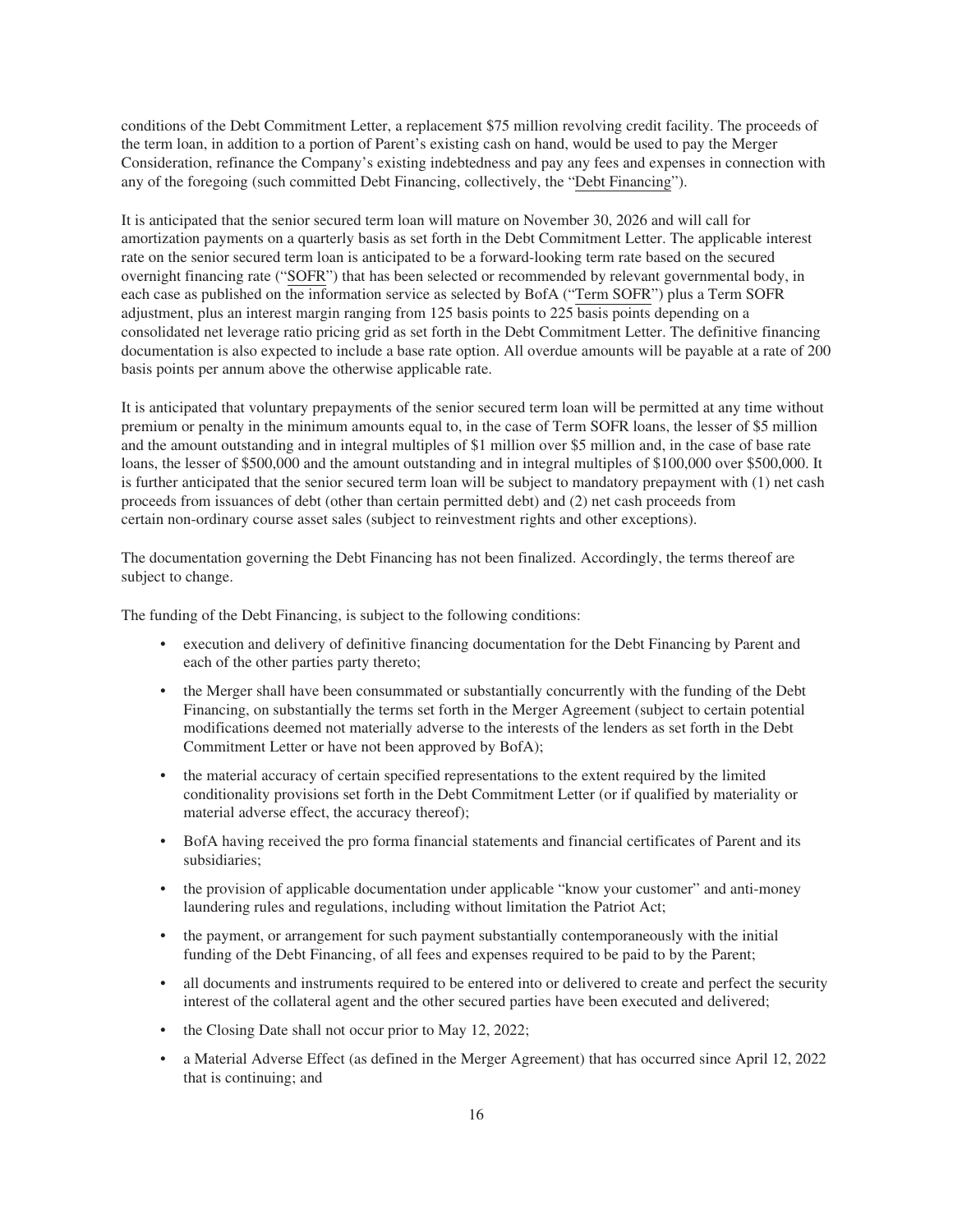conditions of the Debt Commitment Letter, a replacement \$75 million revolving credit facility. The proceeds of the term loan, in addition to a portion of Parent's existing cash on hand, would be used to pay the Merger Consideration, refinance the Company's existing indebtedness and pay any fees and expenses in connection with any of the foregoing (such committed Debt Financing, collectively, the "Debt Financing").

It is anticipated that the senior secured term loan will mature on November 30, 2026 and will call for amortization payments on a quarterly basis as set forth in the Debt Commitment Letter. The applicable interest rate on the senior secured term loan is anticipated to be a forward-looking term rate based on the secured overnight financing rate ("SOFR") that has been selected or recommended by relevant governmental body, in each case as published on the information service as selected by BofA ("Term SOFR") plus a Term SOFR adjustment, plus an interest margin ranging from 125 basis points to 225 basis points depending on a consolidated net leverage ratio pricing grid as set forth in the Debt Commitment Letter. The definitive financing documentation is also expected to include a base rate option. All overdue amounts will be payable at a rate of 200 basis points per annum above the otherwise applicable rate.

It is anticipated that voluntary prepayments of the senior secured term loan will be permitted at any time without premium or penalty in the minimum amounts equal to, in the case of Term SOFR loans, the lesser of \$5 million and the amount outstanding and in integral multiples of \$1 million over \$5 million and, in the case of base rate loans, the lesser of \$500,000 and the amount outstanding and in integral multiples of \$100,000 over \$500,000. It is further anticipated that the senior secured term loan will be subject to mandatory prepayment with (1) net cash proceeds from issuances of debt (other than certain permitted debt) and (2) net cash proceeds from certain non-ordinary course asset sales (subject to reinvestment rights and other exceptions).

The documentation governing the Debt Financing has not been finalized. Accordingly, the terms thereof are subject to change.

The funding of the Debt Financing, is subject to the following conditions:

- execution and delivery of definitive financing documentation for the Debt Financing by Parent and each of the other parties party thereto;
- the Merger shall have been consummated or substantially concurrently with the funding of the Debt Financing, on substantially the terms set forth in the Merger Agreement (subject to certain potential modifications deemed not materially adverse to the interests of the lenders as set forth in the Debt Commitment Letter or have not been approved by BofA);
- the material accuracy of certain specified representations to the extent required by the limited conditionality provisions set forth in the Debt Commitment Letter (or if qualified by materiality or material adverse effect, the accuracy thereof);
- BofA having received the pro forma financial statements and financial certificates of Parent and its subsidiaries;
- the provision of applicable documentation under applicable "know your customer" and anti-money laundering rules and regulations, including without limitation the Patriot Act;
- the payment, or arrangement for such payment substantially contemporaneously with the initial funding of the Debt Financing, of all fees and expenses required to be paid to by the Parent;
- all documents and instruments required to be entered into or delivered to create and perfect the security interest of the collateral agent and the other secured parties have been executed and delivered;
- the Closing Date shall not occur prior to May 12, 2022;
- a Material Adverse Effect (as defined in the Merger Agreement) that has occurred since April 12, 2022 that is continuing; and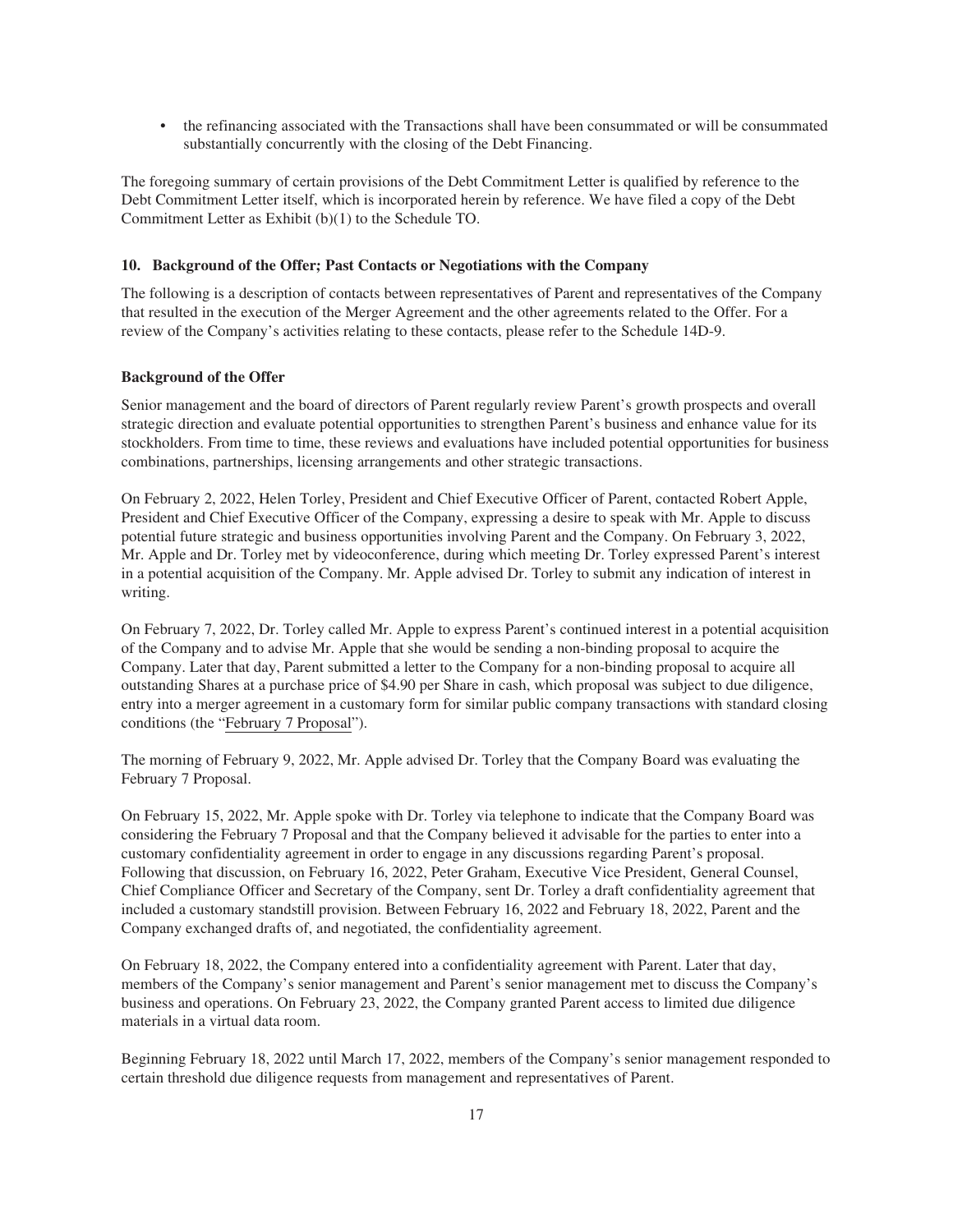• the refinancing associated with the Transactions shall have been consummated or will be consummated substantially concurrently with the closing of the Debt Financing.

The foregoing summary of certain provisions of the Debt Commitment Letter is qualified by reference to the Debt Commitment Letter itself, which is incorporated herein by reference. We have filed a copy of the Debt Commitment Letter as Exhibit (b)(1) to the Schedule TO.

#### **10. Background of the Offer; Past Contacts or Negotiations with the Company**

The following is a description of contacts between representatives of Parent and representatives of the Company that resulted in the execution of the Merger Agreement and the other agreements related to the Offer. For a review of the Company's activities relating to these contacts, please refer to the Schedule 14D-9.

## **Background of the Offer**

Senior management and the board of directors of Parent regularly review Parent's growth prospects and overall strategic direction and evaluate potential opportunities to strengthen Parent's business and enhance value for its stockholders. From time to time, these reviews and evaluations have included potential opportunities for business combinations, partnerships, licensing arrangements and other strategic transactions.

On February 2, 2022, Helen Torley, President and Chief Executive Officer of Parent, contacted Robert Apple, President and Chief Executive Officer of the Company, expressing a desire to speak with Mr. Apple to discuss potential future strategic and business opportunities involving Parent and the Company. On February 3, 2022, Mr. Apple and Dr. Torley met by videoconference, during which meeting Dr. Torley expressed Parent's interest in a potential acquisition of the Company. Mr. Apple advised Dr. Torley to submit any indication of interest in writing.

On February 7, 2022, Dr. Torley called Mr. Apple to express Parent's continued interest in a potential acquisition of the Company and to advise Mr. Apple that she would be sending a non-binding proposal to acquire the Company. Later that day, Parent submitted a letter to the Company for a non-binding proposal to acquire all outstanding Shares at a purchase price of \$4.90 per Share in cash, which proposal was subject to due diligence, entry into a merger agreement in a customary form for similar public company transactions with standard closing conditions (the "February 7 Proposal").

The morning of February 9, 2022, Mr. Apple advised Dr. Torley that the Company Board was evaluating the February 7 Proposal.

On February 15, 2022, Mr. Apple spoke with Dr. Torley via telephone to indicate that the Company Board was considering the February 7 Proposal and that the Company believed it advisable for the parties to enter into a customary confidentiality agreement in order to engage in any discussions regarding Parent's proposal. Following that discussion, on February 16, 2022, Peter Graham, Executive Vice President, General Counsel, Chief Compliance Officer and Secretary of the Company, sent Dr. Torley a draft confidentiality agreement that included a customary standstill provision. Between February 16, 2022 and February 18, 2022, Parent and the Company exchanged drafts of, and negotiated, the confidentiality agreement.

On February 18, 2022, the Company entered into a confidentiality agreement with Parent. Later that day, members of the Company's senior management and Parent's senior management met to discuss the Company's business and operations. On February 23, 2022, the Company granted Parent access to limited due diligence materials in a virtual data room.

Beginning February 18, 2022 until March 17, 2022, members of the Company's senior management responded to certain threshold due diligence requests from management and representatives of Parent.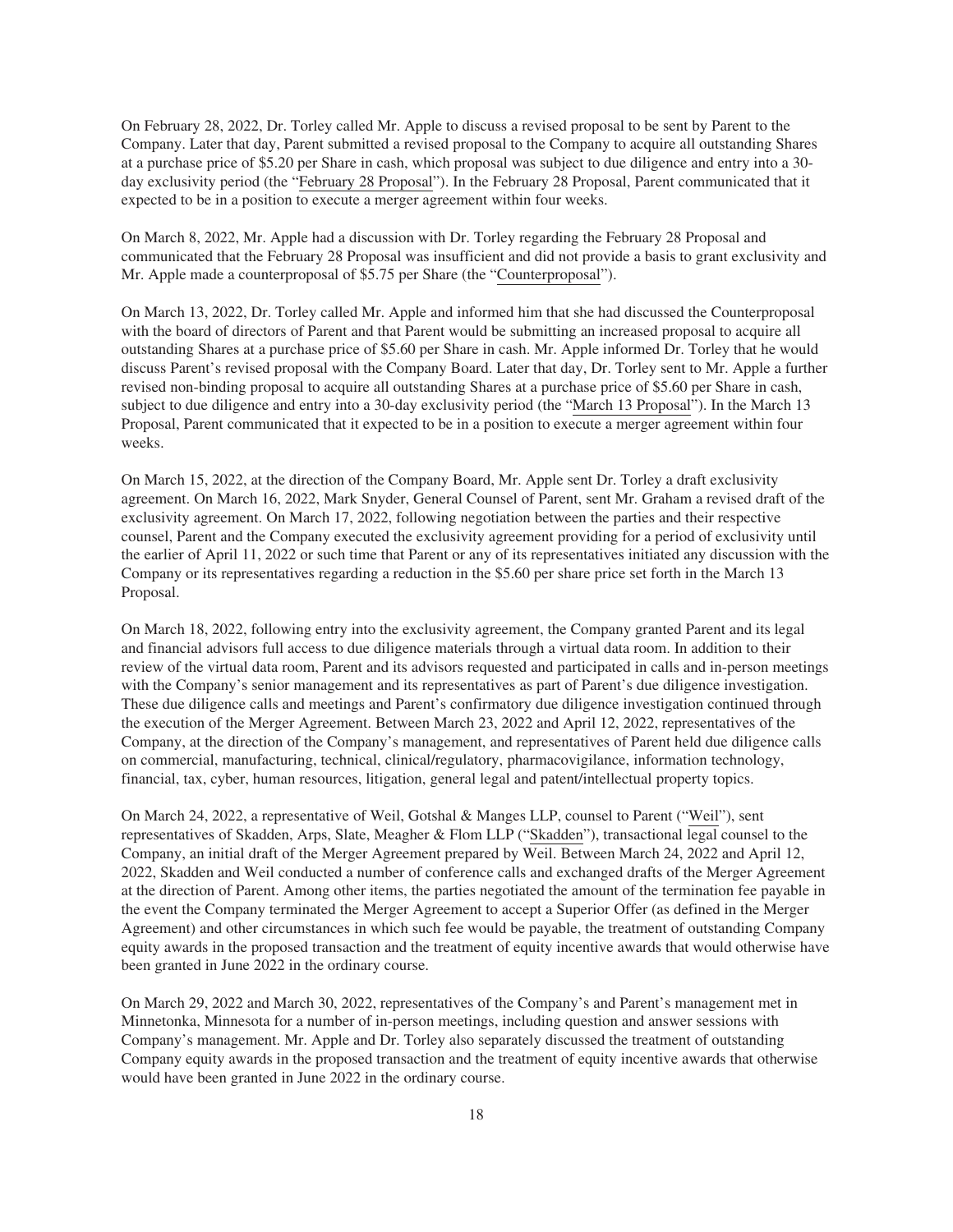On February 28, 2022, Dr. Torley called Mr. Apple to discuss a revised proposal to be sent by Parent to the Company. Later that day, Parent submitted a revised proposal to the Company to acquire all outstanding Shares at a purchase price of \$5.20 per Share in cash, which proposal was subject to due diligence and entry into a 30 day exclusivity period (the "February 28 Proposal"). In the February 28 Proposal, Parent communicated that it expected to be in a position to execute a merger agreement within four weeks.

On March 8, 2022, Mr. Apple had a discussion with Dr. Torley regarding the February 28 Proposal and communicated that the February 28 Proposal was insufficient and did not provide a basis to grant exclusivity and Mr. Apple made a counterproposal of \$5.75 per Share (the "Counterproposal").

On March 13, 2022, Dr. Torley called Mr. Apple and informed him that she had discussed the Counterproposal with the board of directors of Parent and that Parent would be submitting an increased proposal to acquire all outstanding Shares at a purchase price of \$5.60 per Share in cash. Mr. Apple informed Dr. Torley that he would discuss Parent's revised proposal with the Company Board. Later that day, Dr. Torley sent to Mr. Apple a further revised non-binding proposal to acquire all outstanding Shares at a purchase price of \$5.60 per Share in cash, subject to due diligence and entry into a 30-day exclusivity period (the "March 13 Proposal"). In the March 13 Proposal, Parent communicated that it expected to be in a position to execute a merger agreement within four weeks.

On March 15, 2022, at the direction of the Company Board, Mr. Apple sent Dr. Torley a draft exclusivity agreement. On March 16, 2022, Mark Snyder, General Counsel of Parent, sent Mr. Graham a revised draft of the exclusivity agreement. On March 17, 2022, following negotiation between the parties and their respective counsel, Parent and the Company executed the exclusivity agreement providing for a period of exclusivity until the earlier of April 11, 2022 or such time that Parent or any of its representatives initiated any discussion with the Company or its representatives regarding a reduction in the \$5.60 per share price set forth in the March 13 Proposal.

On March 18, 2022, following entry into the exclusivity agreement, the Company granted Parent and its legal and financial advisors full access to due diligence materials through a virtual data room. In addition to their review of the virtual data room, Parent and its advisors requested and participated in calls and in-person meetings with the Company's senior management and its representatives as part of Parent's due diligence investigation. These due diligence calls and meetings and Parent's confirmatory due diligence investigation continued through the execution of the Merger Agreement. Between March 23, 2022 and April 12, 2022, representatives of the Company, at the direction of the Company's management, and representatives of Parent held due diligence calls on commercial, manufacturing, technical, clinical/regulatory, pharmacovigilance, information technology, financial, tax, cyber, human resources, litigation, general legal and patent/intellectual property topics.

On March 24, 2022, a representative of Weil, Gotshal & Manges LLP, counsel to Parent ("Weil"), sent representatives of Skadden, Arps, Slate, Meagher & Flom LLP ("Skadden"), transactional legal counsel to the Company, an initial draft of the Merger Agreement prepared by Weil. Between March 24, 2022 and April 12, 2022, Skadden and Weil conducted a number of conference calls and exchanged drafts of the Merger Agreement at the direction of Parent. Among other items, the parties negotiated the amount of the termination fee payable in the event the Company terminated the Merger Agreement to accept a Superior Offer (as defined in the Merger Agreement) and other circumstances in which such fee would be payable, the treatment of outstanding Company equity awards in the proposed transaction and the treatment of equity incentive awards that would otherwise have been granted in June 2022 in the ordinary course.

On March 29, 2022 and March 30, 2022, representatives of the Company's and Parent's management met in Minnetonka, Minnesota for a number of in-person meetings, including question and answer sessions with Company's management. Mr. Apple and Dr. Torley also separately discussed the treatment of outstanding Company equity awards in the proposed transaction and the treatment of equity incentive awards that otherwise would have been granted in June 2022 in the ordinary course.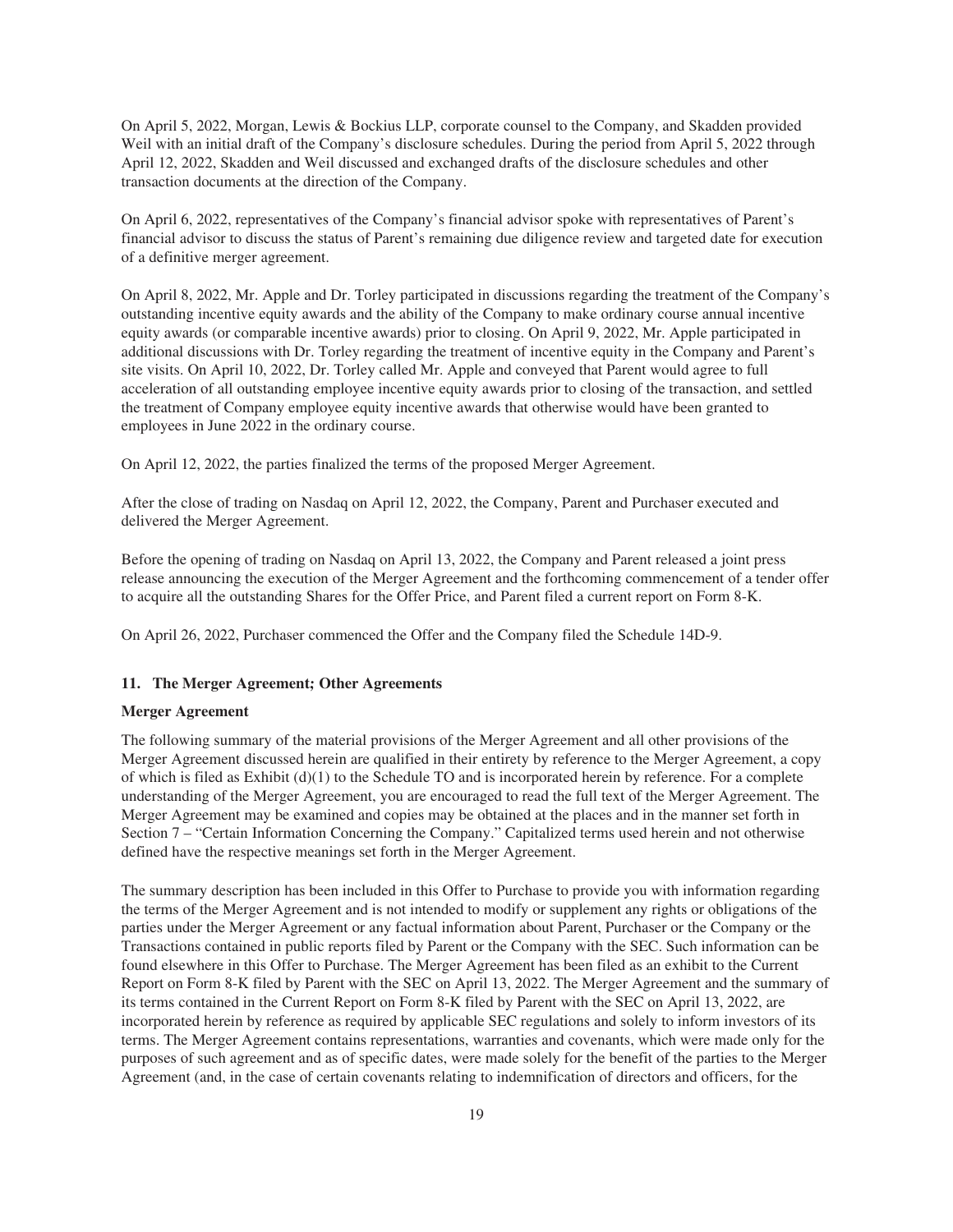On April 5, 2022, Morgan, Lewis & Bockius LLP, corporate counsel to the Company, and Skadden provided Weil with an initial draft of the Company's disclosure schedules. During the period from April 5, 2022 through April 12, 2022, Skadden and Weil discussed and exchanged drafts of the disclosure schedules and other transaction documents at the direction of the Company.

On April 6, 2022, representatives of the Company's financial advisor spoke with representatives of Parent's financial advisor to discuss the status of Parent's remaining due diligence review and targeted date for execution of a definitive merger agreement.

On April 8, 2022, Mr. Apple and Dr. Torley participated in discussions regarding the treatment of the Company's outstanding incentive equity awards and the ability of the Company to make ordinary course annual incentive equity awards (or comparable incentive awards) prior to closing. On April 9, 2022, Mr. Apple participated in additional discussions with Dr. Torley regarding the treatment of incentive equity in the Company and Parent's site visits. On April 10, 2022, Dr. Torley called Mr. Apple and conveyed that Parent would agree to full acceleration of all outstanding employee incentive equity awards prior to closing of the transaction, and settled the treatment of Company employee equity incentive awards that otherwise would have been granted to employees in June 2022 in the ordinary course.

On April 12, 2022, the parties finalized the terms of the proposed Merger Agreement.

After the close of trading on Nasdaq on April 12, 2022, the Company, Parent and Purchaser executed and delivered the Merger Agreement.

Before the opening of trading on Nasdaq on April 13, 2022, the Company and Parent released a joint press release announcing the execution of the Merger Agreement and the forthcoming commencement of a tender offer to acquire all the outstanding Shares for the Offer Price, and Parent filed a current report on Form 8-K.

On April 26, 2022, Purchaser commenced the Offer and the Company filed the Schedule 14D-9.

## **11. The Merger Agreement; Other Agreements**

## **Merger Agreement**

The following summary of the material provisions of the Merger Agreement and all other provisions of the Merger Agreement discussed herein are qualified in their entirety by reference to the Merger Agreement, a copy of which is filed as Exhibit  $(d)(1)$  to the Schedule TO and is incorporated herein by reference. For a complete understanding of the Merger Agreement, you are encouraged to read the full text of the Merger Agreement. The Merger Agreement may be examined and copies may be obtained at the places and in the manner set forth in Section 7 – "Certain Information Concerning the Company." Capitalized terms used herein and not otherwise defined have the respective meanings set forth in the Merger Agreement.

The summary description has been included in this Offer to Purchase to provide you with information regarding the terms of the Merger Agreement and is not intended to modify or supplement any rights or obligations of the parties under the Merger Agreement or any factual information about Parent, Purchaser or the Company or the Transactions contained in public reports filed by Parent or the Company with the SEC. Such information can be found elsewhere in this Offer to Purchase. The Merger Agreement has been filed as an exhibit to the Current Report on Form 8-K filed by Parent with the SEC on April 13, 2022. The Merger Agreement and the summary of its terms contained in the Current Report on Form 8-K filed by Parent with the SEC on April 13, 2022, are incorporated herein by reference as required by applicable SEC regulations and solely to inform investors of its terms. The Merger Agreement contains representations, warranties and covenants, which were made only for the purposes of such agreement and as of specific dates, were made solely for the benefit of the parties to the Merger Agreement (and, in the case of certain covenants relating to indemnification of directors and officers, for the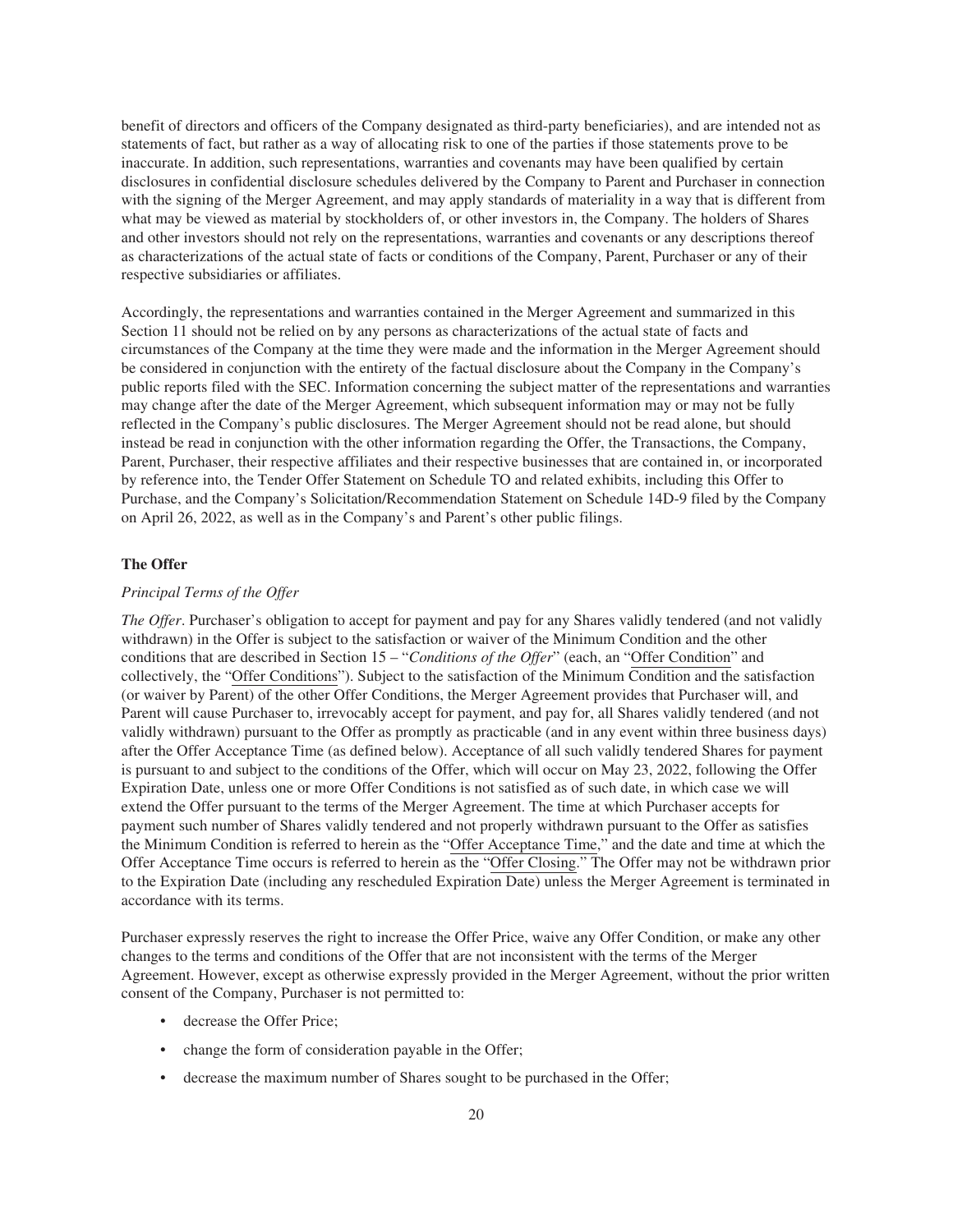benefit of directors and officers of the Company designated as third-party beneficiaries), and are intended not as statements of fact, but rather as a way of allocating risk to one of the parties if those statements prove to be inaccurate. In addition, such representations, warranties and covenants may have been qualified by certain disclosures in confidential disclosure schedules delivered by the Company to Parent and Purchaser in connection with the signing of the Merger Agreement, and may apply standards of materiality in a way that is different from what may be viewed as material by stockholders of, or other investors in, the Company. The holders of Shares and other investors should not rely on the representations, warranties and covenants or any descriptions thereof as characterizations of the actual state of facts or conditions of the Company, Parent, Purchaser or any of their respective subsidiaries or affiliates.

Accordingly, the representations and warranties contained in the Merger Agreement and summarized in this Section 11 should not be relied on by any persons as characterizations of the actual state of facts and circumstances of the Company at the time they were made and the information in the Merger Agreement should be considered in conjunction with the entirety of the factual disclosure about the Company in the Company's public reports filed with the SEC. Information concerning the subject matter of the representations and warranties may change after the date of the Merger Agreement, which subsequent information may or may not be fully reflected in the Company's public disclosures. The Merger Agreement should not be read alone, but should instead be read in conjunction with the other information regarding the Offer, the Transactions, the Company, Parent, Purchaser, their respective affiliates and their respective businesses that are contained in, or incorporated by reference into, the Tender Offer Statement on Schedule TO and related exhibits, including this Offer to Purchase, and the Company's Solicitation/Recommendation Statement on Schedule 14D-9 filed by the Company on April 26, 2022, as well as in the Company's and Parent's other public filings.

## **The Offer**

## *Principal Terms of the Offer*

*The Offer*. Purchaser's obligation to accept for payment and pay for any Shares validly tendered (and not validly withdrawn) in the Offer is subject to the satisfaction or waiver of the Minimum Condition and the other conditions that are described in Section 15 – "*Conditions of the Offer*" (each, an "Offer Condition" and collectively, the "Offer Conditions"). Subject to the satisfaction of the Minimum Condition and the satisfaction (or waiver by Parent) of the other Offer Conditions, the Merger Agreement provides that Purchaser will, and Parent will cause Purchaser to, irrevocably accept for payment, and pay for, all Shares validly tendered (and not validly withdrawn) pursuant to the Offer as promptly as practicable (and in any event within three business days) after the Offer Acceptance Time (as defined below). Acceptance of all such validly tendered Shares for payment is pursuant to and subject to the conditions of the Offer, which will occur on May 23, 2022, following the Offer Expiration Date, unless one or more Offer Conditions is not satisfied as of such date, in which case we will extend the Offer pursuant to the terms of the Merger Agreement. The time at which Purchaser accepts for payment such number of Shares validly tendered and not properly withdrawn pursuant to the Offer as satisfies the Minimum Condition is referred to herein as the "Offer Acceptance Time," and the date and time at which the Offer Acceptance Time occurs is referred to herein as the "Offer Closing." The Offer may not be withdrawn prior to the Expiration Date (including any rescheduled Expiration Date) unless the Merger Agreement is terminated in accordance with its terms.

Purchaser expressly reserves the right to increase the Offer Price, waive any Offer Condition, or make any other changes to the terms and conditions of the Offer that are not inconsistent with the terms of the Merger Agreement. However, except as otherwise expressly provided in the Merger Agreement, without the prior written consent of the Company, Purchaser is not permitted to:

- decrease the Offer Price;
- change the form of consideration payable in the Offer;
- decrease the maximum number of Shares sought to be purchased in the Offer;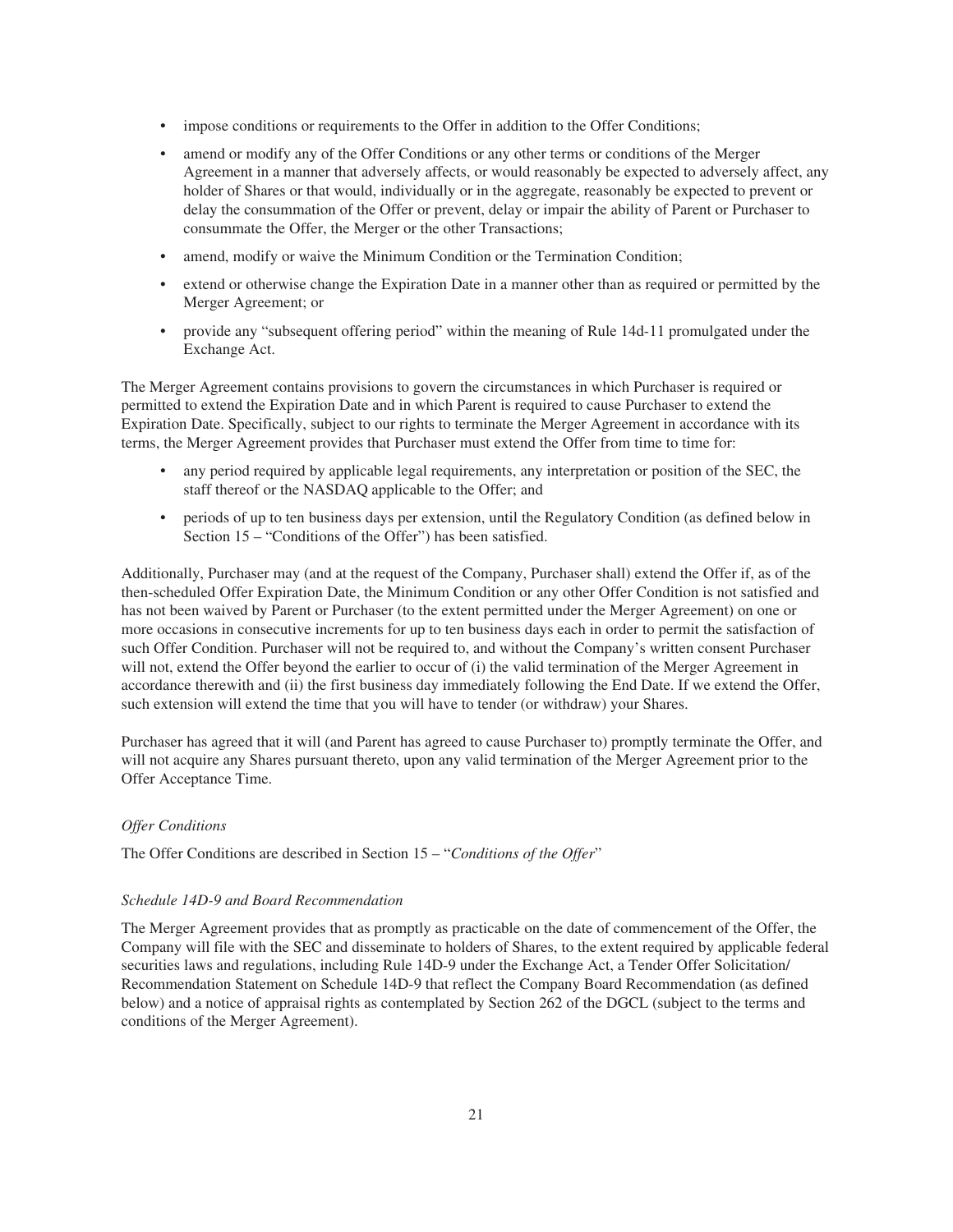- impose conditions or requirements to the Offer in addition to the Offer Conditions;
- amend or modify any of the Offer Conditions or any other terms or conditions of the Merger Agreement in a manner that adversely affects, or would reasonably be expected to adversely affect, any holder of Shares or that would, individually or in the aggregate, reasonably be expected to prevent or delay the consummation of the Offer or prevent, delay or impair the ability of Parent or Purchaser to consummate the Offer, the Merger or the other Transactions;
- amend, modify or waive the Minimum Condition or the Termination Condition;
- extend or otherwise change the Expiration Date in a manner other than as required or permitted by the Merger Agreement; or
- provide any "subsequent offering period" within the meaning of Rule 14d-11 promulgated under the Exchange Act.

The Merger Agreement contains provisions to govern the circumstances in which Purchaser is required or permitted to extend the Expiration Date and in which Parent is required to cause Purchaser to extend the Expiration Date. Specifically, subject to our rights to terminate the Merger Agreement in accordance with its terms, the Merger Agreement provides that Purchaser must extend the Offer from time to time for:

- any period required by applicable legal requirements, any interpretation or position of the SEC, the staff thereof or the NASDAQ applicable to the Offer; and
- periods of up to ten business days per extension, until the Regulatory Condition (as defined below in Section 15 – "Conditions of the Offer") has been satisfied.

Additionally, Purchaser may (and at the request of the Company, Purchaser shall) extend the Offer if, as of the then-scheduled Offer Expiration Date, the Minimum Condition or any other Offer Condition is not satisfied and has not been waived by Parent or Purchaser (to the extent permitted under the Merger Agreement) on one or more occasions in consecutive increments for up to ten business days each in order to permit the satisfaction of such Offer Condition. Purchaser will not be required to, and without the Company's written consent Purchaser will not, extend the Offer beyond the earlier to occur of (i) the valid termination of the Merger Agreement in accordance therewith and (ii) the first business day immediately following the End Date. If we extend the Offer, such extension will extend the time that you will have to tender (or withdraw) your Shares.

Purchaser has agreed that it will (and Parent has agreed to cause Purchaser to) promptly terminate the Offer, and will not acquire any Shares pursuant thereto, upon any valid termination of the Merger Agreement prior to the Offer Acceptance Time.

## *Offer Conditions*

The Offer Conditions are described in Section 15 – "*Conditions of the Offer*"

# *Schedule 14D-9 and Board Recommendation*

The Merger Agreement provides that as promptly as practicable on the date of commencement of the Offer, the Company will file with the SEC and disseminate to holders of Shares, to the extent required by applicable federal securities laws and regulations, including Rule 14D-9 under the Exchange Act, a Tender Offer Solicitation/ Recommendation Statement on Schedule 14D-9 that reflect the Company Board Recommendation (as defined below) and a notice of appraisal rights as contemplated by Section 262 of the DGCL (subject to the terms and conditions of the Merger Agreement).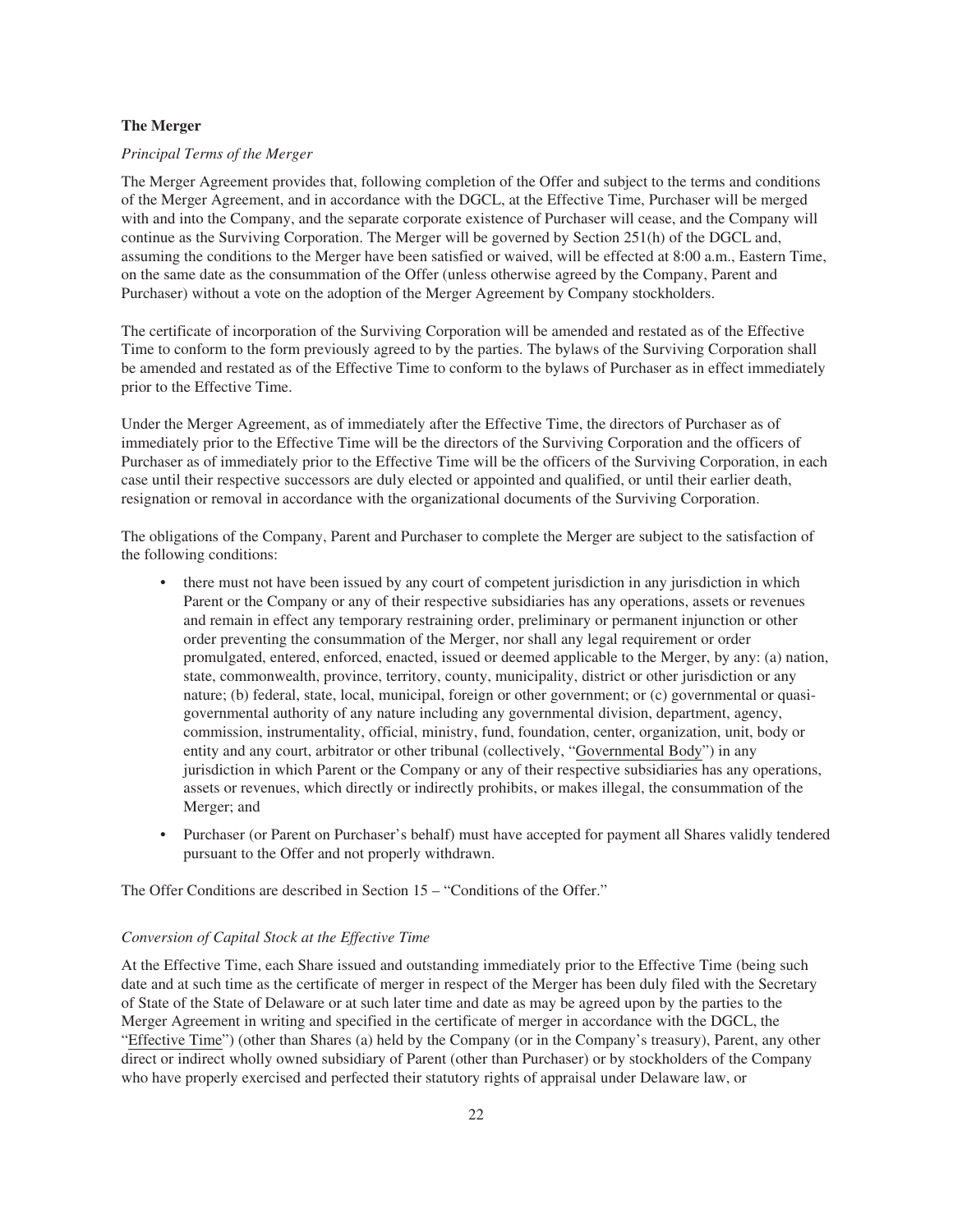## **The Merger**

## *Principal Terms of the Merger*

The Merger Agreement provides that, following completion of the Offer and subject to the terms and conditions of the Merger Agreement, and in accordance with the DGCL, at the Effective Time, Purchaser will be merged with and into the Company, and the separate corporate existence of Purchaser will cease, and the Company will continue as the Surviving Corporation. The Merger will be governed by Section 251(h) of the DGCL and, assuming the conditions to the Merger have been satisfied or waived, will be effected at 8:00 a.m., Eastern Time, on the same date as the consummation of the Offer (unless otherwise agreed by the Company, Parent and Purchaser) without a vote on the adoption of the Merger Agreement by Company stockholders.

The certificate of incorporation of the Surviving Corporation will be amended and restated as of the Effective Time to conform to the form previously agreed to by the parties. The bylaws of the Surviving Corporation shall be amended and restated as of the Effective Time to conform to the bylaws of Purchaser as in effect immediately prior to the Effective Time.

Under the Merger Agreement, as of immediately after the Effective Time, the directors of Purchaser as of immediately prior to the Effective Time will be the directors of the Surviving Corporation and the officers of Purchaser as of immediately prior to the Effective Time will be the officers of the Surviving Corporation, in each case until their respective successors are duly elected or appointed and qualified, or until their earlier death, resignation or removal in accordance with the organizational documents of the Surviving Corporation.

The obligations of the Company, Parent and Purchaser to complete the Merger are subject to the satisfaction of the following conditions:

- there must not have been issued by any court of competent jurisdiction in any jurisdiction in which Parent or the Company or any of their respective subsidiaries has any operations, assets or revenues and remain in effect any temporary restraining order, preliminary or permanent injunction or other order preventing the consummation of the Merger, nor shall any legal requirement or order promulgated, entered, enforced, enacted, issued or deemed applicable to the Merger, by any: (a) nation, state, commonwealth, province, territory, county, municipality, district or other jurisdiction or any nature; (b) federal, state, local, municipal, foreign or other government; or (c) governmental or quasigovernmental authority of any nature including any governmental division, department, agency, commission, instrumentality, official, ministry, fund, foundation, center, organization, unit, body or entity and any court, arbitrator or other tribunal (collectively, "Governmental Body") in any jurisdiction in which Parent or the Company or any of their respective subsidiaries has any operations, assets or revenues, which directly or indirectly prohibits, or makes illegal, the consummation of the Merger; and
- Purchaser (or Parent on Purchaser's behalf) must have accepted for payment all Shares validly tendered pursuant to the Offer and not properly withdrawn.

The Offer Conditions are described in Section 15 – "Conditions of the Offer."

### *Conversion of Capital Stock at the Effective Time*

At the Effective Time, each Share issued and outstanding immediately prior to the Effective Time (being such date and at such time as the certificate of merger in respect of the Merger has been duly filed with the Secretary of State of the State of Delaware or at such later time and date as may be agreed upon by the parties to the Merger Agreement in writing and specified in the certificate of merger in accordance with the DGCL, the "Effective Time") (other than Shares (a) held by the Company (or in the Company's treasury), Parent, any other direct or indirect wholly owned subsidiary of Parent (other than Purchaser) or by stockholders of the Company who have properly exercised and perfected their statutory rights of appraisal under Delaware law, or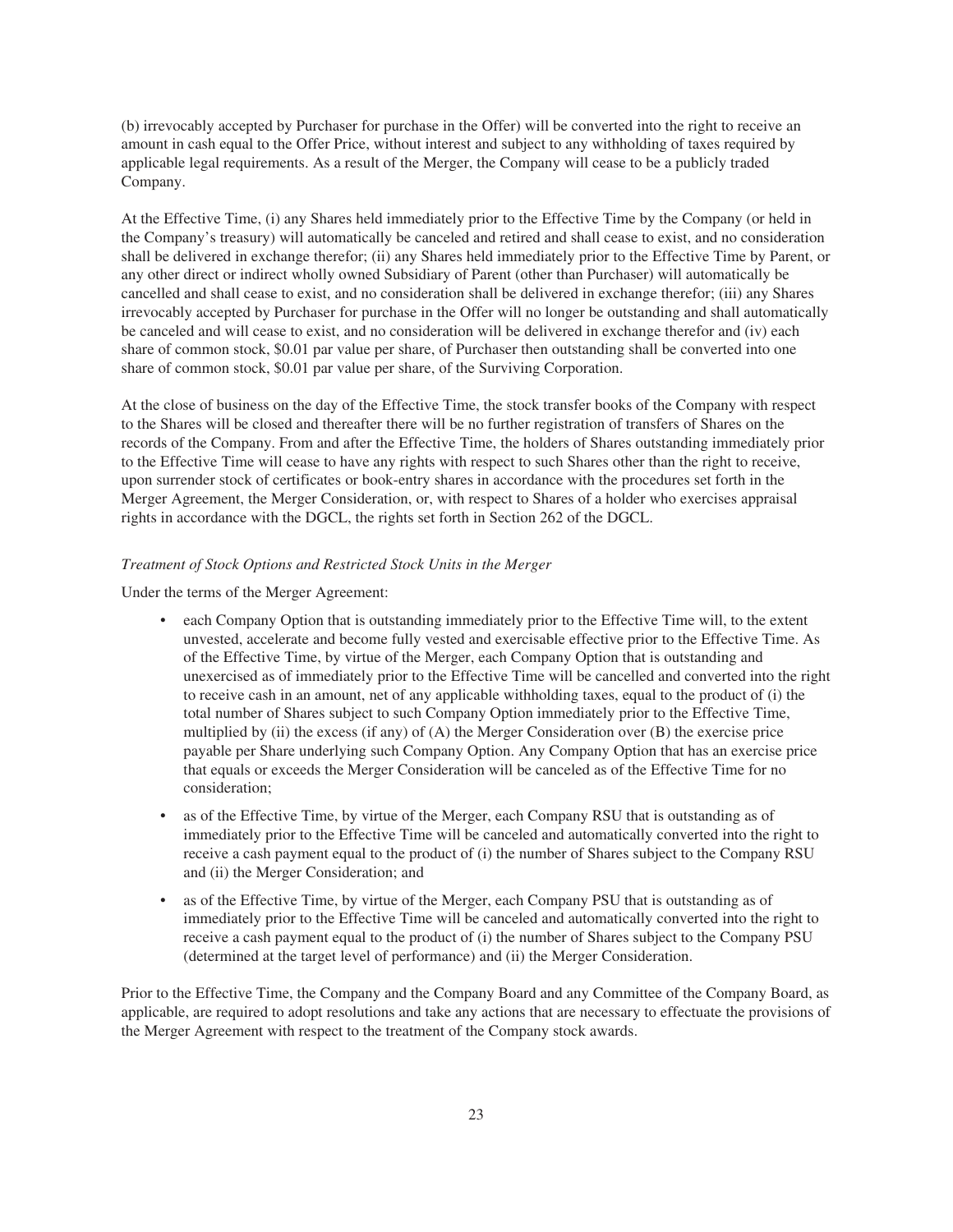(b) irrevocably accepted by Purchaser for purchase in the Offer) will be converted into the right to receive an amount in cash equal to the Offer Price, without interest and subject to any withholding of taxes required by applicable legal requirements. As a result of the Merger, the Company will cease to be a publicly traded Company.

At the Effective Time, (i) any Shares held immediately prior to the Effective Time by the Company (or held in the Company's treasury) will automatically be canceled and retired and shall cease to exist, and no consideration shall be delivered in exchange therefor; (ii) any Shares held immediately prior to the Effective Time by Parent, or any other direct or indirect wholly owned Subsidiary of Parent (other than Purchaser) will automatically be cancelled and shall cease to exist, and no consideration shall be delivered in exchange therefor; (iii) any Shares irrevocably accepted by Purchaser for purchase in the Offer will no longer be outstanding and shall automatically be canceled and will cease to exist, and no consideration will be delivered in exchange therefor and (iv) each share of common stock, \$0.01 par value per share, of Purchaser then outstanding shall be converted into one share of common stock, \$0.01 par value per share, of the Surviving Corporation.

At the close of business on the day of the Effective Time, the stock transfer books of the Company with respect to the Shares will be closed and thereafter there will be no further registration of transfers of Shares on the records of the Company. From and after the Effective Time, the holders of Shares outstanding immediately prior to the Effective Time will cease to have any rights with respect to such Shares other than the right to receive, upon surrender stock of certificates or book-entry shares in accordance with the procedures set forth in the Merger Agreement, the Merger Consideration, or, with respect to Shares of a holder who exercises appraisal rights in accordance with the DGCL, the rights set forth in Section 262 of the DGCL.

## *Treatment of Stock Options and Restricted Stock Units in the Merger*

Under the terms of the Merger Agreement:

- each Company Option that is outstanding immediately prior to the Effective Time will, to the extent unvested, accelerate and become fully vested and exercisable effective prior to the Effective Time. As of the Effective Time, by virtue of the Merger, each Company Option that is outstanding and unexercised as of immediately prior to the Effective Time will be cancelled and converted into the right to receive cash in an amount, net of any applicable withholding taxes, equal to the product of (i) the total number of Shares subject to such Company Option immediately prior to the Effective Time, multiplied by (ii) the excess (if any) of  $(A)$  the Merger Consideration over  $(B)$  the exercise price payable per Share underlying such Company Option. Any Company Option that has an exercise price that equals or exceeds the Merger Consideration will be canceled as of the Effective Time for no consideration;
- as of the Effective Time, by virtue of the Merger, each Company RSU that is outstanding as of immediately prior to the Effective Time will be canceled and automatically converted into the right to receive a cash payment equal to the product of (i) the number of Shares subject to the Company RSU and (ii) the Merger Consideration; and
- as of the Effective Time, by virtue of the Merger, each Company PSU that is outstanding as of immediately prior to the Effective Time will be canceled and automatically converted into the right to receive a cash payment equal to the product of (i) the number of Shares subject to the Company PSU (determined at the target level of performance) and (ii) the Merger Consideration.

Prior to the Effective Time, the Company and the Company Board and any Committee of the Company Board, as applicable, are required to adopt resolutions and take any actions that are necessary to effectuate the provisions of the Merger Agreement with respect to the treatment of the Company stock awards.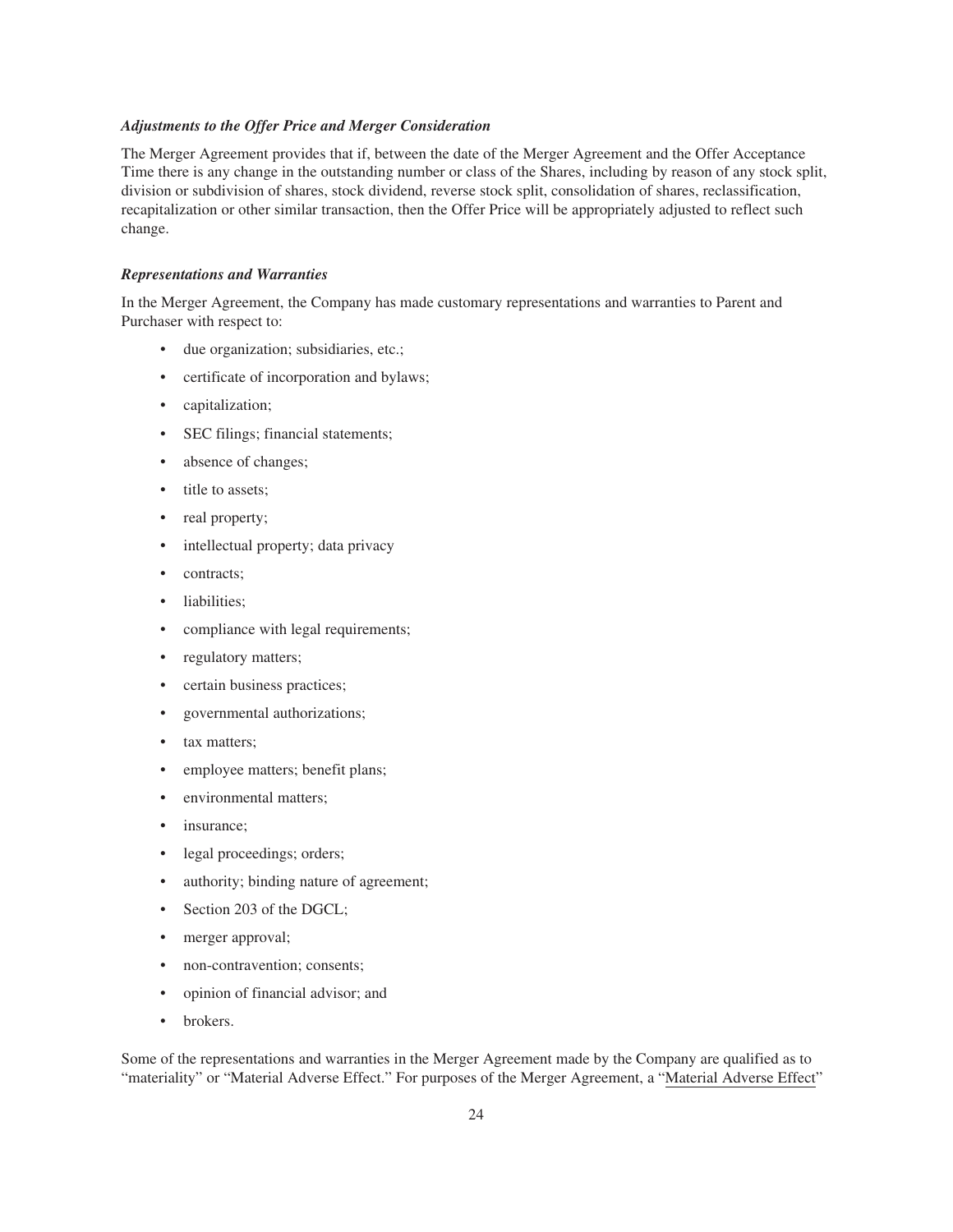### *Adjustments to the Offer Price and Merger Consideration*

The Merger Agreement provides that if, between the date of the Merger Agreement and the Offer Acceptance Time there is any change in the outstanding number or class of the Shares, including by reason of any stock split, division or subdivision of shares, stock dividend, reverse stock split, consolidation of shares, reclassification, recapitalization or other similar transaction, then the Offer Price will be appropriately adjusted to reflect such change.

## *Representations and Warranties*

In the Merger Agreement, the Company has made customary representations and warranties to Parent and Purchaser with respect to:

- due organization; subsidiaries, etc.;
- certificate of incorporation and bylaws;
- capitalization;
- SEC filings; financial statements;
- absence of changes;
- title to assets;
- real property;
- intellectual property; data privacy
- contracts;
- liabilities:
- compliance with legal requirements;
- regulatory matters;
- certain business practices;
- governmental authorizations;
- tax matters;
- employee matters; benefit plans;
- environmental matters;
- insurance:
- legal proceedings; orders;
- authority; binding nature of agreement;
- Section 203 of the DGCL;
- merger approval;
- non-contravention; consents;
- opinion of financial advisor; and
- brokers.

Some of the representations and warranties in the Merger Agreement made by the Company are qualified as to "materiality" or "Material Adverse Effect." For purposes of the Merger Agreement, a "Material Adverse Effect"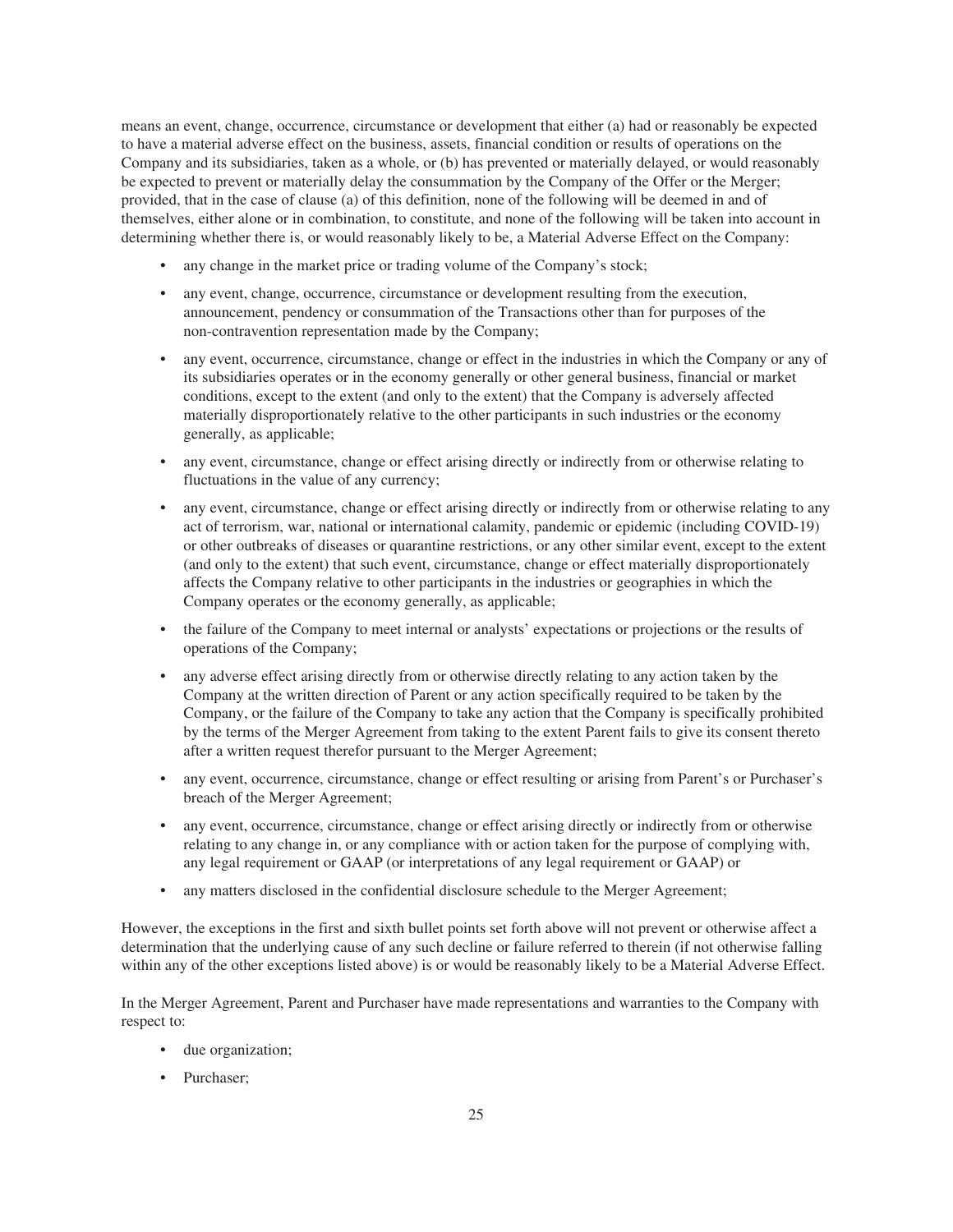means an event, change, occurrence, circumstance or development that either (a) had or reasonably be expected to have a material adverse effect on the business, assets, financial condition or results of operations on the Company and its subsidiaries, taken as a whole, or (b) has prevented or materially delayed, or would reasonably be expected to prevent or materially delay the consummation by the Company of the Offer or the Merger; provided, that in the case of clause (a) of this definition, none of the following will be deemed in and of themselves, either alone or in combination, to constitute, and none of the following will be taken into account in determining whether there is, or would reasonably likely to be, a Material Adverse Effect on the Company:

- any change in the market price or trading volume of the Company's stock;
- any event, change, occurrence, circumstance or development resulting from the execution, announcement, pendency or consummation of the Transactions other than for purposes of the non-contravention representation made by the Company;
- any event, occurrence, circumstance, change or effect in the industries in which the Company or any of its subsidiaries operates or in the economy generally or other general business, financial or market conditions, except to the extent (and only to the extent) that the Company is adversely affected materially disproportionately relative to the other participants in such industries or the economy generally, as applicable;
- any event, circumstance, change or effect arising directly or indirectly from or otherwise relating to fluctuations in the value of any currency;
- any event, circumstance, change or effect arising directly or indirectly from or otherwise relating to any act of terrorism, war, national or international calamity, pandemic or epidemic (including COVID-19) or other outbreaks of diseases or quarantine restrictions, or any other similar event, except to the extent (and only to the extent) that such event, circumstance, change or effect materially disproportionately affects the Company relative to other participants in the industries or geographies in which the Company operates or the economy generally, as applicable;
- the failure of the Company to meet internal or analysts' expectations or projections or the results of operations of the Company;
- any adverse effect arising directly from or otherwise directly relating to any action taken by the Company at the written direction of Parent or any action specifically required to be taken by the Company, or the failure of the Company to take any action that the Company is specifically prohibited by the terms of the Merger Agreement from taking to the extent Parent fails to give its consent thereto after a written request therefor pursuant to the Merger Agreement;
- any event, occurrence, circumstance, change or effect resulting or arising from Parent's or Purchaser's breach of the Merger Agreement;
- any event, occurrence, circumstance, change or effect arising directly or indirectly from or otherwise relating to any change in, or any compliance with or action taken for the purpose of complying with, any legal requirement or GAAP (or interpretations of any legal requirement or GAAP) or
- any matters disclosed in the confidential disclosure schedule to the Merger Agreement;

However, the exceptions in the first and sixth bullet points set forth above will not prevent or otherwise affect a determination that the underlying cause of any such decline or failure referred to therein (if not otherwise falling within any of the other exceptions listed above) is or would be reasonably likely to be a Material Adverse Effect.

In the Merger Agreement, Parent and Purchaser have made representations and warranties to the Company with respect to:

- due organization;
- Purchaser;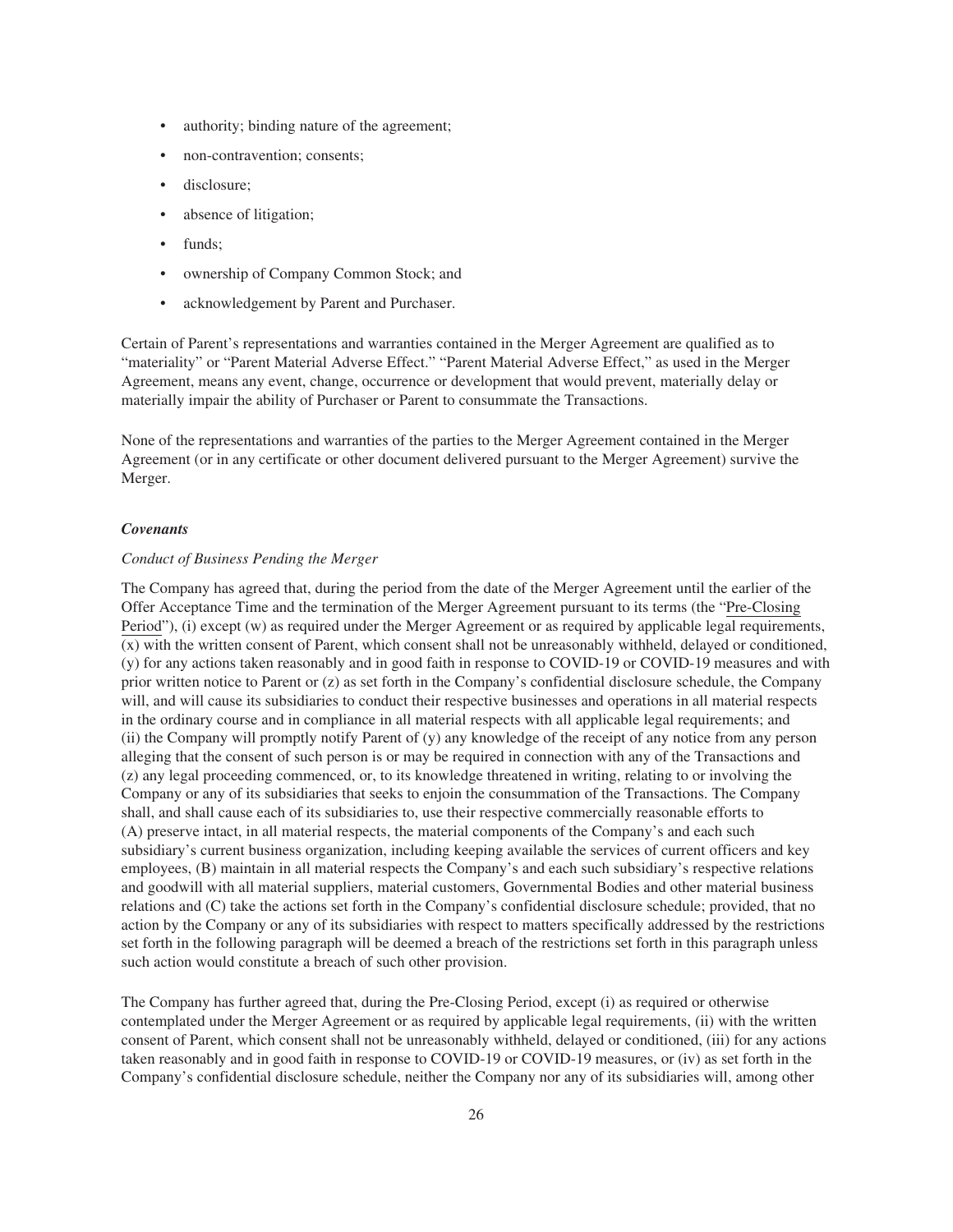- authority; binding nature of the agreement;
- non-contravention; consents;
- disclosure:
- absence of litigation;
- funds;
- ownership of Company Common Stock; and
- acknowledgement by Parent and Purchaser.

Certain of Parent's representations and warranties contained in the Merger Agreement are qualified as to "materiality" or "Parent Material Adverse Effect." "Parent Material Adverse Effect," as used in the Merger Agreement, means any event, change, occurrence or development that would prevent, materially delay or materially impair the ability of Purchaser or Parent to consummate the Transactions.

None of the representations and warranties of the parties to the Merger Agreement contained in the Merger Agreement (or in any certificate or other document delivered pursuant to the Merger Agreement) survive the Merger.

### *Covenants*

#### *Conduct of Business Pending the Merger*

The Company has agreed that, during the period from the date of the Merger Agreement until the earlier of the Offer Acceptance Time and the termination of the Merger Agreement pursuant to its terms (the "Pre-Closing Period"), (i) except (w) as required under the Merger Agreement or as required by applicable legal requirements, (x) with the written consent of Parent, which consent shall not be unreasonably withheld, delayed or conditioned, (y) for any actions taken reasonably and in good faith in response to COVID-19 or COVID-19 measures and with prior written notice to Parent or (z) as set forth in the Company's confidential disclosure schedule, the Company will, and will cause its subsidiaries to conduct their respective businesses and operations in all material respects in the ordinary course and in compliance in all material respects with all applicable legal requirements; and (ii) the Company will promptly notify Parent of (y) any knowledge of the receipt of any notice from any person alleging that the consent of such person is or may be required in connection with any of the Transactions and (z) any legal proceeding commenced, or, to its knowledge threatened in writing, relating to or involving the Company or any of its subsidiaries that seeks to enjoin the consummation of the Transactions. The Company shall, and shall cause each of its subsidiaries to, use their respective commercially reasonable efforts to (A) preserve intact, in all material respects, the material components of the Company's and each such subsidiary's current business organization, including keeping available the services of current officers and key employees, (B) maintain in all material respects the Company's and each such subsidiary's respective relations and goodwill with all material suppliers, material customers, Governmental Bodies and other material business relations and (C) take the actions set forth in the Company's confidential disclosure schedule; provided, that no action by the Company or any of its subsidiaries with respect to matters specifically addressed by the restrictions set forth in the following paragraph will be deemed a breach of the restrictions set forth in this paragraph unless such action would constitute a breach of such other provision.

The Company has further agreed that, during the Pre-Closing Period, except (i) as required or otherwise contemplated under the Merger Agreement or as required by applicable legal requirements, (ii) with the written consent of Parent, which consent shall not be unreasonably withheld, delayed or conditioned, (iii) for any actions taken reasonably and in good faith in response to COVID-19 or COVID-19 measures, or (iv) as set forth in the Company's confidential disclosure schedule, neither the Company nor any of its subsidiaries will, among other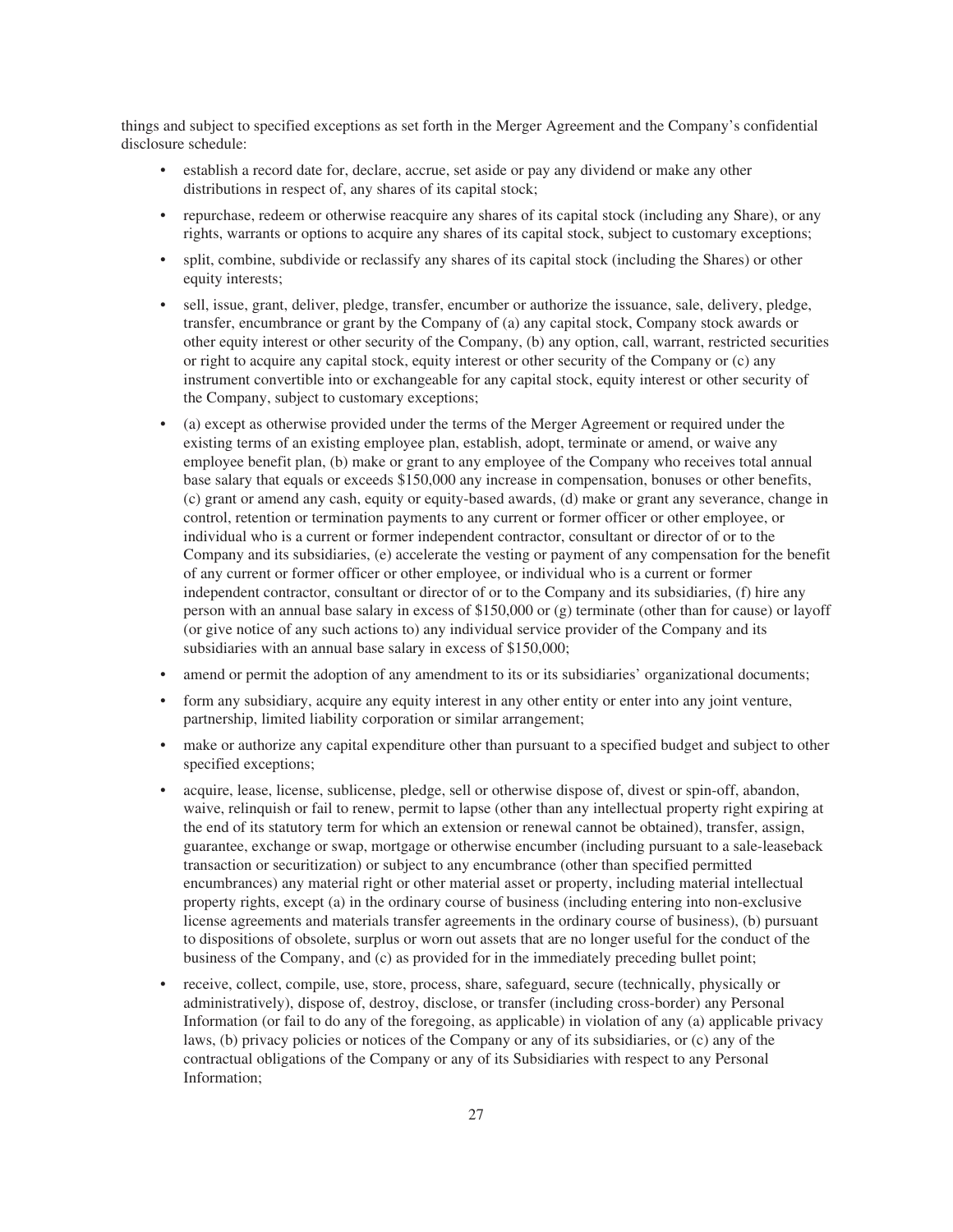things and subject to specified exceptions as set forth in the Merger Agreement and the Company's confidential disclosure schedule:

- establish a record date for, declare, accrue, set aside or pay any dividend or make any other distributions in respect of, any shares of its capital stock;
- repurchase, redeem or otherwise reacquire any shares of its capital stock (including any Share), or any rights, warrants or options to acquire any shares of its capital stock, subject to customary exceptions;
- split, combine, subdivide or reclassify any shares of its capital stock (including the Shares) or other equity interests;
- sell, issue, grant, deliver, pledge, transfer, encumber or authorize the issuance, sale, delivery, pledge, transfer, encumbrance or grant by the Company of (a) any capital stock, Company stock awards or other equity interest or other security of the Company, (b) any option, call, warrant, restricted securities or right to acquire any capital stock, equity interest or other security of the Company or (c) any instrument convertible into or exchangeable for any capital stock, equity interest or other security of the Company, subject to customary exceptions;
- (a) except as otherwise provided under the terms of the Merger Agreement or required under the existing terms of an existing employee plan, establish, adopt, terminate or amend, or waive any employee benefit plan, (b) make or grant to any employee of the Company who receives total annual base salary that equals or exceeds \$150,000 any increase in compensation, bonuses or other benefits, (c) grant or amend any cash, equity or equity-based awards, (d) make or grant any severance, change in control, retention or termination payments to any current or former officer or other employee, or individual who is a current or former independent contractor, consultant or director of or to the Company and its subsidiaries, (e) accelerate the vesting or payment of any compensation for the benefit of any current or former officer or other employee, or individual who is a current or former independent contractor, consultant or director of or to the Company and its subsidiaries, (f) hire any person with an annual base salary in excess of \$150,000 or (g) terminate (other than for cause) or layoff (or give notice of any such actions to) any individual service provider of the Company and its subsidiaries with an annual base salary in excess of \$150,000;
- amend or permit the adoption of any amendment to its or its subsidiaries' organizational documents;
- form any subsidiary, acquire any equity interest in any other entity or enter into any joint venture, partnership, limited liability corporation or similar arrangement;
- make or authorize any capital expenditure other than pursuant to a specified budget and subject to other specified exceptions;
- acquire, lease, license, sublicense, pledge, sell or otherwise dispose of, divest or spin-off, abandon, waive, relinquish or fail to renew, permit to lapse (other than any intellectual property right expiring at the end of its statutory term for which an extension or renewal cannot be obtained), transfer, assign, guarantee, exchange or swap, mortgage or otherwise encumber (including pursuant to a sale-leaseback transaction or securitization) or subject to any encumbrance (other than specified permitted encumbrances) any material right or other material asset or property, including material intellectual property rights, except (a) in the ordinary course of business (including entering into non-exclusive license agreements and materials transfer agreements in the ordinary course of business), (b) pursuant to dispositions of obsolete, surplus or worn out assets that are no longer useful for the conduct of the business of the Company, and (c) as provided for in the immediately preceding bullet point;
- receive, collect, compile, use, store, process, share, safeguard, secure (technically, physically or administratively), dispose of, destroy, disclose, or transfer (including cross-border) any Personal Information (or fail to do any of the foregoing, as applicable) in violation of any (a) applicable privacy laws, (b) privacy policies or notices of the Company or any of its subsidiaries, or (c) any of the contractual obligations of the Company or any of its Subsidiaries with respect to any Personal Information;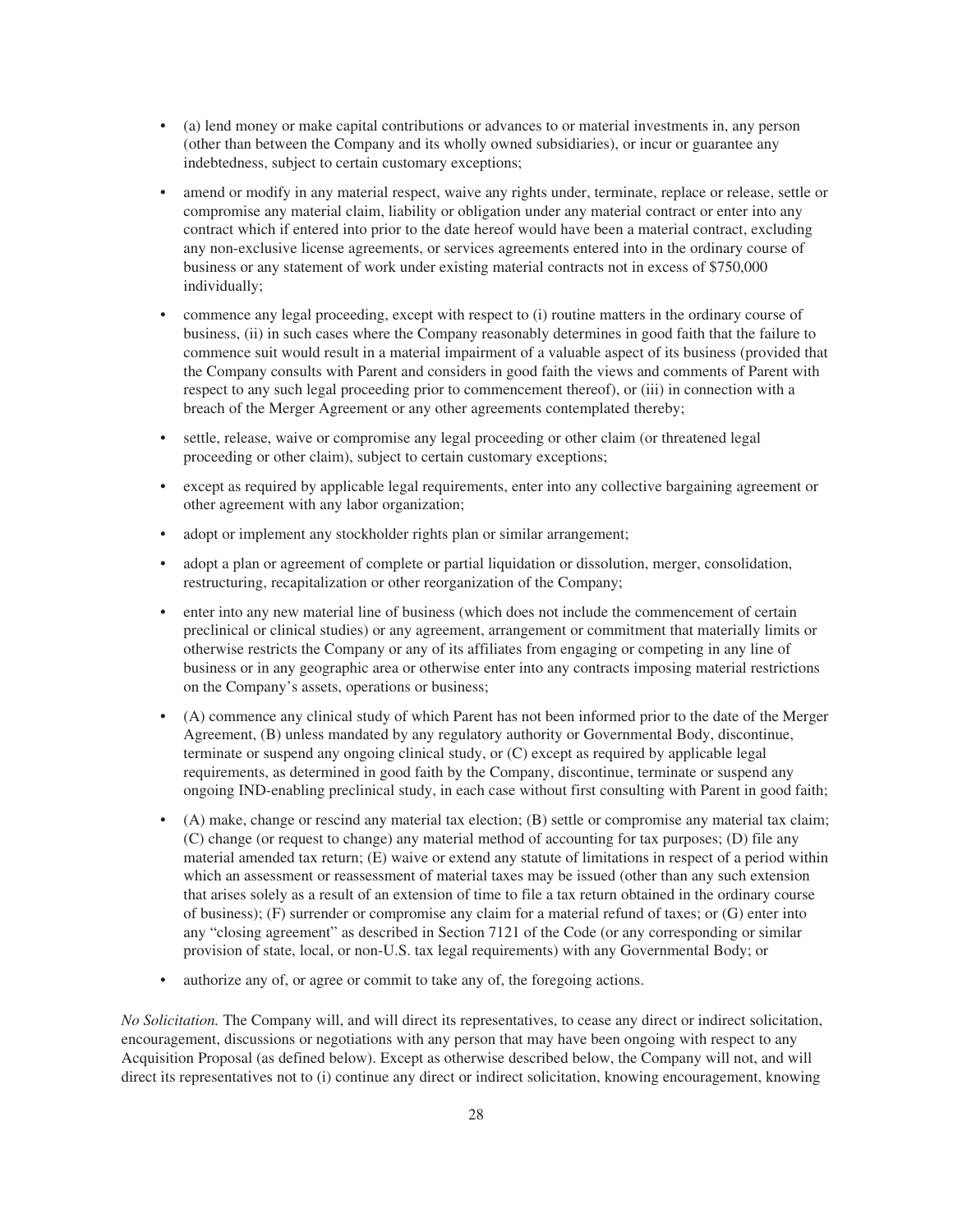- (a) lend money or make capital contributions or advances to or material investments in, any person (other than between the Company and its wholly owned subsidiaries), or incur or guarantee any indebtedness, subject to certain customary exceptions;
- amend or modify in any material respect, waive any rights under, terminate, replace or release, settle or compromise any material claim, liability or obligation under any material contract or enter into any contract which if entered into prior to the date hereof would have been a material contract, excluding any non-exclusive license agreements, or services agreements entered into in the ordinary course of business or any statement of work under existing material contracts not in excess of \$750,000 individually;
- commence any legal proceeding, except with respect to (i) routine matters in the ordinary course of business, (ii) in such cases where the Company reasonably determines in good faith that the failure to commence suit would result in a material impairment of a valuable aspect of its business (provided that the Company consults with Parent and considers in good faith the views and comments of Parent with respect to any such legal proceeding prior to commencement thereof), or (iii) in connection with a breach of the Merger Agreement or any other agreements contemplated thereby;
- settle, release, waive or compromise any legal proceeding or other claim (or threatened legal proceeding or other claim), subject to certain customary exceptions;
- except as required by applicable legal requirements, enter into any collective bargaining agreement or other agreement with any labor organization;
- adopt or implement any stockholder rights plan or similar arrangement;
- adopt a plan or agreement of complete or partial liquidation or dissolution, merger, consolidation, restructuring, recapitalization or other reorganization of the Company;
- enter into any new material line of business (which does not include the commencement of certain preclinical or clinical studies) or any agreement, arrangement or commitment that materially limits or otherwise restricts the Company or any of its affiliates from engaging or competing in any line of business or in any geographic area or otherwise enter into any contracts imposing material restrictions on the Company's assets, operations or business;
- (A) commence any clinical study of which Parent has not been informed prior to the date of the Merger Agreement, (B) unless mandated by any regulatory authority or Governmental Body, discontinue, terminate or suspend any ongoing clinical study, or (C) except as required by applicable legal requirements, as determined in good faith by the Company, discontinue, terminate or suspend any ongoing IND-enabling preclinical study, in each case without first consulting with Parent in good faith;
- (A) make, change or rescind any material tax election; (B) settle or compromise any material tax claim; (C) change (or request to change) any material method of accounting for tax purposes; (D) file any material amended tax return; (E) waive or extend any statute of limitations in respect of a period within which an assessment or reassessment of material taxes may be issued (other than any such extension that arises solely as a result of an extension of time to file a tax return obtained in the ordinary course of business); (F) surrender or compromise any claim for a material refund of taxes; or (G) enter into any "closing agreement" as described in Section 7121 of the Code (or any corresponding or similar provision of state, local, or non-U.S. tax legal requirements) with any Governmental Body; or
- authorize any of, or agree or commit to take any of, the foregoing actions.

*No Solicitation.* The Company will, and will direct its representatives, to cease any direct or indirect solicitation, encouragement, discussions or negotiations with any person that may have been ongoing with respect to any Acquisition Proposal (as defined below). Except as otherwise described below, the Company will not, and will direct its representatives not to (i) continue any direct or indirect solicitation, knowing encouragement, knowing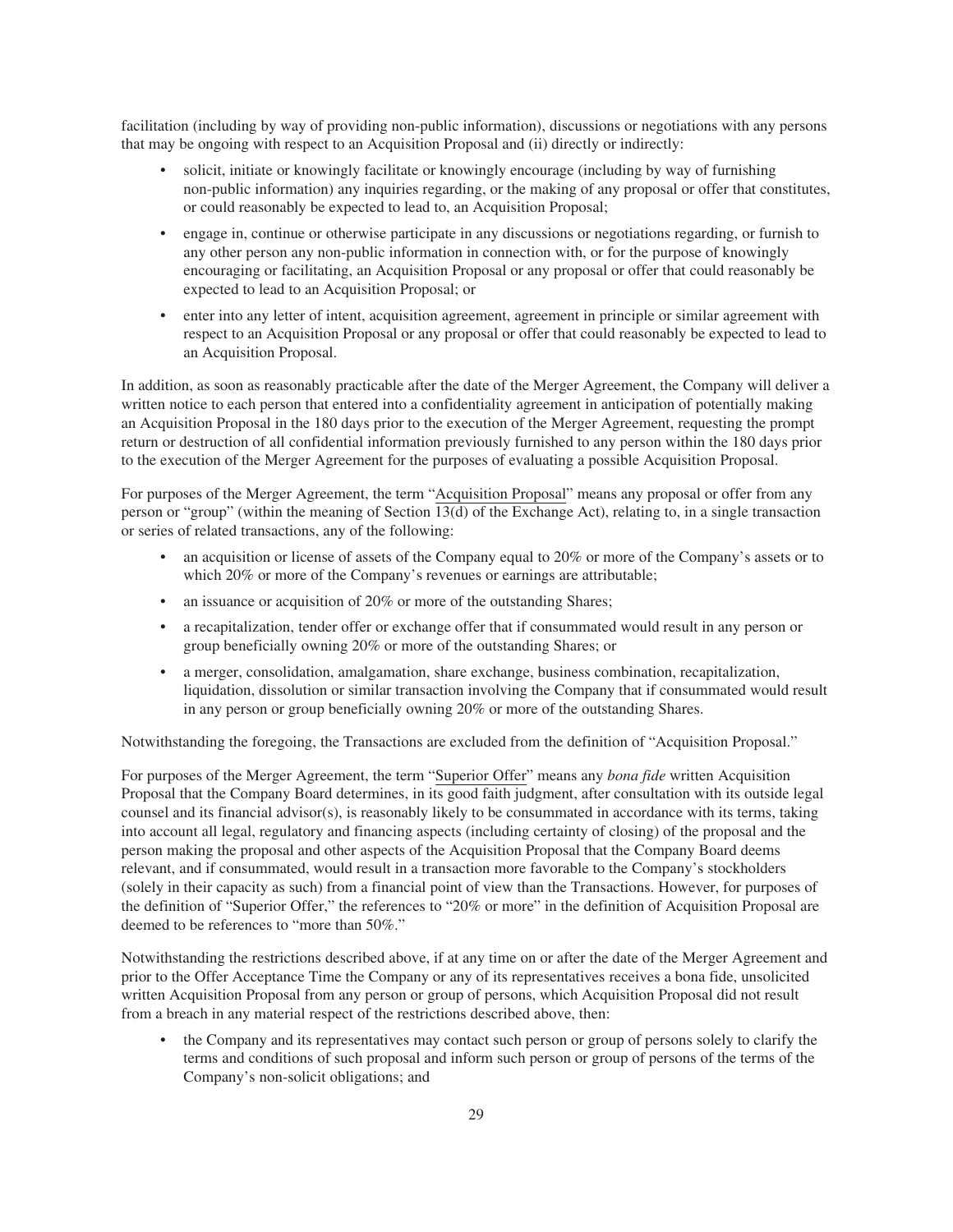facilitation (including by way of providing non-public information), discussions or negotiations with any persons that may be ongoing with respect to an Acquisition Proposal and (ii) directly or indirectly:

- solicit, initiate or knowingly facilitate or knowingly encourage (including by way of furnishing non-public information) any inquiries regarding, or the making of any proposal or offer that constitutes, or could reasonably be expected to lead to, an Acquisition Proposal;
- engage in, continue or otherwise participate in any discussions or negotiations regarding, or furnish to any other person any non-public information in connection with, or for the purpose of knowingly encouraging or facilitating, an Acquisition Proposal or any proposal or offer that could reasonably be expected to lead to an Acquisition Proposal; or
- enter into any letter of intent, acquisition agreement, agreement in principle or similar agreement with respect to an Acquisition Proposal or any proposal or offer that could reasonably be expected to lead to an Acquisition Proposal.

In addition, as soon as reasonably practicable after the date of the Merger Agreement, the Company will deliver a written notice to each person that entered into a confidentiality agreement in anticipation of potentially making an Acquisition Proposal in the 180 days prior to the execution of the Merger Agreement, requesting the prompt return or destruction of all confidential information previously furnished to any person within the 180 days prior to the execution of the Merger Agreement for the purposes of evaluating a possible Acquisition Proposal.

For purposes of the Merger Agreement, the term "Acquisition Proposal" means any proposal or offer from any person or "group" (within the meaning of Section 13(d) of the Exchange Act), relating to, in a single transaction or series of related transactions, any of the following:

- an acquisition or license of assets of the Company equal to 20% or more of the Company's assets or to which 20% or more of the Company's revenues or earnings are attributable;
- an issuance or acquisition of 20% or more of the outstanding Shares;
- a recapitalization, tender offer or exchange offer that if consummated would result in any person or group beneficially owning 20% or more of the outstanding Shares; or
- a merger, consolidation, amalgamation, share exchange, business combination, recapitalization, liquidation, dissolution or similar transaction involving the Company that if consummated would result in any person or group beneficially owning 20% or more of the outstanding Shares.

Notwithstanding the foregoing, the Transactions are excluded from the definition of "Acquisition Proposal."

For purposes of the Merger Agreement, the term "Superior Offer" means any *bona fide* written Acquisition Proposal that the Company Board determines, in its good faith judgment, after consultation with its outside legal counsel and its financial advisor(s), is reasonably likely to be consummated in accordance with its terms, taking into account all legal, regulatory and financing aspects (including certainty of closing) of the proposal and the person making the proposal and other aspects of the Acquisition Proposal that the Company Board deems relevant, and if consummated, would result in a transaction more favorable to the Company's stockholders (solely in their capacity as such) from a financial point of view than the Transactions. However, for purposes of the definition of "Superior Offer," the references to "20% or more" in the definition of Acquisition Proposal are deemed to be references to "more than 50%."

Notwithstanding the restrictions described above, if at any time on or after the date of the Merger Agreement and prior to the Offer Acceptance Time the Company or any of its representatives receives a bona fide, unsolicited written Acquisition Proposal from any person or group of persons, which Acquisition Proposal did not result from a breach in any material respect of the restrictions described above, then:

• the Company and its representatives may contact such person or group of persons solely to clarify the terms and conditions of such proposal and inform such person or group of persons of the terms of the Company's non-solicit obligations; and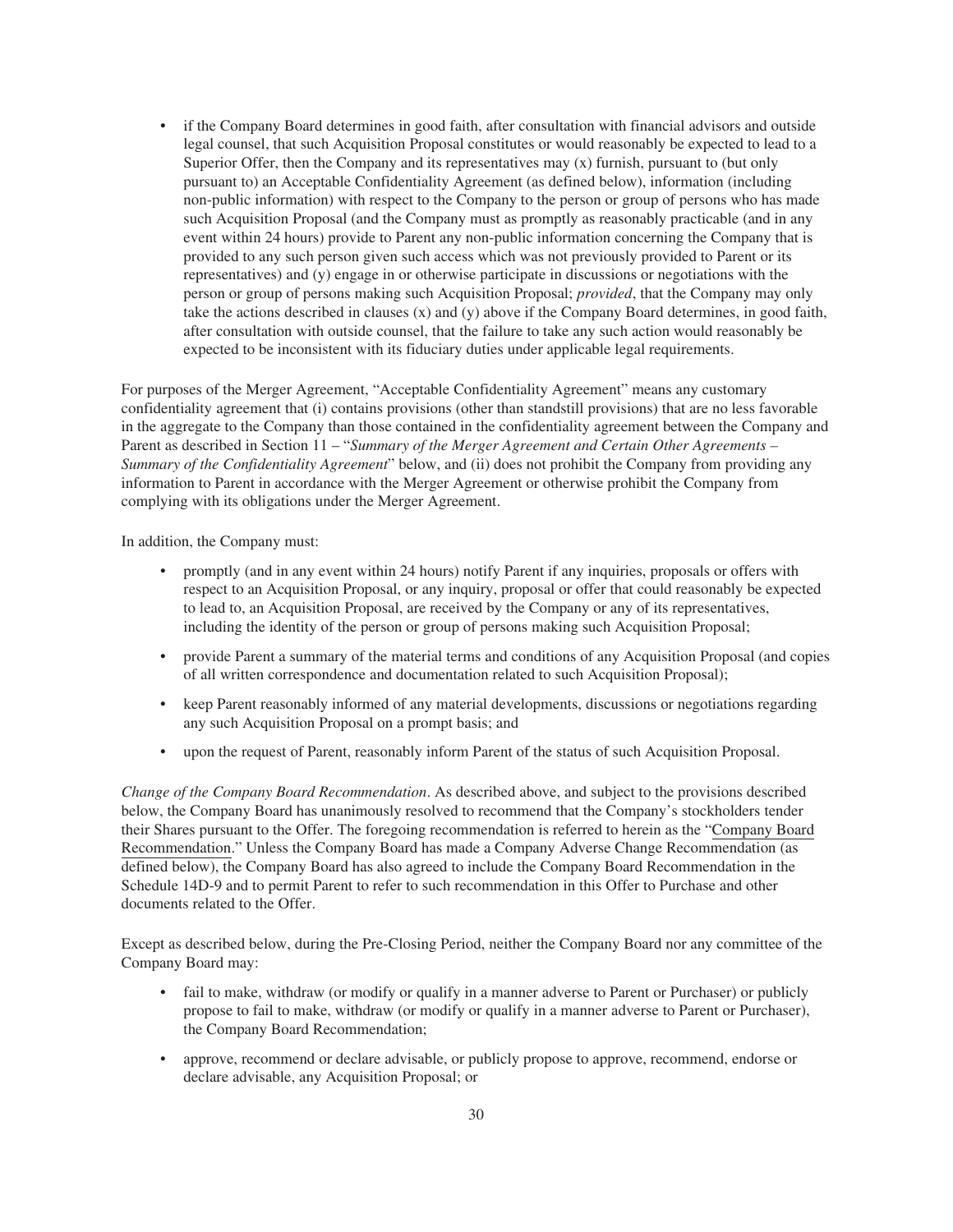• if the Company Board determines in good faith, after consultation with financial advisors and outside legal counsel, that such Acquisition Proposal constitutes or would reasonably be expected to lead to a Superior Offer, then the Company and its representatives may  $(x)$  furnish, pursuant to (but only pursuant to) an Acceptable Confidentiality Agreement (as defined below), information (including non-public information) with respect to the Company to the person or group of persons who has made such Acquisition Proposal (and the Company must as promptly as reasonably practicable (and in any event within 24 hours) provide to Parent any non-public information concerning the Company that is provided to any such person given such access which was not previously provided to Parent or its representatives) and (y) engage in or otherwise participate in discussions or negotiations with the person or group of persons making such Acquisition Proposal; *provided*, that the Company may only take the actions described in clauses (x) and (y) above if the Company Board determines, in good faith, after consultation with outside counsel, that the failure to take any such action would reasonably be expected to be inconsistent with its fiduciary duties under applicable legal requirements.

For purposes of the Merger Agreement, "Acceptable Confidentiality Agreement" means any customary confidentiality agreement that (i) contains provisions (other than standstill provisions) that are no less favorable in the aggregate to the Company than those contained in the confidentiality agreement between the Company and Parent as described in Section 11 – "*Summary of the Merger Agreement and Certain Other Agreements – Summary of the Confidentiality Agreement*" below, and (ii) does not prohibit the Company from providing any information to Parent in accordance with the Merger Agreement or otherwise prohibit the Company from complying with its obligations under the Merger Agreement.

In addition, the Company must:

- promptly (and in any event within 24 hours) notify Parent if any inquiries, proposals or offers with respect to an Acquisition Proposal, or any inquiry, proposal or offer that could reasonably be expected to lead to, an Acquisition Proposal, are received by the Company or any of its representatives, including the identity of the person or group of persons making such Acquisition Proposal;
- provide Parent a summary of the material terms and conditions of any Acquisition Proposal (and copies of all written correspondence and documentation related to such Acquisition Proposal);
- keep Parent reasonably informed of any material developments, discussions or negotiations regarding any such Acquisition Proposal on a prompt basis; and
- upon the request of Parent, reasonably inform Parent of the status of such Acquisition Proposal.

*Change of the Company Board Recommendation*. As described above, and subject to the provisions described below, the Company Board has unanimously resolved to recommend that the Company's stockholders tender their Shares pursuant to the Offer. The foregoing recommendation is referred to herein as the "Company Board Recommendation." Unless the Company Board has made a Company Adverse Change Recommendation (as defined below), the Company Board has also agreed to include the Company Board Recommendation in the Schedule 14D-9 and to permit Parent to refer to such recommendation in this Offer to Purchase and other documents related to the Offer.

Except as described below, during the Pre-Closing Period, neither the Company Board nor any committee of the Company Board may:

- fail to make, withdraw (or modify or qualify in a manner adverse to Parent or Purchaser) or publicly propose to fail to make, withdraw (or modify or qualify in a manner adverse to Parent or Purchaser), the Company Board Recommendation;
- approve, recommend or declare advisable, or publicly propose to approve, recommend, endorse or declare advisable, any Acquisition Proposal; or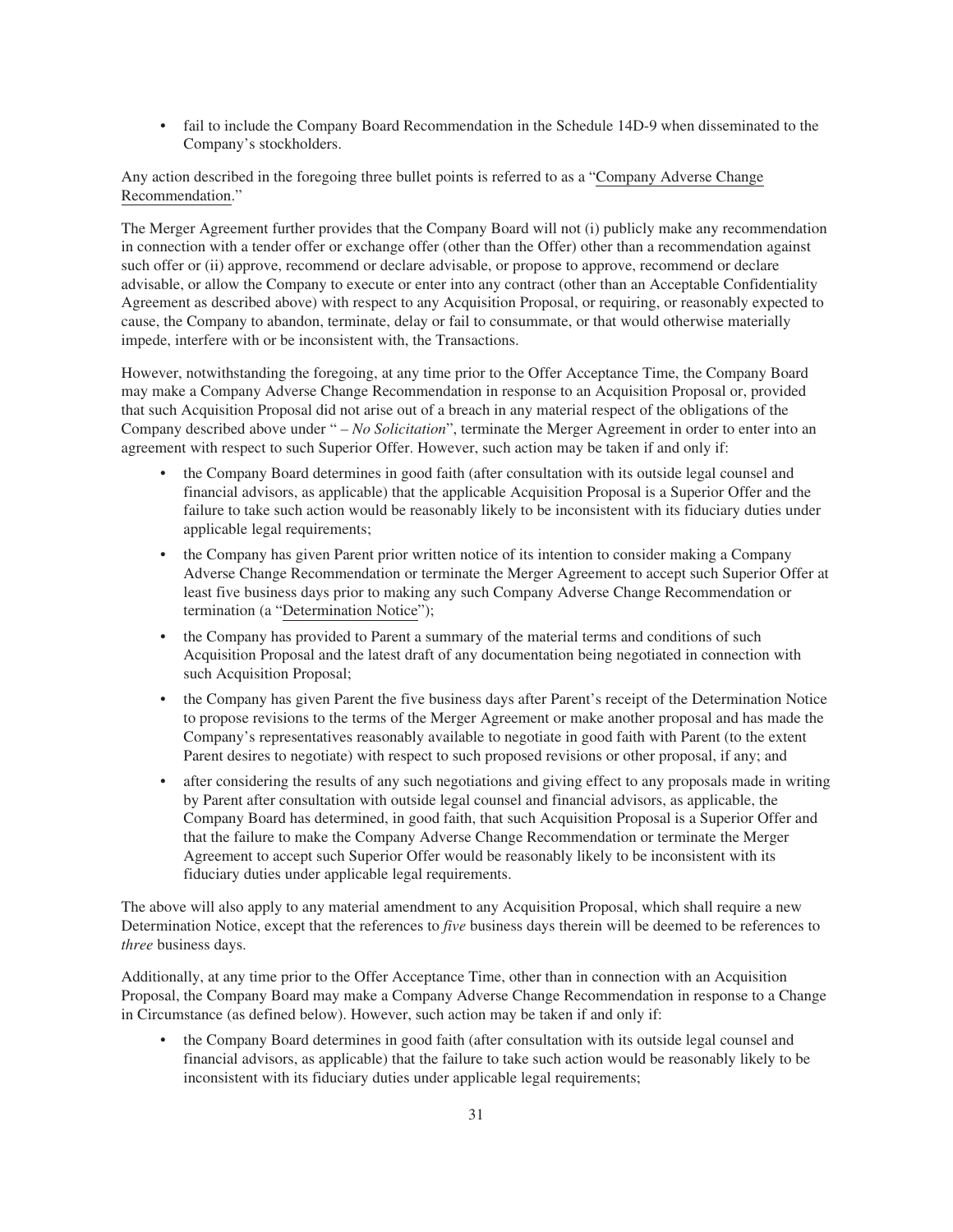• fail to include the Company Board Recommendation in the Schedule 14D-9 when disseminated to the Company's stockholders.

Any action described in the foregoing three bullet points is referred to as a "Company Adverse Change Recommendation."

The Merger Agreement further provides that the Company Board will not (i) publicly make any recommendation in connection with a tender offer or exchange offer (other than the Offer) other than a recommendation against such offer or (ii) approve, recommend or declare advisable, or propose to approve, recommend or declare advisable, or allow the Company to execute or enter into any contract (other than an Acceptable Confidentiality Agreement as described above) with respect to any Acquisition Proposal, or requiring, or reasonably expected to cause, the Company to abandon, terminate, delay or fail to consummate, or that would otherwise materially impede, interfere with or be inconsistent with, the Transactions.

However, notwithstanding the foregoing, at any time prior to the Offer Acceptance Time, the Company Board may make a Company Adverse Change Recommendation in response to an Acquisition Proposal or, provided that such Acquisition Proposal did not arise out of a breach in any material respect of the obligations of the Company described above under " *– No Solicitation*", terminate the Merger Agreement in order to enter into an agreement with respect to such Superior Offer. However, such action may be taken if and only if:

- the Company Board determines in good faith (after consultation with its outside legal counsel and financial advisors, as applicable) that the applicable Acquisition Proposal is a Superior Offer and the failure to take such action would be reasonably likely to be inconsistent with its fiduciary duties under applicable legal requirements;
- the Company has given Parent prior written notice of its intention to consider making a Company Adverse Change Recommendation or terminate the Merger Agreement to accept such Superior Offer at least five business days prior to making any such Company Adverse Change Recommendation or termination (a "Determination Notice");
- the Company has provided to Parent a summary of the material terms and conditions of such Acquisition Proposal and the latest draft of any documentation being negotiated in connection with such Acquisition Proposal;
- the Company has given Parent the five business days after Parent's receipt of the Determination Notice to propose revisions to the terms of the Merger Agreement or make another proposal and has made the Company's representatives reasonably available to negotiate in good faith with Parent (to the extent Parent desires to negotiate) with respect to such proposed revisions or other proposal, if any; and
- after considering the results of any such negotiations and giving effect to any proposals made in writing by Parent after consultation with outside legal counsel and financial advisors, as applicable, the Company Board has determined, in good faith, that such Acquisition Proposal is a Superior Offer and that the failure to make the Company Adverse Change Recommendation or terminate the Merger Agreement to accept such Superior Offer would be reasonably likely to be inconsistent with its fiduciary duties under applicable legal requirements.

The above will also apply to any material amendment to any Acquisition Proposal, which shall require a new Determination Notice, except that the references to *five* business days therein will be deemed to be references to *three* business days.

Additionally, at any time prior to the Offer Acceptance Time, other than in connection with an Acquisition Proposal, the Company Board may make a Company Adverse Change Recommendation in response to a Change in Circumstance (as defined below). However, such action may be taken if and only if:

• the Company Board determines in good faith (after consultation with its outside legal counsel and financial advisors, as applicable) that the failure to take such action would be reasonably likely to be inconsistent with its fiduciary duties under applicable legal requirements;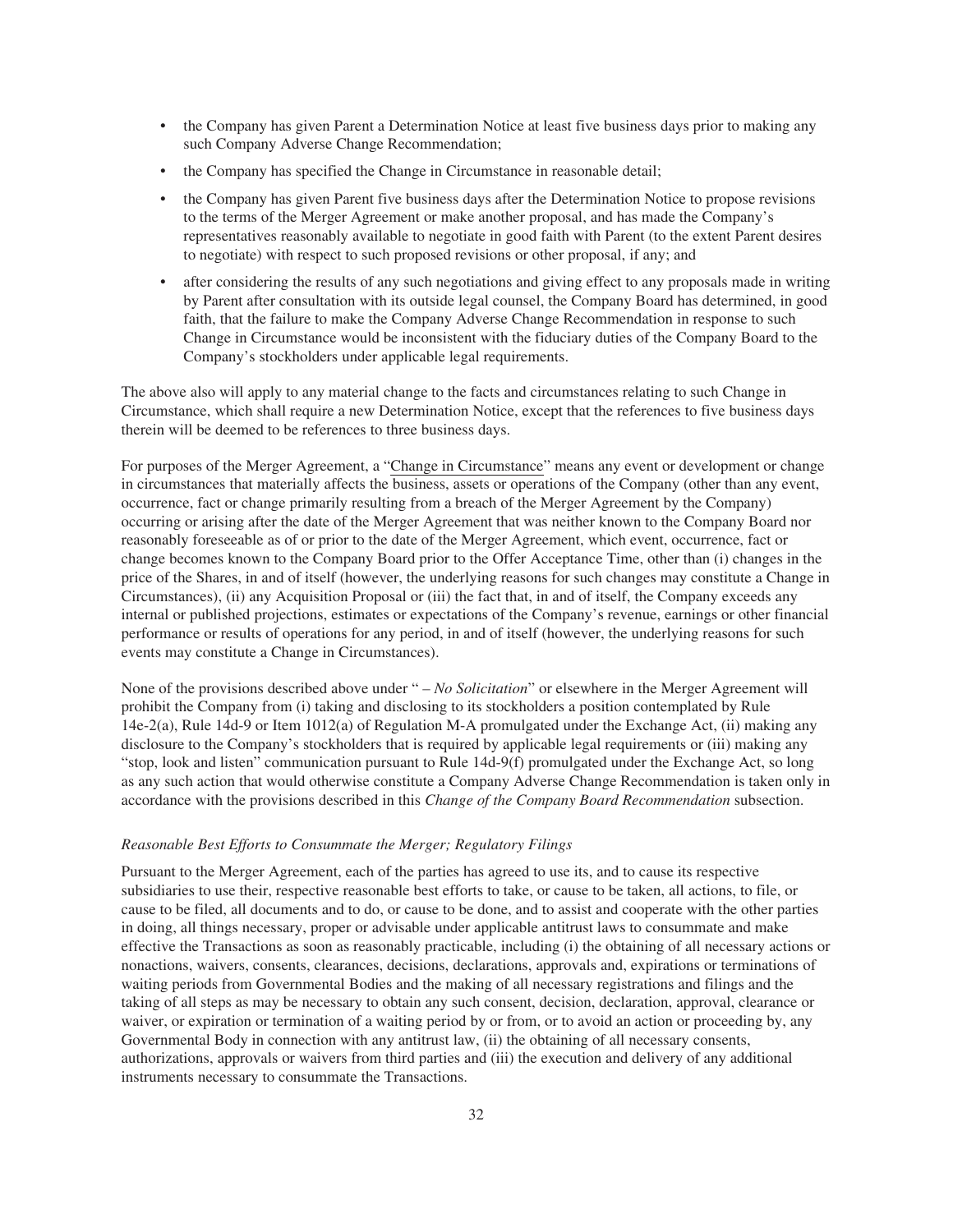- the Company has given Parent a Determination Notice at least five business days prior to making any such Company Adverse Change Recommendation;
- the Company has specified the Change in Circumstance in reasonable detail;
- the Company has given Parent five business days after the Determination Notice to propose revisions to the terms of the Merger Agreement or make another proposal, and has made the Company's representatives reasonably available to negotiate in good faith with Parent (to the extent Parent desires to negotiate) with respect to such proposed revisions or other proposal, if any; and
- after considering the results of any such negotiations and giving effect to any proposals made in writing by Parent after consultation with its outside legal counsel, the Company Board has determined, in good faith, that the failure to make the Company Adverse Change Recommendation in response to such Change in Circumstance would be inconsistent with the fiduciary duties of the Company Board to the Company's stockholders under applicable legal requirements.

The above also will apply to any material change to the facts and circumstances relating to such Change in Circumstance, which shall require a new Determination Notice, except that the references to five business days therein will be deemed to be references to three business days.

For purposes of the Merger Agreement, a "Change in Circumstance" means any event or development or change in circumstances that materially affects the business, assets or operations of the Company (other than any event, occurrence, fact or change primarily resulting from a breach of the Merger Agreement by the Company) occurring or arising after the date of the Merger Agreement that was neither known to the Company Board nor reasonably foreseeable as of or prior to the date of the Merger Agreement, which event, occurrence, fact or change becomes known to the Company Board prior to the Offer Acceptance Time, other than (i) changes in the price of the Shares, in and of itself (however, the underlying reasons for such changes may constitute a Change in Circumstances), (ii) any Acquisition Proposal or (iii) the fact that, in and of itself, the Company exceeds any internal or published projections, estimates or expectations of the Company's revenue, earnings or other financial performance or results of operations for any period, in and of itself (however, the underlying reasons for such events may constitute a Change in Circumstances).

None of the provisions described above under " *– No Solicitation*" or elsewhere in the Merger Agreement will prohibit the Company from (i) taking and disclosing to its stockholders a position contemplated by Rule 14e-2(a), Rule 14d-9 or Item 1012(a) of Regulation M-A promulgated under the Exchange Act, (ii) making any disclosure to the Company's stockholders that is required by applicable legal requirements or (iii) making any "stop, look and listen" communication pursuant to Rule 14d-9(f) promulgated under the Exchange Act, so long as any such action that would otherwise constitute a Company Adverse Change Recommendation is taken only in accordance with the provisions described in this *Change of the Company Board Recommendation* subsection.

#### *Reasonable Best Efforts to Consummate the Merger; Regulatory Filings*

Pursuant to the Merger Agreement, each of the parties has agreed to use its, and to cause its respective subsidiaries to use their, respective reasonable best efforts to take, or cause to be taken, all actions, to file, or cause to be filed, all documents and to do, or cause to be done, and to assist and cooperate with the other parties in doing, all things necessary, proper or advisable under applicable antitrust laws to consummate and make effective the Transactions as soon as reasonably practicable, including (i) the obtaining of all necessary actions or nonactions, waivers, consents, clearances, decisions, declarations, approvals and, expirations or terminations of waiting periods from Governmental Bodies and the making of all necessary registrations and filings and the taking of all steps as may be necessary to obtain any such consent, decision, declaration, approval, clearance or waiver, or expiration or termination of a waiting period by or from, or to avoid an action or proceeding by, any Governmental Body in connection with any antitrust law, (ii) the obtaining of all necessary consents, authorizations, approvals or waivers from third parties and (iii) the execution and delivery of any additional instruments necessary to consummate the Transactions.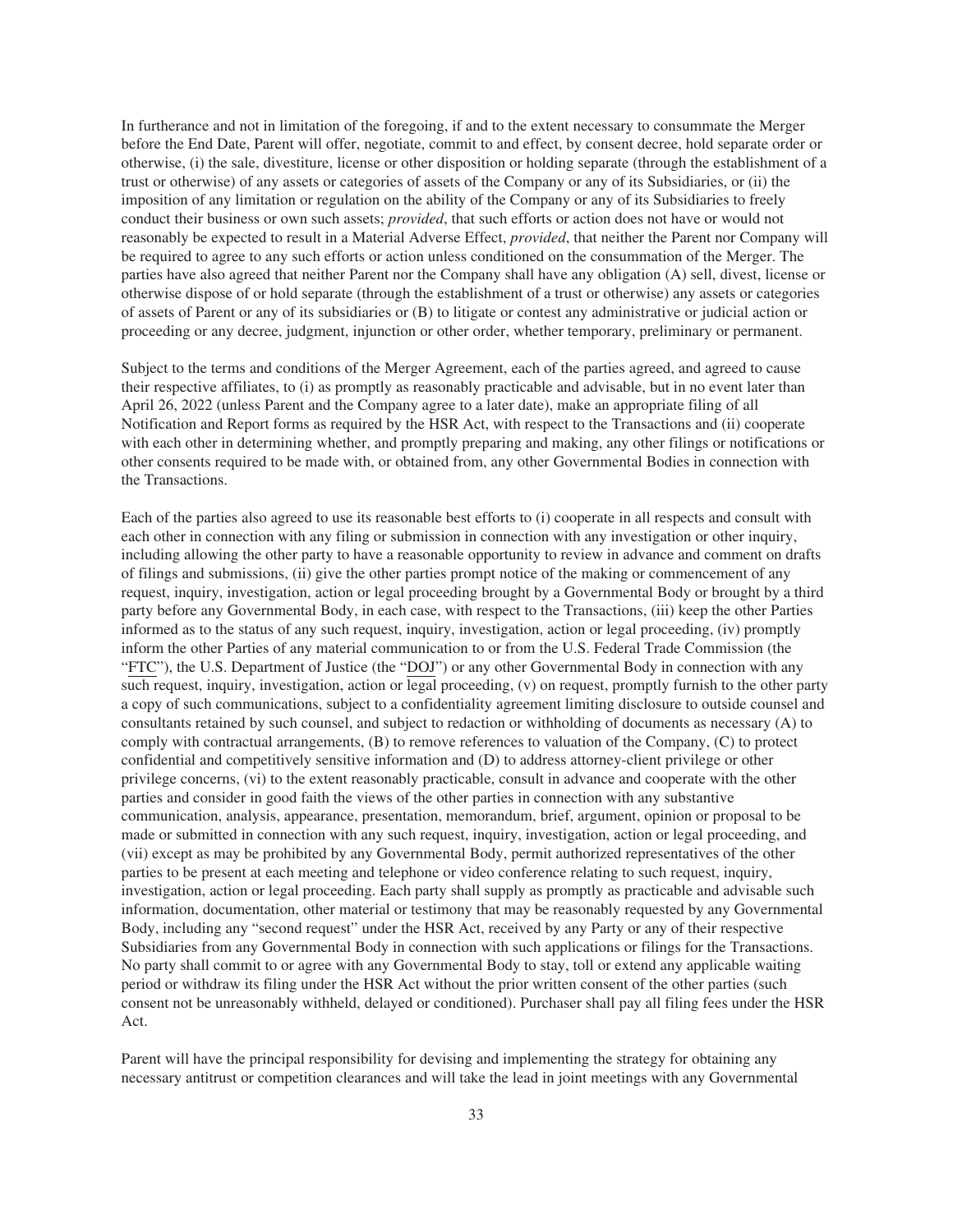In furtherance and not in limitation of the foregoing, if and to the extent necessary to consummate the Merger before the End Date, Parent will offer, negotiate, commit to and effect, by consent decree, hold separate order or otherwise, (i) the sale, divestiture, license or other disposition or holding separate (through the establishment of a trust or otherwise) of any assets or categories of assets of the Company or any of its Subsidiaries, or (ii) the imposition of any limitation or regulation on the ability of the Company or any of its Subsidiaries to freely conduct their business or own such assets; *provided*, that such efforts or action does not have or would not reasonably be expected to result in a Material Adverse Effect, *provided*, that neither the Parent nor Company will be required to agree to any such efforts or action unless conditioned on the consummation of the Merger. The parties have also agreed that neither Parent nor the Company shall have any obligation (A) sell, divest, license or otherwise dispose of or hold separate (through the establishment of a trust or otherwise) any assets or categories of assets of Parent or any of its subsidiaries or (B) to litigate or contest any administrative or judicial action or proceeding or any decree, judgment, injunction or other order, whether temporary, preliminary or permanent.

Subject to the terms and conditions of the Merger Agreement, each of the parties agreed, and agreed to cause their respective affiliates, to (i) as promptly as reasonably practicable and advisable, but in no event later than April 26, 2022 (unless Parent and the Company agree to a later date), make an appropriate filing of all Notification and Report forms as required by the HSR Act, with respect to the Transactions and (ii) cooperate with each other in determining whether, and promptly preparing and making, any other filings or notifications or other consents required to be made with, or obtained from, any other Governmental Bodies in connection with the Transactions.

Each of the parties also agreed to use its reasonable best efforts to (i) cooperate in all respects and consult with each other in connection with any filing or submission in connection with any investigation or other inquiry, including allowing the other party to have a reasonable opportunity to review in advance and comment on drafts of filings and submissions, (ii) give the other parties prompt notice of the making or commencement of any request, inquiry, investigation, action or legal proceeding brought by a Governmental Body or brought by a third party before any Governmental Body, in each case, with respect to the Transactions, (iii) keep the other Parties informed as to the status of any such request, inquiry, investigation, action or legal proceeding, (iv) promptly inform the other Parties of any material communication to or from the U.S. Federal Trade Commission (the "FTC"), the U.S. Department of Justice (the "DOJ") or any other Governmental Body in connection with any such request, inquiry, investigation, action or legal proceeding, (v) on request, promptly furnish to the other party a copy of such communications, subject to a confidentiality agreement limiting disclosure to outside counsel and consultants retained by such counsel, and subject to redaction or withholding of documents as necessary (A) to comply with contractual arrangements, (B) to remove references to valuation of the Company, (C) to protect confidential and competitively sensitive information and (D) to address attorney-client privilege or other privilege concerns, (vi) to the extent reasonably practicable, consult in advance and cooperate with the other parties and consider in good faith the views of the other parties in connection with any substantive communication, analysis, appearance, presentation, memorandum, brief, argument, opinion or proposal to be made or submitted in connection with any such request, inquiry, investigation, action or legal proceeding, and (vii) except as may be prohibited by any Governmental Body, permit authorized representatives of the other parties to be present at each meeting and telephone or video conference relating to such request, inquiry, investigation, action or legal proceeding. Each party shall supply as promptly as practicable and advisable such information, documentation, other material or testimony that may be reasonably requested by any Governmental Body, including any "second request" under the HSR Act, received by any Party or any of their respective Subsidiaries from any Governmental Body in connection with such applications or filings for the Transactions. No party shall commit to or agree with any Governmental Body to stay, toll or extend any applicable waiting period or withdraw its filing under the HSR Act without the prior written consent of the other parties (such consent not be unreasonably withheld, delayed or conditioned). Purchaser shall pay all filing fees under the HSR Act.

Parent will have the principal responsibility for devising and implementing the strategy for obtaining any necessary antitrust or competition clearances and will take the lead in joint meetings with any Governmental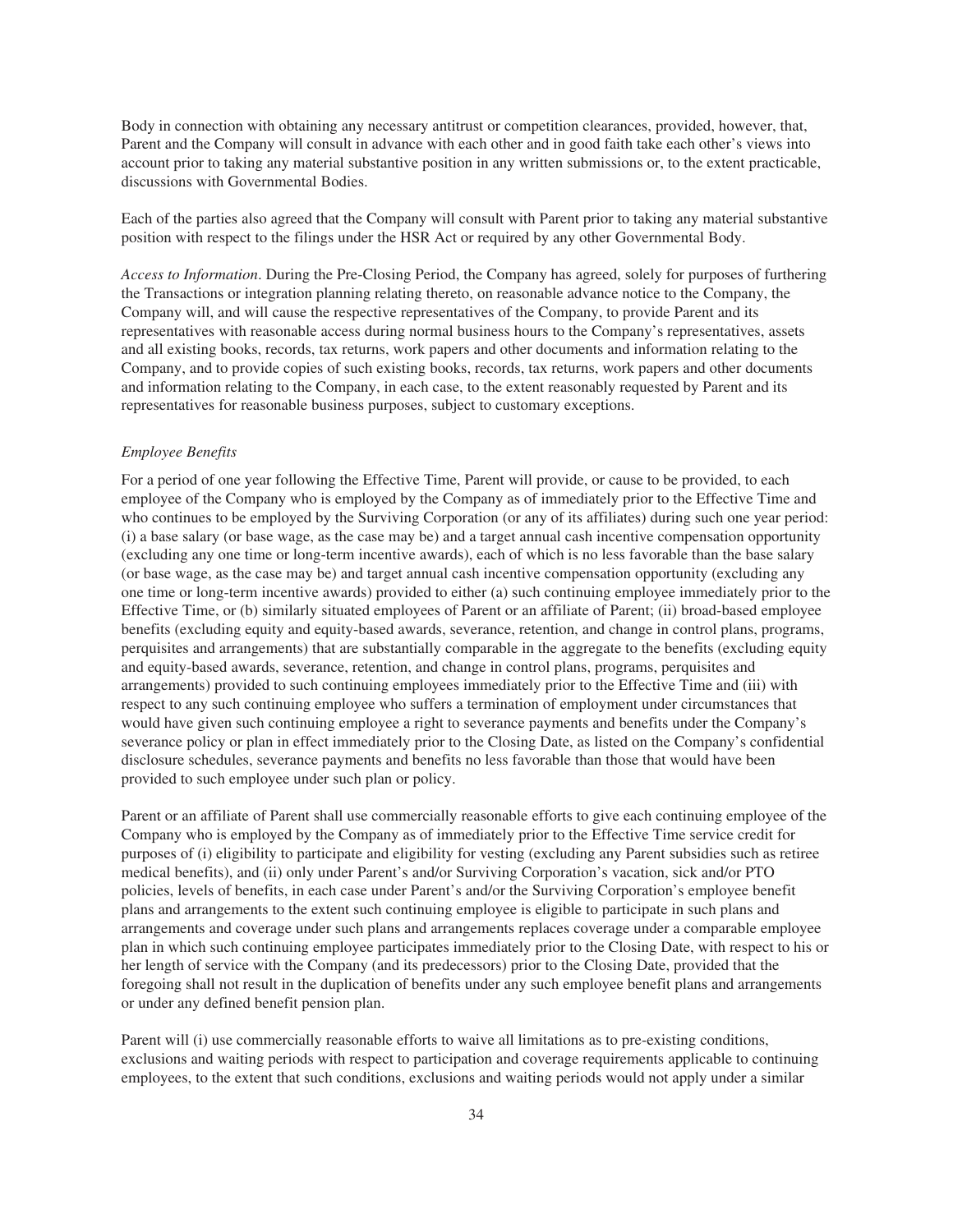Body in connection with obtaining any necessary antitrust or competition clearances, provided, however, that, Parent and the Company will consult in advance with each other and in good faith take each other's views into account prior to taking any material substantive position in any written submissions or, to the extent practicable, discussions with Governmental Bodies.

Each of the parties also agreed that the Company will consult with Parent prior to taking any material substantive position with respect to the filings under the HSR Act or required by any other Governmental Body.

*Access to Information*. During the Pre-Closing Period, the Company has agreed, solely for purposes of furthering the Transactions or integration planning relating thereto, on reasonable advance notice to the Company, the Company will, and will cause the respective representatives of the Company, to provide Parent and its representatives with reasonable access during normal business hours to the Company's representatives, assets and all existing books, records, tax returns, work papers and other documents and information relating to the Company, and to provide copies of such existing books, records, tax returns, work papers and other documents and information relating to the Company, in each case, to the extent reasonably requested by Parent and its representatives for reasonable business purposes, subject to customary exceptions.

## *Employee Benefits*

For a period of one year following the Effective Time, Parent will provide, or cause to be provided, to each employee of the Company who is employed by the Company as of immediately prior to the Effective Time and who continues to be employed by the Surviving Corporation (or any of its affiliates) during such one year period: (i) a base salary (or base wage, as the case may be) and a target annual cash incentive compensation opportunity (excluding any one time or long-term incentive awards), each of which is no less favorable than the base salary (or base wage, as the case may be) and target annual cash incentive compensation opportunity (excluding any one time or long-term incentive awards) provided to either (a) such continuing employee immediately prior to the Effective Time, or (b) similarly situated employees of Parent or an affiliate of Parent; (ii) broad-based employee benefits (excluding equity and equity-based awards, severance, retention, and change in control plans, programs, perquisites and arrangements) that are substantially comparable in the aggregate to the benefits (excluding equity and equity-based awards, severance, retention, and change in control plans, programs, perquisites and arrangements) provided to such continuing employees immediately prior to the Effective Time and (iii) with respect to any such continuing employee who suffers a termination of employment under circumstances that would have given such continuing employee a right to severance payments and benefits under the Company's severance policy or plan in effect immediately prior to the Closing Date, as listed on the Company's confidential disclosure schedules, severance payments and benefits no less favorable than those that would have been provided to such employee under such plan or policy.

Parent or an affiliate of Parent shall use commercially reasonable efforts to give each continuing employee of the Company who is employed by the Company as of immediately prior to the Effective Time service credit for purposes of (i) eligibility to participate and eligibility for vesting (excluding any Parent subsidies such as retiree medical benefits), and (ii) only under Parent's and/or Surviving Corporation's vacation, sick and/or PTO policies, levels of benefits, in each case under Parent's and/or the Surviving Corporation's employee benefit plans and arrangements to the extent such continuing employee is eligible to participate in such plans and arrangements and coverage under such plans and arrangements replaces coverage under a comparable employee plan in which such continuing employee participates immediately prior to the Closing Date, with respect to his or her length of service with the Company (and its predecessors) prior to the Closing Date, provided that the foregoing shall not result in the duplication of benefits under any such employee benefit plans and arrangements or under any defined benefit pension plan.

Parent will (i) use commercially reasonable efforts to waive all limitations as to pre-existing conditions, exclusions and waiting periods with respect to participation and coverage requirements applicable to continuing employees, to the extent that such conditions, exclusions and waiting periods would not apply under a similar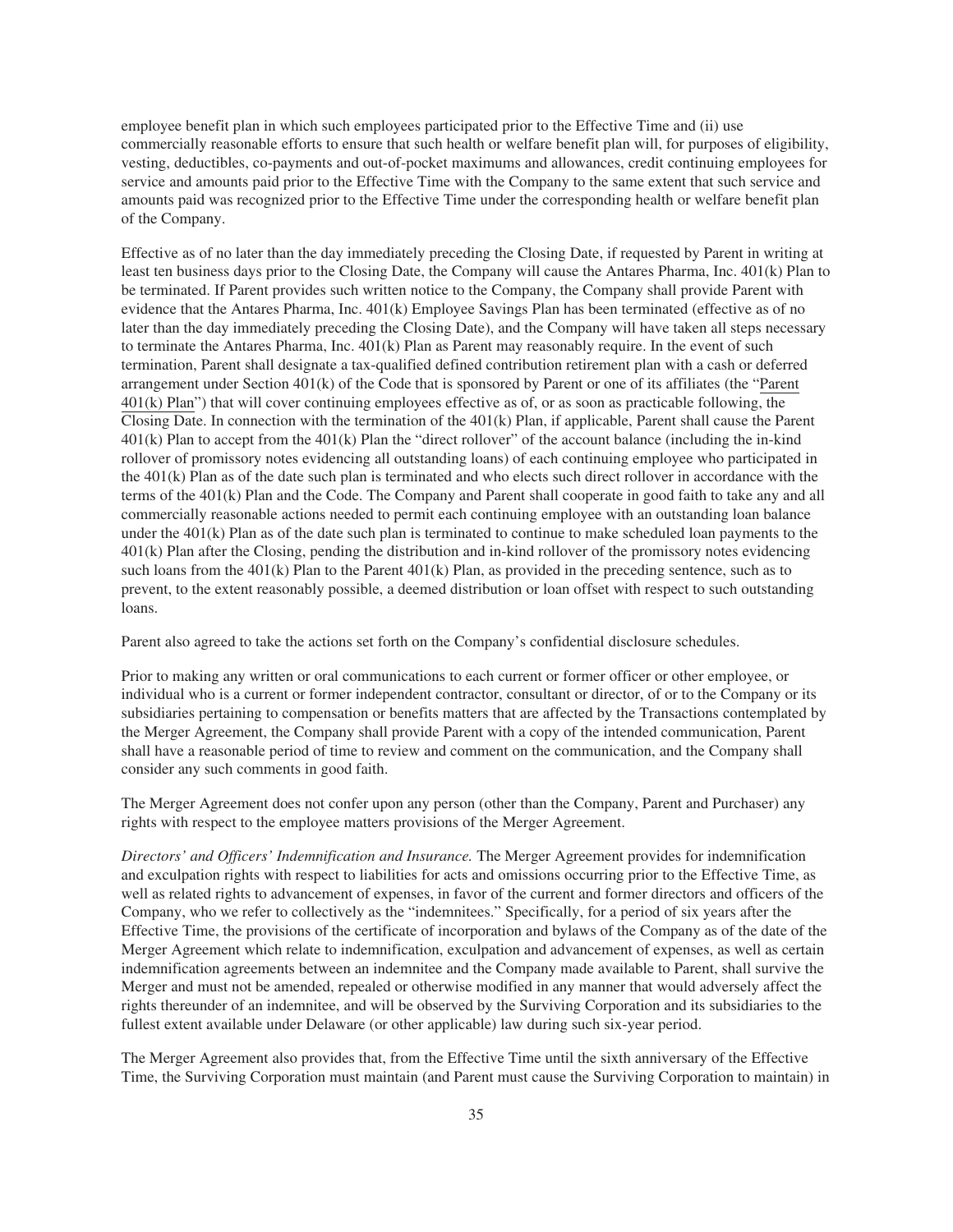employee benefit plan in which such employees participated prior to the Effective Time and (ii) use commercially reasonable efforts to ensure that such health or welfare benefit plan will, for purposes of eligibility, vesting, deductibles, co-payments and out-of-pocket maximums and allowances, credit continuing employees for service and amounts paid prior to the Effective Time with the Company to the same extent that such service and amounts paid was recognized prior to the Effective Time under the corresponding health or welfare benefit plan of the Company.

Effective as of no later than the day immediately preceding the Closing Date, if requested by Parent in writing at least ten business days prior to the Closing Date, the Company will cause the Antares Pharma, Inc. 401(k) Plan to be terminated. If Parent provides such written notice to the Company, the Company shall provide Parent with evidence that the Antares Pharma, Inc. 401(k) Employee Savings Plan has been terminated (effective as of no later than the day immediately preceding the Closing Date), and the Company will have taken all steps necessary to terminate the Antares Pharma, Inc. 401(k) Plan as Parent may reasonably require. In the event of such termination, Parent shall designate a tax-qualified defined contribution retirement plan with a cash or deferred arrangement under Section 401(k) of the Code that is sponsored by Parent or one of its affiliates (the "Parent 401(k) Plan") that will cover continuing employees effective as of, or as soon as practicable following, the Closing Date. In connection with the termination of the 401(k) Plan, if applicable, Parent shall cause the Parent 401(k) Plan to accept from the 401(k) Plan the "direct rollover" of the account balance (including the in-kind rollover of promissory notes evidencing all outstanding loans) of each continuing employee who participated in the 401(k) Plan as of the date such plan is terminated and who elects such direct rollover in accordance with the terms of the 401(k) Plan and the Code. The Company and Parent shall cooperate in good faith to take any and all commercially reasonable actions needed to permit each continuing employee with an outstanding loan balance under the 401(k) Plan as of the date such plan is terminated to continue to make scheduled loan payments to the 401(k) Plan after the Closing, pending the distribution and in-kind rollover of the promissory notes evidencing such loans from the  $401(k)$  Plan to the Parent  $401(k)$  Plan, as provided in the preceding sentence, such as to prevent, to the extent reasonably possible, a deemed distribution or loan offset with respect to such outstanding loans.

Parent also agreed to take the actions set forth on the Company's confidential disclosure schedules.

Prior to making any written or oral communications to each current or former officer or other employee, or individual who is a current or former independent contractor, consultant or director, of or to the Company or its subsidiaries pertaining to compensation or benefits matters that are affected by the Transactions contemplated by the Merger Agreement, the Company shall provide Parent with a copy of the intended communication, Parent shall have a reasonable period of time to review and comment on the communication, and the Company shall consider any such comments in good faith.

The Merger Agreement does not confer upon any person (other than the Company, Parent and Purchaser) any rights with respect to the employee matters provisions of the Merger Agreement.

*Directors' and Officers' Indemnification and Insurance.* The Merger Agreement provides for indemnification and exculpation rights with respect to liabilities for acts and omissions occurring prior to the Effective Time, as well as related rights to advancement of expenses, in favor of the current and former directors and officers of the Company, who we refer to collectively as the "indemnitees." Specifically, for a period of six years after the Effective Time, the provisions of the certificate of incorporation and bylaws of the Company as of the date of the Merger Agreement which relate to indemnification, exculpation and advancement of expenses, as well as certain indemnification agreements between an indemnitee and the Company made available to Parent, shall survive the Merger and must not be amended, repealed or otherwise modified in any manner that would adversely affect the rights thereunder of an indemnitee, and will be observed by the Surviving Corporation and its subsidiaries to the fullest extent available under Delaware (or other applicable) law during such six-year period.

The Merger Agreement also provides that, from the Effective Time until the sixth anniversary of the Effective Time, the Surviving Corporation must maintain (and Parent must cause the Surviving Corporation to maintain) in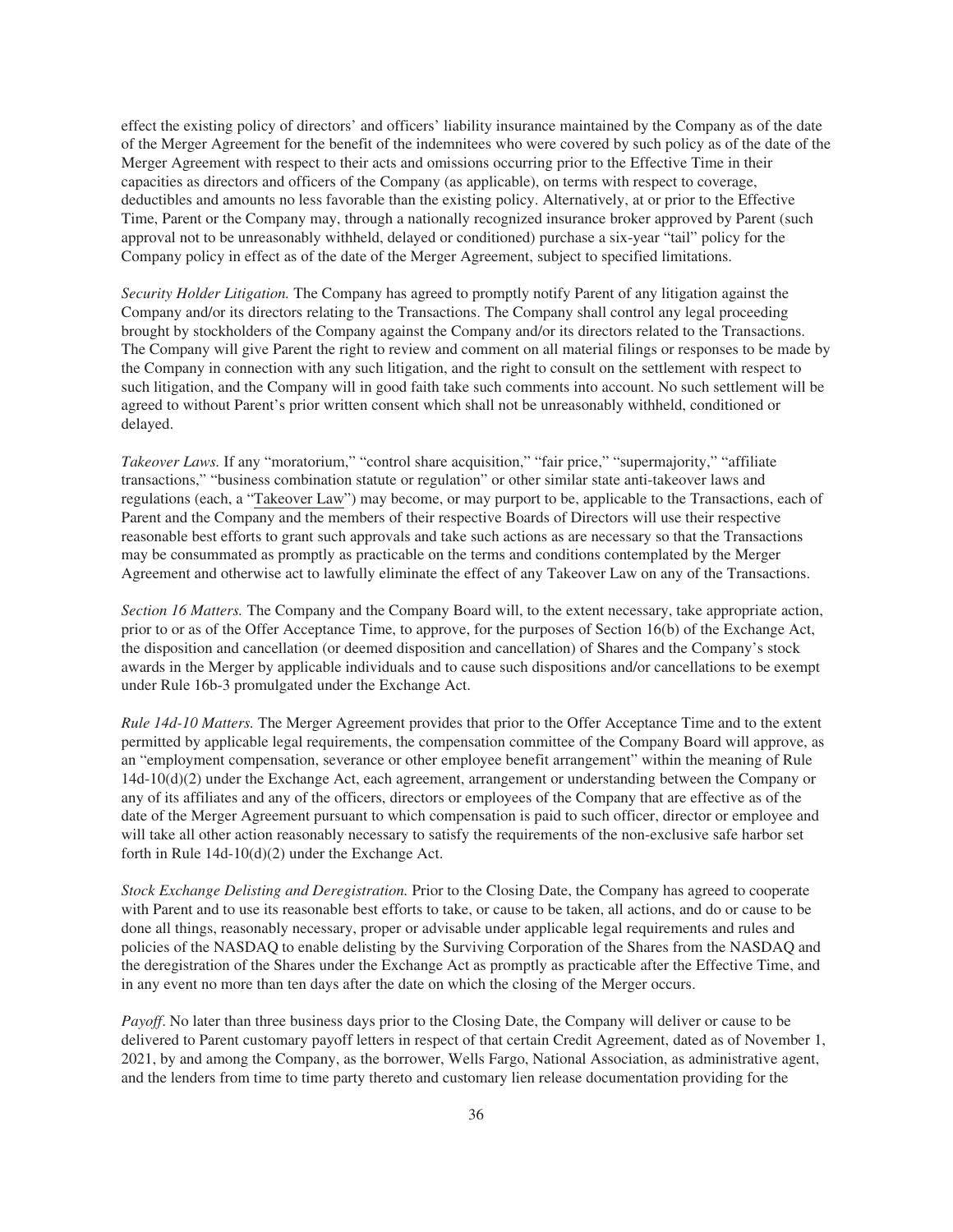effect the existing policy of directors' and officers' liability insurance maintained by the Company as of the date of the Merger Agreement for the benefit of the indemnitees who were covered by such policy as of the date of the Merger Agreement with respect to their acts and omissions occurring prior to the Effective Time in their capacities as directors and officers of the Company (as applicable), on terms with respect to coverage, deductibles and amounts no less favorable than the existing policy. Alternatively, at or prior to the Effective Time, Parent or the Company may, through a nationally recognized insurance broker approved by Parent (such approval not to be unreasonably withheld, delayed or conditioned) purchase a six-year "tail" policy for the Company policy in effect as of the date of the Merger Agreement, subject to specified limitations.

*Security Holder Litigation.* The Company has agreed to promptly notify Parent of any litigation against the Company and/or its directors relating to the Transactions. The Company shall control any legal proceeding brought by stockholders of the Company against the Company and/or its directors related to the Transactions. The Company will give Parent the right to review and comment on all material filings or responses to be made by the Company in connection with any such litigation, and the right to consult on the settlement with respect to such litigation, and the Company will in good faith take such comments into account. No such settlement will be agreed to without Parent's prior written consent which shall not be unreasonably withheld, conditioned or delayed.

*Takeover Laws.* If any "moratorium," "control share acquisition," "fair price," "supermajority," "affiliate transactions," "business combination statute or regulation" or other similar state anti-takeover laws and regulations (each, a "Takeover Law") may become, or may purport to be, applicable to the Transactions, each of Parent and the Company and the members of their respective Boards of Directors will use their respective reasonable best efforts to grant such approvals and take such actions as are necessary so that the Transactions may be consummated as promptly as practicable on the terms and conditions contemplated by the Merger Agreement and otherwise act to lawfully eliminate the effect of any Takeover Law on any of the Transactions.

*Section 16 Matters.* The Company and the Company Board will, to the extent necessary, take appropriate action, prior to or as of the Offer Acceptance Time, to approve, for the purposes of Section 16(b) of the Exchange Act, the disposition and cancellation (or deemed disposition and cancellation) of Shares and the Company's stock awards in the Merger by applicable individuals and to cause such dispositions and/or cancellations to be exempt under Rule 16b-3 promulgated under the Exchange Act.

*Rule 14d-10 Matters.* The Merger Agreement provides that prior to the Offer Acceptance Time and to the extent permitted by applicable legal requirements, the compensation committee of the Company Board will approve, as an "employment compensation, severance or other employee benefit arrangement" within the meaning of Rule 14d-10(d)(2) under the Exchange Act, each agreement, arrangement or understanding between the Company or any of its affiliates and any of the officers, directors or employees of the Company that are effective as of the date of the Merger Agreement pursuant to which compensation is paid to such officer, director or employee and will take all other action reasonably necessary to satisfy the requirements of the non-exclusive safe harbor set forth in Rule 14d-10(d)(2) under the Exchange Act.

*Stock Exchange Delisting and Deregistration.* Prior to the Closing Date, the Company has agreed to cooperate with Parent and to use its reasonable best efforts to take, or cause to be taken, all actions, and do or cause to be done all things, reasonably necessary, proper or advisable under applicable legal requirements and rules and policies of the NASDAQ to enable delisting by the Surviving Corporation of the Shares from the NASDAQ and the deregistration of the Shares under the Exchange Act as promptly as practicable after the Effective Time, and in any event no more than ten days after the date on which the closing of the Merger occurs.

*Payoff*. No later than three business days prior to the Closing Date, the Company will deliver or cause to be delivered to Parent customary payoff letters in respect of that certain Credit Agreement, dated as of November 1, 2021, by and among the Company, as the borrower, Wells Fargo, National Association, as administrative agent, and the lenders from time to time party thereto and customary lien release documentation providing for the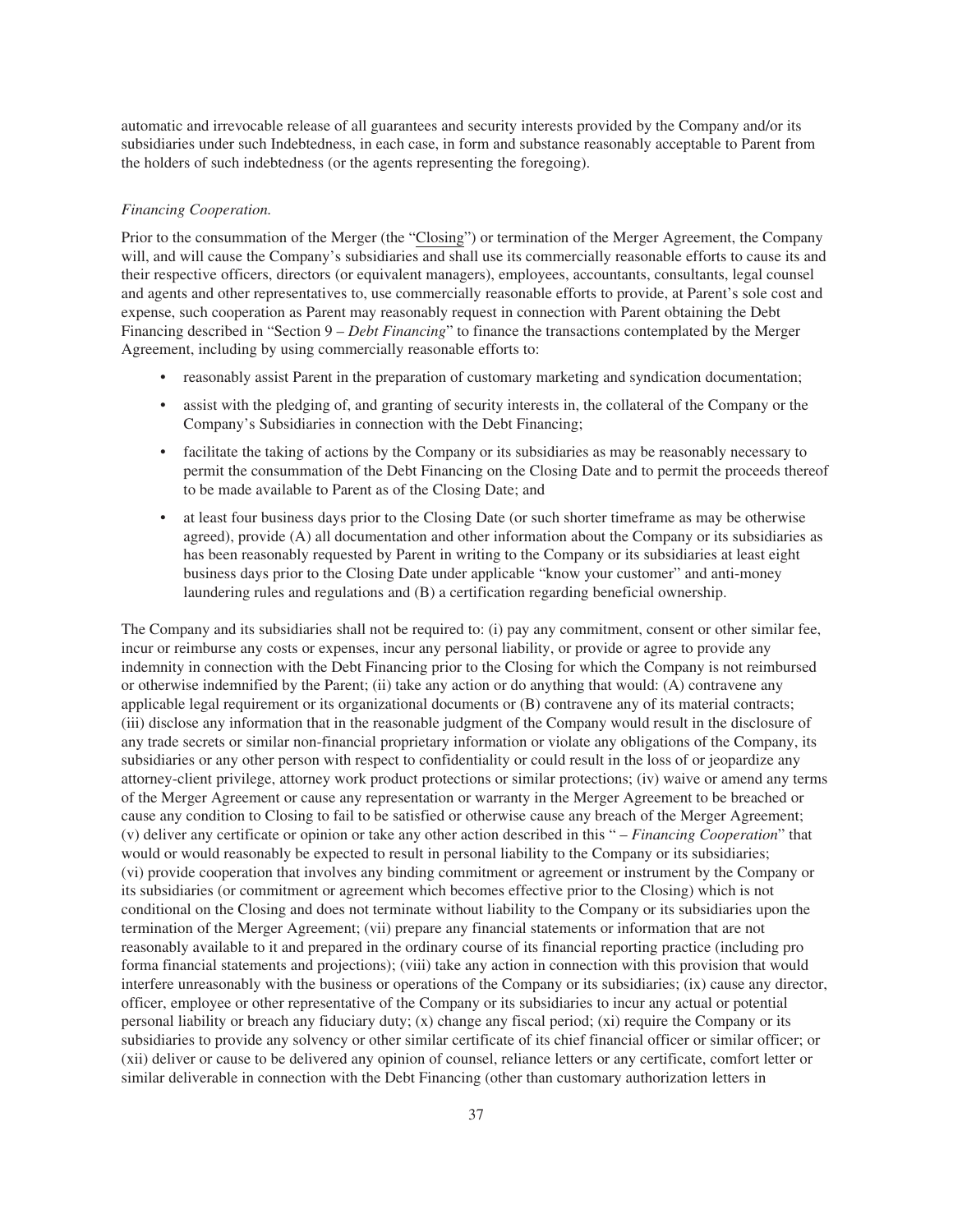automatic and irrevocable release of all guarantees and security interests provided by the Company and/or its subsidiaries under such Indebtedness, in each case, in form and substance reasonably acceptable to Parent from the holders of such indebtedness (or the agents representing the foregoing).

## *Financing Cooperation.*

Prior to the consummation of the Merger (the "Closing") or termination of the Merger Agreement, the Company will, and will cause the Company's subsidiaries and shall use its commercially reasonable efforts to cause its and their respective officers, directors (or equivalent managers), employees, accountants, consultants, legal counsel and agents and other representatives to, use commercially reasonable efforts to provide, at Parent's sole cost and expense, such cooperation as Parent may reasonably request in connection with Parent obtaining the Debt Financing described in "Section 9 – *Debt Financing*" to finance the transactions contemplated by the Merger Agreement, including by using commercially reasonable efforts to:

- reasonably assist Parent in the preparation of customary marketing and syndication documentation;
- assist with the pledging of, and granting of security interests in, the collateral of the Company or the Company's Subsidiaries in connection with the Debt Financing;
- facilitate the taking of actions by the Company or its subsidiaries as may be reasonably necessary to permit the consummation of the Debt Financing on the Closing Date and to permit the proceeds thereof to be made available to Parent as of the Closing Date; and
- at least four business days prior to the Closing Date (or such shorter timeframe as may be otherwise agreed), provide (A) all documentation and other information about the Company or its subsidiaries as has been reasonably requested by Parent in writing to the Company or its subsidiaries at least eight business days prior to the Closing Date under applicable "know your customer" and anti-money laundering rules and regulations and (B) a certification regarding beneficial ownership.

The Company and its subsidiaries shall not be required to: (i) pay any commitment, consent or other similar fee, incur or reimburse any costs or expenses, incur any personal liability, or provide or agree to provide any indemnity in connection with the Debt Financing prior to the Closing for which the Company is not reimbursed or otherwise indemnified by the Parent; (ii) take any action or do anything that would: (A) contravene any applicable legal requirement or its organizational documents or (B) contravene any of its material contracts; (iii) disclose any information that in the reasonable judgment of the Company would result in the disclosure of any trade secrets or similar non-financial proprietary information or violate any obligations of the Company, its subsidiaries or any other person with respect to confidentiality or could result in the loss of or jeopardize any attorney-client privilege, attorney work product protections or similar protections; (iv) waive or amend any terms of the Merger Agreement or cause any representation or warranty in the Merger Agreement to be breached or cause any condition to Closing to fail to be satisfied or otherwise cause any breach of the Merger Agreement; (v) deliver any certificate or opinion or take any other action described in this " – *Financing Cooperation*" that would or would reasonably be expected to result in personal liability to the Company or its subsidiaries; (vi) provide cooperation that involves any binding commitment or agreement or instrument by the Company or its subsidiaries (or commitment or agreement which becomes effective prior to the Closing) which is not conditional on the Closing and does not terminate without liability to the Company or its subsidiaries upon the termination of the Merger Agreement; (vii) prepare any financial statements or information that are not reasonably available to it and prepared in the ordinary course of its financial reporting practice (including pro forma financial statements and projections); (viii) take any action in connection with this provision that would interfere unreasonably with the business or operations of the Company or its subsidiaries; (ix) cause any director, officer, employee or other representative of the Company or its subsidiaries to incur any actual or potential personal liability or breach any fiduciary duty; (x) change any fiscal period; (xi) require the Company or its subsidiaries to provide any solvency or other similar certificate of its chief financial officer or similar officer; or (xii) deliver or cause to be delivered any opinion of counsel, reliance letters or any certificate, comfort letter or similar deliverable in connection with the Debt Financing (other than customary authorization letters in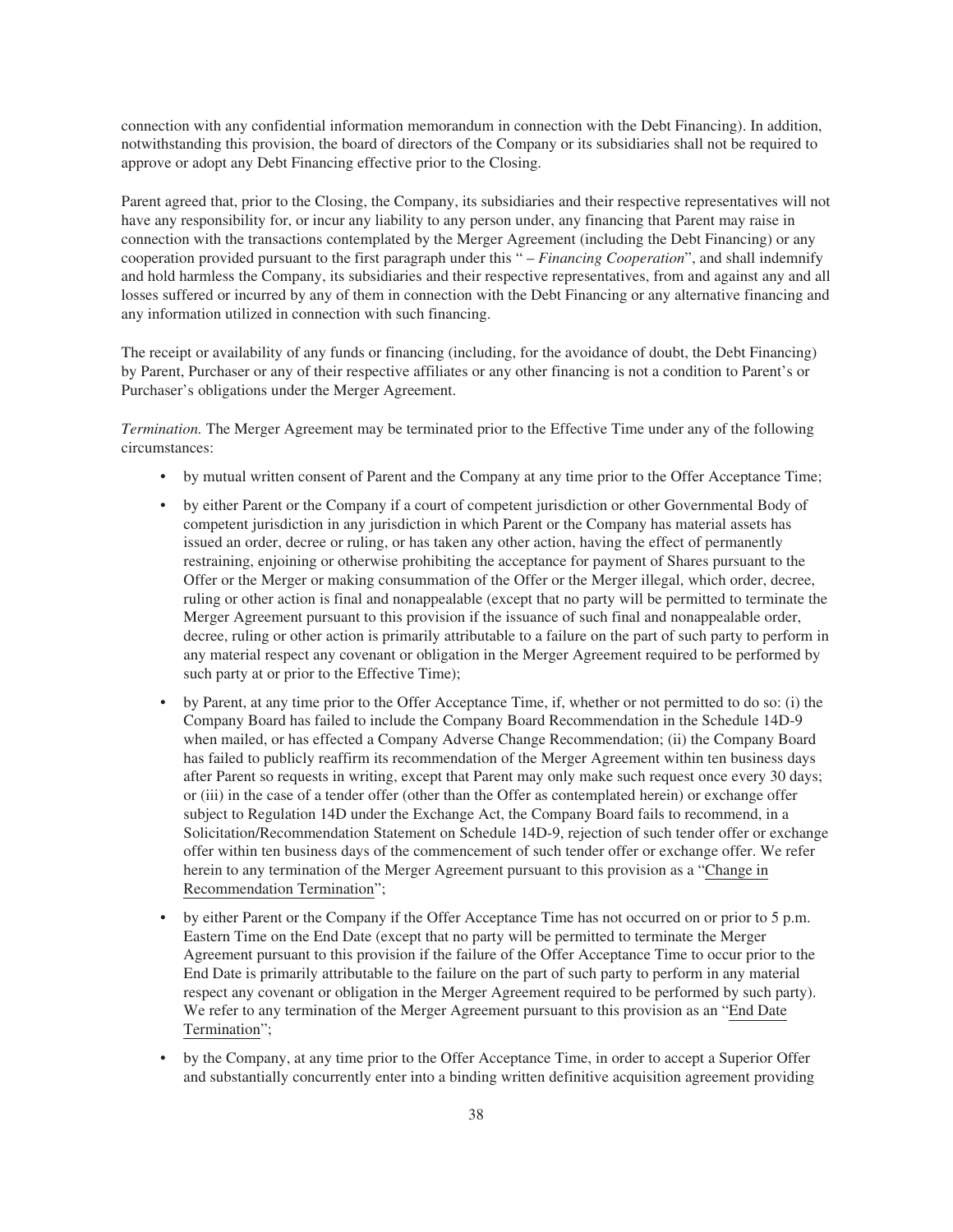connection with any confidential information memorandum in connection with the Debt Financing). In addition, notwithstanding this provision, the board of directors of the Company or its subsidiaries shall not be required to approve or adopt any Debt Financing effective prior to the Closing.

Parent agreed that, prior to the Closing, the Company, its subsidiaries and their respective representatives will not have any responsibility for, or incur any liability to any person under, any financing that Parent may raise in connection with the transactions contemplated by the Merger Agreement (including the Debt Financing) or any cooperation provided pursuant to the first paragraph under this " – *Financing Cooperation*", and shall indemnify and hold harmless the Company, its subsidiaries and their respective representatives, from and against any and all losses suffered or incurred by any of them in connection with the Debt Financing or any alternative financing and any information utilized in connection with such financing.

The receipt or availability of any funds or financing (including, for the avoidance of doubt, the Debt Financing) by Parent, Purchaser or any of their respective affiliates or any other financing is not a condition to Parent's or Purchaser's obligations under the Merger Agreement.

*Termination.* The Merger Agreement may be terminated prior to the Effective Time under any of the following circumstances:

- by mutual written consent of Parent and the Company at any time prior to the Offer Acceptance Time;
- by either Parent or the Company if a court of competent jurisdiction or other Governmental Body of competent jurisdiction in any jurisdiction in which Parent or the Company has material assets has issued an order, decree or ruling, or has taken any other action, having the effect of permanently restraining, enjoining or otherwise prohibiting the acceptance for payment of Shares pursuant to the Offer or the Merger or making consummation of the Offer or the Merger illegal, which order, decree, ruling or other action is final and nonappealable (except that no party will be permitted to terminate the Merger Agreement pursuant to this provision if the issuance of such final and nonappealable order, decree, ruling or other action is primarily attributable to a failure on the part of such party to perform in any material respect any covenant or obligation in the Merger Agreement required to be performed by such party at or prior to the Effective Time);
- by Parent, at any time prior to the Offer Acceptance Time, if, whether or not permitted to do so: (i) the Company Board has failed to include the Company Board Recommendation in the Schedule 14D-9 when mailed, or has effected a Company Adverse Change Recommendation; (ii) the Company Board has failed to publicly reaffirm its recommendation of the Merger Agreement within ten business days after Parent so requests in writing, except that Parent may only make such request once every 30 days; or (iii) in the case of a tender offer (other than the Offer as contemplated herein) or exchange offer subject to Regulation 14D under the Exchange Act, the Company Board fails to recommend, in a Solicitation/Recommendation Statement on Schedule 14D-9, rejection of such tender offer or exchange offer within ten business days of the commencement of such tender offer or exchange offer. We refer herein to any termination of the Merger Agreement pursuant to this provision as a "Change in Recommendation Termination";
- by either Parent or the Company if the Offer Acceptance Time has not occurred on or prior to 5 p.m. Eastern Time on the End Date (except that no party will be permitted to terminate the Merger Agreement pursuant to this provision if the failure of the Offer Acceptance Time to occur prior to the End Date is primarily attributable to the failure on the part of such party to perform in any material respect any covenant or obligation in the Merger Agreement required to be performed by such party). We refer to any termination of the Merger Agreement pursuant to this provision as an "End Date Termination";
- by the Company, at any time prior to the Offer Acceptance Time, in order to accept a Superior Offer and substantially concurrently enter into a binding written definitive acquisition agreement providing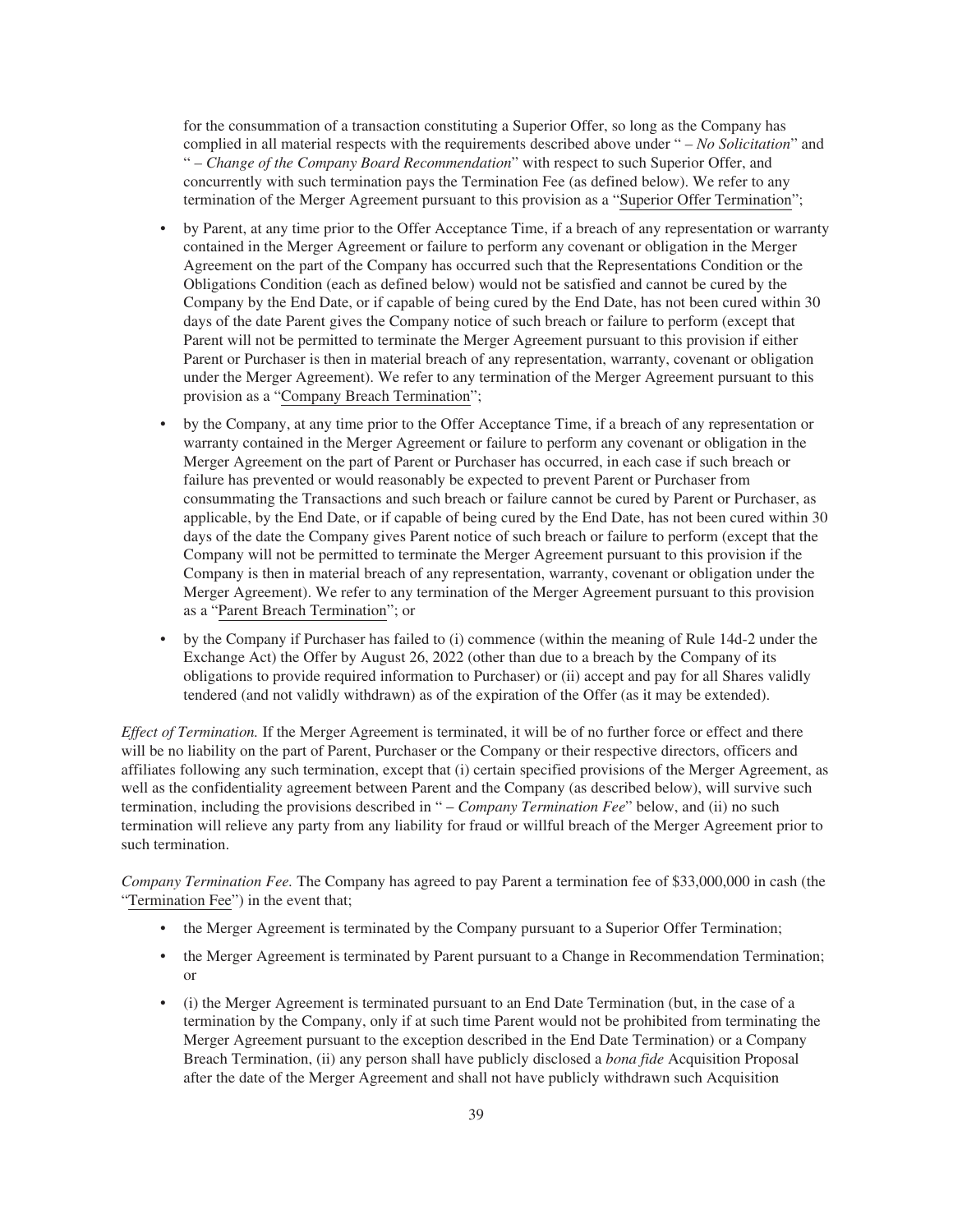for the consummation of a transaction constituting a Superior Offer, so long as the Company has complied in all material respects with the requirements described above under " *– No Solicitation*" and " *– Change of the Company Board Recommendation*" with respect to such Superior Offer, and concurrently with such termination pays the Termination Fee (as defined below). We refer to any termination of the Merger Agreement pursuant to this provision as a "Superior Offer Termination";

- by Parent, at any time prior to the Offer Acceptance Time, if a breach of any representation or warranty contained in the Merger Agreement or failure to perform any covenant or obligation in the Merger Agreement on the part of the Company has occurred such that the Representations Condition or the Obligations Condition (each as defined below) would not be satisfied and cannot be cured by the Company by the End Date, or if capable of being cured by the End Date, has not been cured within 30 days of the date Parent gives the Company notice of such breach or failure to perform (except that Parent will not be permitted to terminate the Merger Agreement pursuant to this provision if either Parent or Purchaser is then in material breach of any representation, warranty, covenant or obligation under the Merger Agreement). We refer to any termination of the Merger Agreement pursuant to this provision as a "Company Breach Termination";
- by the Company, at any time prior to the Offer Acceptance Time, if a breach of any representation or warranty contained in the Merger Agreement or failure to perform any covenant or obligation in the Merger Agreement on the part of Parent or Purchaser has occurred, in each case if such breach or failure has prevented or would reasonably be expected to prevent Parent or Purchaser from consummating the Transactions and such breach or failure cannot be cured by Parent or Purchaser, as applicable, by the End Date, or if capable of being cured by the End Date, has not been cured within 30 days of the date the Company gives Parent notice of such breach or failure to perform (except that the Company will not be permitted to terminate the Merger Agreement pursuant to this provision if the Company is then in material breach of any representation, warranty, covenant or obligation under the Merger Agreement). We refer to any termination of the Merger Agreement pursuant to this provision as a "Parent Breach Termination"; or
- by the Company if Purchaser has failed to (i) commence (within the meaning of Rule 14d-2 under the Exchange Act) the Offer by August 26, 2022 (other than due to a breach by the Company of its obligations to provide required information to Purchaser) or (ii) accept and pay for all Shares validly tendered (and not validly withdrawn) as of the expiration of the Offer (as it may be extended).

*Effect of Termination.* If the Merger Agreement is terminated, it will be of no further force or effect and there will be no liability on the part of Parent, Purchaser or the Company or their respective directors, officers and affiliates following any such termination, except that (i) certain specified provisions of the Merger Agreement, as well as the confidentiality agreement between Parent and the Company (as described below), will survive such termination, including the provisions described in " – *Company Termination Fee*" below, and (ii) no such termination will relieve any party from any liability for fraud or willful breach of the Merger Agreement prior to such termination.

*Company Termination Fee.* The Company has agreed to pay Parent a termination fee of \$33,000,000 in cash (the "Termination Fee") in the event that;

- the Merger Agreement is terminated by the Company pursuant to a Superior Offer Termination;
- the Merger Agreement is terminated by Parent pursuant to a Change in Recommendation Termination; or
- (i) the Merger Agreement is terminated pursuant to an End Date Termination (but, in the case of a termination by the Company, only if at such time Parent would not be prohibited from terminating the Merger Agreement pursuant to the exception described in the End Date Termination) or a Company Breach Termination, (ii) any person shall have publicly disclosed a *bona fide* Acquisition Proposal after the date of the Merger Agreement and shall not have publicly withdrawn such Acquisition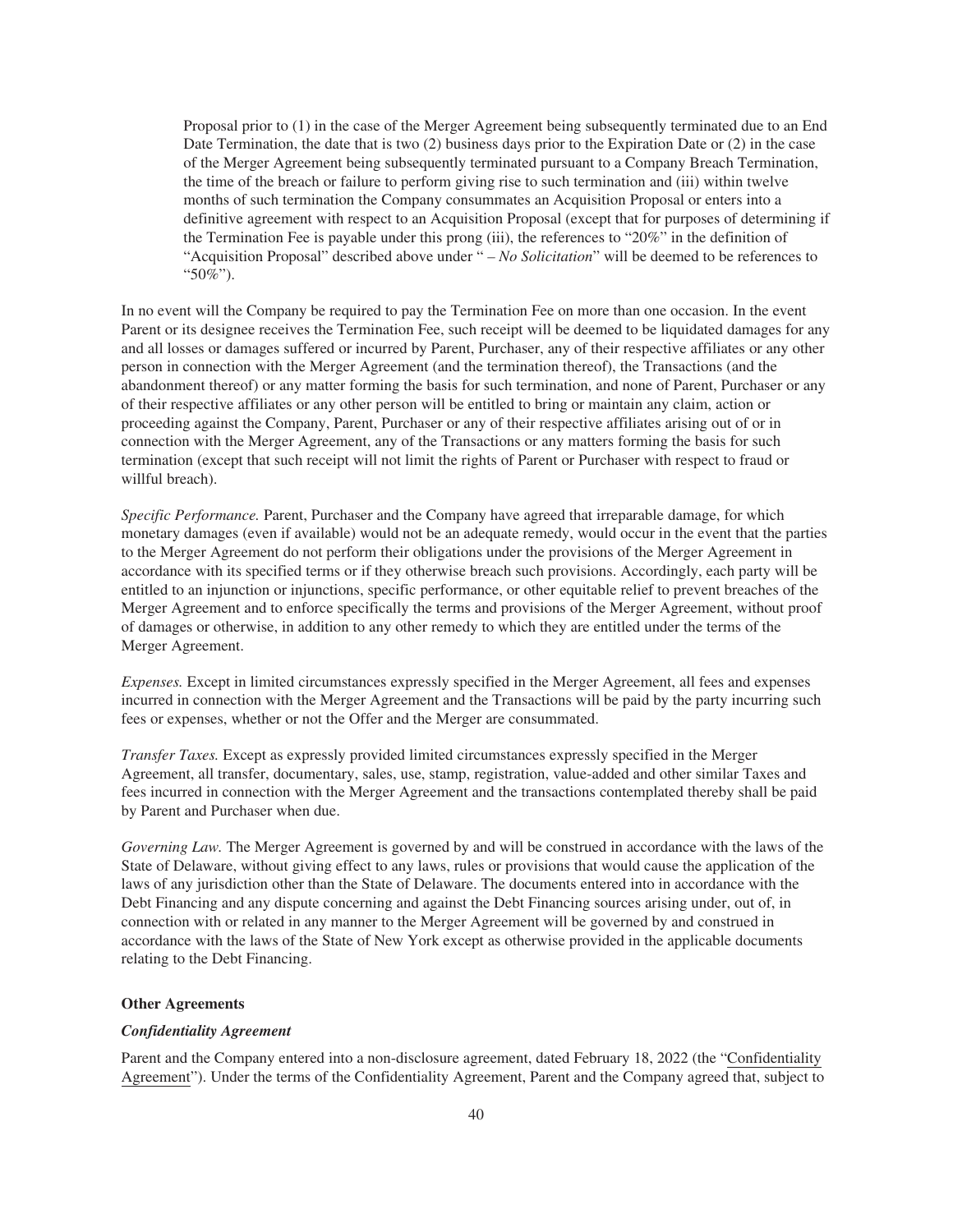Proposal prior to (1) in the case of the Merger Agreement being subsequently terminated due to an End Date Termination, the date that is two (2) business days prior to the Expiration Date or (2) in the case of the Merger Agreement being subsequently terminated pursuant to a Company Breach Termination, the time of the breach or failure to perform giving rise to such termination and (iii) within twelve months of such termination the Company consummates an Acquisition Proposal or enters into a definitive agreement with respect to an Acquisition Proposal (except that for purposes of determining if the Termination Fee is payable under this prong (iii), the references to "20%" in the definition of "Acquisition Proposal" described above under " *– No Solicitation*" will be deemed to be references to "50%").

In no event will the Company be required to pay the Termination Fee on more than one occasion. In the event Parent or its designee receives the Termination Fee, such receipt will be deemed to be liquidated damages for any and all losses or damages suffered or incurred by Parent, Purchaser, any of their respective affiliates or any other person in connection with the Merger Agreement (and the termination thereof), the Transactions (and the abandonment thereof) or any matter forming the basis for such termination, and none of Parent, Purchaser or any of their respective affiliates or any other person will be entitled to bring or maintain any claim, action or proceeding against the Company, Parent, Purchaser or any of their respective affiliates arising out of or in connection with the Merger Agreement, any of the Transactions or any matters forming the basis for such termination (except that such receipt will not limit the rights of Parent or Purchaser with respect to fraud or willful breach).

*Specific Performance.* Parent, Purchaser and the Company have agreed that irreparable damage, for which monetary damages (even if available) would not be an adequate remedy, would occur in the event that the parties to the Merger Agreement do not perform their obligations under the provisions of the Merger Agreement in accordance with its specified terms or if they otherwise breach such provisions. Accordingly, each party will be entitled to an injunction or injunctions, specific performance, or other equitable relief to prevent breaches of the Merger Agreement and to enforce specifically the terms and provisions of the Merger Agreement, without proof of damages or otherwise, in addition to any other remedy to which they are entitled under the terms of the Merger Agreement.

*Expenses.* Except in limited circumstances expressly specified in the Merger Agreement, all fees and expenses incurred in connection with the Merger Agreement and the Transactions will be paid by the party incurring such fees or expenses, whether or not the Offer and the Merger are consummated.

*Transfer Taxes.* Except as expressly provided limited circumstances expressly specified in the Merger Agreement, all transfer, documentary, sales, use, stamp, registration, value-added and other similar Taxes and fees incurred in connection with the Merger Agreement and the transactions contemplated thereby shall be paid by Parent and Purchaser when due.

*Governing Law.* The Merger Agreement is governed by and will be construed in accordance with the laws of the State of Delaware, without giving effect to any laws, rules or provisions that would cause the application of the laws of any jurisdiction other than the State of Delaware. The documents entered into in accordance with the Debt Financing and any dispute concerning and against the Debt Financing sources arising under, out of, in connection with or related in any manner to the Merger Agreement will be governed by and construed in accordance with the laws of the State of New York except as otherwise provided in the applicable documents relating to the Debt Financing.

#### **Other Agreements**

## *Confidentiality Agreement*

Parent and the Company entered into a non-disclosure agreement, dated February 18, 2022 (the "Confidentiality Agreement"). Under the terms of the Confidentiality Agreement, Parent and the Company agreed that, subject to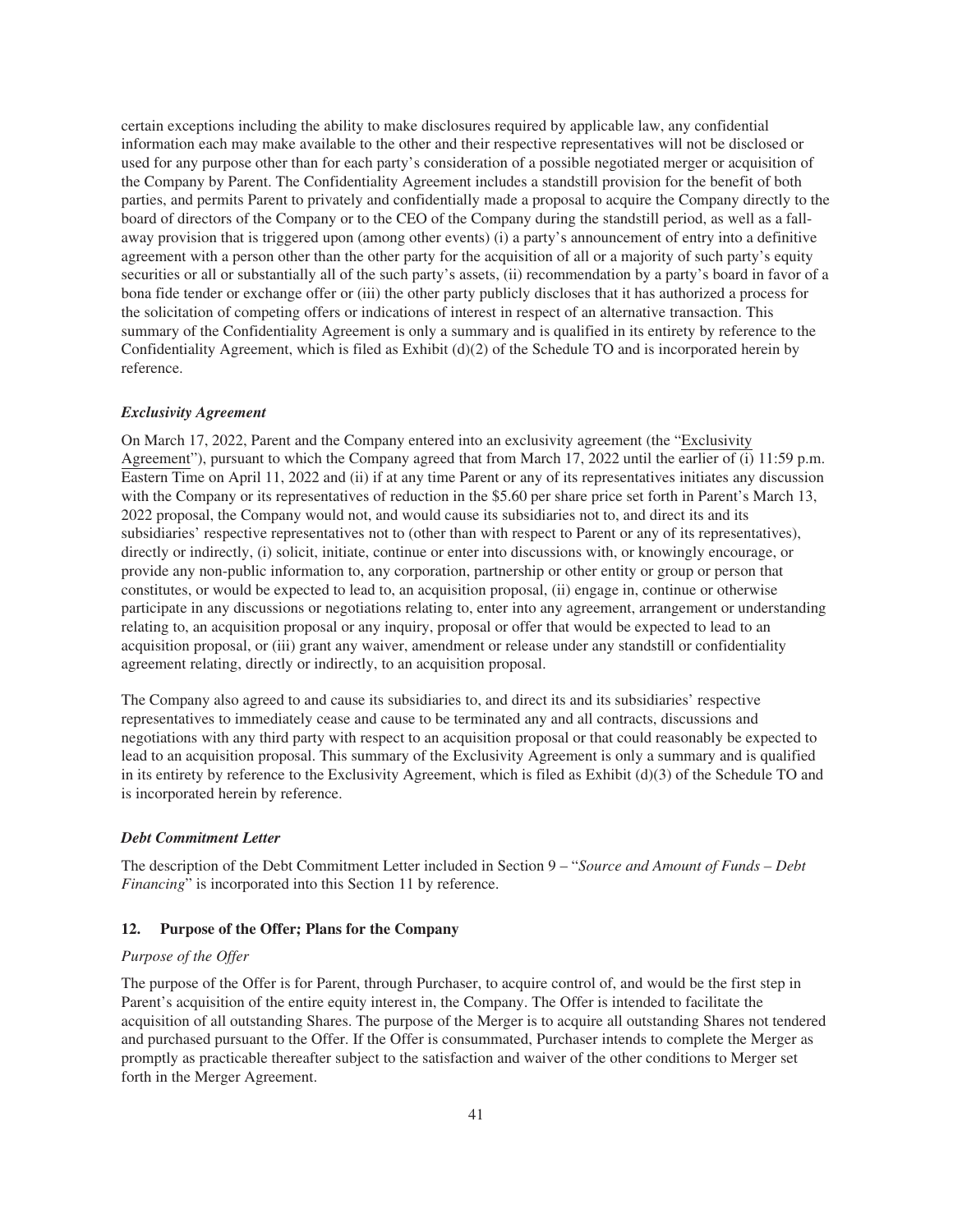certain exceptions including the ability to make disclosures required by applicable law, any confidential information each may make available to the other and their respective representatives will not be disclosed or used for any purpose other than for each party's consideration of a possible negotiated merger or acquisition of the Company by Parent. The Confidentiality Agreement includes a standstill provision for the benefit of both parties, and permits Parent to privately and confidentially made a proposal to acquire the Company directly to the board of directors of the Company or to the CEO of the Company during the standstill period, as well as a fallaway provision that is triggered upon (among other events) (i) a party's announcement of entry into a definitive agreement with a person other than the other party for the acquisition of all or a majority of such party's equity securities or all or substantially all of the such party's assets, (ii) recommendation by a party's board in favor of a bona fide tender or exchange offer or (iii) the other party publicly discloses that it has authorized a process for the solicitation of competing offers or indications of interest in respect of an alternative transaction. This summary of the Confidentiality Agreement is only a summary and is qualified in its entirety by reference to the Confidentiality Agreement, which is filed as Exhibit  $(d)(2)$  of the Schedule TO and is incorporated herein by reference.

## *Exclusivity Agreement*

On March 17, 2022, Parent and the Company entered into an exclusivity agreement (the "Exclusivity Agreement"), pursuant to which the Company agreed that from March 17, 2022 until the earlier of (i) 11:59 p.m. Eastern Time on April 11, 2022 and (ii) if at any time Parent or any of its representatives initiates any discussion with the Company or its representatives of reduction in the \$5.60 per share price set forth in Parent's March 13, 2022 proposal, the Company would not, and would cause its subsidiaries not to, and direct its and its subsidiaries' respective representatives not to (other than with respect to Parent or any of its representatives), directly or indirectly, (i) solicit, initiate, continue or enter into discussions with, or knowingly encourage, or provide any non-public information to, any corporation, partnership or other entity or group or person that constitutes, or would be expected to lead to, an acquisition proposal, (ii) engage in, continue or otherwise participate in any discussions or negotiations relating to, enter into any agreement, arrangement or understanding relating to, an acquisition proposal or any inquiry, proposal or offer that would be expected to lead to an acquisition proposal, or (iii) grant any waiver, amendment or release under any standstill or confidentiality agreement relating, directly or indirectly, to an acquisition proposal.

The Company also agreed to and cause its subsidiaries to, and direct its and its subsidiaries' respective representatives to immediately cease and cause to be terminated any and all contracts, discussions and negotiations with any third party with respect to an acquisition proposal or that could reasonably be expected to lead to an acquisition proposal. This summary of the Exclusivity Agreement is only a summary and is qualified in its entirety by reference to the Exclusivity Agreement, which is filed as Exhibit (d)(3) of the Schedule TO and is incorporated herein by reference.

## *Debt Commitment Letter*

The description of the Debt Commitment Letter included in Section 9 – "*Source and Amount of Funds – Debt Financing*" is incorporated into this Section 11 by reference.

#### **12. Purpose of the Offer; Plans for the Company**

#### *Purpose of the Offer*

The purpose of the Offer is for Parent, through Purchaser, to acquire control of, and would be the first step in Parent's acquisition of the entire equity interest in, the Company. The Offer is intended to facilitate the acquisition of all outstanding Shares. The purpose of the Merger is to acquire all outstanding Shares not tendered and purchased pursuant to the Offer. If the Offer is consummated, Purchaser intends to complete the Merger as promptly as practicable thereafter subject to the satisfaction and waiver of the other conditions to Merger set forth in the Merger Agreement.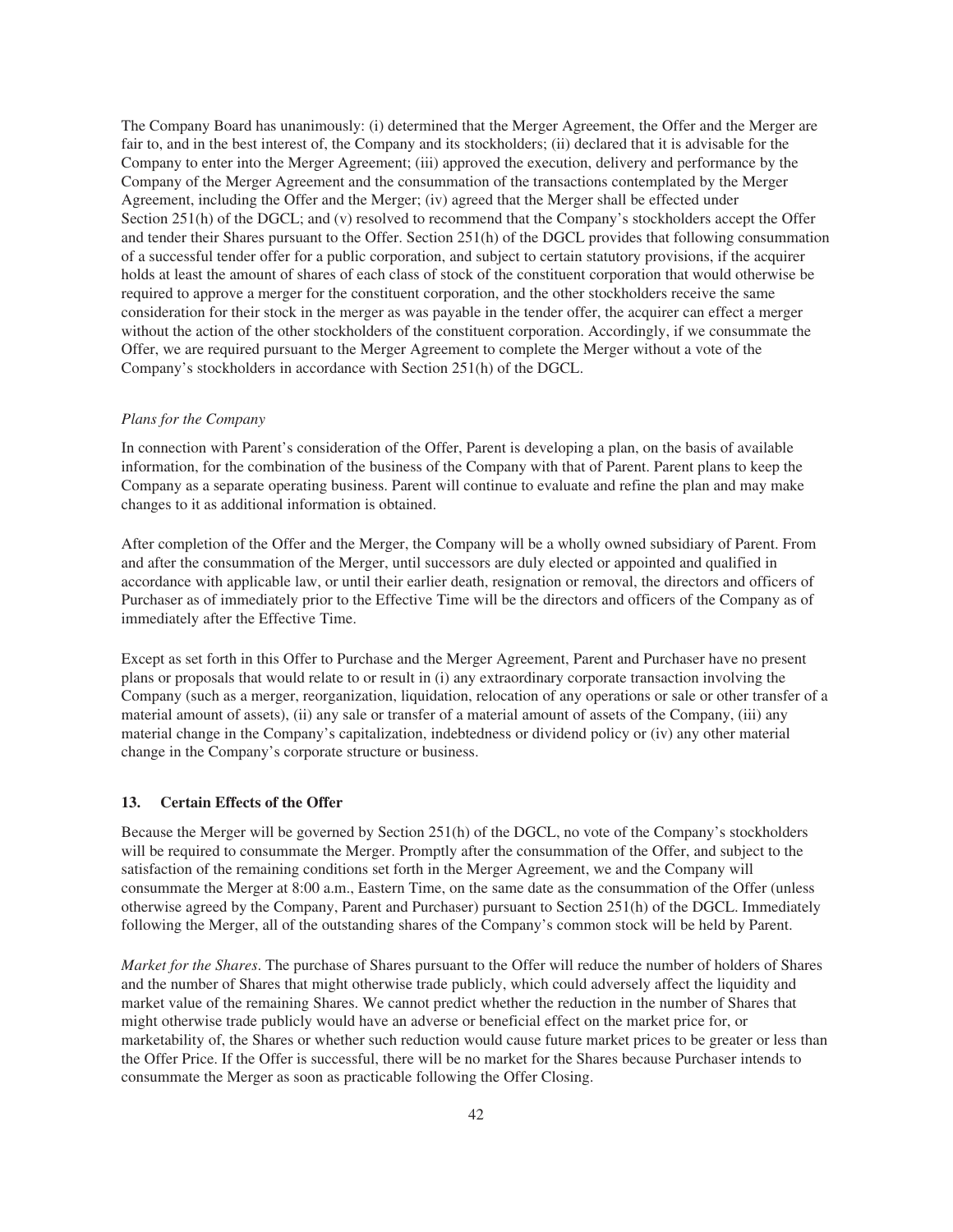The Company Board has unanimously: (i) determined that the Merger Agreement, the Offer and the Merger are fair to, and in the best interest of, the Company and its stockholders; (ii) declared that it is advisable for the Company to enter into the Merger Agreement; (iii) approved the execution, delivery and performance by the Company of the Merger Agreement and the consummation of the transactions contemplated by the Merger Agreement, including the Offer and the Merger; (iv) agreed that the Merger shall be effected under Section 251(h) of the DGCL; and (v) resolved to recommend that the Company's stockholders accept the Offer and tender their Shares pursuant to the Offer. Section 251(h) of the DGCL provides that following consummation of a successful tender offer for a public corporation, and subject to certain statutory provisions, if the acquirer holds at least the amount of shares of each class of stock of the constituent corporation that would otherwise be required to approve a merger for the constituent corporation, and the other stockholders receive the same consideration for their stock in the merger as was payable in the tender offer, the acquirer can effect a merger without the action of the other stockholders of the constituent corporation. Accordingly, if we consummate the Offer, we are required pursuant to the Merger Agreement to complete the Merger without a vote of the Company's stockholders in accordance with Section 251(h) of the DGCL.

### *Plans for the Company*

In connection with Parent's consideration of the Offer, Parent is developing a plan, on the basis of available information, for the combination of the business of the Company with that of Parent. Parent plans to keep the Company as a separate operating business. Parent will continue to evaluate and refine the plan and may make changes to it as additional information is obtained.

After completion of the Offer and the Merger, the Company will be a wholly owned subsidiary of Parent. From and after the consummation of the Merger, until successors are duly elected or appointed and qualified in accordance with applicable law, or until their earlier death, resignation or removal, the directors and officers of Purchaser as of immediately prior to the Effective Time will be the directors and officers of the Company as of immediately after the Effective Time.

Except as set forth in this Offer to Purchase and the Merger Agreement, Parent and Purchaser have no present plans or proposals that would relate to or result in (i) any extraordinary corporate transaction involving the Company (such as a merger, reorganization, liquidation, relocation of any operations or sale or other transfer of a material amount of assets), (ii) any sale or transfer of a material amount of assets of the Company, (iii) any material change in the Company's capitalization, indebtedness or dividend policy or (iv) any other material change in the Company's corporate structure or business.

#### **13. Certain Effects of the Offer**

Because the Merger will be governed by Section 251(h) of the DGCL, no vote of the Company's stockholders will be required to consummate the Merger. Promptly after the consummation of the Offer, and subject to the satisfaction of the remaining conditions set forth in the Merger Agreement, we and the Company will consummate the Merger at 8:00 a.m., Eastern Time, on the same date as the consummation of the Offer (unless otherwise agreed by the Company, Parent and Purchaser) pursuant to Section 251(h) of the DGCL. Immediately following the Merger, all of the outstanding shares of the Company's common stock will be held by Parent.

*Market for the Shares*. The purchase of Shares pursuant to the Offer will reduce the number of holders of Shares and the number of Shares that might otherwise trade publicly, which could adversely affect the liquidity and market value of the remaining Shares. We cannot predict whether the reduction in the number of Shares that might otherwise trade publicly would have an adverse or beneficial effect on the market price for, or marketability of, the Shares or whether such reduction would cause future market prices to be greater or less than the Offer Price. If the Offer is successful, there will be no market for the Shares because Purchaser intends to consummate the Merger as soon as practicable following the Offer Closing.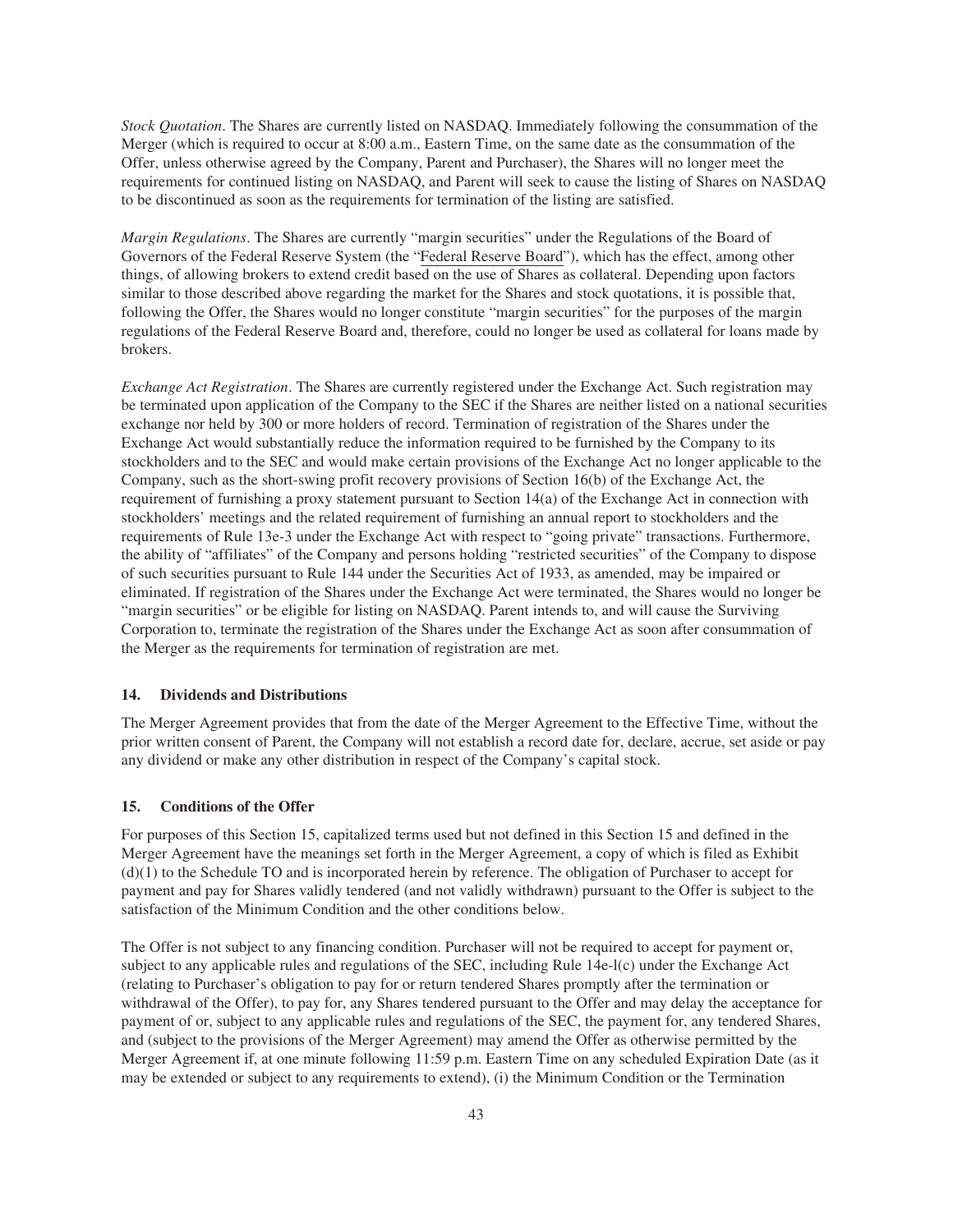*Stock Quotation*. The Shares are currently listed on NASDAQ. Immediately following the consummation of the Merger (which is required to occur at 8:00 a.m., Eastern Time, on the same date as the consummation of the Offer, unless otherwise agreed by the Company, Parent and Purchaser), the Shares will no longer meet the requirements for continued listing on NASDAQ, and Parent will seek to cause the listing of Shares on NASDAQ to be discontinued as soon as the requirements for termination of the listing are satisfied.

*Margin Regulations*. The Shares are currently "margin securities" under the Regulations of the Board of Governors of the Federal Reserve System (the "Federal Reserve Board"), which has the effect, among other things, of allowing brokers to extend credit based on the use of Shares as collateral. Depending upon factors similar to those described above regarding the market for the Shares and stock quotations, it is possible that, following the Offer, the Shares would no longer constitute "margin securities" for the purposes of the margin regulations of the Federal Reserve Board and, therefore, could no longer be used as collateral for loans made by brokers.

*Exchange Act Registration*. The Shares are currently registered under the Exchange Act. Such registration may be terminated upon application of the Company to the SEC if the Shares are neither listed on a national securities exchange nor held by 300 or more holders of record. Termination of registration of the Shares under the Exchange Act would substantially reduce the information required to be furnished by the Company to its stockholders and to the SEC and would make certain provisions of the Exchange Act no longer applicable to the Company, such as the short-swing profit recovery provisions of Section 16(b) of the Exchange Act, the requirement of furnishing a proxy statement pursuant to Section 14(a) of the Exchange Act in connection with stockholders' meetings and the related requirement of furnishing an annual report to stockholders and the requirements of Rule 13e-3 under the Exchange Act with respect to "going private" transactions. Furthermore, the ability of "affiliates" of the Company and persons holding "restricted securities" of the Company to dispose of such securities pursuant to Rule 144 under the Securities Act of 1933, as amended, may be impaired or eliminated. If registration of the Shares under the Exchange Act were terminated, the Shares would no longer be "margin securities" or be eligible for listing on NASDAQ. Parent intends to, and will cause the Surviving Corporation to, terminate the registration of the Shares under the Exchange Act as soon after consummation of the Merger as the requirements for termination of registration are met.

#### **14. Dividends and Distributions**

The Merger Agreement provides that from the date of the Merger Agreement to the Effective Time, without the prior written consent of Parent, the Company will not establish a record date for, declare, accrue, set aside or pay any dividend or make any other distribution in respect of the Company's capital stock.

## **15. Conditions of the Offer**

For purposes of this Section 15, capitalized terms used but not defined in this Section 15 and defined in the Merger Agreement have the meanings set forth in the Merger Agreement, a copy of which is filed as Exhibit (d)(1) to the Schedule TO and is incorporated herein by reference. The obligation of Purchaser to accept for payment and pay for Shares validly tendered (and not validly withdrawn) pursuant to the Offer is subject to the satisfaction of the Minimum Condition and the other conditions below.

The Offer is not subject to any financing condition. Purchaser will not be required to accept for payment or, subject to any applicable rules and regulations of the SEC, including Rule 14e-l(c) under the Exchange Act (relating to Purchaser's obligation to pay for or return tendered Shares promptly after the termination or withdrawal of the Offer), to pay for, any Shares tendered pursuant to the Offer and may delay the acceptance for payment of or, subject to any applicable rules and regulations of the SEC, the payment for, any tendered Shares, and (subject to the provisions of the Merger Agreement) may amend the Offer as otherwise permitted by the Merger Agreement if, at one minute following 11:59 p.m. Eastern Time on any scheduled Expiration Date (as it may be extended or subject to any requirements to extend), (i) the Minimum Condition or the Termination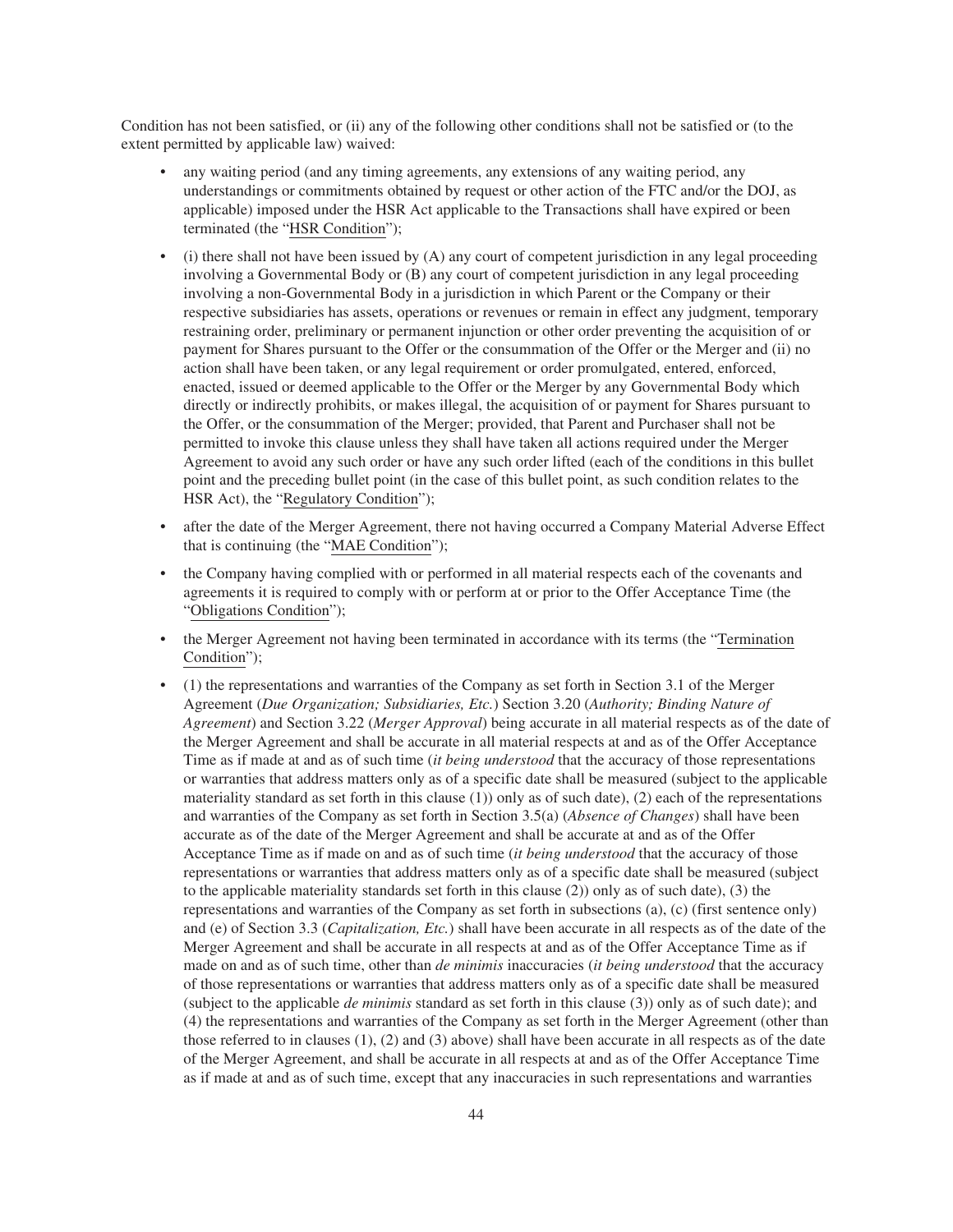Condition has not been satisfied, or (ii) any of the following other conditions shall not be satisfied or (to the extent permitted by applicable law) waived:

- any waiting period (and any timing agreements, any extensions of any waiting period, any understandings or commitments obtained by request or other action of the FTC and/or the DOJ, as applicable) imposed under the HSR Act applicable to the Transactions shall have expired or been terminated (the "HSR Condition");
- (i) there shall not have been issued by (A) any court of competent jurisdiction in any legal proceeding involving a Governmental Body or (B) any court of competent jurisdiction in any legal proceeding involving a non-Governmental Body in a jurisdiction in which Parent or the Company or their respective subsidiaries has assets, operations or revenues or remain in effect any judgment, temporary restraining order, preliminary or permanent injunction or other order preventing the acquisition of or payment for Shares pursuant to the Offer or the consummation of the Offer or the Merger and (ii) no action shall have been taken, or any legal requirement or order promulgated, entered, enforced, enacted, issued or deemed applicable to the Offer or the Merger by any Governmental Body which directly or indirectly prohibits, or makes illegal, the acquisition of or payment for Shares pursuant to the Offer, or the consummation of the Merger; provided, that Parent and Purchaser shall not be permitted to invoke this clause unless they shall have taken all actions required under the Merger Agreement to avoid any such order or have any such order lifted (each of the conditions in this bullet point and the preceding bullet point (in the case of this bullet point, as such condition relates to the HSR Act), the "Regulatory Condition");
- after the date of the Merger Agreement, there not having occurred a Company Material Adverse Effect that is continuing (the "MAE Condition");
- the Company having complied with or performed in all material respects each of the covenants and agreements it is required to comply with or perform at or prior to the Offer Acceptance Time (the "Obligations Condition");
- the Merger Agreement not having been terminated in accordance with its terms (the "Termination Condition");
- (1) the representations and warranties of the Company as set forth in Section 3.1 of the Merger Agreement (*Due Organization; Subsidiaries, Etc.*) Section 3.20 (*Authority; Binding Nature of Agreement*) and Section 3.22 (*Merger Approval*) being accurate in all material respects as of the date of the Merger Agreement and shall be accurate in all material respects at and as of the Offer Acceptance Time as if made at and as of such time (*it being understood* that the accuracy of those representations or warranties that address matters only as of a specific date shall be measured (subject to the applicable materiality standard as set forth in this clause (1)) only as of such date), (2) each of the representations and warranties of the Company as set forth in Section 3.5(a) (*Absence of Changes*) shall have been accurate as of the date of the Merger Agreement and shall be accurate at and as of the Offer Acceptance Time as if made on and as of such time (*it being understood* that the accuracy of those representations or warranties that address matters only as of a specific date shall be measured (subject to the applicable materiality standards set forth in this clause (2)) only as of such date), (3) the representations and warranties of the Company as set forth in subsections (a), (c) (first sentence only) and (e) of Section 3.3 (*Capitalization, Etc.*) shall have been accurate in all respects as of the date of the Merger Agreement and shall be accurate in all respects at and as of the Offer Acceptance Time as if made on and as of such time, other than *de minimis* inaccuracies (*it being understood* that the accuracy of those representations or warranties that address matters only as of a specific date shall be measured (subject to the applicable *de minimis* standard as set forth in this clause (3)) only as of such date); and (4) the representations and warranties of the Company as set forth in the Merger Agreement (other than those referred to in clauses (1), (2) and (3) above) shall have been accurate in all respects as of the date of the Merger Agreement, and shall be accurate in all respects at and as of the Offer Acceptance Time as if made at and as of such time, except that any inaccuracies in such representations and warranties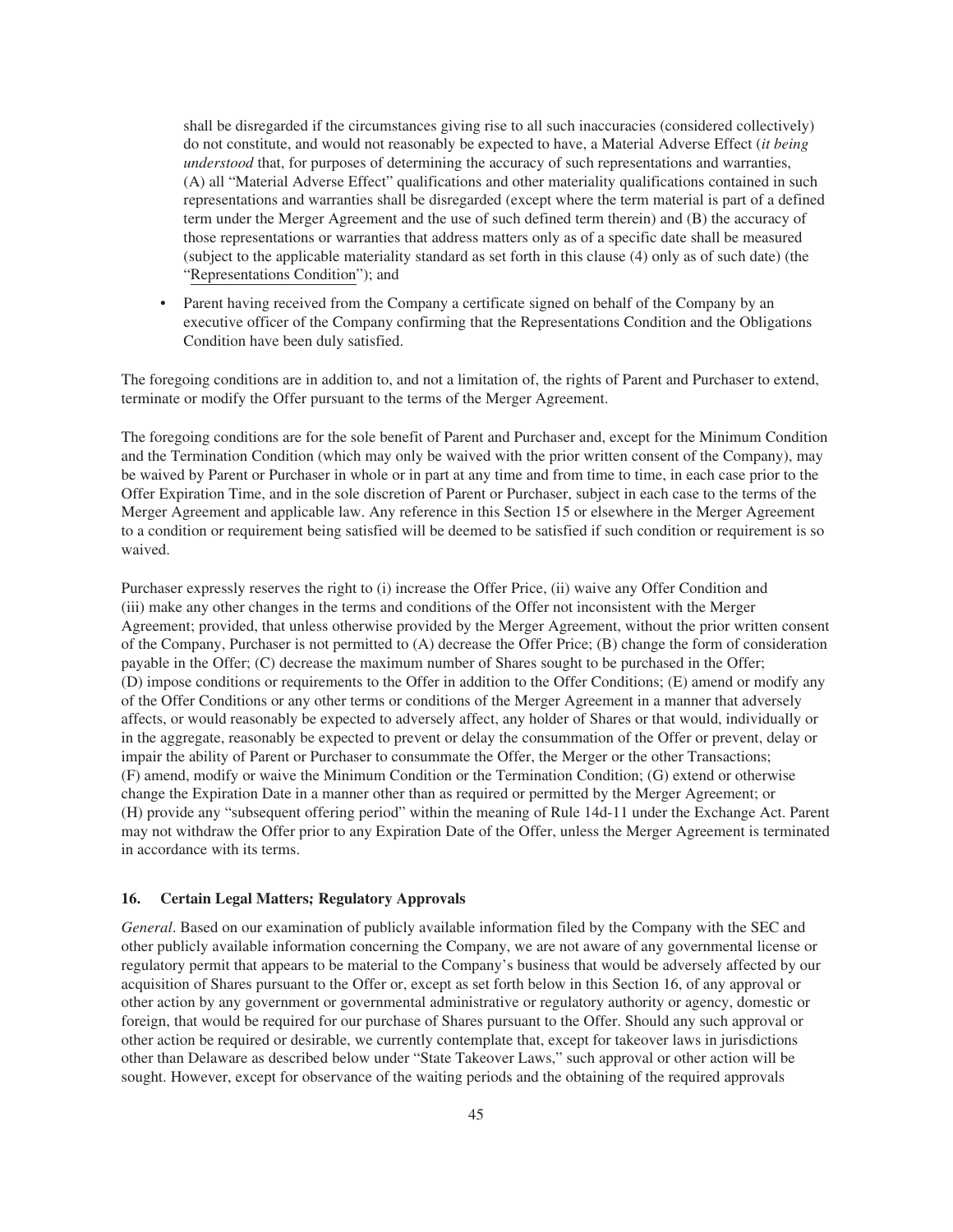shall be disregarded if the circumstances giving rise to all such inaccuracies (considered collectively) do not constitute, and would not reasonably be expected to have, a Material Adverse Effect (*it being understood* that, for purposes of determining the accuracy of such representations and warranties, (A) all "Material Adverse Effect" qualifications and other materiality qualifications contained in such representations and warranties shall be disregarded (except where the term material is part of a defined term under the Merger Agreement and the use of such defined term therein) and (B) the accuracy of those representations or warranties that address matters only as of a specific date shall be measured (subject to the applicable materiality standard as set forth in this clause (4) only as of such date) (the "Representations Condition"); and

• Parent having received from the Company a certificate signed on behalf of the Company by an executive officer of the Company confirming that the Representations Condition and the Obligations Condition have been duly satisfied.

The foregoing conditions are in addition to, and not a limitation of, the rights of Parent and Purchaser to extend, terminate or modify the Offer pursuant to the terms of the Merger Agreement.

The foregoing conditions are for the sole benefit of Parent and Purchaser and, except for the Minimum Condition and the Termination Condition (which may only be waived with the prior written consent of the Company), may be waived by Parent or Purchaser in whole or in part at any time and from time to time, in each case prior to the Offer Expiration Time, and in the sole discretion of Parent or Purchaser, subject in each case to the terms of the Merger Agreement and applicable law. Any reference in this Section 15 or elsewhere in the Merger Agreement to a condition or requirement being satisfied will be deemed to be satisfied if such condition or requirement is so waived.

Purchaser expressly reserves the right to (i) increase the Offer Price, (ii) waive any Offer Condition and (iii) make any other changes in the terms and conditions of the Offer not inconsistent with the Merger Agreement; provided, that unless otherwise provided by the Merger Agreement, without the prior written consent of the Company, Purchaser is not permitted to (A) decrease the Offer Price; (B) change the form of consideration payable in the Offer; (C) decrease the maximum number of Shares sought to be purchased in the Offer; (D) impose conditions or requirements to the Offer in addition to the Offer Conditions; (E) amend or modify any of the Offer Conditions or any other terms or conditions of the Merger Agreement in a manner that adversely affects, or would reasonably be expected to adversely affect, any holder of Shares or that would, individually or in the aggregate, reasonably be expected to prevent or delay the consummation of the Offer or prevent, delay or impair the ability of Parent or Purchaser to consummate the Offer, the Merger or the other Transactions; (F) amend, modify or waive the Minimum Condition or the Termination Condition; (G) extend or otherwise change the Expiration Date in a manner other than as required or permitted by the Merger Agreement; or (H) provide any "subsequent offering period" within the meaning of Rule 14d-11 under the Exchange Act. Parent may not withdraw the Offer prior to any Expiration Date of the Offer, unless the Merger Agreement is terminated in accordance with its terms.

### **16. Certain Legal Matters; Regulatory Approvals**

*General*. Based on our examination of publicly available information filed by the Company with the SEC and other publicly available information concerning the Company, we are not aware of any governmental license or regulatory permit that appears to be material to the Company's business that would be adversely affected by our acquisition of Shares pursuant to the Offer or, except as set forth below in this Section 16, of any approval or other action by any government or governmental administrative or regulatory authority or agency, domestic or foreign, that would be required for our purchase of Shares pursuant to the Offer. Should any such approval or other action be required or desirable, we currently contemplate that, except for takeover laws in jurisdictions other than Delaware as described below under "State Takeover Laws," such approval or other action will be sought. However, except for observance of the waiting periods and the obtaining of the required approvals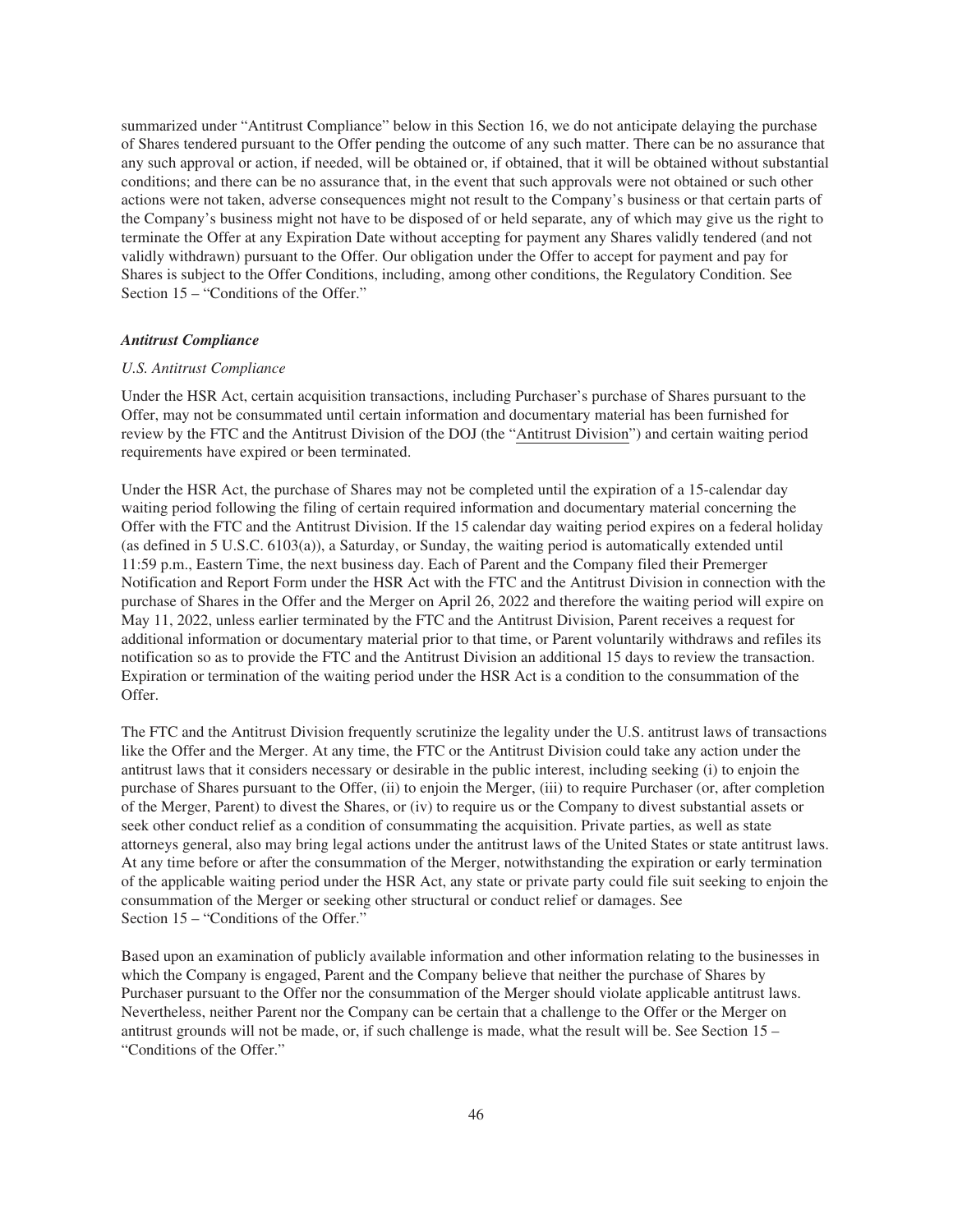summarized under "Antitrust Compliance" below in this Section 16, we do not anticipate delaying the purchase of Shares tendered pursuant to the Offer pending the outcome of any such matter. There can be no assurance that any such approval or action, if needed, will be obtained or, if obtained, that it will be obtained without substantial conditions; and there can be no assurance that, in the event that such approvals were not obtained or such other actions were not taken, adverse consequences might not result to the Company's business or that certain parts of the Company's business might not have to be disposed of or held separate, any of which may give us the right to terminate the Offer at any Expiration Date without accepting for payment any Shares validly tendered (and not validly withdrawn) pursuant to the Offer. Our obligation under the Offer to accept for payment and pay for Shares is subject to the Offer Conditions, including, among other conditions, the Regulatory Condition. See Section 15 – "Conditions of the Offer."

## *Antitrust Compliance*

#### *U.S. Antitrust Compliance*

Under the HSR Act, certain acquisition transactions, including Purchaser's purchase of Shares pursuant to the Offer, may not be consummated until certain information and documentary material has been furnished for review by the FTC and the Antitrust Division of the DOJ (the "Antitrust Division") and certain waiting period requirements have expired or been terminated.

Under the HSR Act, the purchase of Shares may not be completed until the expiration of a 15-calendar day waiting period following the filing of certain required information and documentary material concerning the Offer with the FTC and the Antitrust Division. If the 15 calendar day waiting period expires on a federal holiday (as defined in 5 U.S.C. 6103(a)), a Saturday, or Sunday, the waiting period is automatically extended until 11:59 p.m., Eastern Time, the next business day. Each of Parent and the Company filed their Premerger Notification and Report Form under the HSR Act with the FTC and the Antitrust Division in connection with the purchase of Shares in the Offer and the Merger on April 26, 2022 and therefore the waiting period will expire on May 11, 2022, unless earlier terminated by the FTC and the Antitrust Division, Parent receives a request for additional information or documentary material prior to that time, or Parent voluntarily withdraws and refiles its notification so as to provide the FTC and the Antitrust Division an additional 15 days to review the transaction. Expiration or termination of the waiting period under the HSR Act is a condition to the consummation of the Offer.

The FTC and the Antitrust Division frequently scrutinize the legality under the U.S. antitrust laws of transactions like the Offer and the Merger. At any time, the FTC or the Antitrust Division could take any action under the antitrust laws that it considers necessary or desirable in the public interest, including seeking (i) to enjoin the purchase of Shares pursuant to the Offer, (ii) to enjoin the Merger, (iii) to require Purchaser (or, after completion of the Merger, Parent) to divest the Shares, or (iv) to require us or the Company to divest substantial assets or seek other conduct relief as a condition of consummating the acquisition. Private parties, as well as state attorneys general, also may bring legal actions under the antitrust laws of the United States or state antitrust laws. At any time before or after the consummation of the Merger, notwithstanding the expiration or early termination of the applicable waiting period under the HSR Act, any state or private party could file suit seeking to enjoin the consummation of the Merger or seeking other structural or conduct relief or damages. See Section 15 – "Conditions of the Offer."

Based upon an examination of publicly available information and other information relating to the businesses in which the Company is engaged, Parent and the Company believe that neither the purchase of Shares by Purchaser pursuant to the Offer nor the consummation of the Merger should violate applicable antitrust laws. Nevertheless, neither Parent nor the Company can be certain that a challenge to the Offer or the Merger on antitrust grounds will not be made, or, if such challenge is made, what the result will be. See Section 15 – "Conditions of the Offer."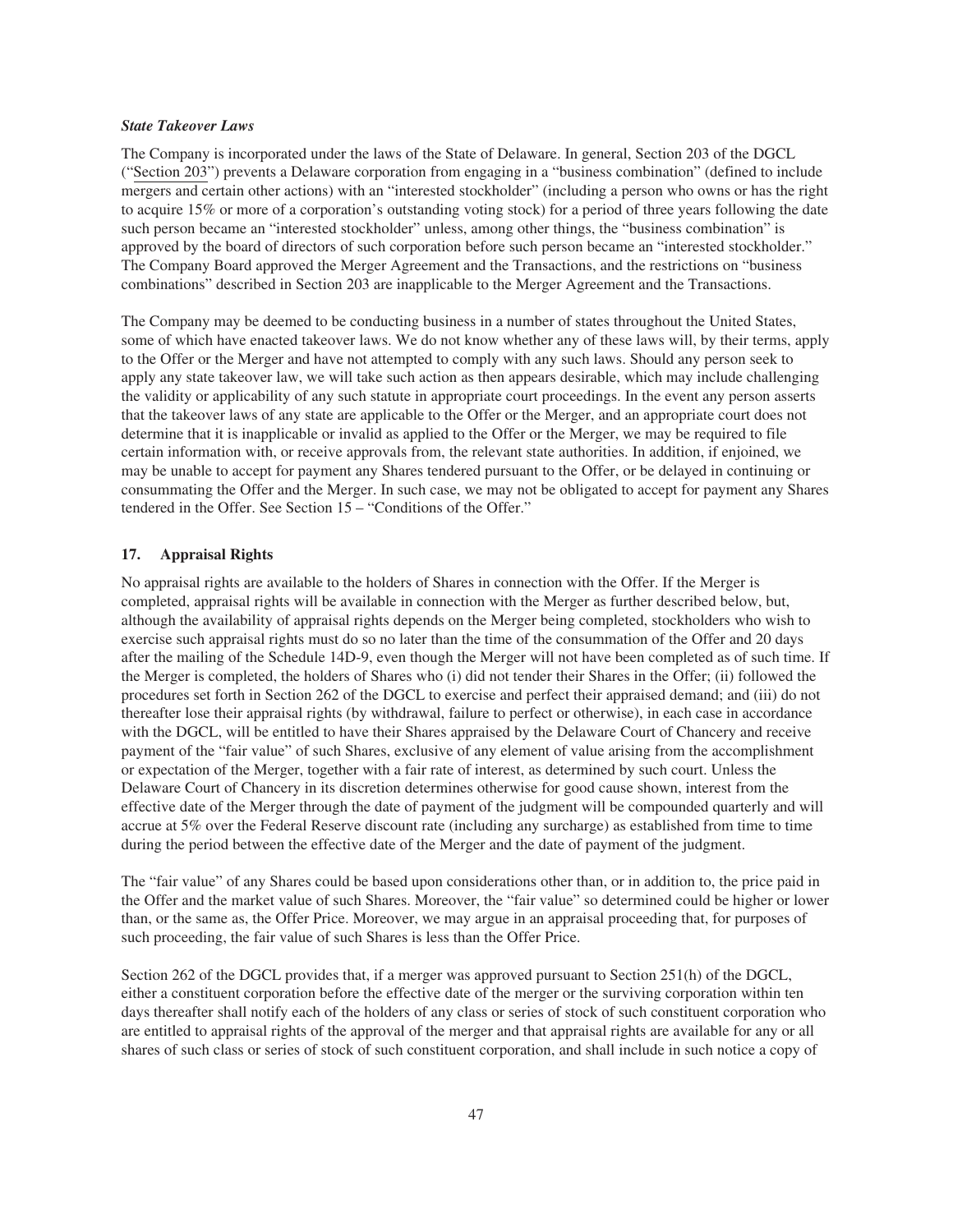## *State Takeover Laws*

The Company is incorporated under the laws of the State of Delaware. In general, Section 203 of the DGCL ("Section 203") prevents a Delaware corporation from engaging in a "business combination" (defined to include mergers and certain other actions) with an "interested stockholder" (including a person who owns or has the right to acquire 15% or more of a corporation's outstanding voting stock) for a period of three years following the date such person became an "interested stockholder" unless, among other things, the "business combination" is approved by the board of directors of such corporation before such person became an "interested stockholder." The Company Board approved the Merger Agreement and the Transactions, and the restrictions on "business combinations" described in Section 203 are inapplicable to the Merger Agreement and the Transactions.

The Company may be deemed to be conducting business in a number of states throughout the United States, some of which have enacted takeover laws. We do not know whether any of these laws will, by their terms, apply to the Offer or the Merger and have not attempted to comply with any such laws. Should any person seek to apply any state takeover law, we will take such action as then appears desirable, which may include challenging the validity or applicability of any such statute in appropriate court proceedings. In the event any person asserts that the takeover laws of any state are applicable to the Offer or the Merger, and an appropriate court does not determine that it is inapplicable or invalid as applied to the Offer or the Merger, we may be required to file certain information with, or receive approvals from, the relevant state authorities. In addition, if enjoined, we may be unable to accept for payment any Shares tendered pursuant to the Offer, or be delayed in continuing or consummating the Offer and the Merger. In such case, we may not be obligated to accept for payment any Shares tendered in the Offer. See Section 15 – "Conditions of the Offer."

## **17. Appraisal Rights**

No appraisal rights are available to the holders of Shares in connection with the Offer. If the Merger is completed, appraisal rights will be available in connection with the Merger as further described below, but, although the availability of appraisal rights depends on the Merger being completed, stockholders who wish to exercise such appraisal rights must do so no later than the time of the consummation of the Offer and 20 days after the mailing of the Schedule 14D-9, even though the Merger will not have been completed as of such time. If the Merger is completed, the holders of Shares who (i) did not tender their Shares in the Offer; (ii) followed the procedures set forth in Section 262 of the DGCL to exercise and perfect their appraised demand; and (iii) do not thereafter lose their appraisal rights (by withdrawal, failure to perfect or otherwise), in each case in accordance with the DGCL, will be entitled to have their Shares appraised by the Delaware Court of Chancery and receive payment of the "fair value" of such Shares, exclusive of any element of value arising from the accomplishment or expectation of the Merger, together with a fair rate of interest, as determined by such court. Unless the Delaware Court of Chancery in its discretion determines otherwise for good cause shown, interest from the effective date of the Merger through the date of payment of the judgment will be compounded quarterly and will accrue at 5% over the Federal Reserve discount rate (including any surcharge) as established from time to time during the period between the effective date of the Merger and the date of payment of the judgment.

The "fair value" of any Shares could be based upon considerations other than, or in addition to, the price paid in the Offer and the market value of such Shares. Moreover, the "fair value" so determined could be higher or lower than, or the same as, the Offer Price. Moreover, we may argue in an appraisal proceeding that, for purposes of such proceeding, the fair value of such Shares is less than the Offer Price.

Section 262 of the DGCL provides that, if a merger was approved pursuant to Section 251(h) of the DGCL, either a constituent corporation before the effective date of the merger or the surviving corporation within ten days thereafter shall notify each of the holders of any class or series of stock of such constituent corporation who are entitled to appraisal rights of the approval of the merger and that appraisal rights are available for any or all shares of such class or series of stock of such constituent corporation, and shall include in such notice a copy of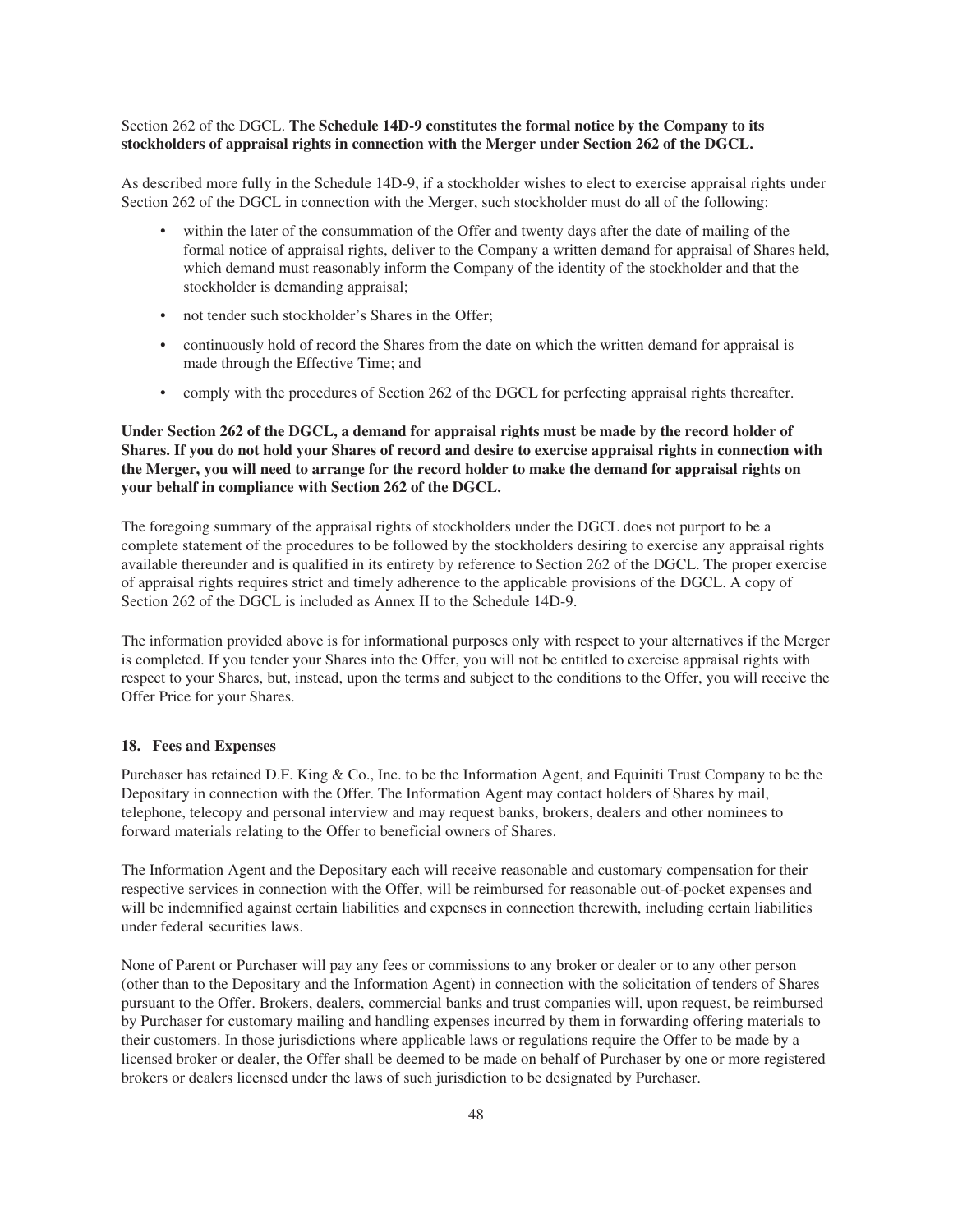## Section 262 of the DGCL. **The Schedule 14D-9 constitutes the formal notice by the Company to its stockholders of appraisal rights in connection with the Merger under Section 262 of the DGCL.**

As described more fully in the Schedule 14D-9, if a stockholder wishes to elect to exercise appraisal rights under Section 262 of the DGCL in connection with the Merger, such stockholder must do all of the following:

- within the later of the consummation of the Offer and twenty days after the date of mailing of the formal notice of appraisal rights, deliver to the Company a written demand for appraisal of Shares held, which demand must reasonably inform the Company of the identity of the stockholder and that the stockholder is demanding appraisal;
- not tender such stockholder's Shares in the Offer;
- continuously hold of record the Shares from the date on which the written demand for appraisal is made through the Effective Time; and
- comply with the procedures of Section 262 of the DGCL for perfecting appraisal rights thereafter.

# **Under Section 262 of the DGCL, a demand for appraisal rights must be made by the record holder of Shares. If you do not hold your Shares of record and desire to exercise appraisal rights in connection with the Merger, you will need to arrange for the record holder to make the demand for appraisal rights on your behalf in compliance with Section 262 of the DGCL.**

The foregoing summary of the appraisal rights of stockholders under the DGCL does not purport to be a complete statement of the procedures to be followed by the stockholders desiring to exercise any appraisal rights available thereunder and is qualified in its entirety by reference to Section 262 of the DGCL. The proper exercise of appraisal rights requires strict and timely adherence to the applicable provisions of the DGCL. A copy of Section 262 of the DGCL is included as Annex II to the Schedule 14D-9.

The information provided above is for informational purposes only with respect to your alternatives if the Merger is completed. If you tender your Shares into the Offer, you will not be entitled to exercise appraisal rights with respect to your Shares, but, instead, upon the terms and subject to the conditions to the Offer, you will receive the Offer Price for your Shares.

### **18. Fees and Expenses**

Purchaser has retained D.F. King & Co., Inc. to be the Information Agent, and Equiniti Trust Company to be the Depositary in connection with the Offer. The Information Agent may contact holders of Shares by mail, telephone, telecopy and personal interview and may request banks, brokers, dealers and other nominees to forward materials relating to the Offer to beneficial owners of Shares.

The Information Agent and the Depositary each will receive reasonable and customary compensation for their respective services in connection with the Offer, will be reimbursed for reasonable out-of-pocket expenses and will be indemnified against certain liabilities and expenses in connection therewith, including certain liabilities under federal securities laws.

None of Parent or Purchaser will pay any fees or commissions to any broker or dealer or to any other person (other than to the Depositary and the Information Agent) in connection with the solicitation of tenders of Shares pursuant to the Offer. Brokers, dealers, commercial banks and trust companies will, upon request, be reimbursed by Purchaser for customary mailing and handling expenses incurred by them in forwarding offering materials to their customers. In those jurisdictions where applicable laws or regulations require the Offer to be made by a licensed broker or dealer, the Offer shall be deemed to be made on behalf of Purchaser by one or more registered brokers or dealers licensed under the laws of such jurisdiction to be designated by Purchaser.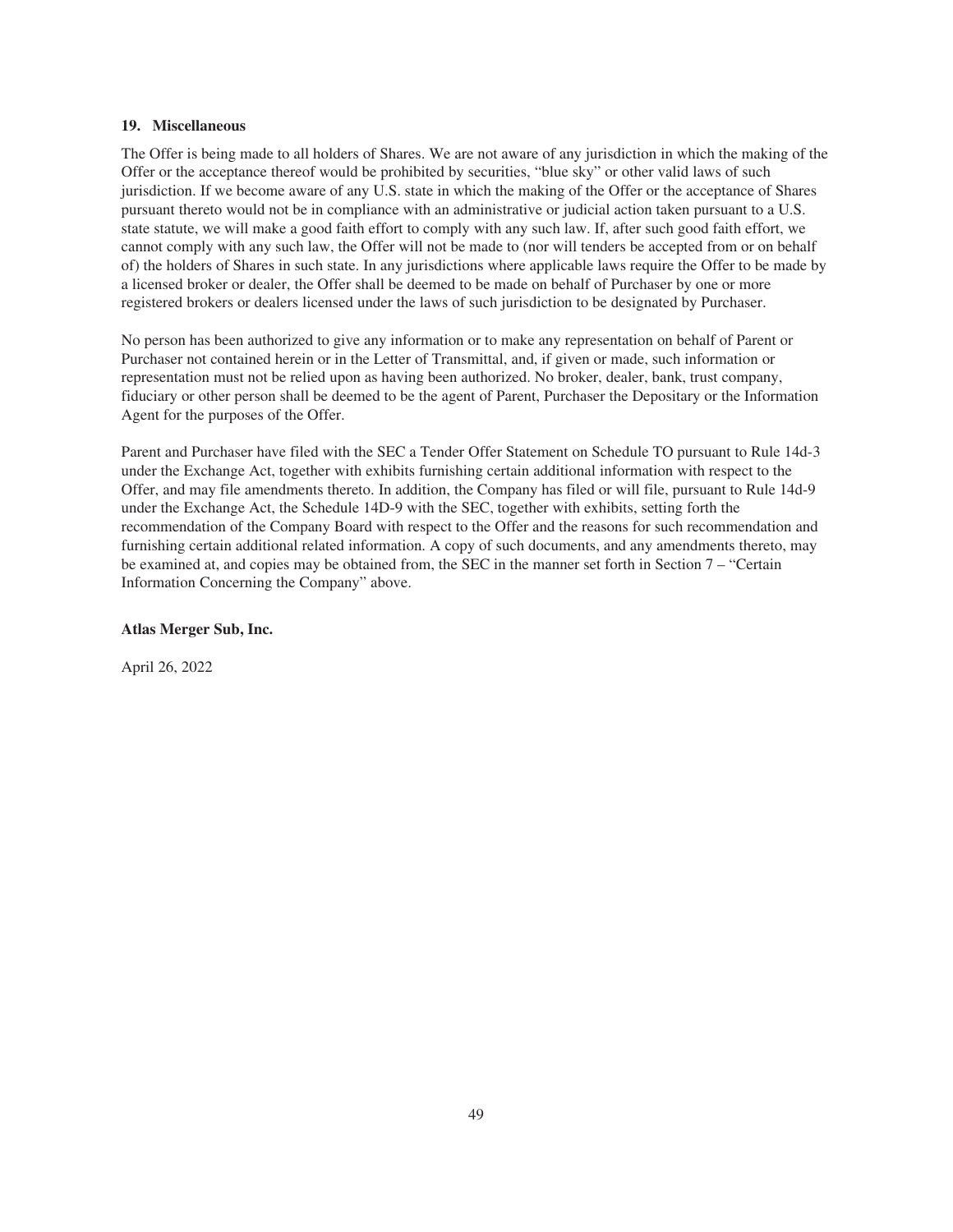## **19. Miscellaneous**

The Offer is being made to all holders of Shares. We are not aware of any jurisdiction in which the making of the Offer or the acceptance thereof would be prohibited by securities, "blue sky" or other valid laws of such jurisdiction. If we become aware of any U.S. state in which the making of the Offer or the acceptance of Shares pursuant thereto would not be in compliance with an administrative or judicial action taken pursuant to a U.S. state statute, we will make a good faith effort to comply with any such law. If, after such good faith effort, we cannot comply with any such law, the Offer will not be made to (nor will tenders be accepted from or on behalf of) the holders of Shares in such state. In any jurisdictions where applicable laws require the Offer to be made by a licensed broker or dealer, the Offer shall be deemed to be made on behalf of Purchaser by one or more registered brokers or dealers licensed under the laws of such jurisdiction to be designated by Purchaser.

No person has been authorized to give any information or to make any representation on behalf of Parent or Purchaser not contained herein or in the Letter of Transmittal, and, if given or made, such information or representation must not be relied upon as having been authorized. No broker, dealer, bank, trust company, fiduciary or other person shall be deemed to be the agent of Parent, Purchaser the Depositary or the Information Agent for the purposes of the Offer.

Parent and Purchaser have filed with the SEC a Tender Offer Statement on Schedule TO pursuant to Rule 14d-3 under the Exchange Act, together with exhibits furnishing certain additional information with respect to the Offer, and may file amendments thereto. In addition, the Company has filed or will file, pursuant to Rule 14d-9 under the Exchange Act, the Schedule 14D-9 with the SEC, together with exhibits, setting forth the recommendation of the Company Board with respect to the Offer and the reasons for such recommendation and furnishing certain additional related information. A copy of such documents, and any amendments thereto, may be examined at, and copies may be obtained from, the SEC in the manner set forth in Section 7 – "Certain Information Concerning the Company" above.

## **Atlas Merger Sub, Inc.**

April 26, 2022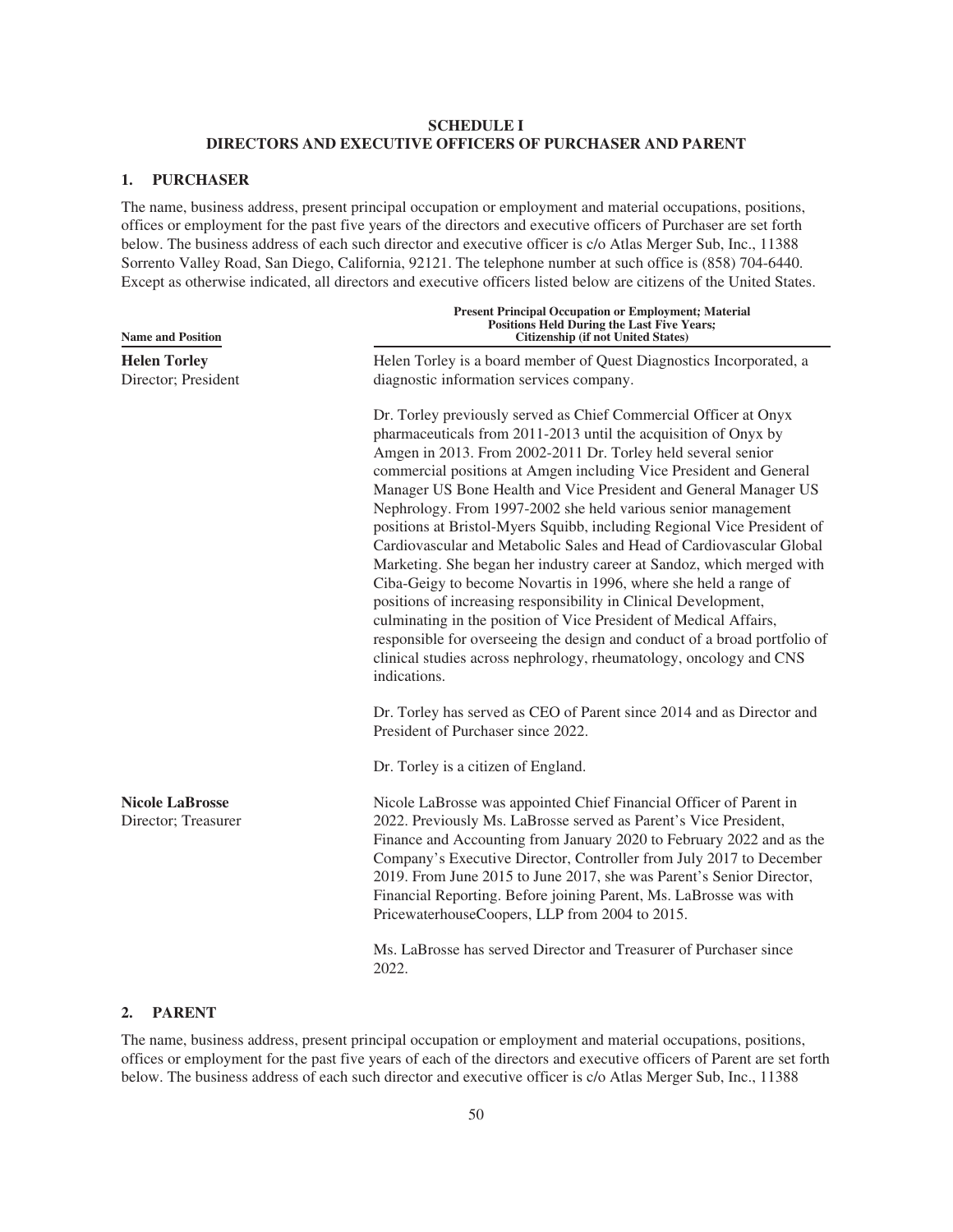## **SCHEDULE I DIRECTORS AND EXECUTIVE OFFICERS OF PURCHASER AND PARENT**

# **1. PURCHASER**

The name, business address, present principal occupation or employment and material occupations, positions, offices or employment for the past five years of the directors and executive officers of Purchaser are set forth below. The business address of each such director and executive officer is c/o Atlas Merger Sub, Inc., 11388 Sorrento Valley Road, San Diego, California, 92121. The telephone number at such office is (858) 704-6440. Except as otherwise indicated, all directors and executive officers listed below are citizens of the United States.

| <b>Name and Position</b>                      | Present Principal Occupation or Employment; Material<br>Positions Held During the Last Five Years;<br><b>Citizenship (if not United States)</b>                                                                                                                                                                                                                                                                                                                                                                                                                                                                                                                                                                                                                                                                                                                                                                                                                                                                           |
|-----------------------------------------------|---------------------------------------------------------------------------------------------------------------------------------------------------------------------------------------------------------------------------------------------------------------------------------------------------------------------------------------------------------------------------------------------------------------------------------------------------------------------------------------------------------------------------------------------------------------------------------------------------------------------------------------------------------------------------------------------------------------------------------------------------------------------------------------------------------------------------------------------------------------------------------------------------------------------------------------------------------------------------------------------------------------------------|
| <b>Helen Torley</b><br>Director; President    | Helen Torley is a board member of Quest Diagnostics Incorporated, a<br>diagnostic information services company.                                                                                                                                                                                                                                                                                                                                                                                                                                                                                                                                                                                                                                                                                                                                                                                                                                                                                                           |
|                                               | Dr. Torley previously served as Chief Commercial Officer at Onyx<br>pharmaceuticals from 2011-2013 until the acquisition of Onyx by<br>Amgen in 2013. From 2002-2011 Dr. Torley held several senior<br>commercial positions at Amgen including Vice President and General<br>Manager US Bone Health and Vice President and General Manager US<br>Nephrology. From 1997-2002 she held various senior management<br>positions at Bristol-Myers Squibb, including Regional Vice President of<br>Cardiovascular and Metabolic Sales and Head of Cardiovascular Global<br>Marketing. She began her industry career at Sandoz, which merged with<br>Ciba-Geigy to become Novartis in 1996, where she held a range of<br>positions of increasing responsibility in Clinical Development,<br>culminating in the position of Vice President of Medical Affairs,<br>responsible for overseeing the design and conduct of a broad portfolio of<br>clinical studies across nephrology, rheumatology, oncology and CNS<br>indications. |
|                                               | Dr. Torley has served as CEO of Parent since 2014 and as Director and<br>President of Purchaser since 2022.                                                                                                                                                                                                                                                                                                                                                                                                                                                                                                                                                                                                                                                                                                                                                                                                                                                                                                               |
|                                               | Dr. Torley is a citizen of England.                                                                                                                                                                                                                                                                                                                                                                                                                                                                                                                                                                                                                                                                                                                                                                                                                                                                                                                                                                                       |
| <b>Nicole LaBrosse</b><br>Director; Treasurer | Nicole LaBrosse was appointed Chief Financial Officer of Parent in<br>2022. Previously Ms. LaBrosse served as Parent's Vice President,<br>Finance and Accounting from January 2020 to February 2022 and as the<br>Company's Executive Director, Controller from July 2017 to December<br>2019. From June 2015 to June 2017, she was Parent's Senior Director,<br>Financial Reporting. Before joining Parent, Ms. LaBrosse was with<br>PricewaterhouseCoopers, LLP from 2004 to 2015.                                                                                                                                                                                                                                                                                                                                                                                                                                                                                                                                      |
|                                               | Ms. LaBrosse has served Director and Treasurer of Purchaser since<br>2022.                                                                                                                                                                                                                                                                                                                                                                                                                                                                                                                                                                                                                                                                                                                                                                                                                                                                                                                                                |

# **2. PARENT**

The name, business address, present principal occupation or employment and material occupations, positions, offices or employment for the past five years of each of the directors and executive officers of Parent are set forth below. The business address of each such director and executive officer is c/o Atlas Merger Sub, Inc., 11388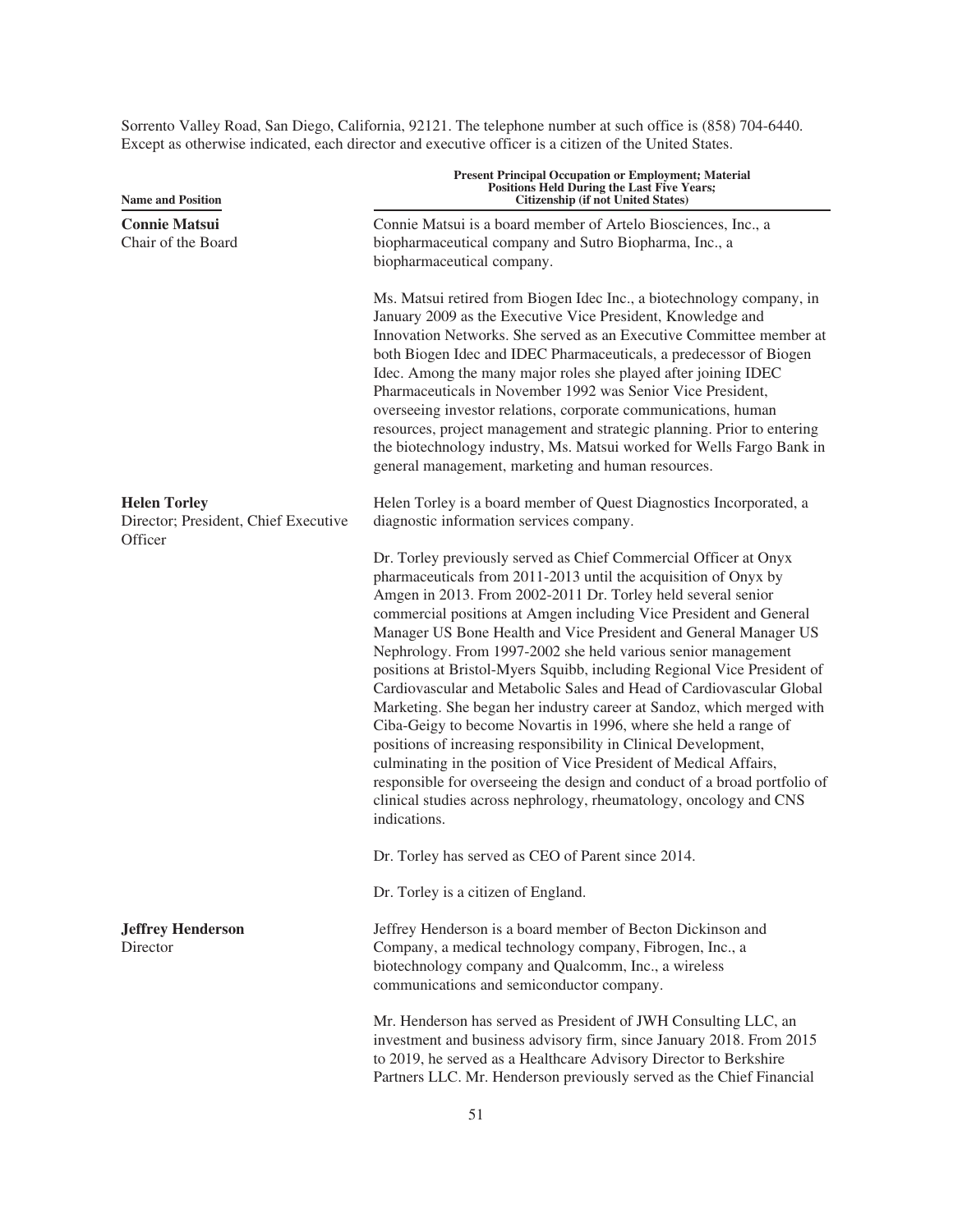Sorrento Valley Road, San Diego, California, 92121. The telephone number at such office is (858) 704-6440. Except as otherwise indicated, each director and executive officer is a citizen of the United States.

| <b>Name and Position</b>                                               | Present Principal Occupation or Employment; Material<br>Positions Held During the Last Five Years;<br><b>Citizenship (if not United States)</b>                                                                                                                                                                                                                                                                                                                                                                                                                                                                                                                                                                                                                                                                                                                                                                                                                                                                           |
|------------------------------------------------------------------------|---------------------------------------------------------------------------------------------------------------------------------------------------------------------------------------------------------------------------------------------------------------------------------------------------------------------------------------------------------------------------------------------------------------------------------------------------------------------------------------------------------------------------------------------------------------------------------------------------------------------------------------------------------------------------------------------------------------------------------------------------------------------------------------------------------------------------------------------------------------------------------------------------------------------------------------------------------------------------------------------------------------------------|
| <b>Connie Matsui</b><br>Chair of the Board                             | Connie Matsui is a board member of Artelo Biosciences, Inc., a<br>biopharmaceutical company and Sutro Biopharma, Inc., a<br>biopharmaceutical company.                                                                                                                                                                                                                                                                                                                                                                                                                                                                                                                                                                                                                                                                                                                                                                                                                                                                    |
|                                                                        | Ms. Matsui retired from Biogen Idec Inc., a biotechnology company, in<br>January 2009 as the Executive Vice President, Knowledge and<br>Innovation Networks. She served as an Executive Committee member at<br>both Biogen Idec and IDEC Pharmaceuticals, a predecessor of Biogen<br>Idec. Among the many major roles she played after joining IDEC<br>Pharmaceuticals in November 1992 was Senior Vice President,<br>overseeing investor relations, corporate communications, human<br>resources, project management and strategic planning. Prior to entering<br>the biotechnology industry, Ms. Matsui worked for Wells Fargo Bank in<br>general management, marketing and human resources.                                                                                                                                                                                                                                                                                                                            |
| <b>Helen Torley</b><br>Director; President, Chief Executive<br>Officer | Helen Torley is a board member of Quest Diagnostics Incorporated, a<br>diagnostic information services company.                                                                                                                                                                                                                                                                                                                                                                                                                                                                                                                                                                                                                                                                                                                                                                                                                                                                                                           |
|                                                                        | Dr. Torley previously served as Chief Commercial Officer at Onyx<br>pharmaceuticals from 2011-2013 until the acquisition of Onyx by<br>Amgen in 2013. From 2002-2011 Dr. Torley held several senior<br>commercial positions at Amgen including Vice President and General<br>Manager US Bone Health and Vice President and General Manager US<br>Nephrology. From 1997-2002 she held various senior management<br>positions at Bristol-Myers Squibb, including Regional Vice President of<br>Cardiovascular and Metabolic Sales and Head of Cardiovascular Global<br>Marketing. She began her industry career at Sandoz, which merged with<br>Ciba-Geigy to become Novartis in 1996, where she held a range of<br>positions of increasing responsibility in Clinical Development,<br>culminating in the position of Vice President of Medical Affairs,<br>responsible for overseeing the design and conduct of a broad portfolio of<br>clinical studies across nephrology, rheumatology, oncology and CNS<br>indications. |
|                                                                        | Dr. Torley has served as CEO of Parent since 2014.                                                                                                                                                                                                                                                                                                                                                                                                                                                                                                                                                                                                                                                                                                                                                                                                                                                                                                                                                                        |
|                                                                        | Dr. Torley is a citizen of England.                                                                                                                                                                                                                                                                                                                                                                                                                                                                                                                                                                                                                                                                                                                                                                                                                                                                                                                                                                                       |
| <b>Jeffrey Henderson</b><br>Director                                   | Jeffrey Henderson is a board member of Becton Dickinson and<br>Company, a medical technology company, Fibrogen, Inc., a<br>biotechnology company and Qualcomm, Inc., a wireless<br>communications and semiconductor company.                                                                                                                                                                                                                                                                                                                                                                                                                                                                                                                                                                                                                                                                                                                                                                                              |
|                                                                        | Mr. Henderson has served as President of JWH Consulting LLC, an<br>investment and business advisory firm, since January 2018. From 2015<br>to 2019, he served as a Healthcare Advisory Director to Berkshire<br>Partners LLC. Mr. Henderson previously served as the Chief Financial                                                                                                                                                                                                                                                                                                                                                                                                                                                                                                                                                                                                                                                                                                                                      |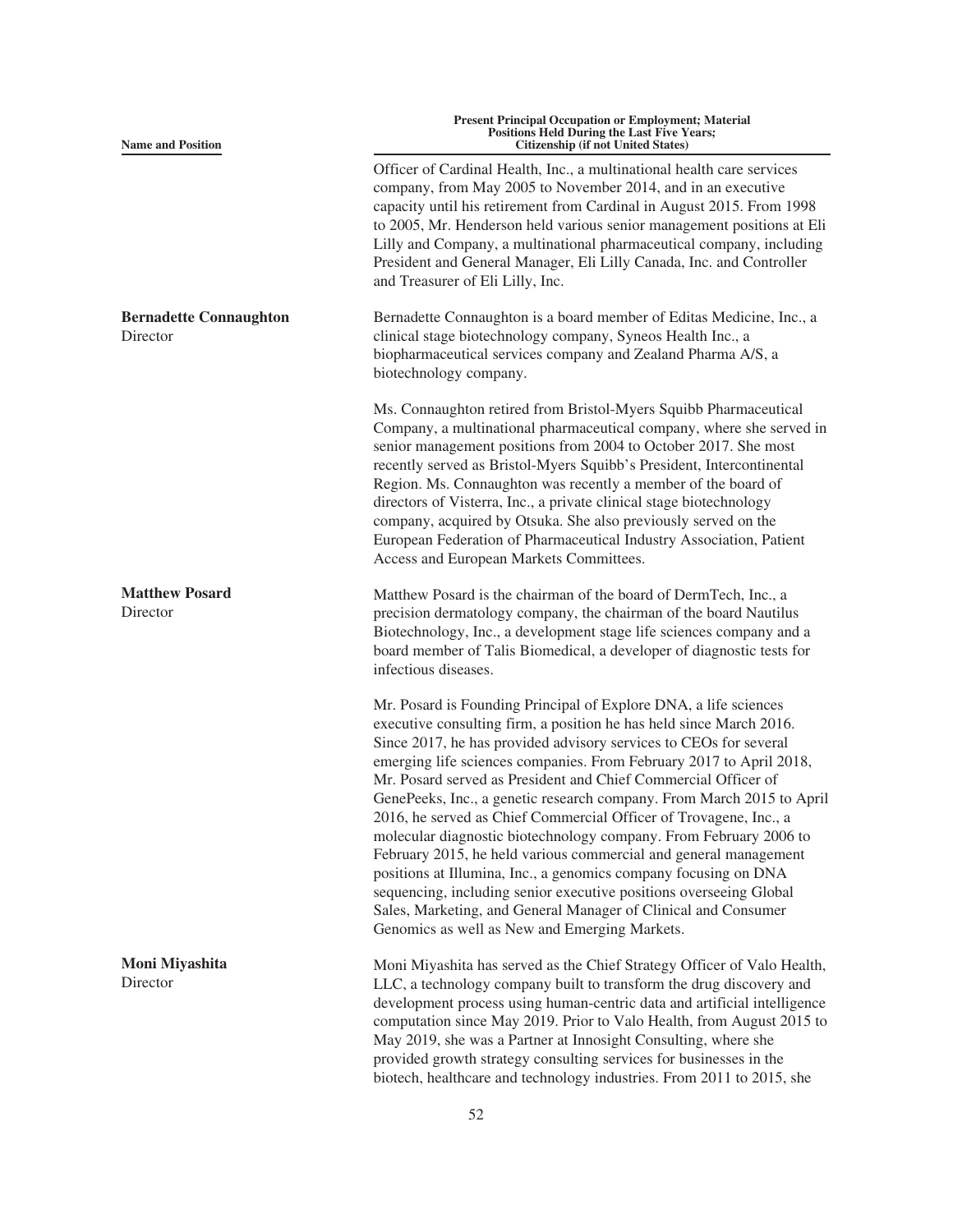| <b>Name and Position</b>                  | Positions Held During the Last Five Years;<br><b>Citizenship (if not United States)</b>                                                                                                                                                                                                                                                                                                                                                                                                                                                                                                                                                                                                                                                                                                                                                                                                                  |
|-------------------------------------------|----------------------------------------------------------------------------------------------------------------------------------------------------------------------------------------------------------------------------------------------------------------------------------------------------------------------------------------------------------------------------------------------------------------------------------------------------------------------------------------------------------------------------------------------------------------------------------------------------------------------------------------------------------------------------------------------------------------------------------------------------------------------------------------------------------------------------------------------------------------------------------------------------------|
|                                           | Officer of Cardinal Health, Inc., a multinational health care services<br>company, from May 2005 to November 2014, and in an executive<br>capacity until his retirement from Cardinal in August 2015. From 1998<br>to 2005, Mr. Henderson held various senior management positions at Eli<br>Lilly and Company, a multinational pharmaceutical company, including<br>President and General Manager, Eli Lilly Canada, Inc. and Controller<br>and Treasurer of Eli Lilly, Inc.                                                                                                                                                                                                                                                                                                                                                                                                                            |
| <b>Bernadette Connaughton</b><br>Director | Bernadette Connaughton is a board member of Editas Medicine, Inc., a<br>clinical stage biotechnology company, Syneos Health Inc., a<br>biopharmaceutical services company and Zealand Pharma A/S, a<br>biotechnology company.                                                                                                                                                                                                                                                                                                                                                                                                                                                                                                                                                                                                                                                                            |
|                                           | Ms. Connaughton retired from Bristol-Myers Squibb Pharmaceutical<br>Company, a multinational pharmaceutical company, where she served in<br>senior management positions from 2004 to October 2017. She most<br>recently served as Bristol-Myers Squibb's President, Intercontinental<br>Region. Ms. Connaughton was recently a member of the board of<br>directors of Visterra, Inc., a private clinical stage biotechnology<br>company, acquired by Otsuka. She also previously served on the<br>European Federation of Pharmaceutical Industry Association, Patient<br>Access and European Markets Committees.                                                                                                                                                                                                                                                                                         |
| <b>Matthew Posard</b><br>Director         | Matthew Posard is the chairman of the board of DermTech, Inc., a<br>precision dermatology company, the chairman of the board Nautilus<br>Biotechnology, Inc., a development stage life sciences company and a<br>board member of Talis Biomedical, a developer of diagnostic tests for<br>infectious diseases.                                                                                                                                                                                                                                                                                                                                                                                                                                                                                                                                                                                           |
|                                           | Mr. Posard is Founding Principal of Explore DNA, a life sciences<br>executive consulting firm, a position he has held since March 2016.<br>Since 2017, he has provided advisory services to CEOs for several<br>emerging life sciences companies. From February 2017 to April 2018,<br>Mr. Posard served as President and Chief Commercial Officer of<br>GenePeeks, Inc., a genetic research company. From March 2015 to April<br>2016, he served as Chief Commercial Officer of Trovagene, Inc., a<br>molecular diagnostic biotechnology company. From February 2006 to<br>February 2015, he held various commercial and general management<br>positions at Illumina, Inc., a genomics company focusing on DNA<br>sequencing, including senior executive positions overseeing Global<br>Sales, Marketing, and General Manager of Clinical and Consumer<br>Genomics as well as New and Emerging Markets. |
| Moni Miyashita<br>Director                | Moni Miyashita has served as the Chief Strategy Officer of Valo Health,<br>LLC, a technology company built to transform the drug discovery and<br>development process using human-centric data and artificial intelligence<br>computation since May 2019. Prior to Valo Health, from August 2015 to<br>May 2019, she was a Partner at Innosight Consulting, where she<br>provided growth strategy consulting services for businesses in the<br>biotech, healthcare and technology industries. From 2011 to 2015, she                                                                                                                                                                                                                                                                                                                                                                                     |

**Present Principal Occupation or Employment; Material**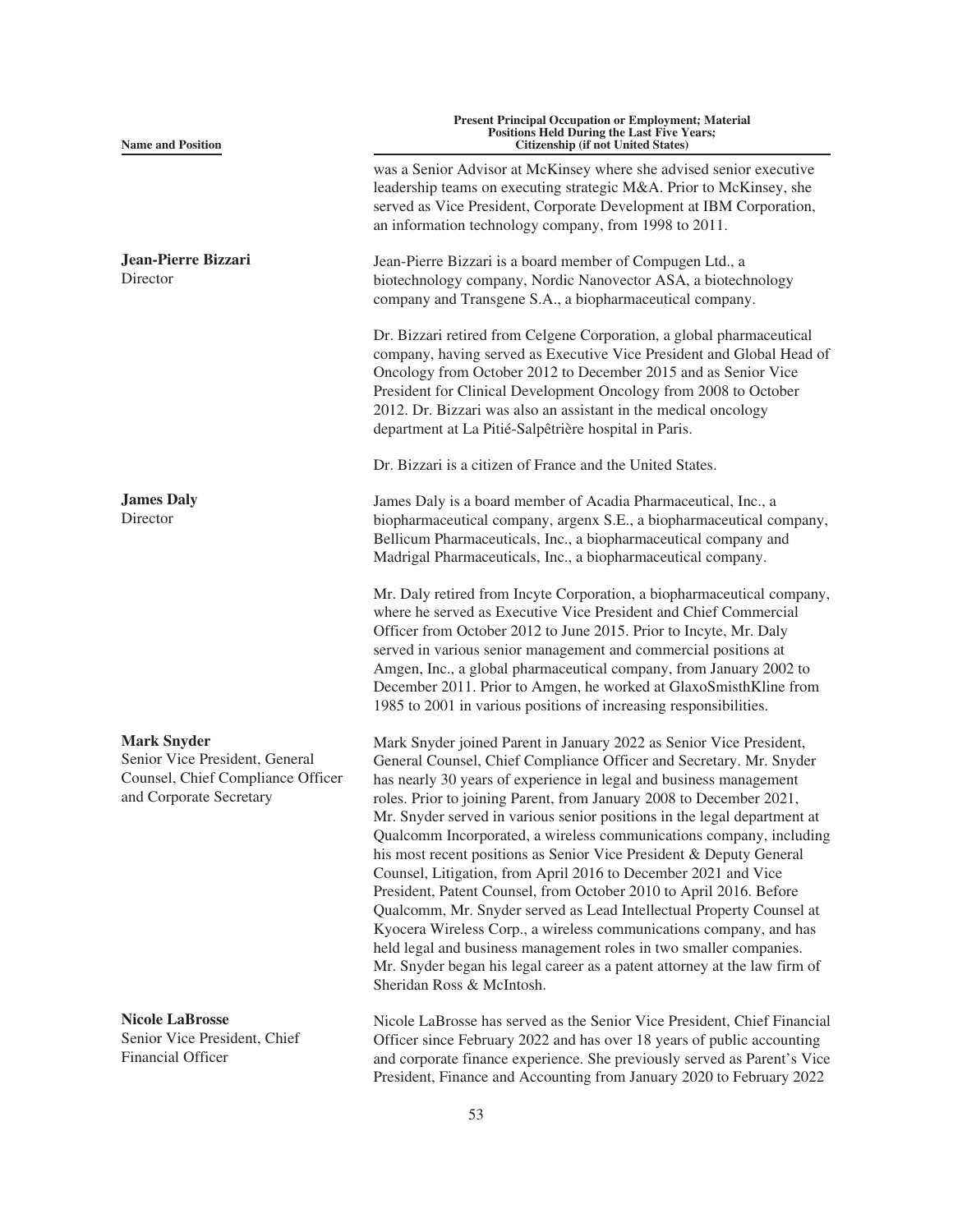| <b>Name and Position</b>                                                                                             | <b>Present Principal Occupation or Employment; Material</b><br>Positions Held During the Last Five Years;<br><b>Citizenship (if not United States)</b>                                                                                                                                                                                                                                                                                                                                                                                                                                                                                                                                                                                                                                                                                                                                                                                                                                  |
|----------------------------------------------------------------------------------------------------------------------|-----------------------------------------------------------------------------------------------------------------------------------------------------------------------------------------------------------------------------------------------------------------------------------------------------------------------------------------------------------------------------------------------------------------------------------------------------------------------------------------------------------------------------------------------------------------------------------------------------------------------------------------------------------------------------------------------------------------------------------------------------------------------------------------------------------------------------------------------------------------------------------------------------------------------------------------------------------------------------------------|
|                                                                                                                      | was a Senior Advisor at McKinsey where she advised senior executive<br>leadership teams on executing strategic M&A. Prior to McKinsey, she<br>served as Vice President, Corporate Development at IBM Corporation,<br>an information technology company, from 1998 to 2011.                                                                                                                                                                                                                                                                                                                                                                                                                                                                                                                                                                                                                                                                                                              |
| <b>Jean-Pierre Bizzari</b><br>Director                                                                               | Jean-Pierre Bizzari is a board member of Compugen Ltd., a<br>biotechnology company, Nordic Nanovector ASA, a biotechnology<br>company and Transgene S.A., a biopharmaceutical company.                                                                                                                                                                                                                                                                                                                                                                                                                                                                                                                                                                                                                                                                                                                                                                                                  |
|                                                                                                                      | Dr. Bizzari retired from Celgene Corporation, a global pharmaceutical<br>company, having served as Executive Vice President and Global Head of<br>Oncology from October 2012 to December 2015 and as Senior Vice<br>President for Clinical Development Oncology from 2008 to October<br>2012. Dr. Bizzari was also an assistant in the medical oncology<br>department at La Pitié-Salpêtrière hospital in Paris.                                                                                                                                                                                                                                                                                                                                                                                                                                                                                                                                                                        |
|                                                                                                                      | Dr. Bizzari is a citizen of France and the United States.                                                                                                                                                                                                                                                                                                                                                                                                                                                                                                                                                                                                                                                                                                                                                                                                                                                                                                                               |
| <b>James Daly</b><br>Director                                                                                        | James Daly is a board member of Acadia Pharmaceutical, Inc., a<br>biopharmaceutical company, argenx S.E., a biopharmaceutical company,<br>Bellicum Pharmaceuticals, Inc., a biopharmaceutical company and<br>Madrigal Pharmaceuticals, Inc., a biopharmaceutical company.                                                                                                                                                                                                                                                                                                                                                                                                                                                                                                                                                                                                                                                                                                               |
|                                                                                                                      | Mr. Daly retired from Incyte Corporation, a biopharmaceutical company,<br>where he served as Executive Vice President and Chief Commercial<br>Officer from October 2012 to June 2015. Prior to Incyte, Mr. Daly<br>served in various senior management and commercial positions at<br>Amgen, Inc., a global pharmaceutical company, from January 2002 to<br>December 2011. Prior to Amgen, he worked at GlaxoSmisthKline from<br>1985 to 2001 in various positions of increasing responsibilities.                                                                                                                                                                                                                                                                                                                                                                                                                                                                                      |
| <b>Mark Snyder</b><br>Senior Vice President, General<br>Counsel, Chief Compliance Officer<br>and Corporate Secretary | Mark Snyder joined Parent in January 2022 as Senior Vice President,<br>General Counsel, Chief Compliance Officer and Secretary. Mr. Snyder<br>has nearly 30 years of experience in legal and business management<br>roles. Prior to joining Parent, from January 2008 to December 2021,<br>Mr. Snyder served in various senior positions in the legal department at<br>Qualcomm Incorporated, a wireless communications company, including<br>his most recent positions as Senior Vice President & Deputy General<br>Counsel, Litigation, from April 2016 to December 2021 and Vice<br>President, Patent Counsel, from October 2010 to April 2016. Before<br>Qualcomm, Mr. Snyder served as Lead Intellectual Property Counsel at<br>Kyocera Wireless Corp., a wireless communications company, and has<br>held legal and business management roles in two smaller companies.<br>Mr. Snyder began his legal career as a patent attorney at the law firm of<br>Sheridan Ross & McIntosh. |
| <b>Nicole LaBrosse</b><br>Senior Vice President, Chief<br>Financial Officer                                          | Nicole LaBrosse has served as the Senior Vice President, Chief Financial<br>Officer since February 2022 and has over 18 years of public accounting<br>and corporate finance experience. She previously served as Parent's Vice<br>President, Finance and Accounting from January 2020 to February 2022                                                                                                                                                                                                                                                                                                                                                                                                                                                                                                                                                                                                                                                                                  |